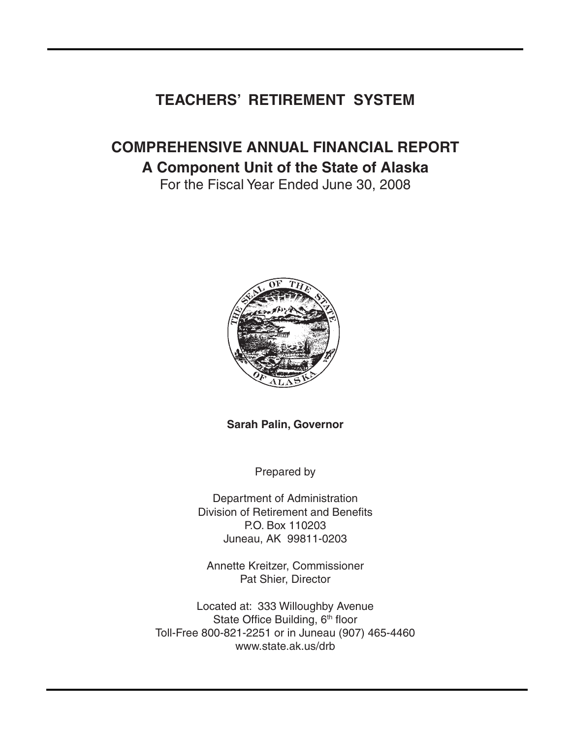# **TEACHERS' RETIREMENT SYSTEM**

# **COMPREHENSIVE ANNUAL FINANCIAL REPORT A Component Unit of the State of Alaska**

For the Fiscal Year Ended June 30, 2008



**Sarah Palin, Governor**

Prepared by

Department of Administration Division of Retirement and Benefits P.O. Box 110203 Juneau, AK 99811-0203

Annette Kreitzer, Commissioner Pat Shier, Director

Located at: 333 Willoughby Avenue State Office Building, 6<sup>th</sup> floor Toll-Free 800-821-2251 or in Juneau (907) 465-4460 www.state.ak.us/drb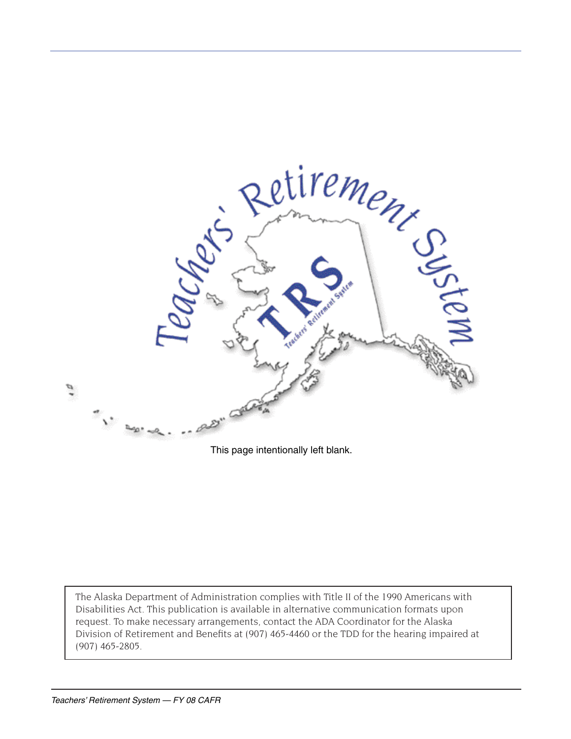

This page intentionally left blank.

The Alaska Department of Administration complies with Title II of the 1990 Americans with Disabilities Act. This publication is available in alternative communication formats upon request. To make necessary arrangements, contact the ADA Coordinator for the Alaska Division of Retirement and Benefits at (907) 465-4460 or the TDD for the hearing impaired at (907) 465-2805.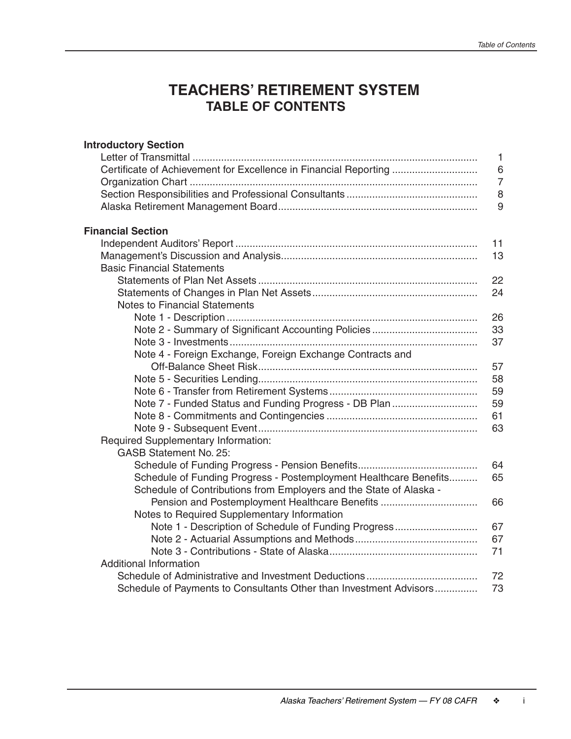# **TEACHERS' RETIREMENT SYSTEM TABLE OF CONTENTS**

| <b>Introductory Section</b>                                        |                |
|--------------------------------------------------------------------|----------------|
|                                                                    | $\mathbf{1}$   |
| Certificate of Achievement for Excellence in Financial Reporting   | 6              |
|                                                                    | $\overline{7}$ |
|                                                                    | 8              |
|                                                                    | 9              |
| <b>Financial Section</b>                                           |                |
|                                                                    | 11             |
|                                                                    | 13             |
| <b>Basic Financial Statements</b>                                  |                |
|                                                                    | 22             |
|                                                                    | 24             |
| <b>Notes to Financial Statements</b>                               |                |
|                                                                    | 26             |
|                                                                    | 33             |
|                                                                    | 37             |
| Note 4 - Foreign Exchange, Foreign Exchange Contracts and          |                |
|                                                                    | 57             |
|                                                                    | 58             |
|                                                                    | 59             |
| Note 7 - Funded Status and Funding Progress - DB Plan              | 59             |
|                                                                    | 61             |
|                                                                    | 63             |
| <b>Required Supplementary Information:</b>                         |                |
| <b>GASB Statement No. 25:</b>                                      |                |
|                                                                    | 64             |
| Schedule of Funding Progress - Postemployment Healthcare Benefits  | 65             |
| Schedule of Contributions from Employers and the State of Alaska - |                |
| Pension and Postemployment Healthcare Benefits                     | 66             |
| Notes to Required Supplementary Information                        |                |
| Note 1 - Description of Schedule of Funding Progress               | 67             |
|                                                                    | 67             |
|                                                                    | 71             |
| <b>Additional Information</b>                                      |                |
|                                                                    | 72             |
| Schedule of Payments to Consultants Other than Investment Advisors | 73             |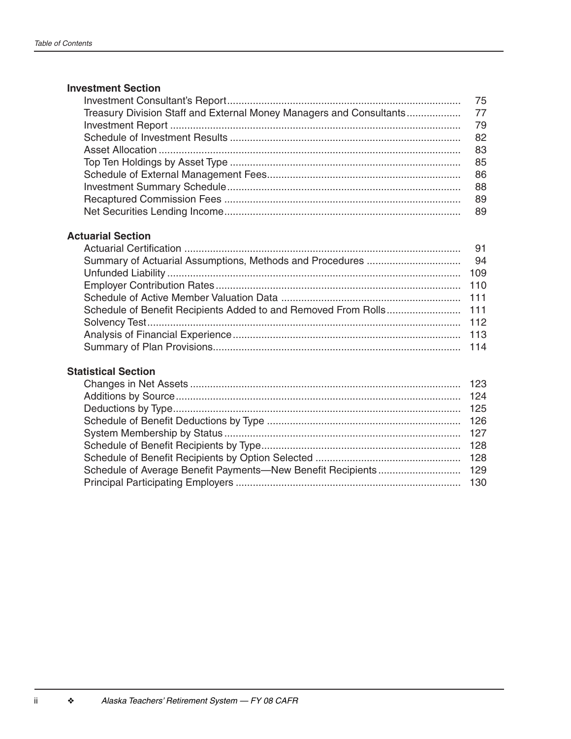| <b>Investment Section</b> |  |
|---------------------------|--|
|---------------------------|--|

|  | -75 |
|--|-----|
|  |     |
|  | 79  |
|  | 82  |
|  | 83  |
|  | 85  |
|  | 86  |
|  | 88  |
|  | 89  |
|  |     |
|  |     |

#### **Actuarial Section**

#### **Statistical Section**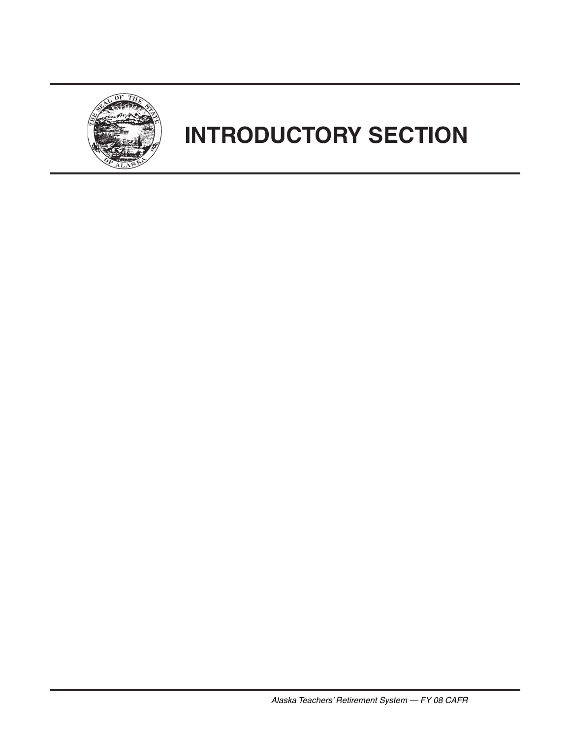

# **INTRODUCTORY SECTION**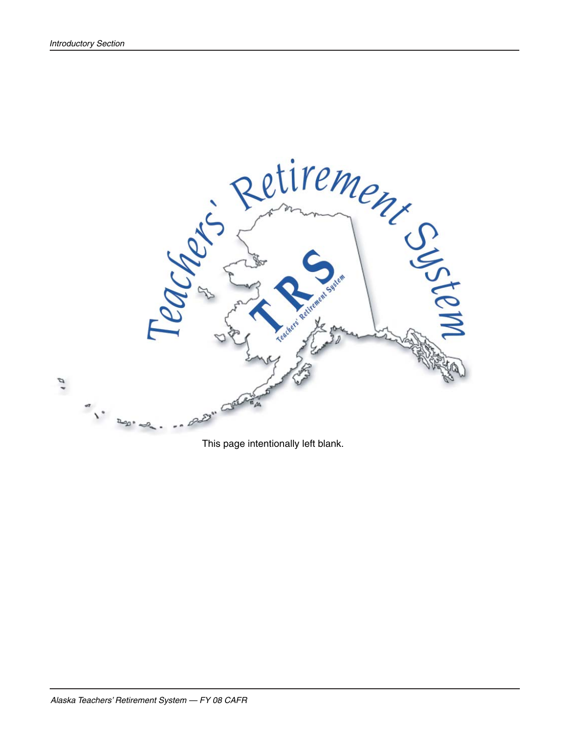

This page intentionally left blank.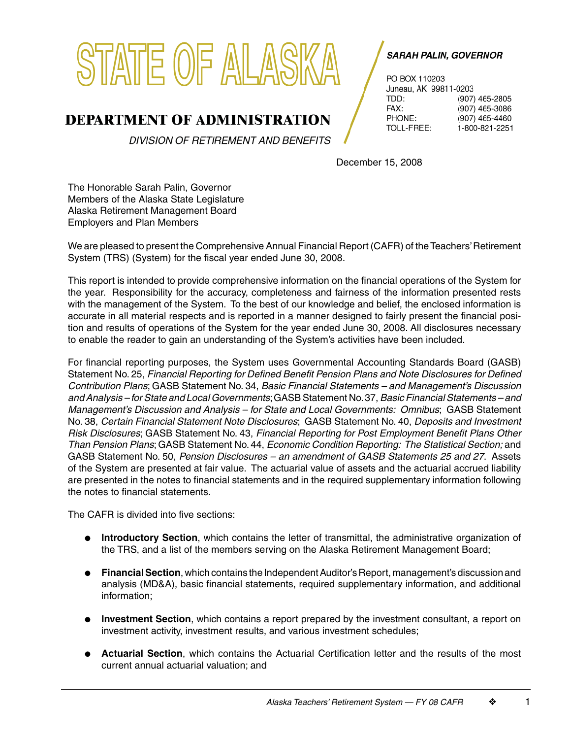# $\text{OPTANTE} \text{ } \textcircled{} \text{ } \textcircled{} \text{ } \textcircled{} \text{ } \textcircled{} \text{ } \textcircled{} \text{ } \textcircled{} \text{ } \textcircled{} \textcircled{} \textcircled{} \textcircled{} \textcircled{} \textcircled{} \textcircled{} \textcircled{} \textcircled{} \textcircled{} \textcircled{} \textcircled{} \textcircled{} \textcircled{} \textcircled{} \textcircled{} \textcircled{} \textcircled{} \textcircled{} \textcircled{} \textcircled{} \textcircled{} \textcircled{} \textcircled{} \textcircled{$

# **DEPARTMENT OF ADMINISTRATION**

**DIVISION OF RETIREMENT AND BENEFITS** 

PO BOX 110203 Juneau, AK 99811-0203 (907) 465-2805 TDD: FAX: (907) 465-3086 PHONE: (907) 465-4460 TOLL-FREE: 1-800-821-2251

December 15, 2008

The Honorable Sarah Palin, Governor Members of the Alaska State Legislature Alaska Retirement Management Board Employers and Plan Members

We are pleased to present the Comprehensive Annual Financial Report (CAFR) of the Teachers' Retirement System (TRS) (System) for the fiscal year ended June 30, 2008.

This report is intended to provide comprehensive information on the financial operations of the System for the year. Responsibility for the accuracy, completeness and fairness of the information presented rests with the management of the System. To the best of our knowledge and belief, the enclosed information is accurate in all material respects and is reported in a manner designed to fairly present the financial position and results of operations of the System for the year ended June 30, 2008. All disclosures necessary to enable the reader to gain an understanding of the System's activities have been included.

For financial reporting purposes, the System uses Governmental Accounting Standards Board (GASB) Statement No. 25, *Financial Reporting for Defined Benefit Pension Plans and Note Disclosures for Defined Contribution Plans*; GASB Statement No. 34, *Basic Financial Statements – and Management's Discussion and Analysis – for State and Local Governments*; GASB Statement No. 37, *Basic Financial Statements – and Management's Discussion and Analysis – for State and Local Governments: Omnibus*; GASB Statement No. 38, *Certain Financial Statement Note Disclosures*; GASB Statement No. 40, *Deposits and Investment Risk Disclosures*; GASB Statement No. 43, *Financial Reporting for Post Employment Benefit Plans Other Than Pension Plans*; GASB Statement No. 44, *Economic Condition Reporting: The Statistical Section;* and GASB Statement No. 50, *Pension Disclosures – an amendment of GASB Statements 25 and 27*. Assets of the System are presented at fair value. The actuarial value of assets and the actuarial accrued liability are presented in the notes to financial statements and in the required supplementary information following the notes to financial statements.

The CAFR is divided into five sections:

- **Introductory Section**, which contains the letter of transmittal, the administrative organization of the TRS, and a list of the members serving on the Alaska Retirement Management Board;
- **Financial Section**, which contains the Independent Auditor's Report, management's discussion and analysis (MD&A), basic financial statements, required supplementary information, and additional information;
- **Investment Section**, which contains a report prepared by the investment consultant, a report on investment activity, investment results, and various investment schedules;
- **Actuarial Section**, which contains the Actuarial Certification letter and the results of the most current annual actuarial valuation; and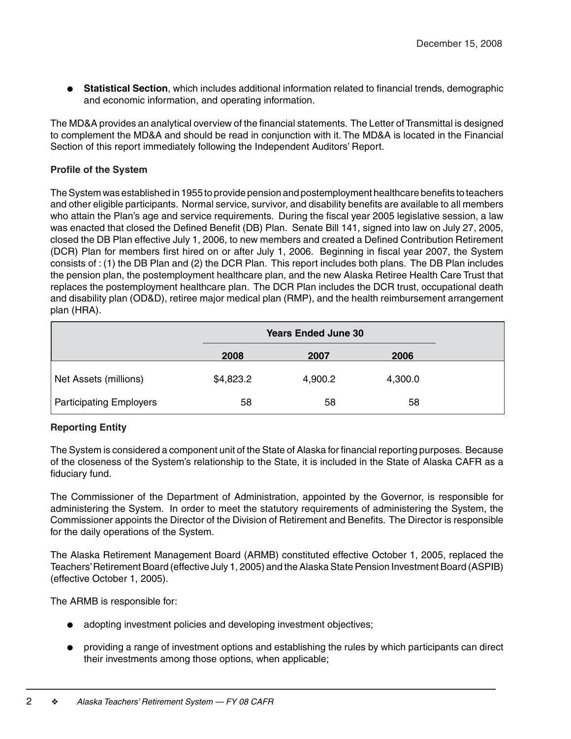● **Statistical Section**, which includes additional information related to financial trends, demographic and economic information, and operating information.

The MD&A provides an analytical overview of the financial statements. The Letter of Transmittal is designed to complement the MD&A and should be read in conjunction with it. The MD&A is located in the Financial Section of this report immediately following the Independent Auditors' Report.

#### **Profile of the System**

The System was established in 1955 to provide pension and postemployment healthcare benefits to teachers and other eligible participants. Normal service, survivor, and disability benefits are available to all members who attain the Plan's age and service requirements. During the fiscal year 2005 legislative session, a law was enacted that closed the Defined Benefit (DB) Plan. Senate Bill 141, signed into law on July 27, 2005, closed the DB Plan effective July 1, 2006, to new members and created a Defined Contribution Retirement (DCR) Plan for members first hired on or after July 1, 2006. Beginning in fiscal year 2007, the System consists of : (1) the DB Plan and (2) the DCR Plan. This report includes both plans. The DB Plan includes the pension plan, the postemployment healthcare plan, and the new Alaska Retiree Health Care Trust that replaces the postemployment healthcare plan. The DCR Plan includes the DCR trust, occupational death and disability plan (OD&D), retiree major medical plan (RMP), and the health reimbursement arrangement plan (HRA).

|                                |           | <b>Years Ended June 30</b> |         |  |  |
|--------------------------------|-----------|----------------------------|---------|--|--|
|                                | 2008      | 2007                       | 2006    |  |  |
| Net Assets (millions)          | \$4,823.2 | 4,900.2                    | 4,300.0 |  |  |
| <b>Participating Employers</b> | 58        | 58                         | 58      |  |  |

#### **Reporting Entity**

The System is considered a component unit of the State of Alaska for financial reporting purposes. Because of the closeness of the System's relationship to the State, it is included in the State of Alaska CAFR as a fiduciary fund.

The Commissioner of the Department of Administration, appointed by the Governor, is responsible for administering the System. In order to meet the statutory requirements of administering the System, the Commissioner appoints the Director of the Division of Retirement and Benefits. The Director is responsible for the daily operations of the System.

The Alaska Retirement Management Board (ARMB) constituted effective October 1, 2005, replaced the Teachers' Retirement Board (effective July 1, 2005) and the Alaska State Pension Investment Board (ASPIB) (effective October 1, 2005).

The ARMB is responsible for:

- adopting investment policies and developing investment objectives;
- providing a range of investment options and establishing the rules by which participants can direct their investments among those options, when applicable;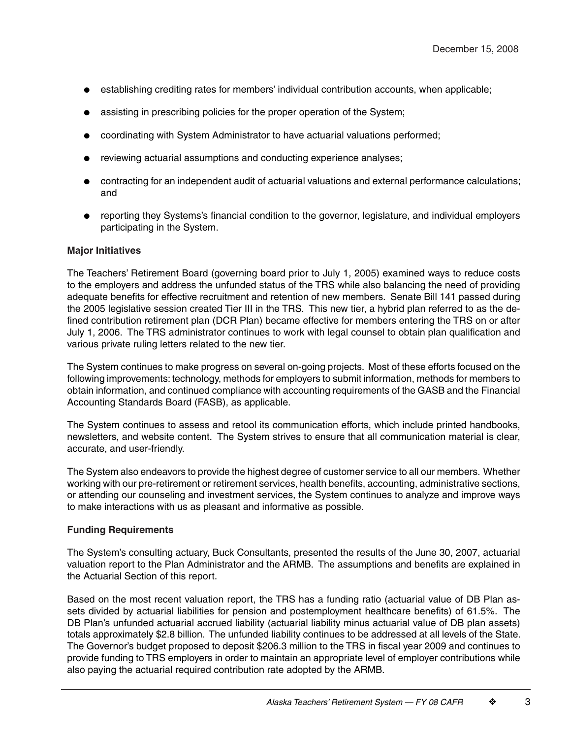- establishing crediting rates for members' individual contribution accounts, when applicable;
- assisting in prescribing policies for the proper operation of the System;
- coordinating with System Administrator to have actuarial valuations performed;
- reviewing actuarial assumptions and conducting experience analyses;
- contracting for an independent audit of actuarial valuations and external performance calculations; and
- reporting they Systems's financial condition to the governor, legislature, and individual employers participating in the System.

#### **Major Initiatives**

The Teachers' Retirement Board (governing board prior to July 1, 2005) examined ways to reduce costs to the employers and address the unfunded status of the TRS while also balancing the need of providing adequate benefits for effective recruitment and retention of new members. Senate Bill 141 passed during the 2005 legislative session created Tier III in the TRS. This new tier, a hybrid plan referred to as the defined contribution retirement plan (DCR Plan) became effective for members entering the TRS on or after July 1, 2006. The TRS administrator continues to work with legal counsel to obtain plan qualification and various private ruling letters related to the new tier.

The System continues to make progress on several on-going projects. Most of these efforts focused on the following improvements: technology, methods for employers to submit information, methods for members to obtain information, and continued compliance with accounting requirements of the GASB and the Financial Accounting Standards Board (FASB), as applicable.

The System continues to assess and retool its communication efforts, which include printed handbooks, newsletters, and website content. The System strives to ensure that all communication material is clear, accurate, and user-friendly.

The System also endeavors to provide the highest degree of customer service to all our members. Whether working with our pre-retirement or retirement services, health benefits, accounting, administrative sections, or attending our counseling and investment services, the System continues to analyze and improve ways to make interactions with us as pleasant and informative as possible.

#### **Funding Requirements**

The System's consulting actuary, Buck Consultants, presented the results of the June 30, 2007, actuarial valuation report to the Plan Administrator and the ARMB. The assumptions and benefits are explained in the Actuarial Section of this report.

Based on the most recent valuation report, the TRS has a funding ratio (actuarial value of DB Plan assets divided by actuarial liabilities for pension and postemployment healthcare benefits) of 61.5%. The DB Plan's unfunded actuarial accrued liability (actuarial liability minus actuarial value of DB plan assets) totals approximately \$2.8 billion. The unfunded liability continues to be addressed at all levels of the State. The Governor's budget proposed to deposit \$206.3 million to the TRS in fiscal year 2009 and continues to provide funding to TRS employers in order to maintain an appropriate level of employer contributions while also paying the actuarial required contribution rate adopted by the ARMB.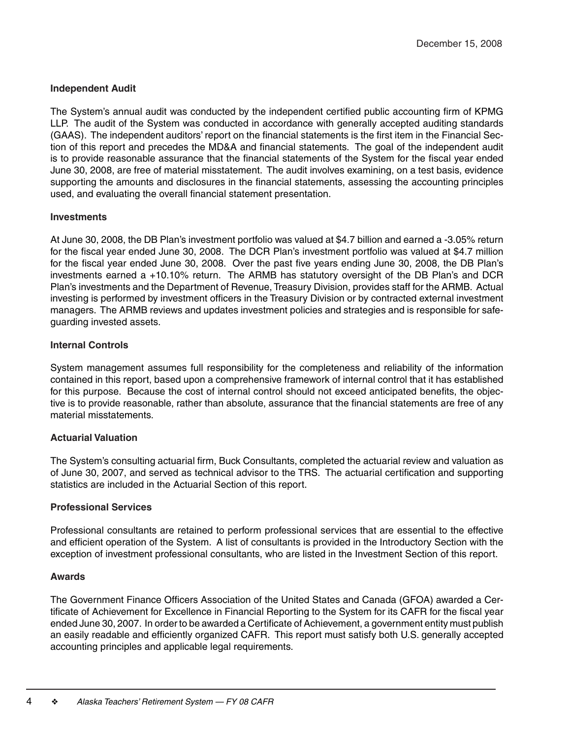#### **Independent Audit**

The System's annual audit was conducted by the independent certified public accounting firm of KPMG LLP. The audit of the System was conducted in accordance with generally accepted auditing standards (GAAS). The independent auditors' report on the financial statements is the first item in the Financial Section of this report and precedes the MD&A and financial statements. The goal of the independent audit is to provide reasonable assurance that the financial statements of the System for the fiscal year ended June 30, 2008, are free of material misstatement. The audit involves examining, on a test basis, evidence supporting the amounts and disclosures in the financial statements, assessing the accounting principles used, and evaluating the overall financial statement presentation.

#### **Investments**

At June 30, 2008, the DB Plan's investment portfolio was valued at \$4.7 billion and earned a -3.05% return for the fiscal year ended June 30, 2008. The DCR Plan's investment portfolio was valued at \$4.7 million for the fiscal year ended June 30, 2008. Over the past five years ending June 30, 2008, the DB Plan's investments earned a +10.10% return. The ARMB has statutory oversight of the DB Plan's and DCR Plan's investments and the Department of Revenue, Treasury Division, provides staff for the ARMB. Actual investing is performed by investment officers in the Treasury Division or by contracted external investment managers. The ARMB reviews and updates investment policies and strategies and is responsible for safeguarding invested assets.

#### **Internal Controls**

System management assumes full responsibility for the completeness and reliability of the information contained in this report, based upon a comprehensive framework of internal control that it has established for this purpose. Because the cost of internal control should not exceed anticipated benefits, the objective is to provide reasonable, rather than absolute, assurance that the financial statements are free of any material misstatements.

#### **Actuarial Valuation**

The System's consulting actuarial firm, Buck Consultants, completed the actuarial review and valuation as of June 30, 2007, and served as technical advisor to the TRS. The actuarial certification and supporting statistics are included in the Actuarial Section of this report.

#### **Professional Services**

Professional consultants are retained to perform professional services that are essential to the effective and efficient operation of the System. A list of consultants is provided in the Introductory Section with the exception of investment professional consultants, who are listed in the Investment Section of this report.

#### **Awards**

The Government Finance Officers Association of the United States and Canada (GFOA) awarded a Certificate of Achievement for Excellence in Financial Reporting to the System for its CAFR for the fiscal year ended June 30, 2007. In order to be awarded a Certificate of Achievement, a government entity must publish an easily readable and efficiently organized CAFR. This report must satisfy both U.S. generally accepted accounting principles and applicable legal requirements.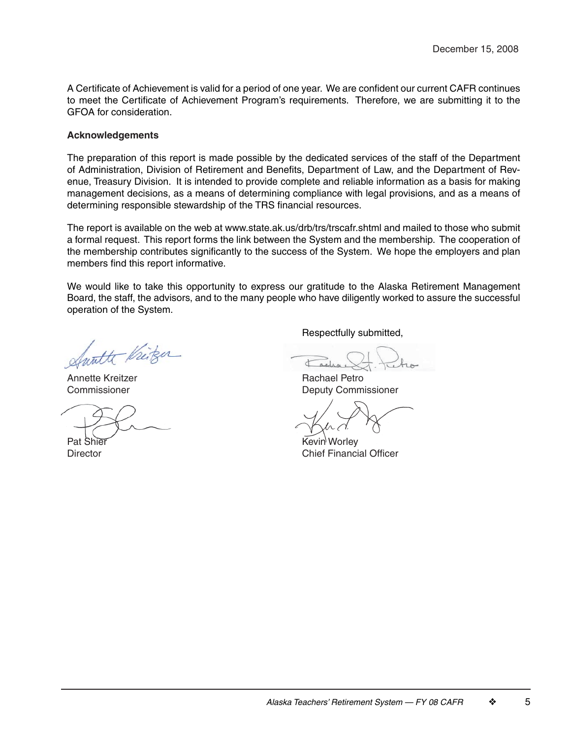A Certificate of Achievement is valid for a period of one year. We are confident our current CAFR continues to meet the Certificate of Achievement Program's requirements. Therefore, we are submitting it to the GFOA for consideration.

#### **Acknowledgements**

The preparation of this report is made possible by the dedicated services of the staff of the Department of Administration, Division of Retirement and Benefits, Department of Law, and the Department of Revenue, Treasury Division. It is intended to provide complete and reliable information as a basis for making management decisions, as a means of determining compliance with legal provisions, and as a means of determining responsible stewardship of the TRS financial resources.

The report is available on the web at www.state.ak.us/drb/trs/trscafr.shtml and mailed to those who submit a formal request. This report forms the link between the System and the membership. The cooperation of the membership contributes significantly to the success of the System. We hope the employers and plan members find this report informative.

We would like to take this opportunity to express our gratitude to the Alaska Retirement Management Board, the staff, the advisors, and to the many people who have diligently worked to assure the successful operation of the System.

Vika

Annette Kreitzer **Rachael Petro** Rachael Petro

Respectfully submitted,

Commissioner Deputy Commissioner

Pat Shier Kevin Worley **Director** Chief Financial Officer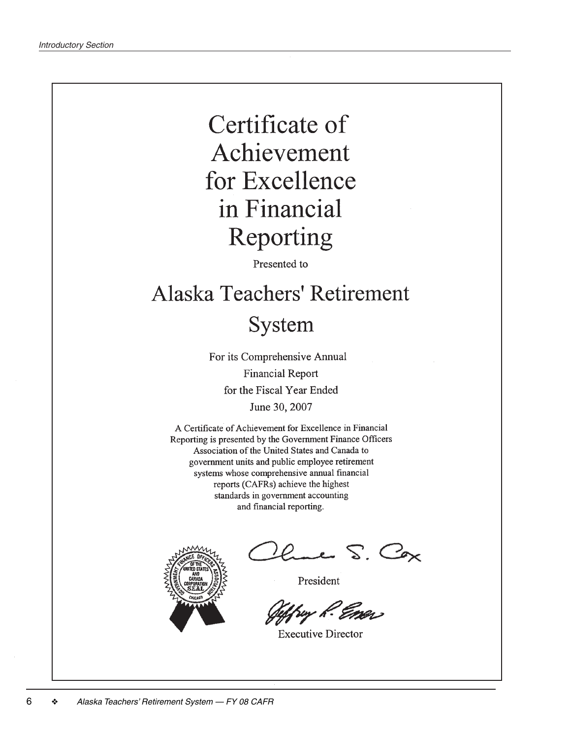# Certificate of Achievement for Excellence in Financial Reporting

Presented to

# Alaska Teachers' Retirement

# System

For its Comprehensive Annual **Financial Report** for the Fiscal Year Ended June 30, 2007

A Certificate of Achievement for Excellence in Financial Reporting is presented by the Government Finance Officers Association of the United States and Canada to government units and public employee retirement systems whose comprehensive annual financial reports (CAFRs) achieve the highest standards in government accounting and financial reporting.

have S. Cox

President

buy R. Eners

**Executive Director**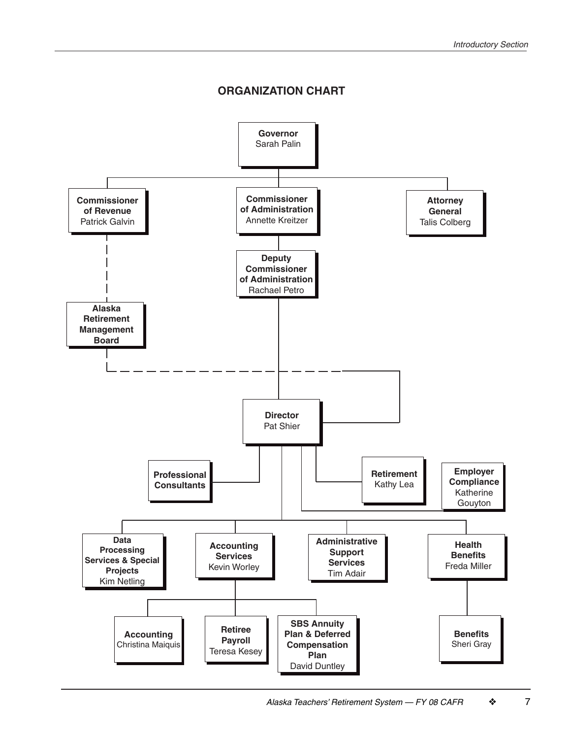#### **ORGANIZATION CHART**

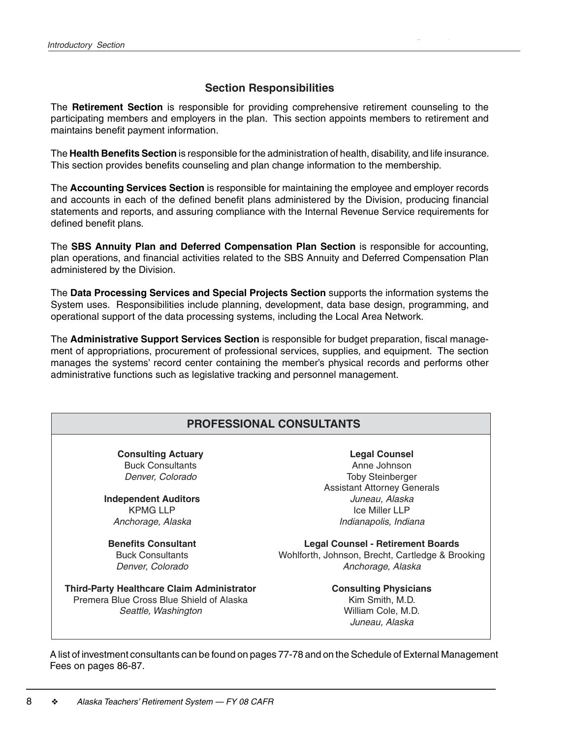#### **Section Responsibilities**

The **Retirement Section** is responsible for providing comprehensive retirement counseling to the participating members and employers in the plan. This section appoints members to retirement and maintains benefit payment information.

The Health Benefits Section is responsible for the administration of health, disability, and life insurance. This section provides benefits counseling and plan change information to the membership.

The **Accounting Services Section** is responsible for maintaining the employee and employer records and accounts in each of the defined benefit plans administered by the Division, producing financial statements and reports, and assuring compliance with the Internal Revenue Service requirements for defined benefit plans.

The **SBS Annuity Plan and Deferred Compensation Plan Section** is responsible for accounting, plan operations, and financial activities related to the SBS Annuity and Deferred Compensation Plan administered by the Division.

The **Data Processing Services and Special Projects Section** supports the information systems the System uses. Responsibilities include planning, development, data base design, programming, and operational support of the data processing systems, including the Local Area Network.

The **Administrative Support Services Section** is responsible for budget preparation, fiscal management of appropriations, procurement of professional services, supplies, and equipment. The section manages the systems' record center containing the member's physical records and performs other administrative functions such as legislative tracking and personnel management.

#### **PROFESSIONAL CONSULTANTS**

**Consulting Actuary** Buck Consultants *Denver, Colorado*

 **Independent Auditors** KPMG LLP *Anchorage, Alaska*

**Benefits Consultant**  Buck Consultants *Denver, Colorado*

**Third-Party Healthcare Claim Administrator** Premera Blue Cross Blue Shield of Alaska *Seattle, Washington*

**Legal Counsel** Anne Johnson Toby Steinberger Assistant Attorney Generals *Juneau, Alaska* Ice Miller LLP *Indianapolis, Indiana*

**Legal Counsel - Retirement Boards** Wohlforth, Johnson, Brecht, Cartledge & Brooking *Anchorage, Alaska*

> **Consulting Physicians** Kim Smith, M.D. William Cole, M.D. *Juneau, Alaska*

A list of investment consultants can be found on pages 77-78 and on the Schedule of External Management Fees on pages 86-87.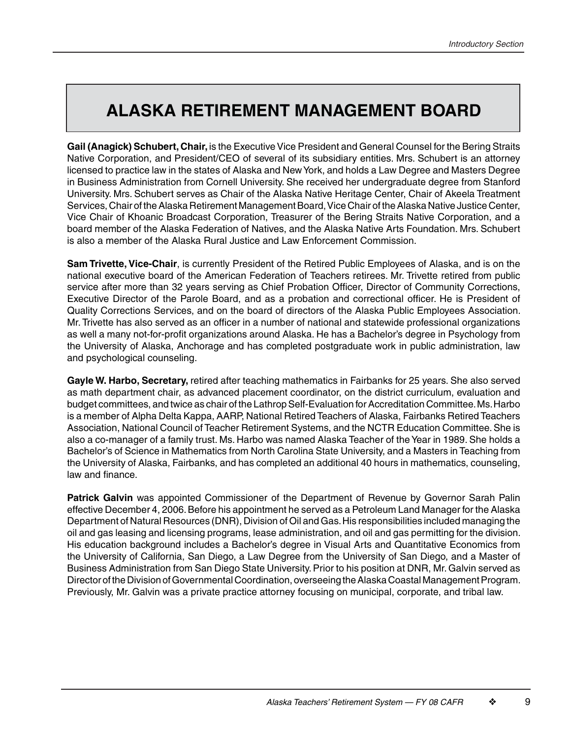# **ALASKA RETIREMENT MANAGEMENT BOARD**

**Gail (Anagick) Schubert, Chair,** is the Executive Vice President and General Counsel for the Bering Straits Native Corporation, and President/CEO of several of its subsidiary entities. Mrs. Schubert is an attorney licensed to practice law in the states of Alaska and New York, and holds a Law Degree and Masters Degree in Business Administration from Cornell University. She received her undergraduate degree from Stanford University. Mrs. Schubert serves as Chair of the Alaska Native Heritage Center, Chair of Akeela Treatment Services, Chair of the Alaska Retirement Management Board, Vice Chair of the Alaska Native Justice Center, Vice Chair of Khoanic Broadcast Corporation, Treasurer of the Bering Straits Native Corporation, and a board member of the Alaska Federation of Natives, and the Alaska Native Arts Foundation. Mrs. Schubert is also a member of the Alaska Rural Justice and Law Enforcement Commission.

**Sam Trivette, Vice-Chair**, is currently President of the Retired Public Employees of Alaska, and is on the national executive board of the American Federation of Teachers retirees. Mr. Trivette retired from public service after more than 32 years serving as Chief Probation Officer, Director of Community Corrections, Executive Director of the Parole Board, and as a probation and correctional officer. He is President of Quality Corrections Services, and on the board of directors of the Alaska Public Employees Association. Mr. Trivette has also served as an officer in a number of national and statewide professional organizations as well a many not-for-profit organizations around Alaska. He has a Bachelor's degree in Psychology from the University of Alaska, Anchorage and has completed postgraduate work in public administration, law and psychological counseling.

**Gayle W. Harbo, Secretary,** retired after teaching mathematics in Fairbanks for 25 years. She also served as math department chair, as advanced placement coordinator, on the district curriculum, evaluation and budget committees, and twice as chair of the Lathrop Self-Evaluation for Accreditation Committee. Ms. Harbo is a member of Alpha Delta Kappa, AARP, National Retired Teachers of Alaska, Fairbanks Retired Teachers Association, National Council of Teacher Retirement Systems, and the NCTR Education Committee. She is also a co-manager of a family trust. Ms. Harbo was named Alaska Teacher of the Year in 1989. She holds a Bachelor's of Science in Mathematics from North Carolina State University, and a Masters in Teaching from the University of Alaska, Fairbanks, and has completed an additional 40 hours in mathematics, counseling, law and finance.

**Patrick Galvin** was appointed Commissioner of the Department of Revenue by Governor Sarah Palin effective December 4, 2006. Before his appointment he served as a Petroleum Land Manager for the Alaska Department of Natural Resources (DNR), Division of Oil and Gas. His responsibilities included managing the oil and gas leasing and licensing programs, lease administration, and oil and gas permitting for the division. His education background includes a Bachelor's degree in Visual Arts and Quantitative Economics from the University of California, San Diego, a Law Degree from the University of San Diego, and a Master of Business Administration from San Diego State University. Prior to his position at DNR, Mr. Galvin served as Director of the Division of Governmental Coordination, overseeing the Alaska Coastal Management Program. Previously, Mr. Galvin was a private practice attorney focusing on municipal, corporate, and tribal law.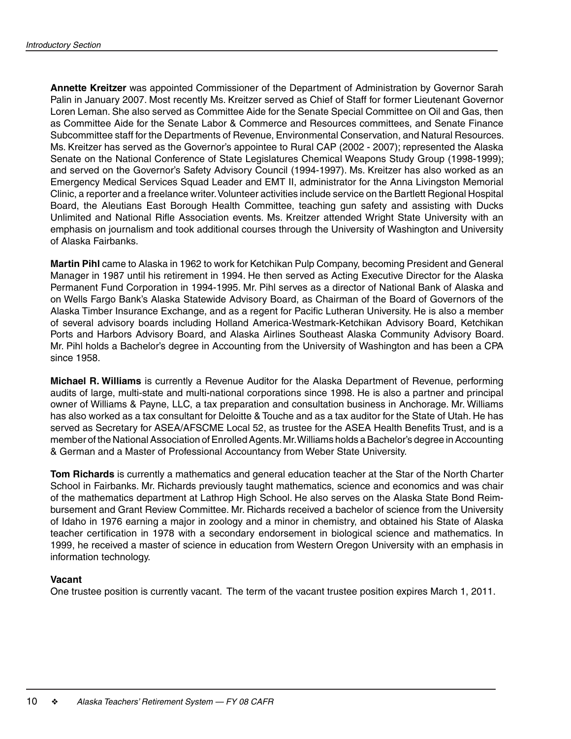**Annette Kreitzer** was appointed Commissioner of the Department of Administration by Governor Sarah Palin in January 2007. Most recently Ms. Kreitzer served as Chief of Staff for former Lieutenant Governor Loren Leman. She also served as Committee Aide for the Senate Special Committee on Oil and Gas, then as Committee Aide for the Senate Labor & Commerce and Resources committees, and Senate Finance Subcommittee staff for the Departments of Revenue, Environmental Conservation, and Natural Resources. Ms. Kreitzer has served as the Governor's appointee to Rural CAP (2002 - 2007); represented the Alaska Senate on the National Conference of State Legislatures Chemical Weapons Study Group (1998-1999); and served on the Governor's Safety Advisory Council (1994-1997). Ms. Kreitzer has also worked as an Emergency Medical Services Squad Leader and EMT II, administrator for the Anna Livingston Memorial Clinic, a reporter and a freelance writer. Volunteer activities include service on the Bartlett Regional Hospital Board, the Aleutians East Borough Health Committee, teaching gun safety and assisting with Ducks Unlimited and National Rifle Association events. Ms. Kreitzer attended Wright State University with an emphasis on journalism and took additional courses through the University of Washington and University of Alaska Fairbanks.

**Martin Pihl** came to Alaska in 1962 to work for Ketchikan Pulp Company, becoming President and General Manager in 1987 until his retirement in 1994. He then served as Acting Executive Director for the Alaska Permanent Fund Corporation in 1994-1995. Mr. Pihl serves as a director of National Bank of Alaska and on Wells Fargo Bank's Alaska Statewide Advisory Board, as Chairman of the Board of Governors of the Alaska Timber Insurance Exchange, and as a regent for Pacific Lutheran University. He is also a member of several advisory boards including Holland America-Westmark-Ketchikan Advisory Board, Ketchikan Ports and Harbors Advisory Board, and Alaska Airlines Southeast Alaska Community Advisory Board. Mr. Pihl holds a Bachelor's degree in Accounting from the University of Washington and has been a CPA since 1958.

**Michael R. Williams** is currently a Revenue Auditor for the Alaska Department of Revenue, performing audits of large, multi-state and multi-national corporations since 1998. He is also a partner and principal owner of Williams & Payne, LLC, a tax preparation and consultation business in Anchorage. Mr. Williams has also worked as a tax consultant for Deloitte & Touche and as a tax auditor for the State of Utah. He has served as Secretary for ASEA/AFSCME Local 52, as trustee for the ASEA Health Benefits Trust, and is a member of the National Association of Enrolled Agents. Mr. Williams holds a Bachelor's degree in Accounting & German and a Master of Professional Accountancy from Weber State University.

**Tom Richards** is currently a mathematics and general education teacher at the Star of the North Charter School in Fairbanks. Mr. Richards previously taught mathematics, science and economics and was chair of the mathematics department at Lathrop High School. He also serves on the Alaska State Bond Reimbursement and Grant Review Committee. Mr. Richards received a bachelor of science from the University of Idaho in 1976 earning a major in zoology and a minor in chemistry, and obtained his State of Alaska teacher certification in 1978 with a secondary endorsement in biological science and mathematics. In 1999, he received a master of science in education from Western Oregon University with an emphasis in information technology.

#### **Vacant**

One trustee position is currently vacant. The term of the vacant trustee position expires March 1, 2011.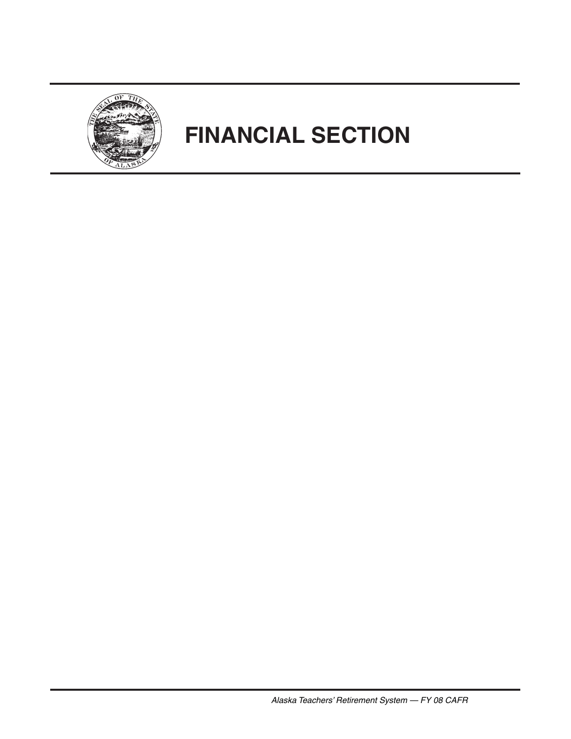

# **FINANCIAL SECTION**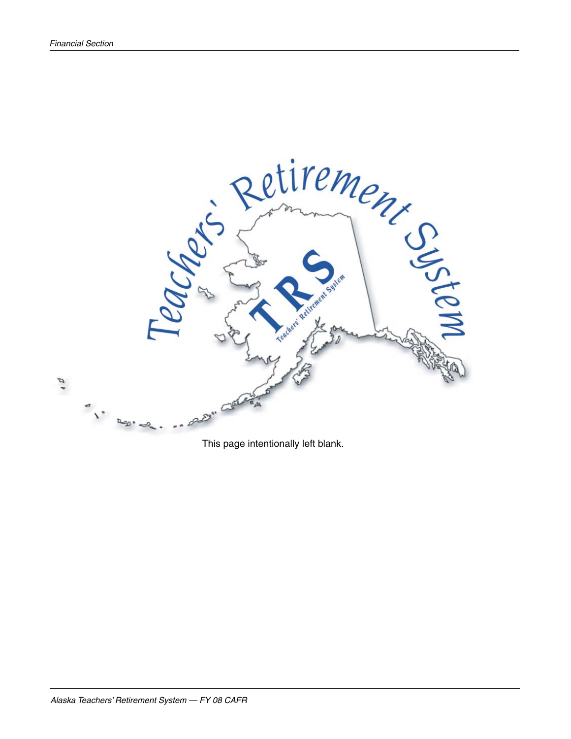

This page intentionally left blank.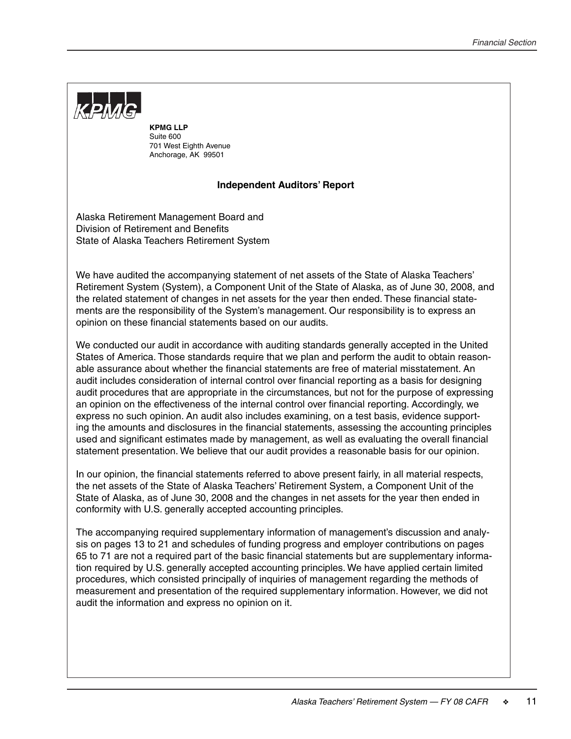

 **KPMG LLP** Suite 600 701 West Eighth Avenue Anchorage, AK 99501

#### **Independent Auditors' Report**

Alaska Retirement Management Board and Division of Retirement and Benefits State of Alaska Teachers Retirement System

We have audited the accompanying statement of net assets of the State of Alaska Teachers' Retirement System (System), a Component Unit of the State of Alaska, as of June 30, 2008, and the related statement of changes in net assets for the year then ended. These financial statements are the responsibility of the System's management. Our responsibility is to express an opinion on these financial statements based on our audits.

We conducted our audit in accordance with auditing standards generally accepted in the United States of America. Those standards require that we plan and perform the audit to obtain reasonable assurance about whether the financial statements are free of material misstatement. An audit includes consideration of internal control over financial reporting as a basis for designing audit procedures that are appropriate in the circumstances, but not for the purpose of expressing an opinion on the effectiveness of the internal control over financial reporting. Accordingly, we express no such opinion. An audit also includes examining, on a test basis, evidence supporting the amounts and disclosures in the financial statements, assessing the accounting principles used and significant estimates made by management, as well as evaluating the overall financial statement presentation. We believe that our audit provides a reasonable basis for our opinion.

In our opinion, the financial statements referred to above present fairly, in all material respects, the net assets of the State of Alaska Teachers' Retirement System, a Component Unit of the State of Alaska, as of June 30, 2008 and the changes in net assets for the year then ended in conformity with U.S. generally accepted accounting principles.

The accompanying required supplementary information of management's discussion and analysis on pages 13 to 21 and schedules of funding progress and employer contributions on pages 65 to 71 are not a required part of the basic financial statements but are supplementary information required by U.S. generally accepted accounting principles. We have applied certain limited procedures, which consisted principally of inquiries of management regarding the methods of measurement and presentation of the required supplementary information. However, we did not audit the information and express no opinion on it.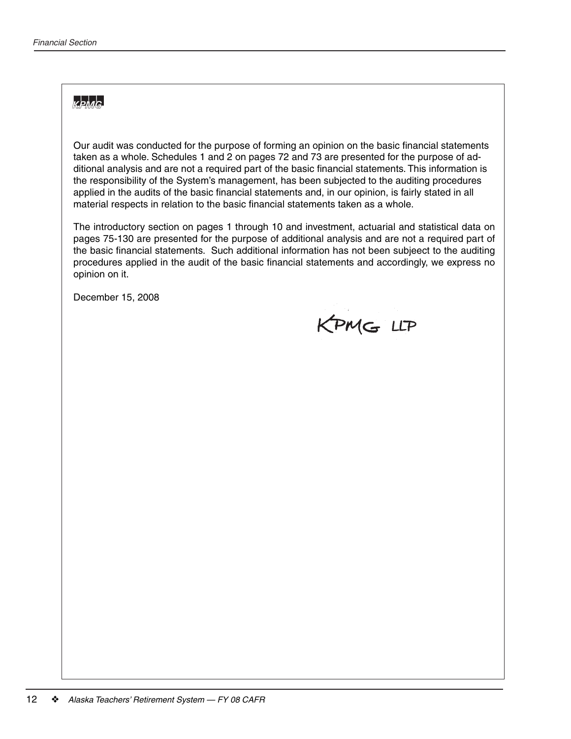#### $\kappa$ <sub>PNAG</sub>

Our audit was conducted for the purpose of forming an opinion on the basic financial statements taken as a whole. Schedules 1 and 2 on pages 72 and 73 are presented for the purpose of additional analysis and are not a required part of the basic financial statements. This information is the responsibility of the System's management, has been subjected to the auditing procedures applied in the audits of the basic financial statements and, in our opinion, is fairly stated in all material respects in relation to the basic financial statements taken as a whole.

The introductory section on pages 1 through 10 and investment, actuarial and statistical data on pages 75-130 are presented for the purpose of additional analysis and are not a required part of the basic financial statements. Such additional information has not been subjeect to the auditing procedures applied in the audit of the basic financial statements and accordingly, we express no opinion on it.

December 15, 2008

KPMG LLP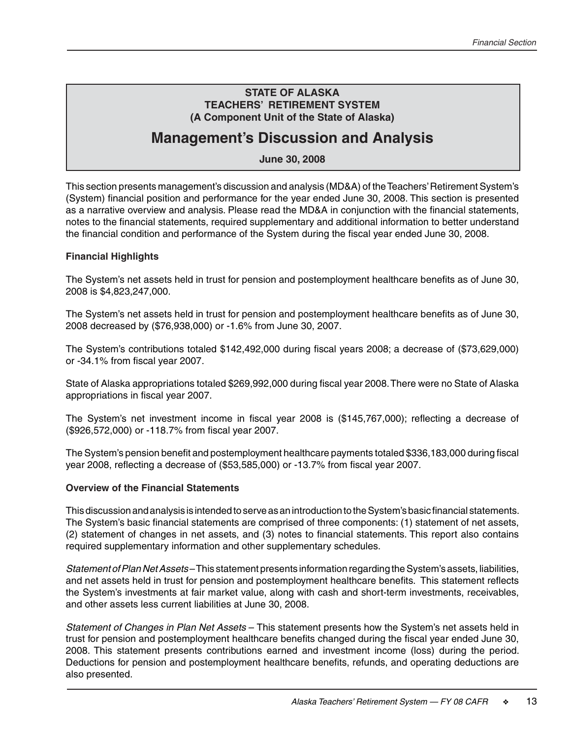# **Management's Discussion and Analysis**

**June 30, 2008**

This section presents management's discussion and analysis (MD&A) of the Teachers' Retirement System's (System) financial position and performance for the year ended June 30, 2008. This section is presented as a narrative overview and analysis. Please read the MD&A in conjunction with the financial statements, notes to the financial statements, required supplementary and additional information to better understand the financial condition and performance of the System during the fiscal year ended June 30, 2008.

#### **Financial Highlights**

The System's net assets held in trust for pension and postemployment healthcare benefits as of June 30, 2008 is \$4,823,247,000.

The System's net assets held in trust for pension and postemployment healthcare benefits as of June 30, 2008 decreased by (\$76,938,000) or -1.6% from June 30, 2007.

The System's contributions totaled \$142,492,000 during fiscal years 2008; a decrease of (\$73,629,000) or -34.1% from fiscal year 2007.

State of Alaska appropriations totaled \$269,992,000 during fiscal year 2008. There were no State of Alaska appropriations in fiscal year 2007.

The System's net investment income in fiscal year 2008 is (\$145,767,000); reflecting a decrease of (\$926,572,000) or -118.7% from fiscal year 2007.

The System's pension benefit and postemployment healthcare payments totaled \$336,183,000 during fiscal year 2008, reflecting a decrease of  $(\$53,585,000)$  or  $-13.7\%$  from fiscal year 2007.

#### **Overview of the Financial Statements**

This discussion and analysis is intended to serve as an introduction to the System's basic financial statements. The System's basic financial statements are comprised of three components: (1) statement of net assets, (2) statement of changes in net assets, and (3) notes to financial statements. This report also contains required supplementary information and other supplementary schedules.

*Statement of Plan Net Assets* – This statement presents information regarding the System's assets, liabilities, and net assets held in trust for pension and postemployment healthcare benefits. This statement reflects the System's investments at fair market value, along with cash and short-term investments, receivables, and other assets less current liabilities at June 30, 2008.

*Statement of Changes in Plan Net Assets* – This statement presents how the System's net assets held in trust for pension and postemployment healthcare benefits changed during the fiscal year ended June 30, 2008. This statement presents contributions earned and investment income (loss) during the period. Deductions for pension and postemployment healthcare benefits, refunds, and operating deductions are also presented.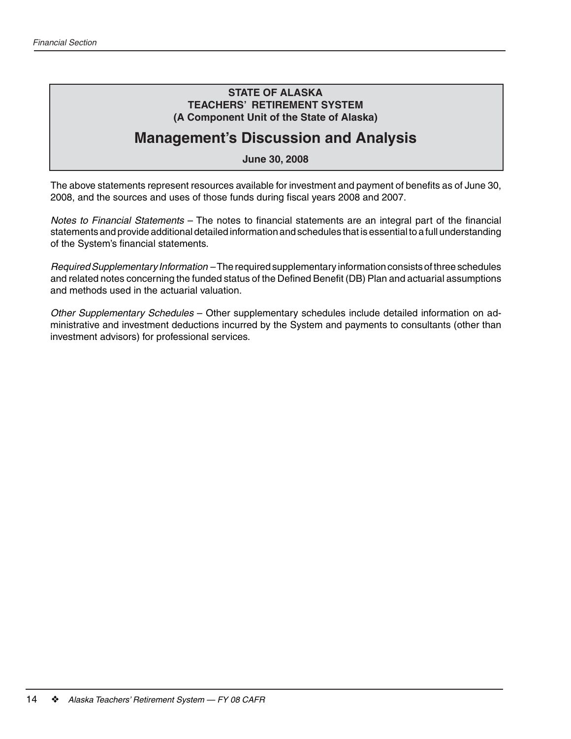# **Management's Discussion and Analysis**

**June 30, 2008**

The above statements represent resources available for investment and payment of benefits as of June 30, 2008, and the sources and uses of those funds during fiscal years 2008 and 2007.

*Notes to Financial Statements* – The notes to financial statements are an integral part of the financial statements and provide additional detailed information and schedules that is essential to a full understanding of the System's financial statements.

*Required Supplementary Information* – The required supplementary information consists of three schedules and related notes concerning the funded status of the Defined Benefit (DB) Plan and actuarial assumptions and methods used in the actuarial valuation.

*Other Supplementary Schedules* – Other supplementary schedules include detailed information on administrative and investment deductions incurred by the System and payments to consultants (other than investment advisors) for professional services.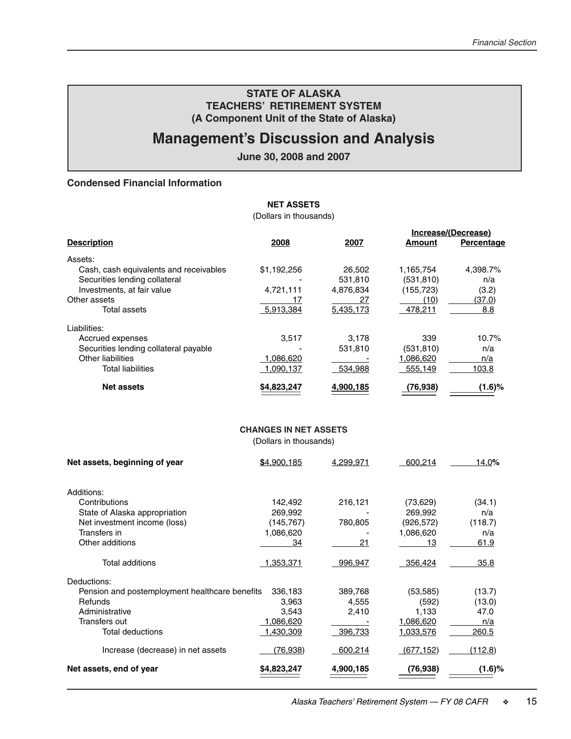# **Management's Discussion and Analysis**

**June 30, 2008 and 2007**

#### **Condensed Financial Information**

| <b>NET ASSETS</b><br>(Dollars in thousands) |                              |           |            |                     |  |
|---------------------------------------------|------------------------------|-----------|------------|---------------------|--|
|                                             |                              |           |            | Increase/(Decrease) |  |
| <b>Description</b>                          | 2008                         | 2007      | Amount     | Percentage          |  |
| Assets:                                     |                              |           |            |                     |  |
| Cash, cash equivalents and receivables      | \$1,192,256                  | 26,502    | 1,165,754  | 4,398.7%            |  |
| Securities lending collateral               |                              | 531.810   | (531, 810) | n/a                 |  |
| Investments, at fair value                  | 4,721,111                    | 4,876,834 | (155, 723) | (3.2)               |  |
| Other assets                                | 17                           | 27        | (10)       | (37.0)              |  |
| Total assets                                | 5,913,384                    | 5,435,173 | 478,211    | 8.8                 |  |
| Liabilities:                                |                              |           |            |                     |  |
| Accrued expenses                            | 3,517                        | 3,178     | 339        | 10.7%               |  |
| Securities lending collateral payable       |                              | 531,810   | (531, 810) | n/a                 |  |
| Other liabilities                           | 1,086,620                    |           | 1,086,620  | n/a                 |  |
| <b>Total liabilities</b>                    | 1,090,137                    | 534,988   | 555,149    | <u> 103.8</u>       |  |
| <b>Net assets</b>                           | \$4,823,247                  | 4,900,185 | (76, 938)  | (1.6)%              |  |
|                                             |                              |           |            |                     |  |
|                                             | <b>CHANGES IN NET ASSETS</b> |           |            |                     |  |
|                                             | (Dollars in thousands)       |           |            |                     |  |
| Net assets, beginning of year               | \$4,900,185                  | 4.299.971 | 600.214    | 14.0%               |  |

| Net assets, end of year                                       | \$4,823,247 | 4,900,185 | (76, 938)  | (1.6)%  |
|---------------------------------------------------------------|-------------|-----------|------------|---------|
| Increase (decrease) in net assets                             | (76,938)    | 600,214   | (677, 152) | (112.8) |
| Total deductions                                              | 1,430,309   | 396,733   | 1,033,576  | 260.5   |
| Transfers out                                                 | 086,620. ا  |           | 1,086,620  | n/a     |
| Administrative                                                | 3,543       | 2,410     | 1,133      | 47.0    |
| <b>Refunds</b>                                                | 3,963       | 4,555     | (592)      | (13.0)  |
| Deductions:<br>Pension and postemployment healthcare benefits | 336,183     | 389,768   | (53, 585)  | (13.7)  |
| Total additions                                               | 1,353,371   | 996.947   | 356,424    | 35.8    |
| Other additions                                               | 34          | 21        | 13         | 61.9    |
| Transfers in                                                  | 1,086,620   |           | 1,086,620  | n/a     |
| Net investment income (loss)                                  | (145, 767)  | 780,805   | (926, 572) | (118.7) |
| State of Alaska appropriation                                 | 269.992     |           | 269,992    | n/a     |
| Additions:<br>Contributions                                   | 142,492     | 216,121   | (73,629)   | (34.1)  |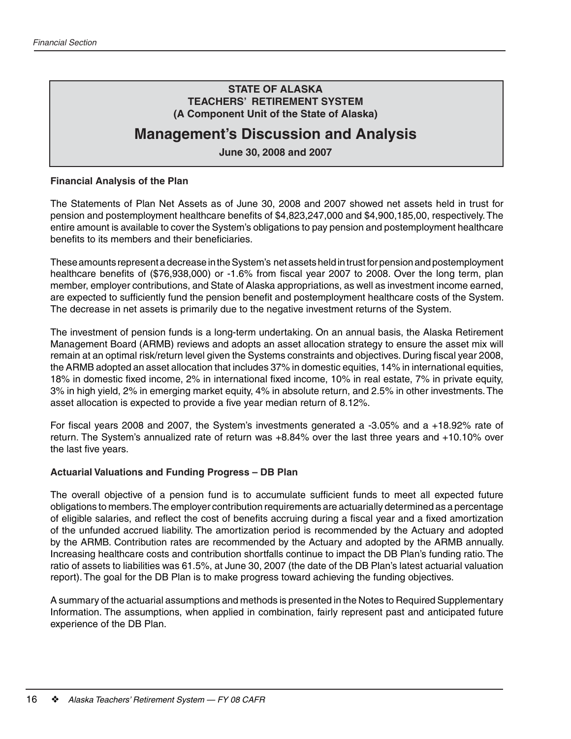# **Management's Discussion and Analysis**

**June 30, 2008 and 2007**

#### **Financial Analysis of the Plan**

The Statements of Plan Net Assets as of June 30, 2008 and 2007 showed net assets held in trust for pension and postemployment healthcare benefits of \$4,823,247,000 and \$4,900,185,00, respectively. The entire amount is available to cover the System's obligations to pay pension and postemployment healthcare benefits to its members and their beneficiaries.

These amounts represent a decrease in the System's net assets held in trust for pension and postemployment healthcare benefits of (\$76,938,000) or -1.6% from fiscal year 2007 to 2008. Over the long term, plan member, employer contributions, and State of Alaska appropriations, as well as investment income earned, are expected to sufficiently fund the pension benefit and postemployment healthcare costs of the System. The decrease in net assets is primarily due to the negative investment returns of the System.

The investment of pension funds is a long-term undertaking. On an annual basis, the Alaska Retirement Management Board (ARMB) reviews and adopts an asset allocation strategy to ensure the asset mix will remain at an optimal risk/return level given the Systems constraints and objectives. During fiscal year 2008, the ARMB adopted an asset allocation that includes 37% in domestic equities, 14% in international equities, 18% in domestic fixed income, 2% in international fixed income, 10% in real estate, 7% in private equity, 3% in high yield, 2% in emerging market equity, 4% in absolute return, and 2.5% in other investments. The asset allocation is expected to provide a five year median return of 8.12%.

For fiscal years 2008 and 2007, the System's investments generated a -3.05% and a +18.92% rate of return. The System's annualized rate of return was +8.84% over the last three years and +10.10% over the last five years.

#### **Actuarial Valuations and Funding Progress – DB Plan**

The overall objective of a pension fund is to accumulate sufficient funds to meet all expected future obligations to members. The employer contribution requirements are actuarially determined as a percentage of eligible salaries, and reflect the cost of benefits accruing during a fiscal year and a fixed amortization of the unfunded accrued liability. The amortization period is recommended by the Actuary and adopted by the ARMB. Contribution rates are recommended by the Actuary and adopted by the ARMB annually. Increasing healthcare costs and contribution shortfalls continue to impact the DB Plan's funding ratio. The ratio of assets to liabilities was 61.5%, at June 30, 2007 (the date of the DB Plan's latest actuarial valuation report). The goal for the DB Plan is to make progress toward achieving the funding objectives.

A summary of the actuarial assumptions and methods is presented in the Notes to Required Supplementary Information. The assumptions, when applied in combination, fairly represent past and anticipated future experience of the DB Plan.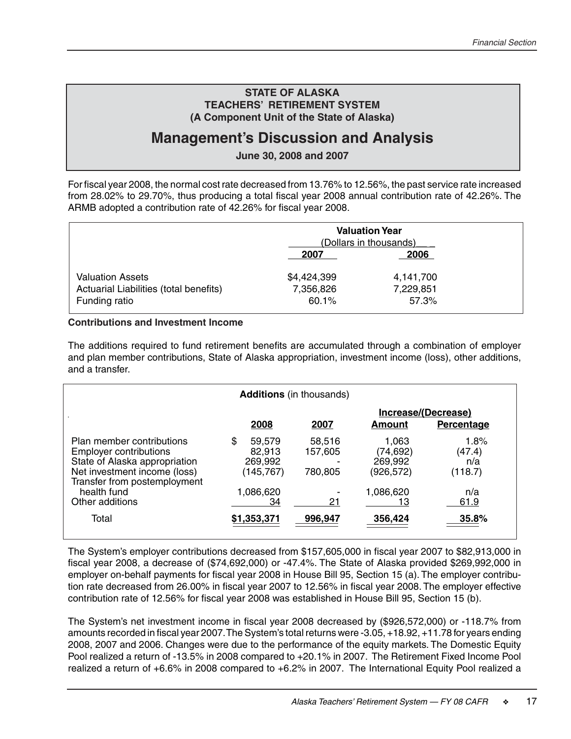# **Management's Discussion and Analysis**

**June 30, 2008 and 2007**

For fiscal year 2008, the normal cost rate decreased from 13.76% to 12.56%, the past service rate increased from 28.02% to 29.70%, thus producing a total fiscal year 2008 annual contribution rate of 42.26%. The ARMB adopted a contribution rate of 42.26% for fiscal year 2008.

|                                        | <b>Valuation Year</b><br>(Dollars in thousands) |           |  |  |
|----------------------------------------|-------------------------------------------------|-----------|--|--|
|                                        | 2007                                            | 2006      |  |  |
| <b>Valuation Assets</b>                | \$4,424,399                                     | 4,141,700 |  |  |
| Actuarial Liabilities (total benefits) | 7,356,826                                       | 7,229,851 |  |  |
| Funding ratio                          | 60.1%                                           | 57.3%     |  |  |

#### **Contributions and Investment Income**

The additions required to fund retirement benefits are accumulated through a combination of employer and plan member contributions, State of Alaska appropriation, investment income (loss), other additions, and a transfer.

| <b>Additions</b> (in thousands)                                                                                                                             |                                               |                              |                                           |                                   |  |
|-------------------------------------------------------------------------------------------------------------------------------------------------------------|-----------------------------------------------|------------------------------|-------------------------------------------|-----------------------------------|--|
|                                                                                                                                                             | 2008                                          | 2007                         | Amount                                    | Increase/(Decrease)<br>Percentage |  |
| Plan member contributions<br><b>Employer contributions</b><br>State of Alaska appropriation<br>Net investment income (loss)<br>Transfer from postemployment | S<br>59.579<br>82,913<br>269,992<br>(145,767) | 58,516<br>157.605<br>780,805 | 1,063<br>(74,692)<br>269,992<br>(926,572) | 1.8%<br>(47.4)<br>n/a<br>(118.7)  |  |
| health fund<br>Other additions                                                                                                                              | 1,086,620<br>34                               | 21                           | 1,086,620<br>13                           | n/a<br>61.9                       |  |
| Total                                                                                                                                                       | \$1,353,371                                   | 996,947                      | 356,424                                   | 35.8%                             |  |

The System's employer contributions decreased from \$157,605,000 in fiscal year 2007 to \$82,913,000 in fiscal year 2008, a decrease of (\$74,692,000) or -47.4%. The State of Alaska provided \$269,992,000 in employer on-behalf payments for fiscal year 2008 in House Bill 95, Section 15 (a). The employer contribution rate decreased from 26.00% in fiscal year 2007 to 12.56% in fiscal year 2008. The employer effective contribution rate of 12.56% for fiscal year 2008 was established in House Bill 95, Section 15 (b).

The System's net investment income in fiscal year 2008 decreased by (\$926,572,000) or -118.7% from amounts recorded in fiscal year 2007. The System's total returns were -3.05, +18.92, +11.78 for years ending 2008, 2007 and 2006. Changes were due to the performance of the equity markets. The Domestic Equity Pool realized a return of -13.5% in 2008 compared to +20.1% in 2007. The Retirement Fixed Income Pool realized a return of +6.6% in 2008 compared to +6.2% in 2007. The International Equity Pool realized a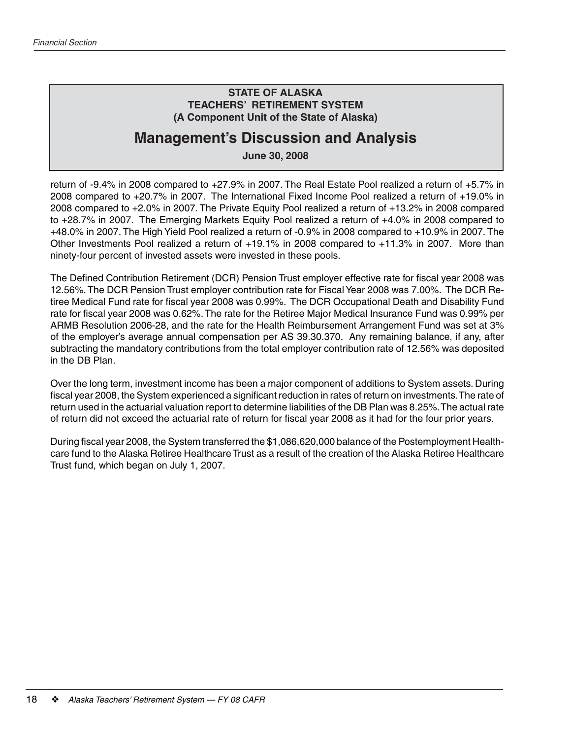# **Management's Discussion and Analysis**

**June 30, 2008**

return of -9.4% in 2008 compared to +27.9% in 2007. The Real Estate Pool realized a return of +5.7% in 2008 compared to +20.7% in 2007. The International Fixed Income Pool realized a return of +19.0% in 2008 compared to +2.0% in 2007. The Private Equity Pool realized a return of +13.2% in 2008 compared to +28.7% in 2007. The Emerging Markets Equity Pool realized a return of +4.0% in 2008 compared to +48.0% in 2007. The High Yield Pool realized a return of -0.9% in 2008 compared to +10.9% in 2007. The Other Investments Pool realized a return of +19.1% in 2008 compared to +11.3% in 2007. More than ninety-four percent of invested assets were invested in these pools.

The Defined Contribution Retirement (DCR) Pension Trust employer effective rate for fiscal year 2008 was 12.56%. The DCR Pension Trust employer contribution rate for Fiscal Year 2008 was 7.00%. The DCR Retiree Medical Fund rate for fiscal year 2008 was 0.99%. The DCR Occupational Death and Disability Fund rate for fiscal year 2008 was 0.62%. The rate for the Retiree Major Medical Insurance Fund was 0.99% per ARMB Resolution 2006-28, and the rate for the Health Reimbursement Arrangement Fund was set at 3% of the employer's average annual compensation per AS 39.30.370. Any remaining balance, if any, after subtracting the mandatory contributions from the total employer contribution rate of 12.56% was deposited in the DB Plan.

Over the long term, investment income has been a major component of additions to System assets. During fiscal year 2008, the System experienced a significant reduction in rates of return on investments. The rate of return used in the actuarial valuation report to determine liabilities of the DB Plan was 8.25%. The actual rate of return did not exceed the actuarial rate of return for fiscal year 2008 as it had for the four prior years.

During fiscal year 2008, the System transferred the \$1,086,620,000 balance of the Postemployment Healthcare fund to the Alaska Retiree Healthcare Trust as a result of the creation of the Alaska Retiree Healthcare Trust fund, which began on July 1, 2007.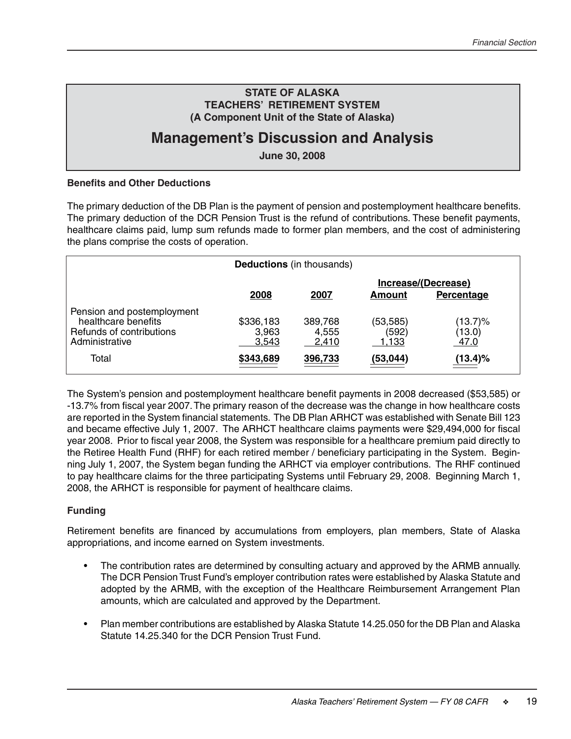# **Management's Discussion and Analysis**

**June 30, 2008**

#### **Benefits and Other Deductions**

The primary deduction of the DB Plan is the payment of pension and postemployment healthcare benefits. The primary deduction of the DCR Pension Trust is the refund of contributions. These benefit payments, healthcare claims paid, lump sum refunds made to former plan members, and the cost of administering the plans comprise the costs of operation.

| <b>Deductions</b> (in thousands)                                                                |                                                             |                           |                             |                              |  |
|-------------------------------------------------------------------------------------------------|-------------------------------------------------------------|---------------------------|-----------------------------|------------------------------|--|
|                                                                                                 | Increase/(Decrease)<br>2008<br>2007<br>Percentage<br>Amount |                           |                             |                              |  |
| Pension and postemployment<br>healthcare benefits<br>Refunds of contributions<br>Administrative | \$336,183<br>3,963<br>3,543                                 | 389,768<br>4,555<br>2,410 | (53, 585)<br>(592)<br>1,133 | $(13.7)\%$<br>(13.0)<br>47.0 |  |
| Total                                                                                           | \$343,689                                                   | 396,733                   | (53, 044)                   | <u>(13.4)</u> %              |  |

The System's pension and postemployment healthcare benefit payments in 2008 decreased (\$53,585) or -13.7% from fiscal year 2007. The primary reason of the decrease was the change in how healthcare costs are reported in the System financial statements. The DB Plan ARHCT was established with Senate Bill 123 and became effective July 1, 2007. The ARHCT healthcare claims payments were \$29,494,000 for fiscal year 2008. Prior to fiscal year 2008, the System was responsible for a healthcare premium paid directly to the Retiree Health Fund (RHF) for each retired member / beneficiary participating in the System. Beginning July 1, 2007, the System began funding the ARHCT via employer contributions. The RHF continued to pay healthcare claims for the three participating Systems until February 29, 2008. Beginning March 1, 2008, the ARHCT is responsible for payment of healthcare claims.

#### **Funding**

Retirement benefits are financed by accumulations from employers, plan members, State of Alaska appropriations, and income earned on System investments.

- The contribution rates are determined by consulting actuary and approved by the ARMB annually. The DCR Pension Trust Fund's employer contribution rates were established by Alaska Statute and adopted by the ARMB, with the exception of the Healthcare Reimbursement Arrangement Plan amounts, which are calculated and approved by the Department.
- Plan member contributions are established by Alaska Statute 14.25.050 for the DB Plan and Alaska Statute 14.25.340 for the DCR Pension Trust Fund.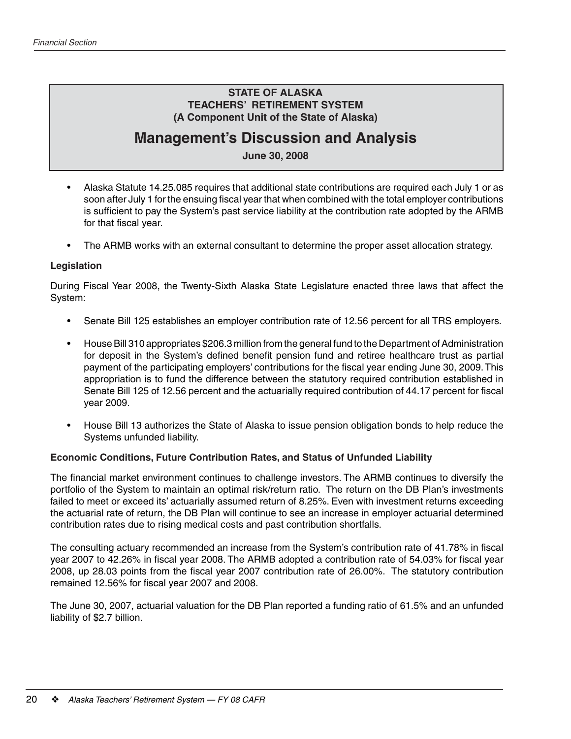# **Management's Discussion and Analysis**

**June 30, 2008**

- Alaska Statute 14.25.085 requires that additional state contributions are required each July 1 or as soon after July 1 for the ensuing fiscal year that when combined with the total employer contributions is sufficient to pay the System's past service liability at the contribution rate adopted by the ARMB for that fiscal year.
- The ARMB works with an external consultant to determine the proper asset allocation strategy.

#### **Legislation**

During Fiscal Year 2008, the Twenty-Sixth Alaska State Legislature enacted three laws that affect the System:

- Senate Bill 125 establishes an employer contribution rate of 12.56 percent for all TRS employers.
- House Bill 310 appropriates \$206.3 million from the general fund to the Department of Administration for deposit in the System's defined benefit pension fund and retiree healthcare trust as partial payment of the participating employers' contributions for the fiscal year ending June 30, 2009. This appropriation is to fund the difference between the statutory required contribution established in Senate Bill 125 of 12.56 percent and the actuarially required contribution of 44.17 percent for fiscal year 2009.
- House Bill 13 authorizes the State of Alaska to issue pension obligation bonds to help reduce the Systems unfunded liability.

#### **Economic Conditions, Future Contribution Rates, and Status of Unfunded Liability**

The financial market environment continues to challenge investors. The ARMB continues to diversify the portfolio of the System to maintain an optimal risk/return ratio. The return on the DB Plan's investments failed to meet or exceed its' actuarially assumed return of 8.25%. Even with investment returns exceeding the actuarial rate of return, the DB Plan will continue to see an increase in employer actuarial determined contribution rates due to rising medical costs and past contribution shortfalls.

The consulting actuary recommended an increase from the System's contribution rate of 41.78% in fiscal year 2007 to 42.26% in fiscal year 2008. The ARMB adopted a contribution rate of 54.03% for fiscal year 2008, up 28.03 points from the fiscal year 2007 contribution rate of 26.00%. The statutory contribution remained 12.56% for fiscal year 2007 and 2008.

The June 30, 2007, actuarial valuation for the DB Plan reported a funding ratio of 61.5% and an unfunded liability of \$2.7 billion.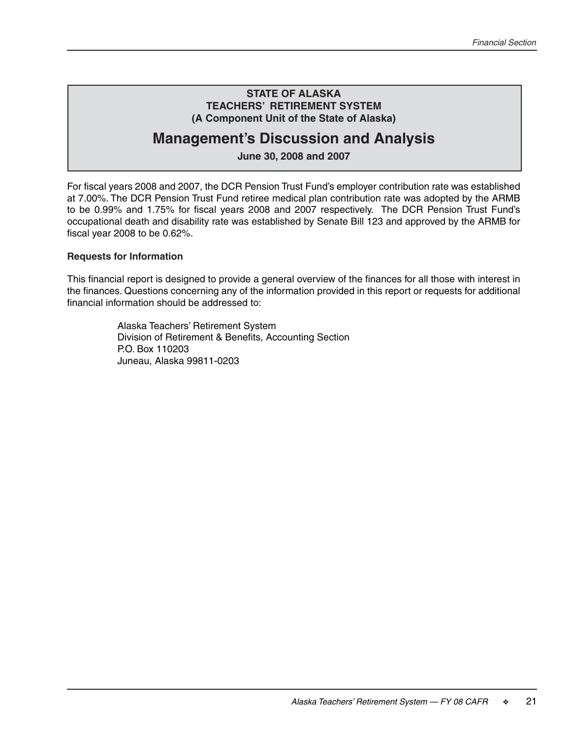### **Management's Discussion and Analysis**

**June 30, 2008 and 2007**

For fiscal years 2008 and 2007, the DCR Pension Trust Fund's employer contribution rate was established at 7.00%. The DCR Pension Trust Fund retiree medical plan contribution rate was adopted by the ARMB to be 0.99% and 1.75% for fiscal years 2008 and 2007 respectively. The DCR Pension Trust Fund's occupational death and disability rate was established by Senate Bill 123 and approved by the ARMB for fiscal year 2008 to be  $0.62\%$ .

#### **Requests for Information**

This financial report is designed to provide a general overview of the finances for all those with interest in the finances. Questions concerning any of the information provided in this report or requests for additional financial information should be addressed to:

> Alaska Teachers' Retirement System Division of Retirement & Benefits, Accounting Section P.O. Box 110203 Juneau, Alaska 99811-0203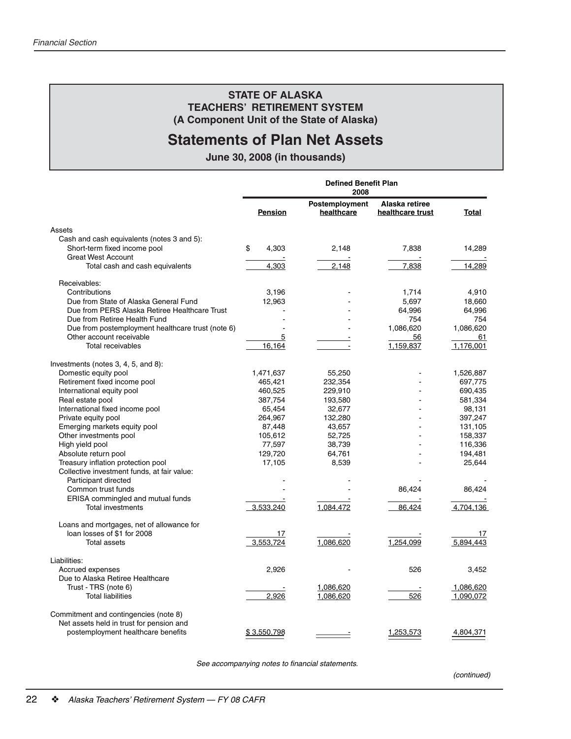# **Statements of Plan Net Assets**

**June 30, 2008 (in thousands)**

|                                                           |             | <b>Defined Benefit Plan</b><br>2008 |                                    |           |
|-----------------------------------------------------------|-------------|-------------------------------------|------------------------------------|-----------|
|                                                           | Pension     | Postemployment<br>healthcare        | Alaska retiree<br>healthcare trust | Total     |
| Assets                                                    |             |                                     |                                    |           |
| Cash and cash equivalents (notes 3 and 5):                |             |                                     |                                    |           |
| Short-term fixed income pool<br><b>Great West Account</b> | \$<br>4.303 | 2.148                               | 7.838                              | 14,289    |
| Total cash and cash equivalents                           | 4,303       | 2.148                               | 7,838                              | 14.289    |
| Receivables:                                              |             |                                     |                                    |           |
| Contributions                                             | 3,196       |                                     | 1,714                              | 4,910     |
| Due from State of Alaska General Fund                     | 12,963      |                                     | 5,697                              | 18,660    |
| Due from PERS Alaska Retiree Healthcare Trust             |             |                                     | 64,996                             | 64,996    |
| Due from Retiree Health Fund                              |             |                                     | 754                                | 754       |
| Due from postemployment healthcare trust (note 6)         |             |                                     | 1.086.620                          | 1.086.620 |
| Other account receivable                                  | 5           |                                     | 56                                 | 61        |
| Total receivables                                         | 16,164      |                                     | 1,159,837                          | 1,176,001 |
| Investments (notes 3, 4, 5, and 8):                       |             |                                     |                                    |           |
| Domestic equity pool                                      | 1,471,637   | 55,250                              |                                    | 1,526,887 |
| Retirement fixed income pool                              | 465,421     | 232,354                             |                                    | 697,775   |
| International equity pool                                 | 460,525     | 229,910                             |                                    | 690,435   |
| Real estate pool                                          | 387,754     | 193,580                             | L.                                 | 581,334   |
| International fixed income pool                           | 65,454      | 32,677                              | ÷                                  | 98,131    |
| Private equity pool                                       | 264,967     | 132,280                             |                                    | 397,247   |
| Emerging markets equity pool                              | 87,448      | 43,657                              |                                    | 131,105   |
| Other investments pool                                    | 105,612     | 52,725                              |                                    | 158,337   |
| High yield pool                                           | 77,597      | 38,739                              |                                    | 116,336   |
| Absolute return pool                                      | 129,720     | 64,761                              |                                    | 194,481   |
|                                                           |             |                                     |                                    |           |
| Treasury inflation protection pool                        | 17,105      | 8,539                               |                                    | 25,644    |
| Collective investment funds, at fair value:               |             |                                     |                                    |           |
| Participant directed                                      |             |                                     |                                    |           |
| Common trust funds                                        |             |                                     | 86,424                             | 86,424    |
| ERISA commingled and mutual funds                         |             |                                     |                                    |           |
| <b>Total investments</b>                                  | 3,533,240   | 1,084,472                           | 86,424                             | 4,704,136 |
| Loans and mortgages, net of allowance for                 |             |                                     |                                    |           |
| loan losses of \$1 for 2008                               | 17          |                                     |                                    | 17        |
| Total assets                                              | 3,553,724   | 1,086,620                           | 1,254,099                          | 5.894.443 |
| Liabilities:                                              |             |                                     |                                    |           |
| Accrued expenses                                          | 2,926       |                                     | 526                                | 3,452     |
| Due to Alaska Retiree Healthcare                          |             |                                     |                                    |           |
| Trust - TRS (note 6)                                      |             | 1,086,620                           |                                    | 1,086,620 |
| <b>Total liabilities</b>                                  | 2,926       | 1,086,620                           | 526                                | 1,090,072 |
| Commitment and contingencies (note 8)                     |             |                                     |                                    |           |
| Net assets held in trust for pension and                  |             |                                     |                                    |           |
| postemployment healthcare benefits                        | \$3,550,798 |                                     | 1,253,573                          | 4,804,371 |

See accompanying notes to financial statements.

 *(continued)*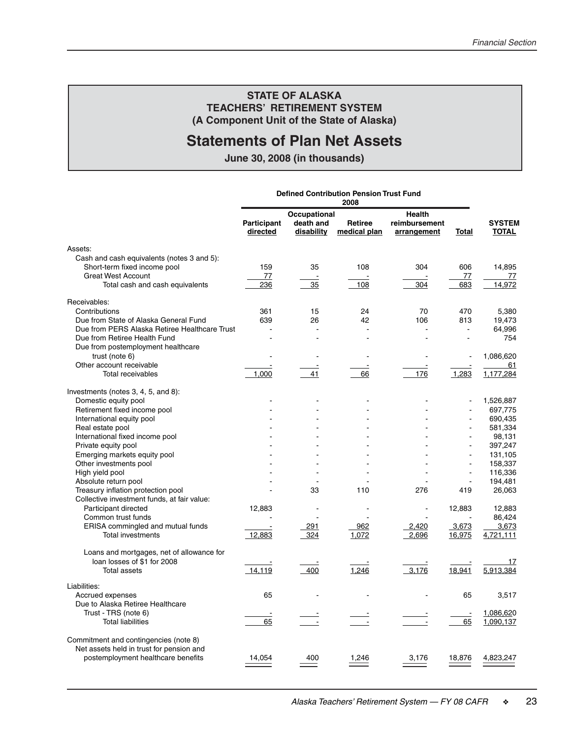# **Statements of Plan Net Assets**

**June 30, 2008 (in thousands)**

|                                                           | <b>Defined Contribution Pension Trust Fund</b> |                                         |                                |                                               |                          |                               |
|-----------------------------------------------------------|------------------------------------------------|-----------------------------------------|--------------------------------|-----------------------------------------------|--------------------------|-------------------------------|
|                                                           | 2008                                           |                                         |                                |                                               |                          |                               |
|                                                           | Participant<br>directed                        | Occupational<br>death and<br>disability | <b>Retiree</b><br>medical plan | <b>Health</b><br>reimbursement<br>arrangement | <b>Total</b>             | <b>SYSTEM</b><br><b>TOTAL</b> |
|                                                           |                                                |                                         |                                |                                               |                          |                               |
| Assets:                                                   |                                                |                                         |                                |                                               |                          |                               |
| Cash and cash equivalents (notes 3 and 5):                |                                                |                                         |                                |                                               |                          |                               |
| Short-term fixed income pool<br><b>Great West Account</b> | 159                                            | 35                                      | 108                            | 304                                           | 606                      | 14,895                        |
| Total cash and cash equivalents                           | 77<br>236                                      | $\blacksquare$<br>35                    | 108                            | 304                                           | 77<br>683                | 77<br>14.972                  |
|                                                           |                                                |                                         |                                |                                               |                          |                               |
| Receivables:                                              |                                                |                                         |                                |                                               |                          |                               |
| Contributions                                             | 361                                            | 15                                      | 24                             | 70                                            | 470                      | 5,380                         |
| Due from State of Alaska General Fund                     | 639                                            | 26                                      | 42                             | 106                                           | 813                      | 19,473                        |
| Due from PERS Alaska Retiree Healthcare Trust             |                                                | $\overline{a}$                          |                                | $\blacksquare$                                | $\blacksquare$           | 64,996                        |
| Due from Retiree Health Fund                              |                                                |                                         |                                |                                               |                          | 754                           |
| Due from postemployment healthcare                        |                                                |                                         |                                |                                               |                          |                               |
| trust (note 6)                                            |                                                |                                         |                                |                                               |                          | 1,086,620                     |
| Other account receivable                                  |                                                |                                         | $\overline{a}$                 |                                               |                          | 61                            |
| <b>Total receivables</b>                                  | 1,000                                          | 41                                      | 66                             | 176                                           | 1,283                    | 1,177,284                     |
| Investments (notes 3, 4, 5, and 8):                       |                                                |                                         |                                |                                               |                          |                               |
| Domestic equity pool                                      |                                                |                                         |                                |                                               | L,                       | 1,526,887                     |
| Retirement fixed income pool                              |                                                |                                         |                                |                                               |                          | 697,775                       |
| International equity pool                                 |                                                |                                         |                                |                                               | $\overline{a}$           | 690,435                       |
| Real estate pool                                          |                                                |                                         |                                |                                               |                          | 581,334                       |
| International fixed income pool                           |                                                |                                         |                                |                                               | $\overline{\phantom{a}}$ | 98,131                        |
| Private equity pool                                       |                                                |                                         |                                |                                               | $\blacksquare$           | 397,247                       |
| Emerging markets equity pool                              |                                                |                                         |                                |                                               |                          | 131,105                       |
| Other investments pool                                    |                                                |                                         |                                |                                               | $\overline{a}$           | 158,337                       |
| High yield pool                                           |                                                |                                         |                                |                                               |                          | 116,336                       |
| Absolute return pool                                      |                                                |                                         |                                |                                               | $\overline{a}$           | 194,481                       |
| Treasury inflation protection pool                        |                                                | 33                                      | 110                            | 276                                           | 419                      | 26,063                        |
| Collective investment funds, at fair value:               |                                                |                                         |                                |                                               |                          |                               |
| Participant directed                                      | 12,883                                         |                                         |                                |                                               | 12,883                   | 12,883                        |
| Common trust funds                                        |                                                |                                         |                                |                                               |                          | 86,424                        |
| ERISA commingled and mutual funds                         |                                                | 291                                     | 962                            | 2,420                                         | 3,673                    | 3,673                         |
| <b>Total investments</b>                                  | 12,883                                         | 324                                     | 1,072                          | 2,696                                         | 16,975                   | 4,721,111                     |
|                                                           |                                                |                                         |                                |                                               |                          |                               |
| Loans and mortgages, net of allowance for                 |                                                |                                         |                                |                                               |                          |                               |
| loan losses of \$1 for 2008                               |                                                |                                         |                                |                                               |                          | 17                            |
| <b>Total assets</b>                                       | 14,119                                         | 400                                     | 1,246                          | 3,176                                         | 18,941                   | 5,913,384                     |
| Liabilities:                                              |                                                |                                         |                                |                                               |                          |                               |
| Accrued expenses                                          | 65                                             |                                         |                                |                                               | 65                       | 3,517                         |
| Due to Alaska Retiree Healthcare                          |                                                |                                         |                                |                                               |                          |                               |
| Trust - TRS (note 6)                                      |                                                |                                         |                                |                                               | $\blacksquare$           | 1,086,620                     |
| <b>Total liabilities</b>                                  | 65                                             |                                         |                                |                                               | 65                       | 1,090,137                     |
| Commitment and contingencies (note 8)                     |                                                |                                         |                                |                                               |                          |                               |
| Net assets held in trust for pension and                  |                                                |                                         |                                |                                               |                          |                               |
| postemployment healthcare benefits                        | 14.054                                         | 400                                     | 1,246                          | 3,176                                         | 18.876                   | 4,823,247                     |
|                                                           |                                                |                                         |                                |                                               |                          |                               |
|                                                           |                                                |                                         |                                |                                               |                          |                               |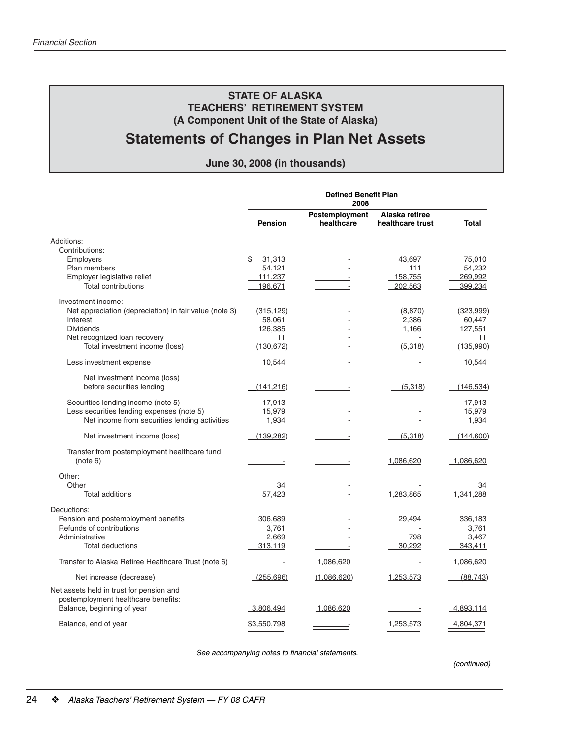# **Statements of Changes in Plan Net Assets**

**June 30, 2008 (in thousands)**

|                                                        | <b>Defined Benefit Plan</b><br>2008 |                              |                                    |            |
|--------------------------------------------------------|-------------------------------------|------------------------------|------------------------------------|------------|
|                                                        | Pension                             | Postemployment<br>healthcare | Alaska retiree<br>healthcare trust | Total      |
| Additions:                                             |                                     |                              |                                    |            |
| Contributions:                                         |                                     |                              |                                    |            |
| Employers                                              | \$<br>31,313                        |                              | 43,697                             | 75,010     |
| Plan members                                           | 54,121                              |                              | 111                                | 54,232     |
| Employer legislative relief                            | 111,237                             |                              | 158,755                            | 269,992    |
| <b>Total contributions</b>                             | 196,671                             | ÷.                           | 202,563                            | 399,234    |
| Investment income:                                     |                                     |                              |                                    |            |
| Net appreciation (depreciation) in fair value (note 3) | (315, 129)                          |                              | (8,870)                            | (323,999)  |
| Interest                                               | 58,061                              |                              | 2,386                              | 60,447     |
| <b>Dividends</b>                                       | 126,385                             |                              | 1,166                              | 127,551    |
| Net recognized loan recovery                           | 11                                  |                              |                                    | 11         |
| Total investment income (loss)                         | (130, 672)                          |                              | (5,318)                            | (135,990)  |
| Less investment expense                                | 10,544                              |                              |                                    | 10,544     |
| Net investment income (loss)                           |                                     |                              |                                    |            |
| before securities lending                              | (141, 216)                          |                              | (5,318)                            | (146, 534) |
| Securities lending income (note 5)                     | 17,913                              |                              | $\mathbf{r}$                       | 17,913     |
| Less securities lending expenses (note 5)              | 15,979                              |                              |                                    | 15,979     |
| Net income from securities lending activities          | 1,934                               | $\overline{\phantom{a}}$     | <b>Contract Contract</b>           | 1,934      |
| Net investment income (loss)                           | (139, 282)                          |                              | (5,318)                            | (144, 600) |
| Transfer from postemployment healthcare fund           |                                     |                              |                                    |            |
| (note 6)                                               | $\overline{\phantom{a}}$            | $\overline{\phantom{a}}$     | 1,086,620                          | 1,086,620  |
| Other:                                                 |                                     |                              |                                    |            |
| Other                                                  | 34                                  | $\overline{\phantom{a}}$     |                                    | 34         |
| Total additions                                        | 57,423                              | $\blacksquare$               | 1.283.865                          | 1,341,288  |
| Deductions:                                            |                                     |                              |                                    |            |
| Pension and postemployment benefits                    | 306,689                             |                              | 29,494                             | 336,183    |
| Refunds of contributions                               | 3,761                               |                              |                                    | 3,761      |
| Administrative                                         | 2,669                               |                              | 798                                | 3,467      |
| <b>Total deductions</b>                                | 313,119                             |                              | 30,292                             | 343,411    |
| Transfer to Alaska Retiree Healthcare Trust (note 6)   | <u> 1999 - 19</u>                   | 1,086,620                    | $\sim$                             | 1,086,620  |
| Net increase (decrease)                                | (255, 696)                          | (1,086,620)                  | 1,253,573                          | (88, 743)  |
| Net assets held in trust for pension and               |                                     |                              |                                    |            |
| postemployment healthcare benefits:                    |                                     |                              |                                    |            |
| Balance, beginning of year                             | 3,806,494                           | 1,086,620                    |                                    | 4,893,114  |
| Balance, end of year                                   | \$3,550,798                         |                              | 1,253,573                          | 4,804,371  |

See accompanying notes to financial statements.

 *(continued)*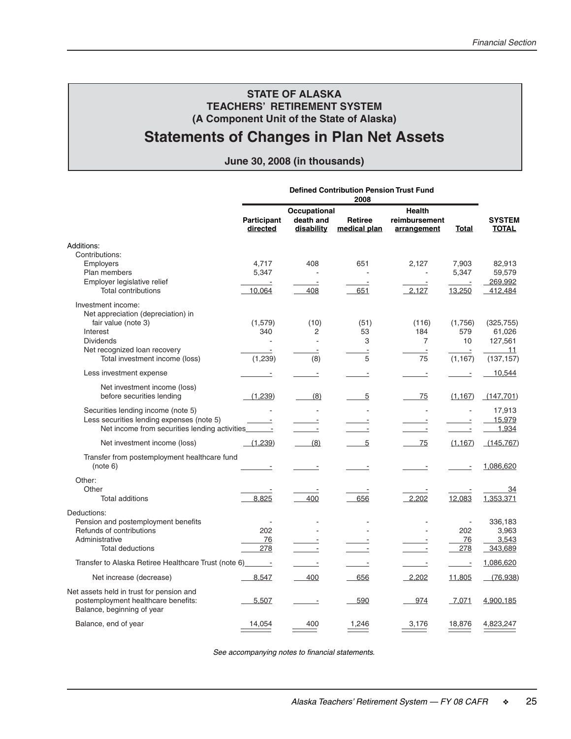# **Statements of Changes in Plan Net Assets**

**June 30, 2008 (in thousands)**

|                                                                                                                                                                                   | <b>Defined Contribution Pension Trust Fund</b><br>2008 |                                         |                          |                                               |                                            |                                                     |
|-----------------------------------------------------------------------------------------------------------------------------------------------------------------------------------|--------------------------------------------------------|-----------------------------------------|--------------------------|-----------------------------------------------|--------------------------------------------|-----------------------------------------------------|
|                                                                                                                                                                                   | <b>Participant</b><br>directed                         | Occupational<br>death and<br>disability | Retiree<br>medical plan  | <b>Health</b><br>reimbursement<br>arrangement | Total                                      | <b>SYSTEM</b><br><b>TOTAL</b>                       |
| Additions:                                                                                                                                                                        |                                                        |                                         |                          |                                               |                                            |                                                     |
| Contributions:<br>Employers<br>Plan members<br>Employer legislative relief                                                                                                        | 4,717<br>5,347                                         | 408<br>ä,<br>$\overline{\phantom{a}}$   | 651<br>$\frac{1}{2}$     | 2,127<br>$\blacksquare$                       | 7,903<br>5,347<br>$\overline{\phantom{a}}$ | 82,913<br>59,579<br>269,992                         |
| <b>Total contributions</b>                                                                                                                                                        | 10.064                                                 | 408                                     | 651                      | 2,127                                         | 13,250                                     | 412,484                                             |
| Investment income:<br>Net appreciation (depreciation) in<br>fair value (note 3)<br>Interest<br><b>Dividends</b><br>Net recognized loan recovery<br>Total investment income (loss) | (1,579)<br>340<br>(1,239)                              | (10)<br>2<br>(8)                        | (51)<br>53<br>3<br>5     | (116)<br>184<br>$\overline{7}$<br>75          | (1,756)<br>579<br>10<br>(1, 167)           | (325, 755)<br>61,026<br>127,561<br>11<br>(137, 157) |
| Less investment expense                                                                                                                                                           | Ŀ.                                                     |                                         |                          |                                               |                                            | 10,544                                              |
| Net investment income (loss)<br>before securities lending                                                                                                                         | (1,239)                                                | (8)                                     | 5                        | 75                                            | (1, 167)                                   | (147, 701)                                          |
| Securities lending income (note 5)<br>Less securities lending expenses (note 5)<br>Net income from securities lending activities                                                  | ×.<br>$\overline{\phantom{a}}$                         | ä,<br>$\equiv$                          | Ŀ.                       | $\blacksquare$<br>$\equiv$<br>$\equiv$        | ÷,<br>Ŀ<br>$\overline{a}$                  | 17,913<br>15,979<br>1,934                           |
| Net investment income (loss)                                                                                                                                                      | (1,239)                                                | (8)                                     | 5                        | 75                                            | (1, 167)                                   | (145, 767)                                          |
| Transfer from postemployment healthcare fund<br>(note 6)                                                                                                                          |                                                        |                                         |                          |                                               |                                            | 1,086,620                                           |
| Other:<br>Other<br><b>Total additions</b>                                                                                                                                         | 8.825                                                  | 400                                     | 656                      | 2,202                                         | 12,083                                     | 34<br>1,353,371                                     |
| Deductions:<br>Pension and postemployment benefits<br>Refunds of contributions<br>Administrative<br><b>Total deductions</b>                                                       | 202<br>76<br>278                                       | $\sim$                                  | $\overline{\phantom{a}}$ | ä,<br>$\sim$                                  | ÷,<br>202<br>76<br>278                     | 336,183<br>3,963<br>3,543<br>343,689                |
| Transfer to Alaska Retiree Healthcare Trust (note 6) ________                                                                                                                     |                                                        |                                         |                          |                                               | $\sim 10^{-11}$                            | 1,086,620                                           |
| Net increase (decrease)                                                                                                                                                           | 8,547                                                  | 400                                     | 656                      | 2,202                                         | 11,805                                     | (76, 938)                                           |
| Net assets held in trust for pension and<br>postemployment healthcare benefits:<br>Balance, beginning of year                                                                     | 5,507                                                  | $\sim$                                  | 590                      | 974                                           | 7,071                                      | 4,900,185                                           |
| Balance, end of year                                                                                                                                                              | 14,054                                                 | 400                                     | 1,246                    | 3,176                                         | 18,876                                     | 4,823,247                                           |
|                                                                                                                                                                                   |                                                        |                                         |                          |                                               |                                            |                                                     |

See accompanying notes to financial statements.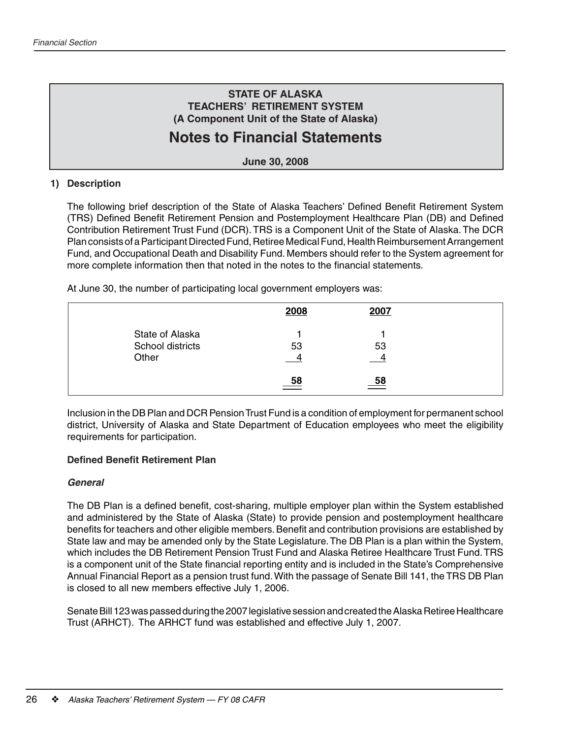# **Notes to Financial Statements**

**June 30, 2008**

#### **1) Description**

The following brief description of the State of Alaska Teachers' Defined Benefit Retirement System (TRS) Defined Benefit Retirement Pension and Postemployment Healthcare Plan (DB) and Defined Contribution Retirement Trust Fund (DCR). TRS is a Component Unit of the State of Alaska. The DCR Plan consists of a Participant Directed Fund, Retiree Medical Fund, Health Reimbursement Arrangement Fund, and Occupational Death and Disability Fund. Members should refer to the System agreement for more complete information then that noted in the notes to the financial statements.

|                  | 2008           | 2007      |  |
|------------------|----------------|-----------|--|
| State of Alaska  |                |           |  |
| School districts | 53             | 53        |  |
| Other            |                |           |  |
|                  | $\frac{58}{1}$ | <u>58</u> |  |

At June 30, the number of participating local government employers was:

Inclusion in the DB Plan and DCR Pension Trust Fund is a condition of employment for permanent school district, University of Alaska and State Department of Education employees who meet the eligibility requirements for participation.

#### **Defined Benefit Retirement Plan**

#### *General*

The DB Plan is a defined benefit, cost-sharing, multiple employer plan within the System established and administered by the State of Alaska (State) to provide pension and postemployment healthcare benefits for teachers and other eligible members. Benefit and contribution provisions are established by State law and may be amended only by the State Legislature. The DB Plan is a plan within the System, which includes the DB Retirement Pension Trust Fund and Alaska Retiree Healthcare Trust Fund. TRS is a component unit of the State financial reporting entity and is included in the State's Comprehensive Annual Financial Report as a pension trust fund. With the passage of Senate Bill 141, the TRS DB Plan is closed to all new members effective July 1, 2006.

Senate Bill 123 was passed during the 2007 legislative session and created the Alaska Retiree Healthcare Trust (ARHCT). The ARHCT fund was established and effective July 1, 2007.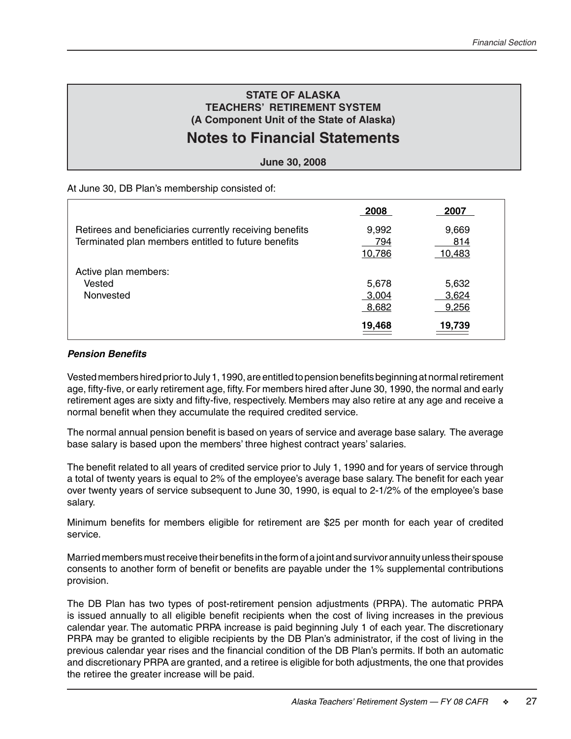#### **STATE OF ALASKA TEACHERS' RETIREMENT SYSTEM (A Component Unit of the State of Alaska) Notes to Financial Statements**

**June 30, 2008**

At June 30, DB Plan's membership consisted of:

|                                                                                                                | 2008                       | 2007                    |
|----------------------------------------------------------------------------------------------------------------|----------------------------|-------------------------|
| Retirees and beneficiaries currently receiving benefits<br>Terminated plan members entitled to future benefits | 9,992<br>794<br>10,786     | 9,669<br>814<br>10,483  |
| Active plan members:<br>Vested<br>Nonvested                                                                    | 5,678<br>$-3,004$<br>8,682 | 5,632<br>3,624<br>9,256 |
|                                                                                                                | 19,468                     | 19,739                  |

#### **Pension Benefits**

Vested members hired prior to July 1, 1990, are entitled to pension benefi ts beginning at normal retirement age, fifty-five, or early retirement age, fifty. For members hired after June 30, 1990, the normal and early retirement ages are sixty and fifty-five, respectively. Members may also retire at any age and receive a normal benefit when they accumulate the required credited service.

The normal annual pension benefit is based on years of service and average base salary. The average base salary is based upon the members' three highest contract years' salaries.

The benefit related to all years of credited service prior to July 1, 1990 and for years of service through a total of twenty years is equal to 2% of the employee's average base salary. The benefit for each year over twenty years of service subsequent to June 30, 1990, is equal to 2-1/2% of the employee's base salary.

Minimum benefits for members eligible for retirement are \$25 per month for each year of credited service.

Married members must receive their benefits in the form of a joint and survivor annuity unless their spouse consents to another form of benefit or benefits are payable under the 1% supplemental contributions provision.

The DB Plan has two types of post-retirement pension adjustments (PRPA). The automatic PRPA is issued annually to all eligible benefit recipients when the cost of living increases in the previous calendar year. The automatic PRPA increase is paid beginning July 1 of each year. The discretionary PRPA may be granted to eligible recipients by the DB Plan's administrator, if the cost of living in the previous calendar year rises and the financial condition of the DB Plan's permits. If both an automatic and discretionary PRPA are granted, and a retiree is eligible for both adjustments, the one that provides the retiree the greater increase will be paid.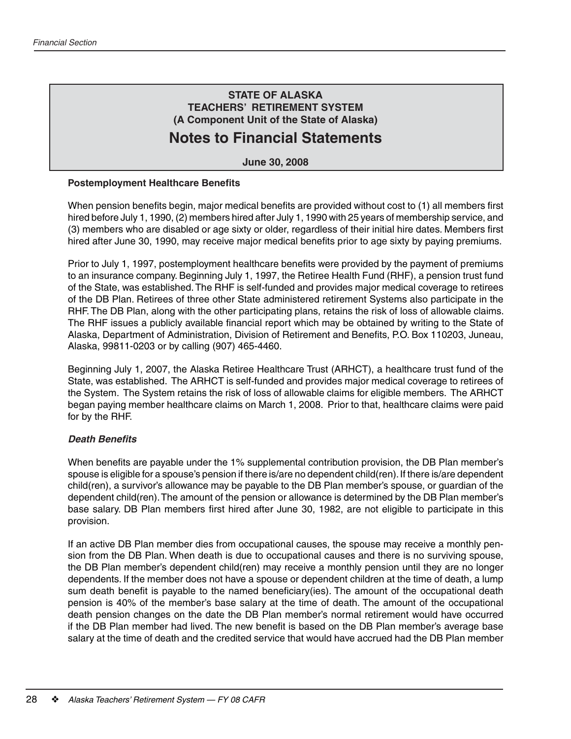# **Notes to Financial Statements**

**June 30, 2008**

#### **Postemployment Healthcare Benefits**

When pension benefits begin, major medical benefits are provided without cost to (1) all members first hired before July 1, 1990, (2) members hired after July 1, 1990 with 25 years of membership service, and (3) members who are disabled or age sixty or older, regardless of their initial hire dates. Members first hired after June 30, 1990, may receive major medical benefits prior to age sixty by paying premiums.

Prior to July 1, 1997, postemployment healthcare benefits were provided by the payment of premiums to an insurance company. Beginning July 1, 1997, the Retiree Health Fund (RHF), a pension trust fund of the State, was established. The RHF is self-funded and provides major medical coverage to retirees of the DB Plan. Retirees of three other State administered retirement Systems also participate in the RHF. The DB Plan, along with the other participating plans, retains the risk of loss of allowable claims. The RHF issues a publicly available financial report which may be obtained by writing to the State of Alaska, Department of Administration, Division of Retirement and Benefits, P.O. Box 110203, Juneau, Alaska, 99811-0203 or by calling (907) 465-4460.

Beginning July 1, 2007, the Alaska Retiree Healthcare Trust (ARHCT), a healthcare trust fund of the State, was established. The ARHCT is self-funded and provides major medical coverage to retirees of the System. The System retains the risk of loss of allowable claims for eligible members. The ARHCT began paying member healthcare claims on March 1, 2008. Prior to that, healthcare claims were paid for by the RHF.

#### **Death Benefits**

When benefits are payable under the 1% supplemental contribution provision, the DB Plan member's spouse is eligible for a spouse's pension if there is/are no dependent child(ren). If there is/are dependent child(ren), a survivor's allowance may be payable to the DB Plan member's spouse, or guardian of the dependent child(ren). The amount of the pension or allowance is determined by the DB Plan member's base salary. DB Plan members first hired after June 30, 1982, are not eligible to participate in this provision.

If an active DB Plan member dies from occupational causes, the spouse may receive a monthly pension from the DB Plan. When death is due to occupational causes and there is no surviving spouse, the DB Plan member's dependent child(ren) may receive a monthly pension until they are no longer dependents. If the member does not have a spouse or dependent children at the time of death, a lump sum death benefit is payable to the named beneficiary(ies). The amount of the occupational death pension is 40% of the member's base salary at the time of death. The amount of the occupational death pension changes on the date the DB Plan member's normal retirement would have occurred if the DB Plan member had lived. The new benefit is based on the DB Plan member's average base salary at the time of death and the credited service that would have accrued had the DB Plan member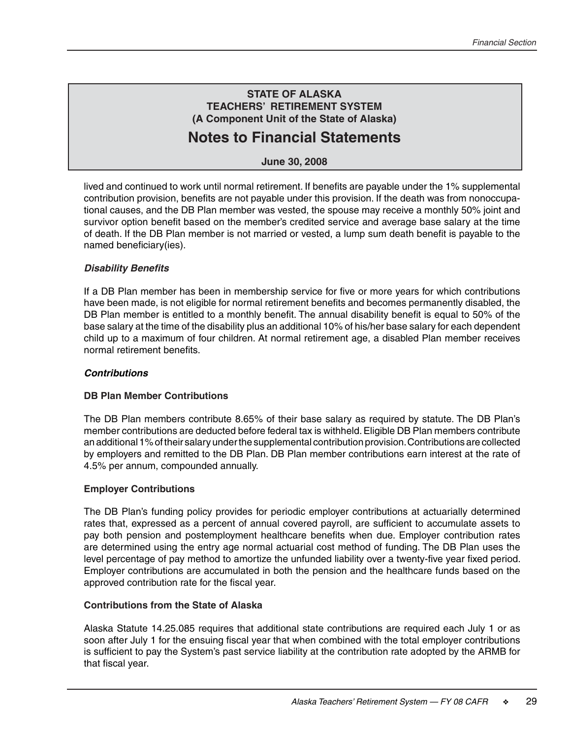# **Notes to Financial Statements**

**June 30, 2008**

lived and continued to work until normal retirement. If benefits are payable under the 1% supplemental contribution provision, benefits are not payable under this provision. If the death was from nonoccupational causes, and the DB Plan member was vested, the spouse may receive a monthly 50% joint and survivor option benefit based on the member's credited service and average base salary at the time of death. If the DB Plan member is not married or vested, a lump sum death benefit is payable to the named beneficiary(ies).

## **Disability Benefits**

If a DB Plan member has been in membership service for five or more years for which contributions have been made, is not eligible for normal retirement benefits and becomes permanently disabled, the DB Plan member is entitled to a monthly benefit. The annual disability benefit is equal to 50% of the base salary at the time of the disability plus an additional 10% of his/her base salary for each dependent child up to a maximum of four children. At normal retirement age, a disabled Plan member receives normal retirement benefits.

### *Contributions*

### **DB Plan Member Contributions**

The DB Plan members contribute 8.65% of their base salary as required by statute. The DB Plan's member contributions are deducted before federal tax is withheld. Eligible DB Plan members contribute an additional 1% of their salary under the supplemental contribution provision. Contributions are collected by employers and remitted to the DB Plan. DB Plan member contributions earn interest at the rate of 4.5% per annum, compounded annually.

### **Employer Contributions**

The DB Plan's funding policy provides for periodic employer contributions at actuarially determined rates that, expressed as a percent of annual covered payroll, are sufficient to accumulate assets to pay both pension and postemployment healthcare benefits when due. Employer contribution rates are determined using the entry age normal actuarial cost method of funding. The DB Plan uses the level percentage of pay method to amortize the unfunded liability over a twenty-five year fixed period. Employer contributions are accumulated in both the pension and the healthcare funds based on the approved contribution rate for the fiscal year.

### **Contributions from the State of Alaska**

Alaska Statute 14.25.085 requires that additional state contributions are required each July 1 or as soon after July 1 for the ensuing fiscal year that when combined with the total employer contributions is sufficient to pay the System's past service liability at the contribution rate adopted by the ARMB for that fiscal year.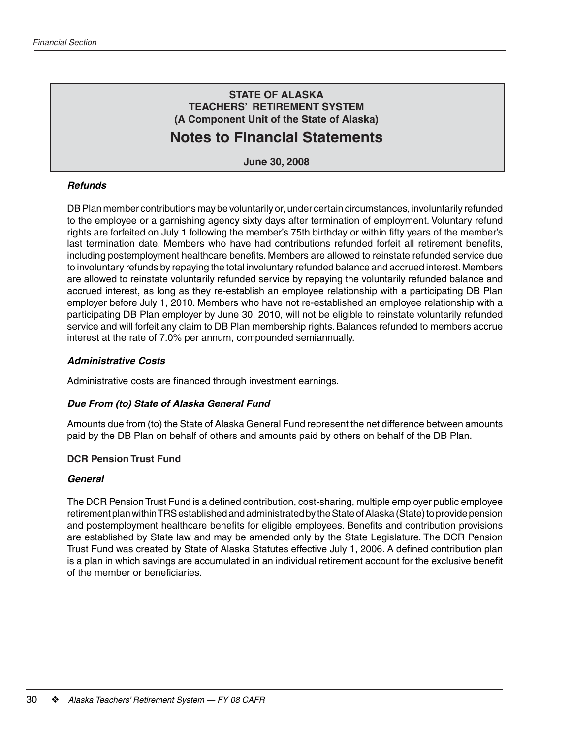# **Notes to Financial Statements**

**June 30, 2008**

### *Refunds*

DB Plan member contributions may be voluntarily or, under certain circumstances, involuntarily refunded to the employee or a garnishing agency sixty days after termination of employment. Voluntary refund rights are forfeited on July 1 following the member's 75th birthday or within fifty years of the member's last termination date. Members who have had contributions refunded forfeit all retirement benefits, including postemployment healthcare benefits. Members are allowed to reinstate refunded service due to involuntary refunds by repaying the total involuntary refunded balance and accrued interest. Members are allowed to reinstate voluntarily refunded service by repaying the voluntarily refunded balance and accrued interest, as long as they re-establish an employee relationship with a participating DB Plan employer before July 1, 2010. Members who have not re-established an employee relationship with a participating DB Plan employer by June 30, 2010, will not be eligible to reinstate voluntarily refunded service and will forfeit any claim to DB Plan membership rights. Balances refunded to members accrue interest at the rate of 7.0% per annum, compounded semiannually.

## *Administrative Costs*

Administrative costs are financed through investment earnings.

### *Due From (to) State of Alaska General Fund*

Amounts due from (to) the State of Alaska General Fund represent the net difference between amounts paid by the DB Plan on behalf of others and amounts paid by others on behalf of the DB Plan.

### **DCR Pension Trust Fund**

### *General*

The DCR Pension Trust Fund is a defined contribution, cost-sharing, multiple employer public employee retirement plan within TRS established and administrated by the State of Alaska (State) to provide pension and postemployment healthcare benefits for eligible employees. Benefits and contribution provisions are established by State law and may be amended only by the State Legislature. The DCR Pension Trust Fund was created by State of Alaska Statutes effective July 1, 2006. A defined contribution plan is a plan in which savings are accumulated in an individual retirement account for the exclusive benefit of the member or beneficiaries.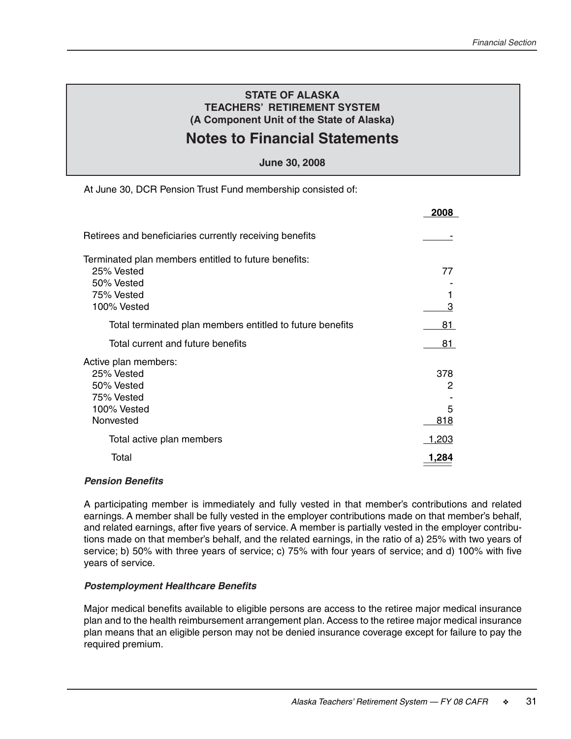# **STATE OF ALASKA TEACHERS' RETIREMENT SYSTEM (A Component Unit of the State of Alaska) Notes to Financial Statements**

**June 30, 2008**

At June 30, DCR Pension Trust Fund membership consisted of:

|                                                                                                               | 2008                 |
|---------------------------------------------------------------------------------------------------------------|----------------------|
| Retirees and beneficiaries currently receiving benefits                                                       |                      |
| Terminated plan members entitled to future benefits:<br>25% Vested<br>50% Vested<br>75% Vested<br>100% Vested | 77<br>3              |
| Total terminated plan members entitled to future benefits                                                     | 81                   |
| Total current and future benefits                                                                             | 81                   |
| Active plan members:<br>25% Vested<br>50% Vested<br>75% Vested<br>100% Vested<br>Nonvested                    | 378<br>2<br>5<br>818 |
| Total active plan members                                                                                     | 1,203                |
| Total                                                                                                         | 1.284                |

### **Pension Benefits**

A participating member is immediately and fully vested in that member's contributions and related earnings. A member shall be fully vested in the employer contributions made on that member's behalf, and related earnings, after five years of service. A member is partially vested in the employer contributions made on that member's behalf, and the related earnings, in the ratio of a) 25% with two years of service; b) 50% with three years of service; c) 75% with four years of service; and d) 100% with five years of service.

### **Postemployment Healthcare Benefits**

Major medical benefits available to eligible persons are access to the retiree major medical insurance plan and to the health reimbursement arrangement plan. Access to the retiree major medical insurance plan means that an eligible person may not be denied insurance coverage except for failure to pay the required premium.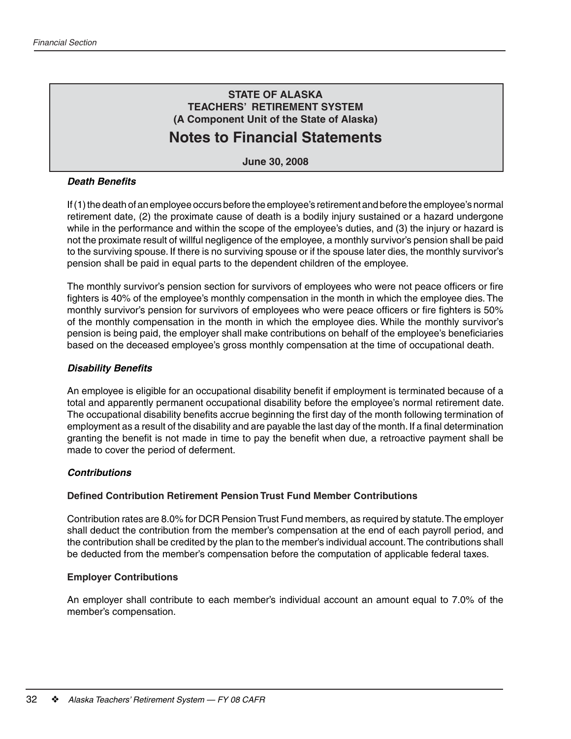# **Notes to Financial Statements**

**June 30, 2008**

#### **Death Benefits**

If (1) the death of an employee occurs before the employee's retirement and before the employee's normal retirement date, (2) the proximate cause of death is a bodily injury sustained or a hazard undergone while in the performance and within the scope of the employee's duties, and (3) the injury or hazard is not the proximate result of willful negligence of the employee, a monthly survivor's pension shall be paid to the surviving spouse. If there is no surviving spouse or if the spouse later dies, the monthly survivor's pension shall be paid in equal parts to the dependent children of the employee.

The monthly survivor's pension section for survivors of employees who were not peace officers or fire fighters is 40% of the employee's monthly compensation in the month in which the employee dies. The monthly survivor's pension for survivors of employees who were peace officers or fire fighters is 50% of the monthly compensation in the month in which the employee dies. While the monthly survivor's pension is being paid, the employer shall make contributions on behalf of the employee's beneficiaries based on the deceased employee's gross monthly compensation at the time of occupational death.

#### **Disability Benefits**

An employee is eligible for an occupational disability benefit if employment is terminated because of a total and apparently permanent occupational disability before the employee's normal retirement date. The occupational disability benefits accrue beginning the first day of the month following termination of employment as a result of the disability and are payable the last day of the month. If a final determination granting the benefit is not made in time to pay the benefit when due, a retroactive payment shall be made to cover the period of deferment.

### *Contributions*

### **Defi ned Contribution Retirement Pension Trust Fund Member Contributions**

Contribution rates are 8.0% for DCR Pension Trust Fund members, as required by statute. The employer shall deduct the contribution from the member's compensation at the end of each payroll period, and the contribution shall be credited by the plan to the member's individual account. The contributions shall be deducted from the member's compensation before the computation of applicable federal taxes.

#### **Employer Contributions**

An employer shall contribute to each member's individual account an amount equal to 7.0% of the member's compensation.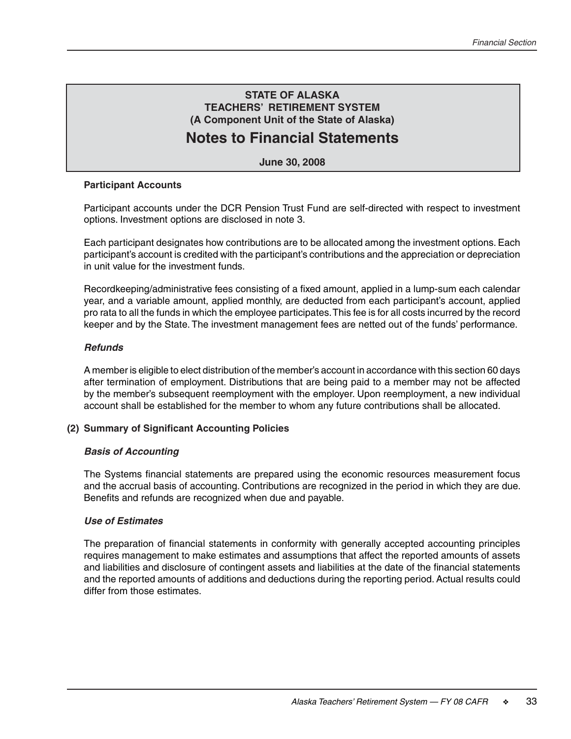# **Notes to Financial Statements**

**June 30, 2008**

#### **Participant Accounts**

Participant accounts under the DCR Pension Trust Fund are self-directed with respect to investment options. Investment options are disclosed in note 3.

Each participant designates how contributions are to be allocated among the investment options. Each participant's account is credited with the participant's contributions and the appreciation or depreciation in unit value for the investment funds.

Recordkeeping/administrative fees consisting of a fixed amount, applied in a lump-sum each calendar year, and a variable amount, applied monthly, are deducted from each participant's account, applied pro rata to all the funds in which the employee participates. This fee is for all costs incurred by the record keeper and by the State. The investment management fees are netted out of the funds' performance.

### *Refunds*

A member is eligible to elect distribution of the member's account in accordance with this section 60 days after termination of employment. Distributions that are being paid to a member may not be affected by the member's subsequent reemployment with the employer. Upon reemployment, a new individual account shall be established for the member to whom any future contributions shall be allocated.

### **(2) Summary of Significant Accounting Policies**

### *Basis of Accounting*

The Systems financial statements are prepared using the economic resources measurement focus and the accrual basis of accounting. Contributions are recognized in the period in which they are due. Benefits and refunds are recognized when due and payable.

### *Use of Estimates*

The preparation of financial statements in conformity with generally accepted accounting principles requires management to make estimates and assumptions that affect the reported amounts of assets and liabilities and disclosure of contingent assets and liabilities at the date of the financial statements and the reported amounts of additions and deductions during the reporting period. Actual results could differ from those estimates.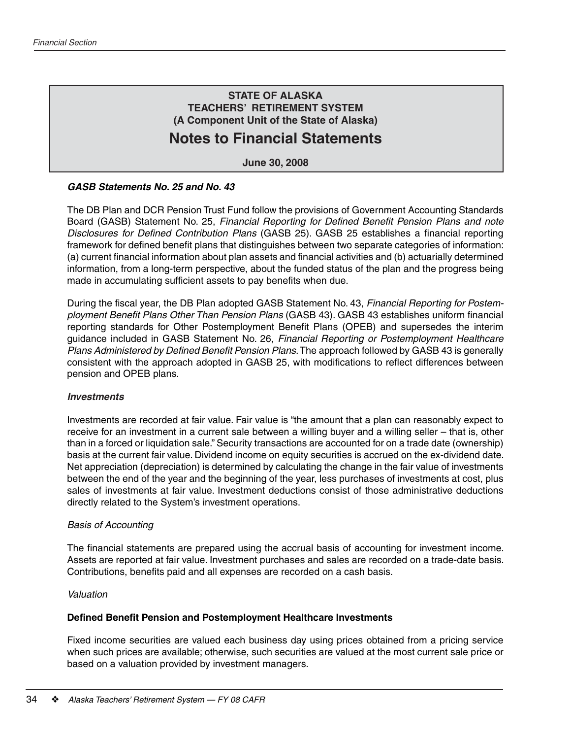# **STATE OF ALASKA TEACHERS' RETIREMENT SYSTEM (A Component Unit of the State of Alaska) Notes to Financial Statements**

**June 30, 2008**

#### *GASB Statements No. 25 and No. 43*

The DB Plan and DCR Pension Trust Fund follow the provisions of Government Accounting Standards Board (GASB) Statement No. 25, *Financial Reporting for Defined Benefit Pension Plans and note Disclosures for Defined Contribution Plans* (GASB 25). GASB 25 establishes a financial reporting framework for defined benefit plans that distinguishes between two separate categories of information: (a) current financial information about plan assets and financial activities and (b) actuarially determined information, from a long-term perspective, about the funded status of the plan and the progress being made in accumulating sufficient assets to pay benefits when due.

During the fiscal year, the DB Plan adopted GASB Statement No. 43, *Financial Reporting for Postemployment Benefit Plans Other Than Pension Plans* (GASB 43). GASB 43 establishes uniform financial reporting standards for Other Postemployment Benefit Plans (OPEB) and supersedes the interim guidance included in GASB Statement No. 26, *Financial Reporting or Postemployment Healthcare Plans Administered by Defined Benefit Pension Plans*. The approach followed by GASB 43 is generally consistent with the approach adopted in GASB 25, with modifications to reflect differences between pension and OPEB plans.

#### *Investments*

Investments are recorded at fair value. Fair value is "the amount that a plan can reasonably expect to receive for an investment in a current sale between a willing buyer and a willing seller – that is, other than in a forced or liquidation sale." Security transactions are accounted for on a trade date (ownership) basis at the current fair value. Dividend income on equity securities is accrued on the ex-dividend date. Net appreciation (depreciation) is determined by calculating the change in the fair value of investments between the end of the year and the beginning of the year, less purchases of investments at cost, plus sales of investments at fair value. Investment deductions consist of those administrative deductions directly related to the System's investment operations.

#### *Basis of Accounting*

The financial statements are prepared using the accrual basis of accounting for investment income. Assets are reported at fair value. Investment purchases and sales are recorded on a trade-date basis. Contributions, benefits paid and all expenses are recorded on a cash basis.

#### *Valuation*

#### **Defined Benefit Pension and Postemployment Healthcare Investments**

Fixed income securities are valued each business day using prices obtained from a pricing service when such prices are available; otherwise, such securities are valued at the most current sale price or based on a valuation provided by investment managers.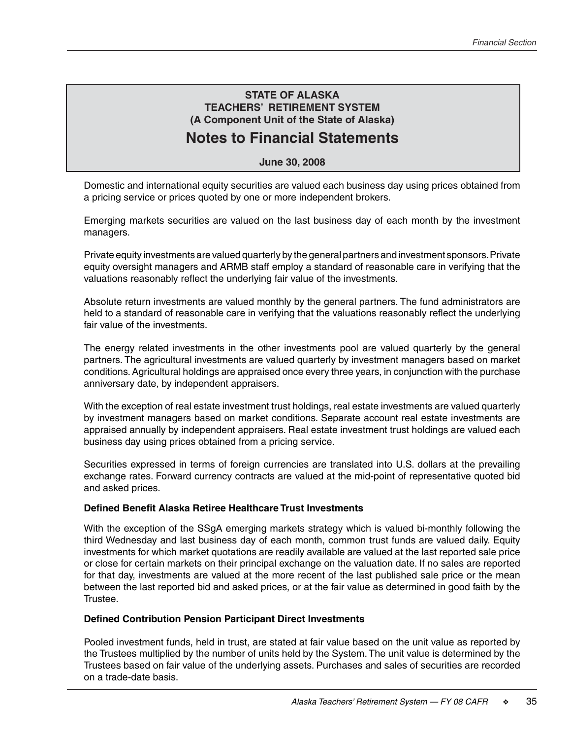# **Notes to Financial Statements**

**June 30, 2008**

Domestic and international equity securities are valued each business day using prices obtained from a pricing service or prices quoted by one or more independent brokers.

Emerging markets securities are valued on the last business day of each month by the investment managers.

Private equity investments are valued quarterly by the general partners and investment sponsors. Private equity oversight managers and ARMB staff employ a standard of reasonable care in verifying that the valuations reasonably reflect the underlying fair value of the investments.

Absolute return investments are valued monthly by the general partners. The fund administrators are held to a standard of reasonable care in verifying that the valuations reasonably reflect the underlying fair value of the investments.

The energy related investments in the other investments pool are valued quarterly by the general partners. The agricultural investments are valued quarterly by investment managers based on market conditions. Agricultural holdings are appraised once every three years, in conjunction with the purchase anniversary date, by independent appraisers.

With the exception of real estate investment trust holdings, real estate investments are valued quarterly by investment managers based on market conditions. Separate account real estate investments are appraised annually by independent appraisers. Real estate investment trust holdings are valued each business day using prices obtained from a pricing service.

Securities expressed in terms of foreign currencies are translated into U.S. dollars at the prevailing exchange rates. Forward currency contracts are valued at the mid-point of representative quoted bid and asked prices.

## **Defined Benefit Alaska Retiree Healthcare Trust Investments**

With the exception of the SSgA emerging markets strategy which is valued bi-monthly following the third Wednesday and last business day of each month, common trust funds are valued daily. Equity investments for which market quotations are readily available are valued at the last reported sale price or close for certain markets on their principal exchange on the valuation date. If no sales are reported for that day, investments are valued at the more recent of the last published sale price or the mean between the last reported bid and asked prices, or at the fair value as determined in good faith by the Trustee.

### **Defined Contribution Pension Participant Direct Investments**

Pooled investment funds, held in trust, are stated at fair value based on the unit value as reported by the Trustees multiplied by the number of units held by the System. The unit value is determined by the Trustees based on fair value of the underlying assets. Purchases and sales of securities are recorded on a trade-date basis.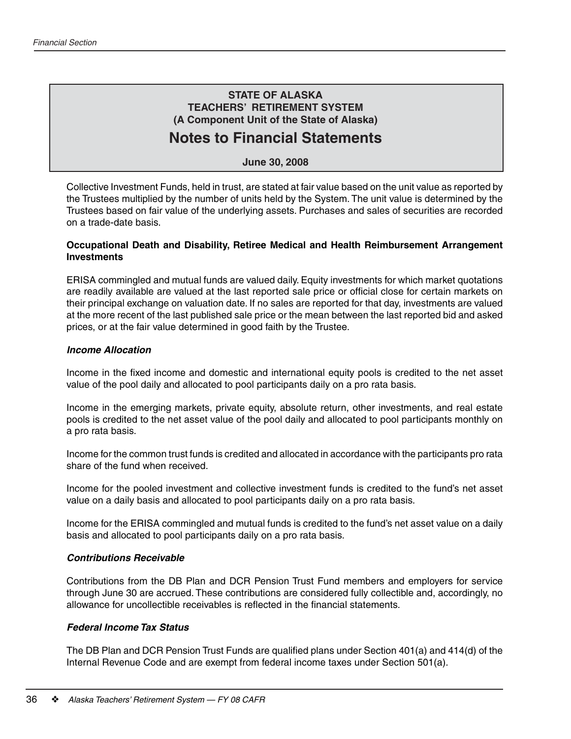# **Notes to Financial Statements**

### **June 30, 2008**

Collective Investment Funds, held in trust, are stated at fair value based on the unit value as reported by the Trustees multiplied by the number of units held by the System. The unit value is determined by the Trustees based on fair value of the underlying assets. Purchases and sales of securities are recorded on a trade-date basis.

#### **Occupational Death and Disability, Retiree Medical and Health Reimbursement Arrangement Investments**

ERISA commingled and mutual funds are valued daily. Equity investments for which market quotations are readily available are valued at the last reported sale price or official close for certain markets on their principal exchange on valuation date. If no sales are reported for that day, investments are valued at the more recent of the last published sale price or the mean between the last reported bid and asked prices, or at the fair value determined in good faith by the Trustee.

### *Income Allocation*

Income in the fixed income and domestic and international equity pools is credited to the net asset value of the pool daily and allocated to pool participants daily on a pro rata basis.

Income in the emerging markets, private equity, absolute return, other investments, and real estate pools is credited to the net asset value of the pool daily and allocated to pool participants monthly on a pro rata basis.

Income for the common trust funds is credited and allocated in accordance with the participants pro rata share of the fund when received.

Income for the pooled investment and collective investment funds is credited to the fund's net asset value on a daily basis and allocated to pool participants daily on a pro rata basis.

Income for the ERISA commingled and mutual funds is credited to the fund's net asset value on a daily basis and allocated to pool participants daily on a pro rata basis.

### *Contributions Receivable*

Contributions from the DB Plan and DCR Pension Trust Fund members and employers for service through June 30 are accrued. These contributions are considered fully collectible and, accordingly, no allowance for uncollectible receivables is reflected in the financial statements.

### *Federal Income Tax Status*

The DB Plan and DCR Pension Trust Funds are qualified plans under Section  $401(a)$  and  $414(d)$  of the Internal Revenue Code and are exempt from federal income taxes under Section 501(a).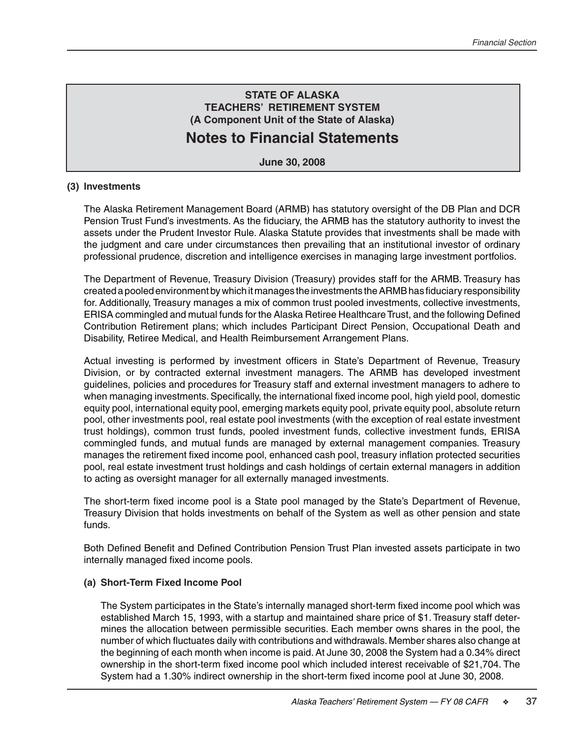# **Notes to Financial Statements**

**June 30, 2008**

#### **(3) Investments**

The Alaska Retirement Management Board (ARMB) has statutory oversight of the DB Plan and DCR Pension Trust Fund's investments. As the fiduciary, the ARMB has the statutory authority to invest the assets under the Prudent Investor Rule. Alaska Statute provides that investments shall be made with the judgment and care under circumstances then prevailing that an institutional investor of ordinary professional prudence, discretion and intelligence exercises in managing large investment portfolios.

The Department of Revenue, Treasury Division (Treasury) provides staff for the ARMB. Treasury has created a pooled environment by which it manages the investments the ARMB has fiduciary responsibility for. Additionally, Treasury manages a mix of common trust pooled investments, collective investments, ERISA commingled and mutual funds for the Alaska Retiree Healthcare Trust, and the following Defined Contribution Retirement plans; which includes Participant Direct Pension, Occupational Death and Disability, Retiree Medical, and Health Reimbursement Arrangement Plans.

Actual investing is performed by investment officers in State's Department of Revenue, Treasury Division, or by contracted external investment managers. The ARMB has developed investment guidelines, policies and procedures for Treasury staff and external investment managers to adhere to when managing investments. Specifically, the international fixed income pool, high yield pool, domestic equity pool, international equity pool, emerging markets equity pool, private equity pool, absolute return pool, other investments pool, real estate pool investments (with the exception of real estate investment trust holdings), common trust funds, pooled investment funds, collective investment funds, ERISA commingled funds, and mutual funds are managed by external management companies. Treasury manages the retirement fixed income pool, enhanced cash pool, treasury inflation protected securities pool, real estate investment trust holdings and cash holdings of certain external managers in addition to acting as oversight manager for all externally managed investments.

The short-term fixed income pool is a State pool managed by the State's Department of Revenue, Treasury Division that holds investments on behalf of the System as well as other pension and state funds.

Both Defined Benefit and Defined Contribution Pension Trust Plan invested assets participate in two internally managed fixed income pools.

### **(a) Short-Term Fixed Income Pool**

The System participates in the State's internally managed short-term fixed income pool which was established March 15, 1993, with a startup and maintained share price of \$1. Treasury staff determines the allocation between permissible securities. Each member owns shares in the pool, the number of which fluctuates daily with contributions and withdrawals. Member shares also change at the beginning of each month when income is paid. At June 30, 2008 the System had a 0.34% direct ownership in the short-term fixed income pool which included interest receivable of \$21,704. The System had a 1.30% indirect ownership in the short-term fixed income pool at June 30, 2008.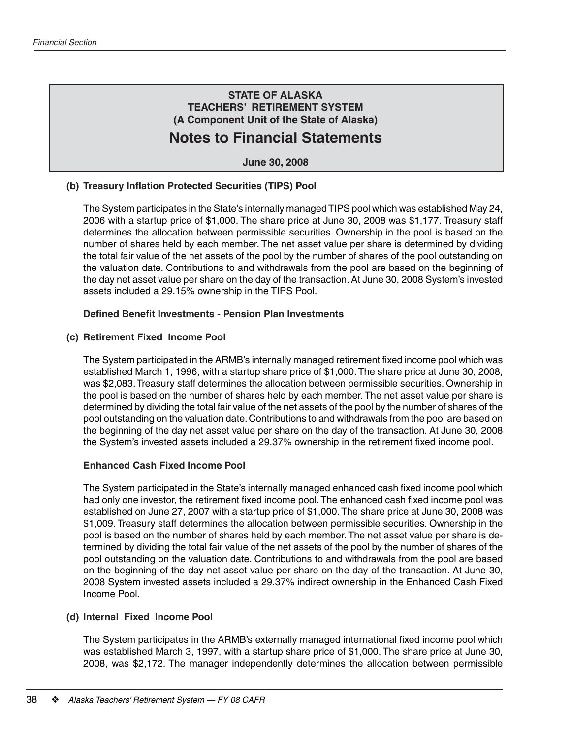# **Notes to Financial Statements**

**June 30, 2008**

### **(b) Treasury Inflation Protected Securities (TIPS) Pool**

The System participates in the State's internally managed TIPS pool which was established May 24, 2006 with a startup price of \$1,000. The share price at June 30, 2008 was \$1,177. Treasury staff determines the allocation between permissible securities. Ownership in the pool is based on the number of shares held by each member. The net asset value per share is determined by dividing the total fair value of the net assets of the pool by the number of shares of the pool outstanding on the valuation date. Contributions to and withdrawals from the pool are based on the beginning of the day net asset value per share on the day of the transaction. At June 30, 2008 System's invested assets included a 29.15% ownership in the TIPS Pool.

#### **Defined Benefit Investments - Pension Plan Investments**

#### **(c) Retirement Fixed Income Pool**

The System participated in the ARMB's internally managed retirement fixed income pool which was established March 1, 1996, with a startup share price of \$1,000. The share price at June 30, 2008, was \$2,083. Treasury staff determines the allocation between permissible securities. Ownership in the pool is based on the number of shares held by each member. The net asset value per share is determined by dividing the total fair value of the net assets of the pool by the number of shares of the pool outstanding on the valuation date. Contributions to and withdrawals from the pool are based on the beginning of the day net asset value per share on the day of the transaction. At June 30, 2008 the System's invested assets included a 29.37% ownership in the retirement fixed income pool.

### **Enhanced Cash Fixed Income Pool**

The System participated in the State's internally managed enhanced cash fixed income pool which had only one investor, the retirement fixed income pool. The enhanced cash fixed income pool was established on June 27, 2007 with a startup price of \$1,000. The share price at June 30, 2008 was \$1,009. Treasury staff determines the allocation between permissible securities. Ownership in the pool is based on the number of shares held by each member. The net asset value per share is determined by dividing the total fair value of the net assets of the pool by the number of shares of the pool outstanding on the valuation date. Contributions to and withdrawals from the pool are based on the beginning of the day net asset value per share on the day of the transaction. At June 30, 2008 System invested assets included a 29.37% indirect ownership in the Enhanced Cash Fixed Income Pool.

#### **(d) Internal Fixed Income Pool**

The System participates in the ARMB's externally managed international fixed income pool which was established March 3, 1997, with a startup share price of \$1,000. The share price at June 30, 2008, was \$2,172. The manager independently determines the allocation between permissible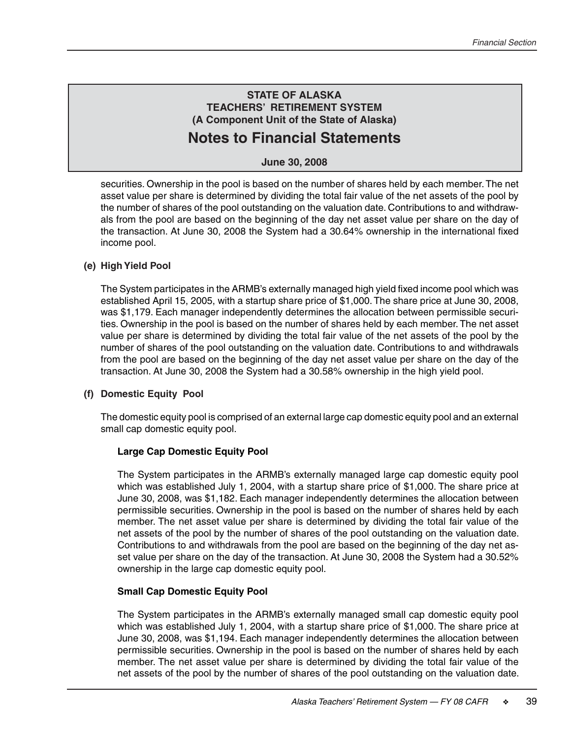# **Notes to Financial Statements**

## **June 30, 2008**

securities. Ownership in the pool is based on the number of shares held by each member. The net asset value per share is determined by dividing the total fair value of the net assets of the pool by the number of shares of the pool outstanding on the valuation date. Contributions to and withdrawals from the pool are based on the beginning of the day net asset value per share on the day of the transaction. At June 30, 2008 the System had a 30.64% ownership in the international fixed income pool.

## **(e) High Yield Pool**

The System participates in the ARMB's externally managed high yield fixed income pool which was established April 15, 2005, with a startup share price of \$1,000. The share price at June 30, 2008, was \$1,179. Each manager independently determines the allocation between permissible securities. Ownership in the pool is based on the number of shares held by each member. The net asset value per share is determined by dividing the total fair value of the net assets of the pool by the number of shares of the pool outstanding on the valuation date. Contributions to and withdrawals from the pool are based on the beginning of the day net asset value per share on the day of the transaction. At June 30, 2008 the System had a 30.58% ownership in the high yield pool.

### **(f) Domestic Equity Pool**

The domestic equity pool is comprised of an external large cap domestic equity pool and an external small cap domestic equity pool.

### **Large Cap Domestic Equity Pool**

The System participates in the ARMB's externally managed large cap domestic equity pool which was established July 1, 2004, with a startup share price of \$1,000. The share price at June 30, 2008, was \$1,182. Each manager independently determines the allocation between permissible securities. Ownership in the pool is based on the number of shares held by each member. The net asset value per share is determined by dividing the total fair value of the net assets of the pool by the number of shares of the pool outstanding on the valuation date. Contributions to and withdrawals from the pool are based on the beginning of the day net asset value per share on the day of the transaction. At June 30, 2008 the System had a 30.52% ownership in the large cap domestic equity pool.

### **Small Cap Domestic Equity Pool**

The System participates in the ARMB's externally managed small cap domestic equity pool which was established July 1, 2004, with a startup share price of \$1,000. The share price at June 30, 2008, was \$1,194. Each manager independently determines the allocation between permissible securities. Ownership in the pool is based on the number of shares held by each member. The net asset value per share is determined by dividing the total fair value of the net assets of the pool by the number of shares of the pool outstanding on the valuation date.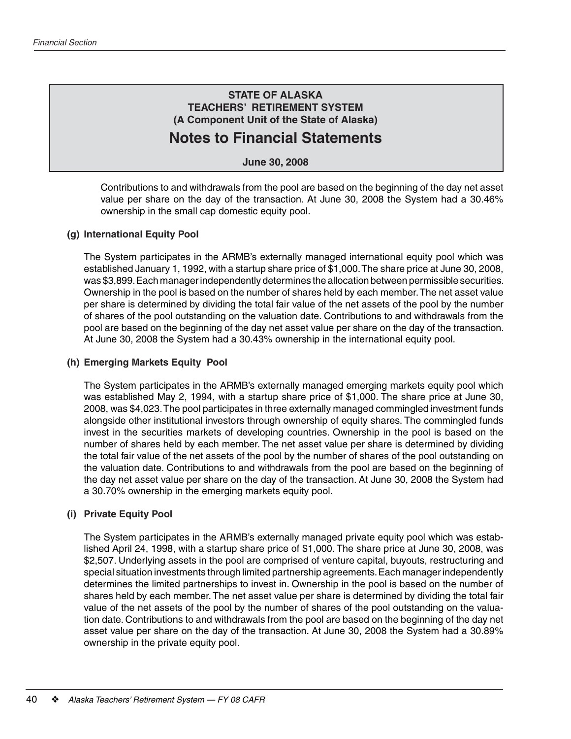# **Notes to Financial Statements**

**June 30, 2008**

Contributions to and withdrawals from the pool are based on the beginning of the day net asset value per share on the day of the transaction. At June 30, 2008 the System had a 30.46% ownership in the small cap domestic equity pool.

### **(g) International Equity Pool**

The System participates in the ARMB's externally managed international equity pool which was established January 1, 1992, with a startup share price of \$1,000. The share price at June 30, 2008, was \$3,899. Each manager independently determines the allocation between permissible securities. Ownership in the pool is based on the number of shares held by each member. The net asset value per share is determined by dividing the total fair value of the net assets of the pool by the number of shares of the pool outstanding on the valuation date. Contributions to and withdrawals from the pool are based on the beginning of the day net asset value per share on the day of the transaction. At June 30, 2008 the System had a 30.43% ownership in the international equity pool.

### **(h) Emerging Markets Equity Pool**

The System participates in the ARMB's externally managed emerging markets equity pool which was established May 2, 1994, with a startup share price of \$1,000. The share price at June 30, 2008, was \$4,023. The pool participates in three externally managed commingled investment funds alongside other institutional investors through ownership of equity shares. The commingled funds invest in the securities markets of developing countries. Ownership in the pool is based on the number of shares held by each member. The net asset value per share is determined by dividing the total fair value of the net assets of the pool by the number of shares of the pool outstanding on the valuation date. Contributions to and withdrawals from the pool are based on the beginning of the day net asset value per share on the day of the transaction. At June 30, 2008 the System had a 30.70% ownership in the emerging markets equity pool.

### **(i) Private Equity Pool**

The System participates in the ARMB's externally managed private equity pool which was established April 24, 1998, with a startup share price of \$1,000. The share price at June 30, 2008, was \$2,507. Underlying assets in the pool are comprised of venture capital, buyouts, restructuring and special situation investments through limited partnership agreements. Each manager independently determines the limited partnerships to invest in. Ownership in the pool is based on the number of shares held by each member. The net asset value per share is determined by dividing the total fair value of the net assets of the pool by the number of shares of the pool outstanding on the valuation date. Contributions to and withdrawals from the pool are based on the beginning of the day net asset value per share on the day of the transaction. At June 30, 2008 the System had a 30.89% ownership in the private equity pool.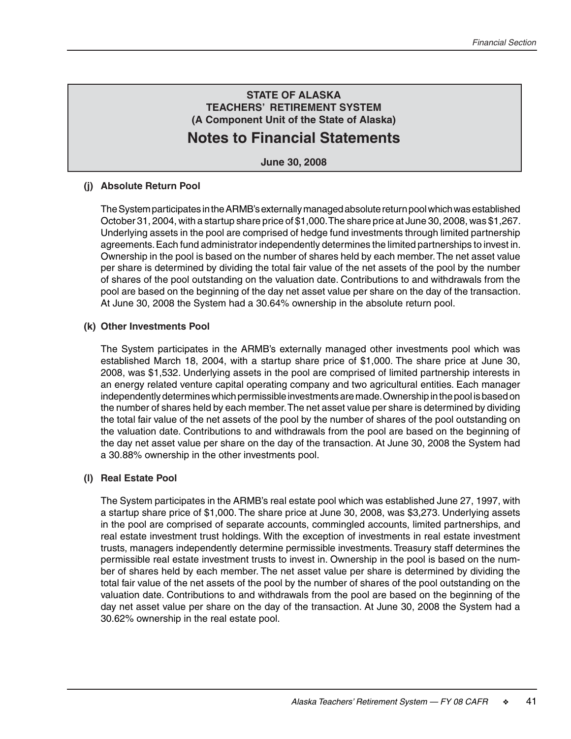# **Notes to Financial Statements**

**June 30, 2008**

#### **(j) Absolute Return Pool**

The System participates in the ARMB's externally managed absolute return pool which was established October 31, 2004, with a startup share price of \$1,000. The share price at June 30, 2008, was \$1,267. Underlying assets in the pool are comprised of hedge fund investments through limited partnership agreements. Each fund administrator independently determines the limited partnerships to invest in. Ownership in the pool is based on the number of shares held by each member. The net asset value per share is determined by dividing the total fair value of the net assets of the pool by the number of shares of the pool outstanding on the valuation date. Contributions to and withdrawals from the pool are based on the beginning of the day net asset value per share on the day of the transaction. At June 30, 2008 the System had a 30.64% ownership in the absolute return pool.

#### **(k) Other Investments Pool**

The System participates in the ARMB's externally managed other investments pool which was established March 18, 2004, with a startup share price of \$1,000. The share price at June 30, 2008, was \$1,532. Underlying assets in the pool are comprised of limited partnership interests in an energy related venture capital operating company and two agricultural entities. Each manager independently determines which permissible investments are made. Ownership in the pool is based on the number of shares held by each member. The net asset value per share is determined by dividing the total fair value of the net assets of the pool by the number of shares of the pool outstanding on the valuation date. Contributions to and withdrawals from the pool are based on the beginning of the day net asset value per share on the day of the transaction. At June 30, 2008 the System had a 30.88% ownership in the other investments pool.

### **(l) Real Estate Pool**

The System participates in the ARMB's real estate pool which was established June 27, 1997, with a startup share price of \$1,000. The share price at June 30, 2008, was \$3,273. Underlying assets in the pool are comprised of separate accounts, commingled accounts, limited partnerships, and real estate investment trust holdings. With the exception of investments in real estate investment trusts, managers independently determine permissible investments. Treasury staff determines the permissible real estate investment trusts to invest in. Ownership in the pool is based on the number of shares held by each member. The net asset value per share is determined by dividing the total fair value of the net assets of the pool by the number of shares of the pool outstanding on the valuation date. Contributions to and withdrawals from the pool are based on the beginning of the day net asset value per share on the day of the transaction. At June 30, 2008 the System had a 30.62% ownership in the real estate pool.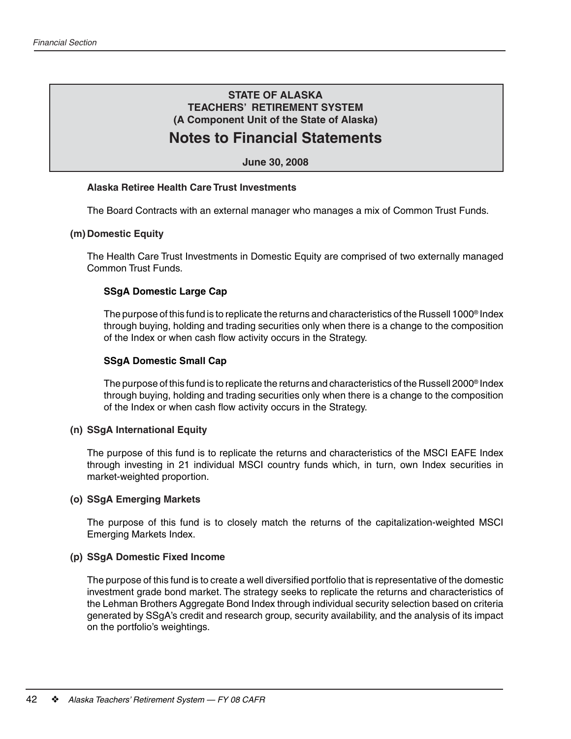# **Notes to Financial Statements**

**June 30, 2008**

### **Alaska Retiree Health Care Trust Investments**

The Board Contracts with an external manager who manages a mix of Common Trust Funds.

### **(m) Domestic Equity**

The Health Care Trust Investments in Domestic Equity are comprised of two externally managed Common Trust Funds.

### **SSgA Domestic Large Cap**

The purpose of this fund is to replicate the returns and characteristics of the Russell 1000® Index through buying, holding and trading securities only when there is a change to the composition of the Index or when cash flow activity occurs in the Strategy.

#### **SSgA Domestic Small Cap**

The purpose of this fund is to replicate the returns and characteristics of the Russell 2000® Index through buying, holding and trading securities only when there is a change to the composition of the Index or when cash flow activity occurs in the Strategy.

#### **(n) SSgA International Equity**

The purpose of this fund is to replicate the returns and characteristics of the MSCI EAFE Index through investing in 21 individual MSCI country funds which, in turn, own Index securities in market-weighted proportion.

#### **(o) SSgA Emerging Markets**

The purpose of this fund is to closely match the returns of the capitalization-weighted MSCI Emerging Markets Index.

#### **(p) SSgA Domestic Fixed Income**

The purpose of this fund is to create a well diversified portfolio that is representative of the domestic investment grade bond market. The strategy seeks to replicate the returns and characteristics of the Lehman Brothers Aggregate Bond Index through individual security selection based on criteria generated by SSgA's credit and research group, security availability, and the analysis of its impact on the portfolio's weightings.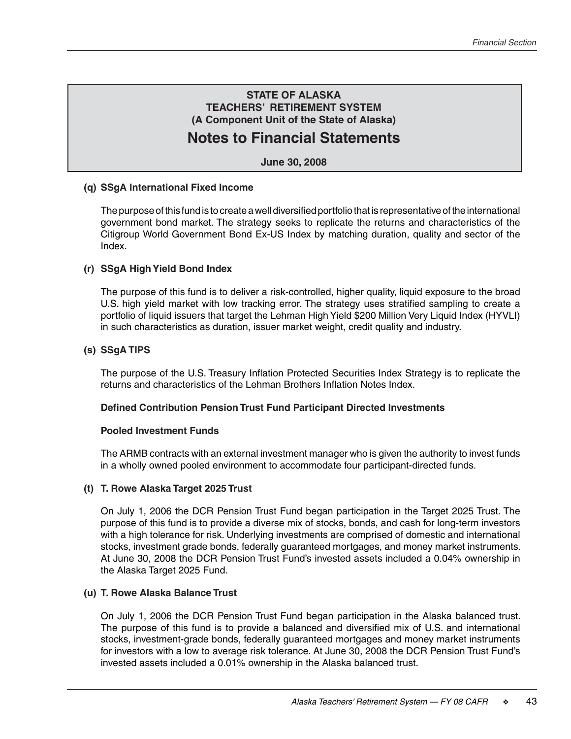# **Notes to Financial Statements**

**June 30, 2008**

### **(q) SSgA International Fixed Income**

The purpose of this fund is to create a well diversified portfolio that is representative of the international government bond market. The strategy seeks to replicate the returns and characteristics of the Citigroup World Government Bond Ex-US Index by matching duration, quality and sector of the Index.

## **(r) SSgA High Yield Bond Index**

The purpose of this fund is to deliver a risk-controlled, higher quality, liquid exposure to the broad U.S. high yield market with low tracking error. The strategy uses stratified sampling to create a portfolio of liquid issuers that target the Lehman High Yield \$200 Million Very Liquid Index (HYVLI) in such characteristics as duration, issuer market weight, credit quality and industry.

## **(s) SSgA TIPS**

The purpose of the U.S. Treasury Inflation Protected Securities Index Strategy is to replicate the returns and characteristics of the Lehman Brothers Inflation Notes Index.

### **Defi ned Contribution Pension Trust Fund Participant Directed Investments**

### **Pooled Investment Funds**

The ARMB contracts with an external investment manager who is given the authority to invest funds in a wholly owned pooled environment to accommodate four participant-directed funds.

### **(t) T. Rowe Alaska Target 2025 Trust**

On July 1, 2006 the DCR Pension Trust Fund began participation in the Target 2025 Trust. The purpose of this fund is to provide a diverse mix of stocks, bonds, and cash for long-term investors with a high tolerance for risk. Underlying investments are comprised of domestic and international stocks, investment grade bonds, federally guaranteed mortgages, and money market instruments. At June 30, 2008 the DCR Pension Trust Fund's invested assets included a 0.04% ownership in the Alaska Target 2025 Fund.

### **(u) T. Rowe Alaska Balance Trust**

On July 1, 2006 the DCR Pension Trust Fund began participation in the Alaska balanced trust. The purpose of this fund is to provide a balanced and diversified mix of U.S. and international stocks, investment-grade bonds, federally guaranteed mortgages and money market instruments for investors with a low to average risk tolerance. At June 30, 2008 the DCR Pension Trust Fund's invested assets included a 0.01% ownership in the Alaska balanced trust.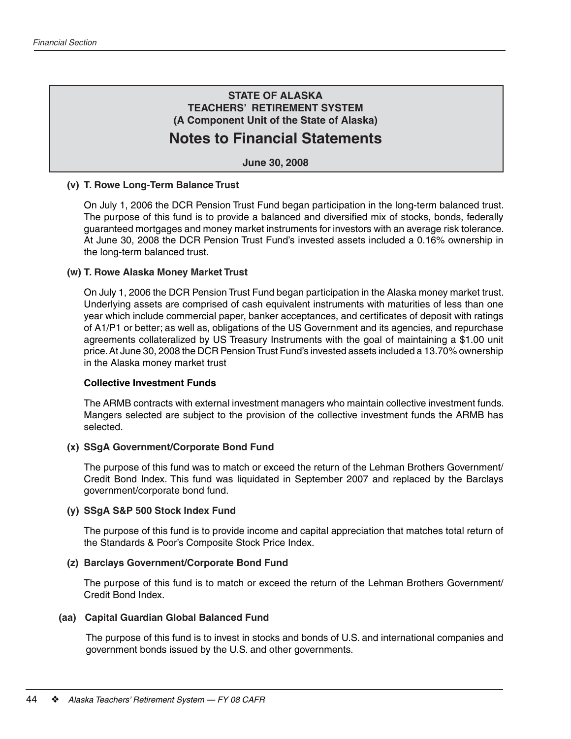# **STATE OF ALASKA TEACHERS' RETIREMENT SYSTEM (A Component Unit of the State of Alaska) Notes to Financial Statements**

**June 30, 2008**

#### **(v) T. Rowe Long-Term Balance Trust**

On July 1, 2006 the DCR Pension Trust Fund began participation in the long-term balanced trust. The purpose of this fund is to provide a balanced and diversified mix of stocks, bonds, federally guaranteed mortgages and money market instruments for investors with an average risk tolerance. At June 30, 2008 the DCR Pension Trust Fund's invested assets included a 0.16% ownership in the long-term balanced trust.

#### **(w) T. Rowe Alaska Money Market Trust**

On July 1, 2006 the DCR Pension Trust Fund began participation in the Alaska money market trust. Underlying assets are comprised of cash equivalent instruments with maturities of less than one year which include commercial paper, banker acceptances, and certificates of deposit with ratings of A1/P1 or better; as well as, obligations of the US Government and its agencies, and repurchase agreements collateralized by US Treasury Instruments with the goal of maintaining a \$1.00 unit price. At June 30, 2008 the DCR Pension Trust Fund's invested assets included a 13.70% ownership in the Alaska money market trust

#### **Collective Investment Funds**

The ARMB contracts with external investment managers who maintain collective investment funds. Mangers selected are subject to the provision of the collective investment funds the ARMB has selected.

### **(x) SSgA Government/Corporate Bond Fund**

The purpose of this fund was to match or exceed the return of the Lehman Brothers Government/ Credit Bond Index. This fund was liquidated in September 2007 and replaced by the Barclays government/corporate bond fund.

### **(y) SSgA S&P 500 Stock Index Fund**

The purpose of this fund is to provide income and capital appreciation that matches total return of the Standards & Poor's Composite Stock Price Index.

#### **(z) Barclays Government/Corporate Bond Fund**

The purpose of this fund is to match or exceed the return of the Lehman Brothers Government/ Credit Bond Index.

#### **(aa) Capital Guardian Global Balanced Fund**

The purpose of this fund is to invest in stocks and bonds of U.S. and international companies and government bonds issued by the U.S. and other governments.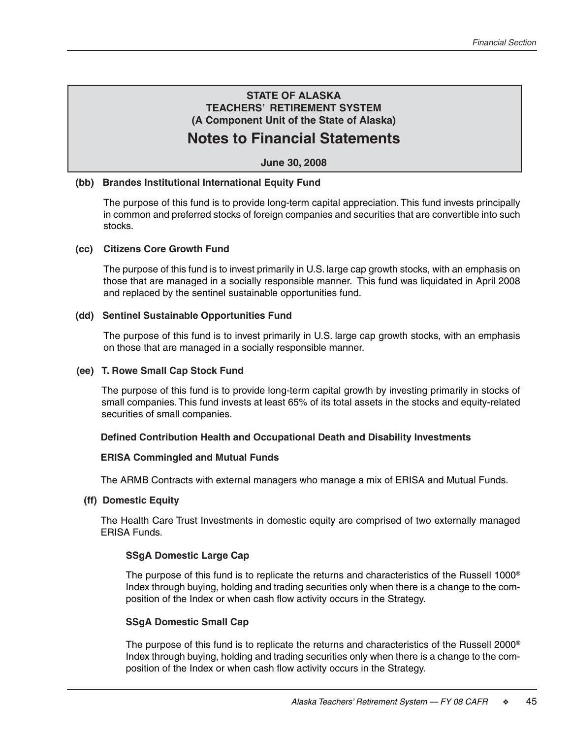# **Notes to Financial Statements**

**June 30, 2008**

#### **(bb) Brandes Institutional International Equity Fund**

The purpose of this fund is to provide long-term capital appreciation. This fund invests principally in common and preferred stocks of foreign companies and securities that are convertible into such stocks.

#### **(cc) Citizens Core Growth Fund**

The purpose of this fund is to invest primarily in U.S. large cap growth stocks, with an emphasis on those that are managed in a socially responsible manner. This fund was liquidated in April 2008 and replaced by the sentinel sustainable opportunities fund.

#### **(dd) Sentinel Sustainable Opportunities Fund**

The purpose of this fund is to invest primarily in U.S. large cap growth stocks, with an emphasis on those that are managed in a socially responsible manner.

#### **(ee) T. Rowe Small Cap Stock Fund**

The purpose of this fund is to provide long-term capital growth by investing primarily in stocks of small companies. This fund invests at least 65% of its total assets in the stocks and equity-related securities of small companies.

### **Defined Contribution Health and Occupational Death and Disability Investments**

#### **ERISA Commingled and Mutual Funds**

The ARMB Contracts with external managers who manage a mix of ERISA and Mutual Funds.

#### **(ff) Domestic Equity**

The Health Care Trust Investments in domestic equity are comprised of two externally managed ERISA Funds.

#### **SSgA Domestic Large Cap**

The purpose of this fund is to replicate the returns and characteristics of the Russell 1000® Index through buying, holding and trading securities only when there is a change to the composition of the Index or when cash flow activity occurs in the Strategy.

#### **SSgA Domestic Small Cap**

The purpose of this fund is to replicate the returns and characteristics of the Russell 2000® Index through buying, holding and trading securities only when there is a change to the composition of the Index or when cash flow activity occurs in the Strategy.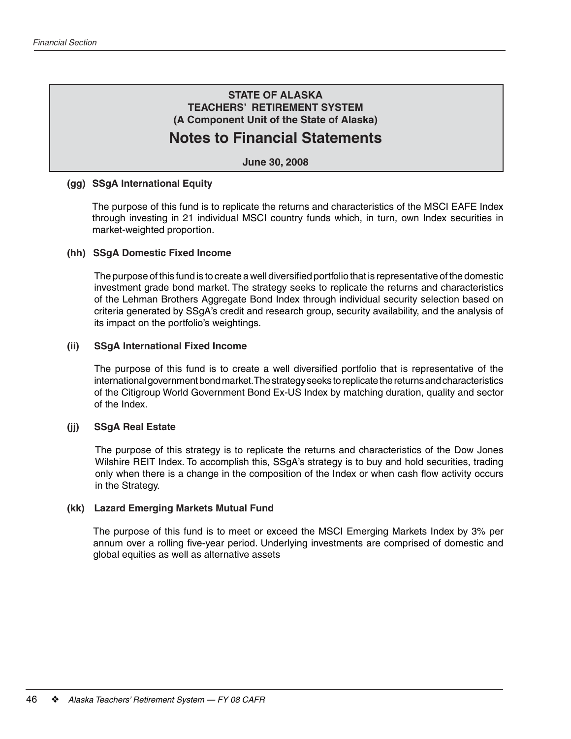# **Notes to Financial Statements**

**June 30, 2008**

### **(gg) SSgA International Equity**

The purpose of this fund is to replicate the returns and characteristics of the MSCI EAFE Index through investing in 21 individual MSCI country funds which, in turn, own Index securities in market-weighted proportion.

### **(hh) SSgA Domestic Fixed Income**

The purpose of this fund is to create a well diversified portfolio that is representative of the domestic investment grade bond market. The strategy seeks to replicate the returns and characteristics of the Lehman Brothers Aggregate Bond Index through individual security selection based on criteria generated by SSgA's credit and research group, security availability, and the analysis of its impact on the portfolio's weightings.

#### **(ii) SSgA International Fixed Income**

The purpose of this fund is to create a well diversified portfolio that is representative of the international government bond market. The strategy seeks to replicate the returns and characteristics of the Citigroup World Government Bond Ex-US Index by matching duration, quality and sector of the Index.

### **(jj) SSgA Real Estate**

The purpose of this strategy is to replicate the returns and characteristics of the Dow Jones Wilshire REIT Index. To accomplish this, SSgA's strategy is to buy and hold securities, trading only when there is a change in the composition of the Index or when cash flow activity occurs in the Strategy.

### **(kk) Lazard Emerging Markets Mutual Fund**

The purpose of this fund is to meet or exceed the MSCI Emerging Markets Index by 3% per annum over a rolling five-year period. Underlying investments are comprised of domestic and global equities as well as alternative assets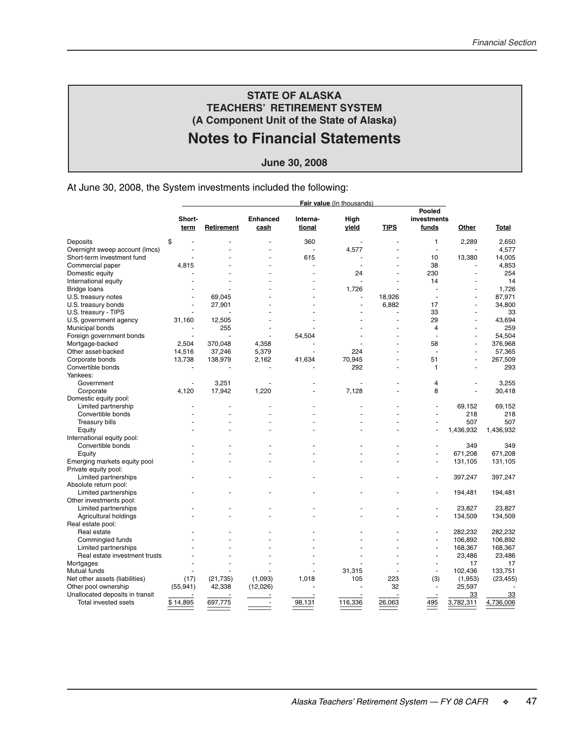# **STATE OF ALASKA TEACHERS' RETIREMENT SYSTEM (A Component Unit of the State of Alaska) Notes to Financial Statements**

**June 30, 2008**

At June 30, 2008, the System investments included the following:

|                                 |                |            |                         |                    | Fair value (In thousands) |             |                                |           |           |
|---------------------------------|----------------|------------|-------------------------|--------------------|---------------------------|-------------|--------------------------------|-----------|-----------|
|                                 | Short-<br>term | Retirement | <b>Enhanced</b><br>cash | Interna-<br>tional | High<br>yield             | <b>TIPS</b> | Pooled<br>investments<br>funds | Other     | Total     |
| Deposits                        | \$             |            |                         | 360                |                           |             | 1                              | 2,289     | 2,650     |
| Overnight sweep account (Imcs)  |                |            |                         | $\overline{a}$     | 4,577                     |             | $\blacksquare$                 |           | 4,577     |
| Short-term investment fund      |                |            |                         | 615                |                           |             | 10                             | 13,380    | 14,005    |
| Commercial paper                | 4,815          |            |                         |                    |                           |             | 38                             |           | 4,853     |
| Domestic equity                 |                |            |                         |                    | 24                        | L,          | 230                            | L,        | 254       |
| International equity            |                |            |                         |                    |                           |             | 14                             |           | 14        |
| Bridge loans                    |                |            |                         |                    | 1,726                     |             |                                |           | 1,726     |
| U.S. treasury notes             |                | 69,045     |                         |                    |                           | 18,926      | Ĭ.                             |           | 87,971    |
|                                 |                |            |                         |                    |                           |             | 17                             |           | 34,800    |
| U.S. treasury bonds             |                | 27,901     |                         |                    |                           | 6,882       |                                |           |           |
| U.S. treasury - TIPS            |                |            |                         |                    |                           |             | 33                             |           | 33        |
| U.S. government agency          | 31,160         | 12,505     |                         |                    |                           |             | 29                             |           | 43,694    |
| Municipal bonds                 |                | 255        |                         |                    |                           |             | $\overline{4}$                 |           | 259       |
| Foreign government bonds        |                |            |                         | 54,504             |                           |             |                                |           | 54,504    |
| Mortgage-backed                 | 2,504          | 370,048    | 4,358                   |                    |                           |             | 58                             |           | 376,968   |
| Other asset-backed              | 14,516         | 37,246     | 5,379                   |                    | 224                       |             | ÷.                             |           | 57,365    |
| Corporate bonds                 | 13,738         | 138,979    | 2,162                   | 41,634             | 70,945                    |             | 51                             |           | 267,509   |
| Convertible bonds               |                |            |                         |                    | 292                       |             | 1                              |           | 293       |
| Yankees:                        |                |            |                         |                    |                           |             |                                |           |           |
| Government                      |                | 3,251      |                         |                    |                           |             | 4                              |           | 3,255     |
| Corporate                       | 4,120          | 17,942     | 1,220                   |                    | 7,128                     |             | 8                              |           | 30,418    |
| Domestic equity pool:           |                |            |                         |                    |                           |             |                                |           |           |
| Limited partnership             |                |            |                         |                    |                           |             |                                | 69,152    | 69,152    |
| Convertible bonds               |                |            |                         |                    |                           |             |                                | 218       | 218       |
| <b>Treasury bills</b>           |                |            |                         |                    |                           |             |                                | 507       | 507       |
| Equity                          |                |            |                         |                    |                           |             | ä,                             | 1,436,932 | 1,436,932 |
| International equity pool:      |                |            |                         |                    |                           |             |                                |           |           |
| Convertible bonds               |                |            |                         |                    |                           |             |                                | 349       | 349       |
| Equity                          |                |            |                         |                    |                           |             | ÷,                             | 671,208   | 671.208   |
| Emerging markets equity pool    |                |            |                         |                    |                           |             |                                | 131,105   | 131,105   |
| Private equity pool:            |                |            |                         |                    |                           |             |                                |           |           |
| Limited partnerships            |                |            |                         |                    |                           |             | $\ddot{\phantom{0}}$           | 397,247   | 397,247   |
| Absolute return pool:           |                |            |                         |                    |                           |             |                                |           |           |
| Limited partnerships            |                |            |                         |                    |                           |             |                                | 194,481   | 194,481   |
| Other investments pool:         |                |            |                         |                    |                           |             |                                |           |           |
| Limited partnerships            |                |            |                         |                    |                           |             | ÷.                             | 23,827    | 23,827    |
| Agricultural holdings           |                |            |                         |                    |                           |             |                                | 134,509   | 134,509   |
| Real estate pool:               |                |            |                         |                    |                           |             |                                |           |           |
| Real estate                     |                |            |                         |                    |                           |             |                                | 282.232   | 282,232   |
| Commingled funds                |                |            |                         |                    |                           |             | ä,                             | 106,892   | 106,892   |
| Limited partnerships            |                |            |                         |                    |                           |             |                                | 168,367   | 168,367   |
| Real estate investment trusts   |                |            |                         |                    |                           |             |                                | 23,486    | 23,486    |
| Mortgages                       |                |            |                         |                    |                           |             |                                | 17        | 17        |
| Mutual funds                    |                |            |                         |                    | 31,315                    |             | $\ddot{\phantom{0}}$           | 102,436   | 133,751   |
| Net other assets (liabilities)  | (17)           | (21, 735)  | (1,093)                 | 1,018              | 105                       | 223         | (3)                            | (1,953)   | (23, 455) |
| Other pool ownership            | (55, 941)      | 42,338     | (12,026)                |                    |                           | 32          |                                | 25,597    |           |
| Unallocated deposits in transit |                |            |                         |                    |                           |             |                                | 33        | 33        |
| Total invested ssets            | \$14,895       |            |                         | 98,131             | 116,336                   | 26,063      | 495                            | 3,782,311 | 4,736,006 |
|                                 |                | 697,775    |                         |                    |                           |             |                                |           |           |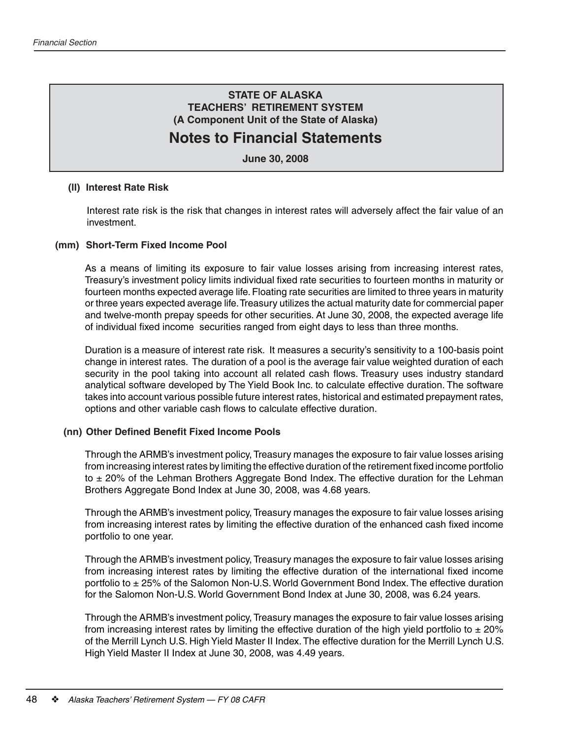# **Notes to Financial Statements**

**June 30, 2008**

#### **(ll) Interest Rate Risk**

Interest rate risk is the risk that changes in interest rates will adversely affect the fair value of an investment.

#### **(mm) Short-Term Fixed Income Pool**

As a means of limiting its exposure to fair value losses arising from increasing interest rates, Treasury's investment policy limits individual fixed rate securities to fourteen months in maturity or fourteen months expected average life. Floating rate securities are limited to three years in maturity or three years expected average life. Treasury utilizes the actual maturity date for commercial paper and twelve-month prepay speeds for other securities. At June 30, 2008, the expected average life of individual fixed income securities ranged from eight days to less than three months.

Duration is a measure of interest rate risk. It measures a security's sensitivity to a 100-basis point change in interest rates. The duration of a pool is the average fair value weighted duration of each security in the pool taking into account all related cash flows. Treasury uses industry standard analytical software developed by The Yield Book Inc. to calculate effective duration. The software takes into account various possible future interest rates, historical and estimated prepayment rates, options and other variable cash flows to calculate effective duration.

#### (nn) Other Defined Benefit Fixed Income Pools

Through the ARMB's investment policy, Treasury manages the exposure to fair value losses arising from increasing interest rates by limiting the effective duration of the retirement fixed income portfolio to  $\pm$  20% of the Lehman Brothers Aggregate Bond Index. The effective duration for the Lehman Brothers Aggregate Bond Index at June 30, 2008, was 4.68 years.

Through the ARMB's investment policy, Treasury manages the exposure to fair value losses arising from increasing interest rates by limiting the effective duration of the enhanced cash fixed income portfolio to one year.

Through the ARMB's investment policy, Treasury manages the exposure to fair value losses arising from increasing interest rates by limiting the effective duration of the international fixed income portfolio to ± 25% of the Salomon Non-U.S. World Government Bond Index. The effective duration for the Salomon Non-U.S. World Government Bond Index at June 30, 2008, was 6.24 years.

Through the ARMB's investment policy, Treasury manages the exposure to fair value losses arising from increasing interest rates by limiting the effective duration of the high yield portfolio to  $\pm 20\%$ of the Merrill Lynch U.S. High Yield Master II Index. The effective duration for the Merrill Lynch U.S. High Yield Master II Index at June 30, 2008, was 4.49 years.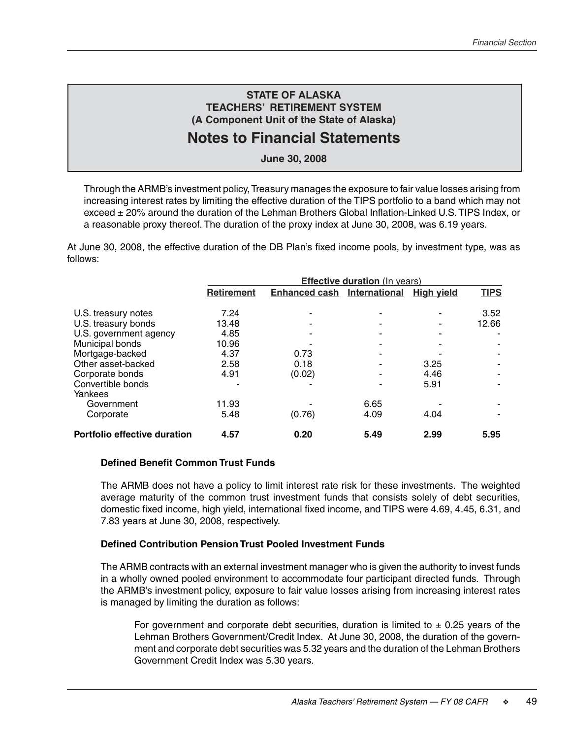# **Notes to Financial Statements**

**June 30, 2008**

Through the ARMB's investment policy, Treasury manages the exposure to fair value losses arising from increasing interest rates by limiting the effective duration of the TIPS portfolio to a band which may not exceed  $\pm$  20% around the duration of the Lehman Brothers Global Inflation-Linked U.S. TIPS Index, or a reasonable proxy thereof. The duration of the proxy index at June 30, 2008, was 6.19 years.

At June 30, 2008, the effective duration of the DB Plan's fixed income pools, by investment type, was as follows:

|                              | <b>Effective duration (In years)</b> |                      |               |                   |             |  |
|------------------------------|--------------------------------------|----------------------|---------------|-------------------|-------------|--|
|                              | <b>Retirement</b>                    | <b>Enhanced cash</b> | International | <b>High yield</b> | <b>TIPS</b> |  |
| U.S. treasury notes          | 7.24                                 |                      |               |                   | 3.52        |  |
| U.S. treasury bonds          | 13.48                                |                      |               |                   | 12.66       |  |
| U.S. government agency       | 4.85                                 |                      |               |                   |             |  |
| Municipal bonds              | 10.96                                |                      |               |                   |             |  |
| Mortgage-backed              | 4.37                                 | 0.73                 |               |                   |             |  |
| Other asset-backed           | 2.58                                 | 0.18                 |               | 3.25              |             |  |
| Corporate bonds              | 4.91                                 | (0.02)               |               | 4.46              |             |  |
| Convertible bonds            |                                      |                      |               | 5.91              |             |  |
| Yankees                      |                                      |                      |               |                   |             |  |
| Government                   | 11.93                                |                      | 6.65          |                   |             |  |
| Corporate                    | 5.48                                 | (0.76)               | 4.09          | 4.04              |             |  |
| Portfolio effective duration | 4.57                                 | 0.20                 | 5.49          | 2.99              | 5.95        |  |

### **Defined Benefit Common Trust Funds**

The ARMB does not have a policy to limit interest rate risk for these investments. The weighted average maturity of the common trust investment funds that consists solely of debt securities, domestic fixed income, high yield, international fixed income, and TIPS were 4.69, 4.45, 6.31, and 7.83 years at June 30, 2008, respectively.

### **Defined Contribution Pension Trust Pooled Investment Funds**

The ARMB contracts with an external investment manager who is given the authority to invest funds in a wholly owned pooled environment to accommodate four participant directed funds. Through the ARMB's investment policy, exposure to fair value losses arising from increasing interest rates is managed by limiting the duration as follows:

For government and corporate debt securities, duration is limited to  $\pm$  0.25 years of the Lehman Brothers Government/Credit Index. At June 30, 2008, the duration of the government and corporate debt securities was 5.32 years and the duration of the Lehman Brothers Government Credit Index was 5.30 years.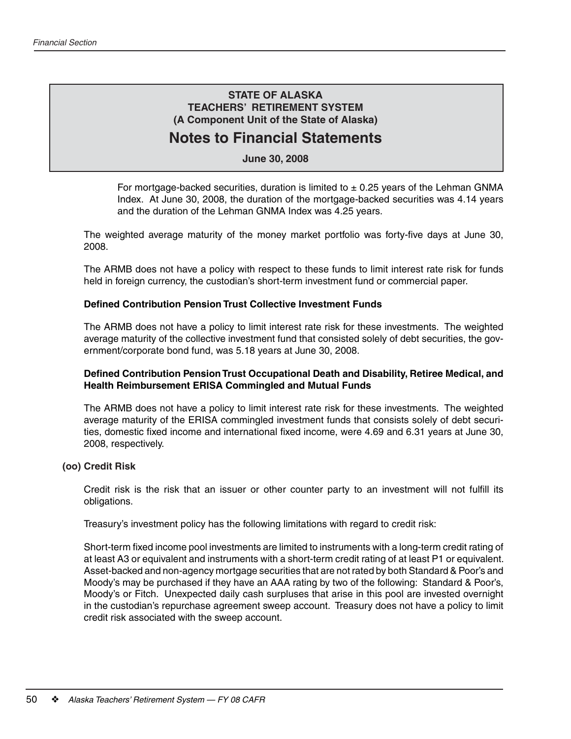# **Notes to Financial Statements**

**June 30, 2008**

For mortgage-backed securities, duration is limited to  $\pm$  0.25 years of the Lehman GNMA Index. At June 30, 2008, the duration of the mortgage-backed securities was 4.14 years and the duration of the Lehman GNMA Index was 4.25 years.

The weighted average maturity of the money market portfolio was forty-five days at June 30, 2008.

The ARMB does not have a policy with respect to these funds to limit interest rate risk for funds held in foreign currency, the custodian's short-term investment fund or commercial paper.

### **Defined Contribution Pension Trust Collective Investment Funds**

The ARMB does not have a policy to limit interest rate risk for these investments. The weighted average maturity of the collective investment fund that consisted solely of debt securities, the government/corporate bond fund, was 5.18 years at June 30, 2008.

## **Defined Contribution Pension Trust Occupational Death and Disability, Retiree Medical, and Health Reimbursement ERISA Commingled and Mutual Funds**

The ARMB does not have a policy to limit interest rate risk for these investments. The weighted average maturity of the ERISA commingled investment funds that consists solely of debt securities, domestic fixed income and international fixed income, were 4.69 and 6.31 years at June 30, 2008, respectively.

### **(oo) Credit Risk**

Credit risk is the risk that an issuer or other counter party to an investment will not fulfill its obligations.

Treasury's investment policy has the following limitations with regard to credit risk:

Short-term fixed income pool investments are limited to instruments with a long-term credit rating of at least A3 or equivalent and instruments with a short-term credit rating of at least P1 or equivalent. Asset-backed and non-agency mortgage securities that are not rated by both Standard & Poor's and Moody's may be purchased if they have an AAA rating by two of the following: Standard & Poor's, Moody's or Fitch. Unexpected daily cash surpluses that arise in this pool are invested overnight in the custodian's repurchase agreement sweep account. Treasury does not have a policy to limit credit risk associated with the sweep account.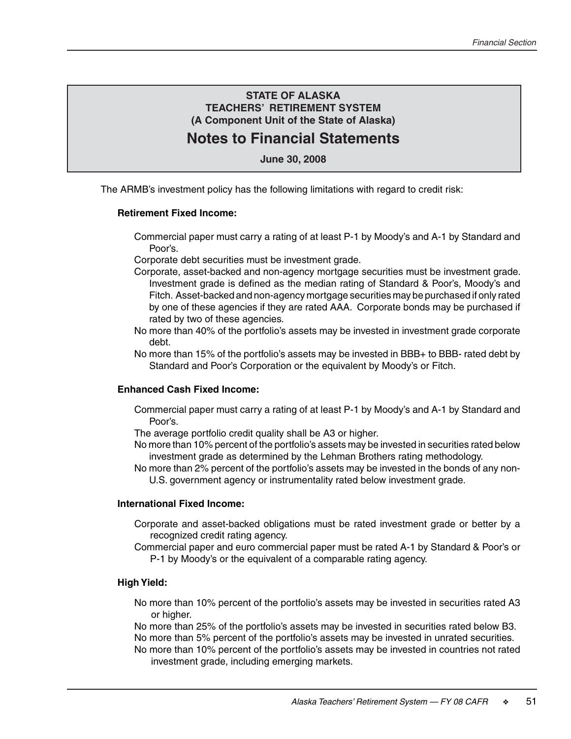# **Notes to Financial Statements**

**June 30, 2008**

The ARMB's investment policy has the following limitations with regard to credit risk:

#### **Retirement Fixed Income:**

- Commercial paper must carry a rating of at least P-1 by Moody's and A-1 by Standard and Poor's.
- Corporate debt securities must be investment grade.
- Corporate, asset-backed and non-agency mortgage securities must be investment grade. Investment grade is defined as the median rating of Standard & Poor's, Moody's and Fitch. Asset-backed and non-agency mortgage securities may be purchased if only rated by one of these agencies if they are rated AAA. Corporate bonds may be purchased if rated by two of these agencies.
- No more than 40% of the portfolio's assets may be invested in investment grade corporate debt.
- No more than 15% of the portfolio's assets may be invested in BBB+ to BBB- rated debt by Standard and Poor's Corporation or the equivalent by Moody's or Fitch.

#### **Enhanced Cash Fixed Income:**

- Commercial paper must carry a rating of at least P-1 by Moody's and A-1 by Standard and Poor's.
- The average portfolio credit quality shall be A3 or higher.
- No more than 10% percent of the portfolio's assets may be invested in securities rated below investment grade as determined by the Lehman Brothers rating methodology.
- No more than 2% percent of the portfolio's assets may be invested in the bonds of any non-U.S. government agency or instrumentality rated below investment grade.

#### **International Fixed Income:**

- Corporate and asset-backed obligations must be rated investment grade or better by a recognized credit rating agency.
- Commercial paper and euro commercial paper must be rated A-1 by Standard & Poor's or P-1 by Moody's or the equivalent of a comparable rating agency.

#### **High Yield:**

No more than 10% percent of the portfolio's assets may be invested in securities rated A3 or higher.

No more than 25% of the portfolio's assets may be invested in securities rated below B3. No more than 5% percent of the portfolio's assets may be invested in unrated securities. No more than 10% percent of the portfolio's assets may be invested in countries not rated investment grade, including emerging markets.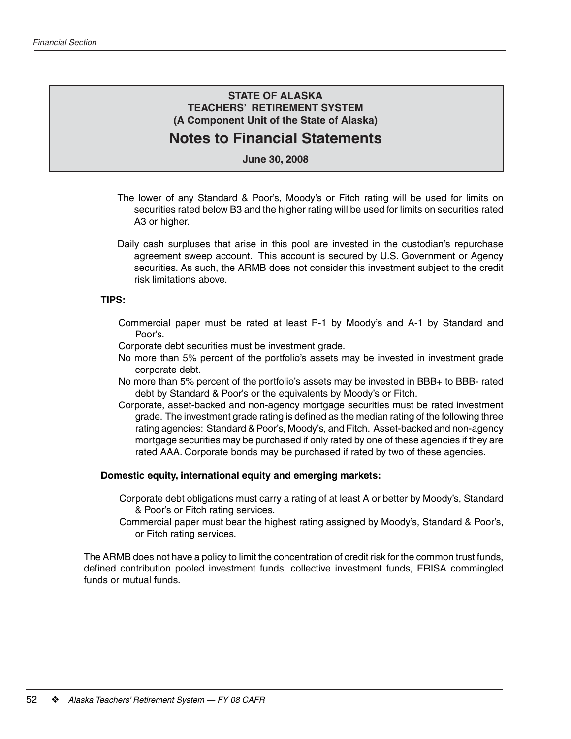# **Notes to Financial Statements**

**June 30, 2008**

- The lower of any Standard & Poor's, Moody's or Fitch rating will be used for limits on securities rated below B3 and the higher rating will be used for limits on securities rated A3 or higher.
- Daily cash surpluses that arise in this pool are invested in the custodian's repurchase agreement sweep account. This account is secured by U.S. Government or Agency securities. As such, the ARMB does not consider this investment subject to the credit risk limitations above.

#### **TIPS:**

- Commercial paper must be rated at least P-1 by Moody's and A-1 by Standard and Poor's.
- Corporate debt securities must be investment grade.
- No more than 5% percent of the portfolio's assets may be invested in investment grade corporate debt.
- No more than 5% percent of the portfolio's assets may be invested in BBB+ to BBB- rated debt by Standard & Poor's or the equivalents by Moody's or Fitch.
- Corporate, asset-backed and non-agency mortgage securities must be rated investment grade. The investment grade rating is defined as the median rating of the following three rating agencies: Standard & Poor's, Moody's, and Fitch. Asset-backed and non-agency mortgage securities may be purchased if only rated by one of these agencies if they are rated AAA. Corporate bonds may be purchased if rated by two of these agencies.

#### **Domestic equity, international equity and emerging markets:**

- Corporate debt obligations must carry a rating of at least A or better by Moody's, Standard & Poor's or Fitch rating services.
- Commercial paper must bear the highest rating assigned by Moody's, Standard & Poor's, or Fitch rating services.

The ARMB does not have a policy to limit the concentration of credit risk for the common trust funds, defined contribution pooled investment funds, collective investment funds, ERISA commingled funds or mutual funds.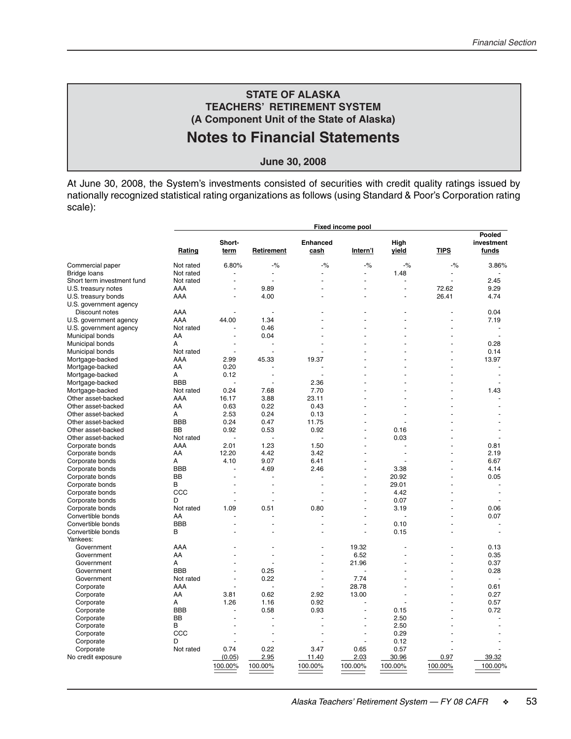# **Notes to Financial Statements**

**June 30, 2008**

At June 30, 2008, the System's investments consisted of securities with credit quality ratings issued by nationally recognized statistical rating organizations as follows (using Standard & Poor's Corporation rating scale):

|                            |            |                      |                |                         | <b>Fixed income pool</b> |               |                          |                               |
|----------------------------|------------|----------------------|----------------|-------------------------|--------------------------|---------------|--------------------------|-------------------------------|
|                            | Rating     | Short-<br>term       | Retirement     | <b>Enhanced</b><br>cash | Intern'l                 | High<br>yield | <b>TIPS</b>              | Pooled<br>investment<br>funds |
| Commercial paper           | Not rated  | 6.80%                | $-$ %          | $-$ %                   | $-$ %                    | $-$ %         | $-$ %                    | 3.86%                         |
| Bridge loans               | Not rated  | ÷.                   | ÷              | ä,                      | ÷                        | 1.48          | $\overline{a}$           | $\overline{\phantom{a}}$      |
| Short term investment fund | Not rated  |                      | $\overline{a}$ | L                       |                          |               | L.                       | 2.45                          |
| U.S. treasury notes        | AAA        |                      | 9.89           | $\overline{a}$          |                          |               | 72.62                    | 9.29                          |
| U.S. treasury bonds        | AAA        |                      | 4.00           |                         |                          |               | 26.41                    | 4.74                          |
| U.S. government agency     |            |                      |                |                         |                          |               |                          |                               |
| Discount notes             | AAA        |                      | J.             |                         |                          |               |                          | 0.04                          |
| U.S. government agency     | AAA        | 44.00                | 1.34           |                         |                          |               |                          | 7.19                          |
| U.S. government agency     | Not rated  |                      | 0.46           |                         |                          |               |                          |                               |
| Municipal bonds            | AA         |                      | 0.04           |                         |                          |               |                          |                               |
| Municipal bonds            | A          |                      |                |                         |                          |               |                          | 0.28                          |
| Municipal bonds            | Not rated  | $\overline{a}$       | ÷.             |                         |                          |               | $\ddot{\phantom{1}}$     | 0.14                          |
| Mortgage-backed            | AAA        | 2.99                 | 45.33          | 19.37                   |                          |               | ÷.                       | 13.97                         |
| Mortgage-backed            | AA         | 0.20                 |                |                         |                          |               |                          |                               |
|                            | A          | 0.12                 |                |                         |                          |               |                          |                               |
| Mortgage-backed            | <b>BBB</b> | L.                   |                | 2.36                    |                          |               |                          |                               |
| Mortgage-backed            | Not rated  | 0.24                 | 7.68           |                         |                          |               |                          | 1.43                          |
| Mortgage-backed            | AAA        |                      |                | 7.70                    |                          |               |                          |                               |
| Other asset-backed         | AA         | 16.17                | 3.88           | 23.11                   |                          |               | L.                       |                               |
| Other asset-backed         |            | 0.63                 | 0.22           | 0.43                    |                          |               |                          |                               |
| Other asset-backed         | A          | 2.53                 | 0.24           | 0.13                    |                          |               |                          |                               |
| Other asset-backed         | <b>BBB</b> | 0.24                 | 0.47           | 11.75                   |                          |               |                          |                               |
| Other asset-backed         | <b>BB</b>  | 0.92                 | 0.53           | 0.92                    | ÷.                       | 0.16          |                          |                               |
| Other asset-backed         | Not rated  |                      |                |                         | L,                       | 0.03          |                          |                               |
| Corporate bonds            | AAA        | 2.01                 | 1.23           | 1.50                    | $\ddot{\phantom{1}}$     |               |                          | 0.81                          |
| Corporate bonds            | AA         | 12.20                | 4.42           | 3.42                    | $\overline{a}$           | L.            | L.                       | 2.19                          |
| Corporate bonds            | A          | 4.10                 | 9.07           | 6.41                    |                          |               |                          | 6.67                          |
| Corporate bonds            | <b>BBB</b> | ٠                    | 4.69           | 2.46                    |                          | 3.38          |                          | 4.14                          |
| Corporate bonds            | BB         |                      |                |                         | L,                       | 20.92         |                          | 0.05                          |
| Corporate bonds            | в          |                      | ÷              | ä,                      | $\ddot{\phantom{1}}$     | 29.01         | $\overline{\phantom{a}}$ | $\overline{\phantom{a}}$      |
| Corporate bonds            | CCC        |                      |                |                         | ä,                       | 4.42          |                          |                               |
| Corporate bonds            | D          |                      |                |                         | $\overline{a}$           | 0.07          |                          |                               |
| Corporate bonds            | Not rated  | 1.09                 | 0.51           | 0.80                    |                          | 3.19          |                          | 0.06                          |
| Convertible bonds          | AA         |                      |                |                         |                          |               |                          | 0.07                          |
| Convertible bonds          | <b>BBB</b> |                      | ÷,             | ä,                      | ä,                       | 0.10          | $\overline{\phantom{a}}$ |                               |
| Convertible bonds          | B          |                      | ÷.             | L.                      | ä,                       | 0.15          | ÷                        |                               |
| Yankees:                   |            |                      |                |                         |                          |               |                          |                               |
| Government                 | AAA        |                      |                |                         | 19.32                    |               |                          | 0.13                          |
| Government                 | AA         |                      |                | ä,                      | 6.52                     |               |                          | 0.35                          |
| Government                 | A          |                      |                | ä,                      | 21.96                    |               |                          | 0.37                          |
| Government                 | <b>BBB</b> |                      | 0.25           | ä,                      |                          |               |                          | 0.28                          |
| Government                 | Not rated  | $\ddot{\phantom{1}}$ | 0.22           | ÷.                      | 7.74                     |               | ÷                        | $\overline{a}$                |
| Corporate                  | AAA        |                      |                | L,                      | 28.78                    |               | $\overline{a}$           | 0.61                          |
| Corporate                  | AA         | 3.81                 | 0.62           | 2.92                    | 13.00                    |               |                          | 0.27                          |
| Corporate                  | A          | 1.26                 | 1.16           | 0.92                    | ä,                       |               |                          | 0.57                          |
| Corporate                  | <b>BBB</b> |                      | 0.58           | 0.93                    | L,                       | 0.15          |                          | 0.72                          |
| Corporate                  | <b>BB</b>  |                      |                | ä,                      | $\ddot{\phantom{1}}$     | 2.50          |                          | ä,                            |
| Corporate                  | B          |                      |                | L.                      | L.                       | 2.50          |                          |                               |
| Corporate                  | CCC        |                      | ä,             | L.                      | $\overline{\phantom{a}}$ | 0.29          | ÷                        |                               |
| Corporate                  | D          |                      |                |                         |                          | 0.12          | ä,                       |                               |
| Corporate                  | Not rated  | 0.74                 | 0.22           | 3.47                    | 0.65                     | 0.57          |                          |                               |
| No credit exposure         |            | (0.05)               | 2.95           | 11.40                   | 2.03                     | 30.96         | 0.97                     | 39.32                         |
|                            |            | 100.00%              | 100.00%        | 100.00%                 | 100.00%                  | 100.00%       | 100.00%                  | 100.00%                       |
|                            |            |                      |                |                         |                          |               |                          |                               |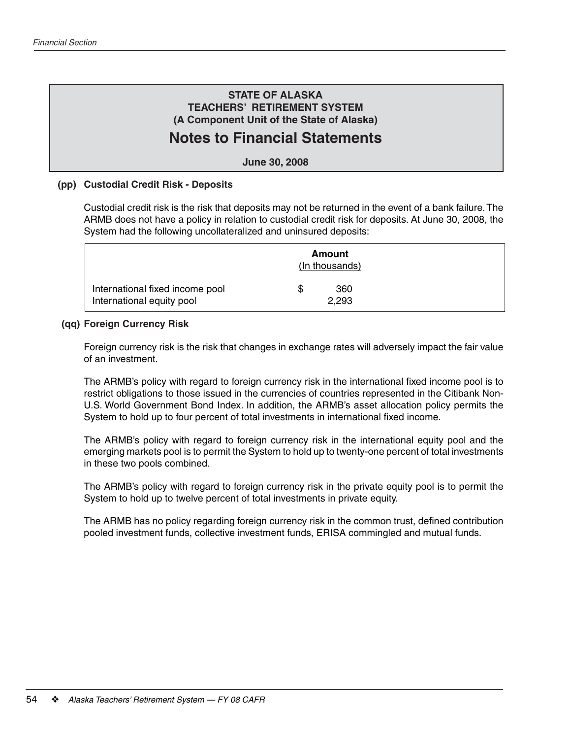# **Notes to Financial Statements**

**June 30, 2008**

#### **(pp) Custodial Credit Risk - Deposits**

Custodial credit risk is the risk that deposits may not be returned in the event of a bank failure. The ARMB does not have a policy in relation to custodial credit risk for deposits. At June 30, 2008, the System had the following uncollateralized and uninsured deposits:

|                                                              | Amount<br>(In thousands) |  |
|--------------------------------------------------------------|--------------------------|--|
| International fixed income pool<br>International equity pool | 360<br>2,293             |  |

#### **(qq) Foreign Currency Risk**

Foreign currency risk is the risk that changes in exchange rates will adversely impact the fair value of an investment.

The ARMB's policy with regard to foreign currency risk in the international fixed income pool is to restrict obligations to those issued in the currencies of countries represented in the Citibank Non-U.S. World Government Bond Index. In addition, the ARMB's asset allocation policy permits the System to hold up to four percent of total investments in international fixed income.

The ARMB's policy with regard to foreign currency risk in the international equity pool and the emerging markets pool is to permit the System to hold up to twenty-one percent of total investments in these two pools combined.

The ARMB's policy with regard to foreign currency risk in the private equity pool is to permit the System to hold up to twelve percent of total investments in private equity.

The ARMB has no policy regarding foreign currency risk in the common trust, defined contribution pooled investment funds, collective investment funds, ERISA commingled and mutual funds.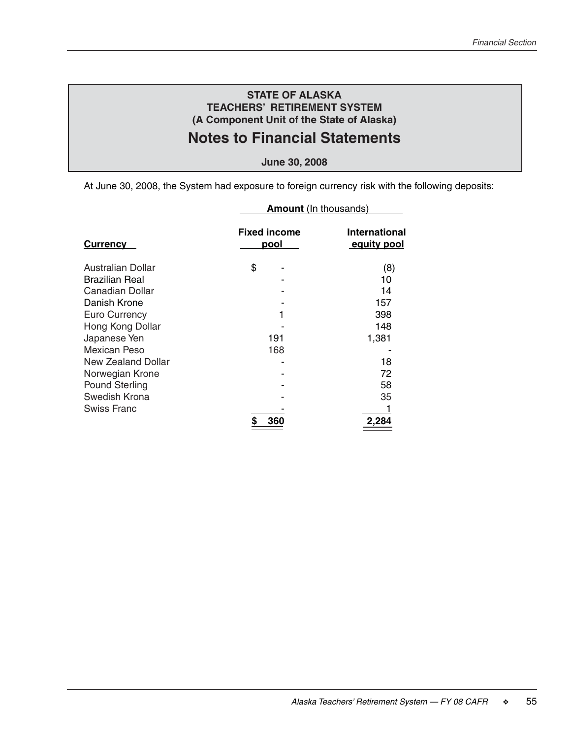# **Notes to Financial Statements**

**June 30, 2008**

At June 30, 2008, the System had exposure to foreign currency risk with the following deposits:

|                          | <b>Amount</b> (In thousands)       |                                     |  |  |  |
|--------------------------|------------------------------------|-------------------------------------|--|--|--|
| <b>Currency</b>          | <b>Fixed income</b><br><u>pool</u> | <b>International</b><br>equity pool |  |  |  |
| <b>Australian Dollar</b> | \$                                 | (8)                                 |  |  |  |
| <b>Brazilian Real</b>    |                                    | 10                                  |  |  |  |
| Canadian Dollar          |                                    | 14                                  |  |  |  |
| Danish Krone             |                                    | 157                                 |  |  |  |
| <b>Euro Currency</b>     |                                    | 398                                 |  |  |  |
| Hong Kong Dollar         |                                    | 148                                 |  |  |  |
| Japanese Yen             | 191                                | 1,381                               |  |  |  |
| Mexican Peso             | 168                                |                                     |  |  |  |
| New Zealand Dollar       |                                    | 18                                  |  |  |  |
| Norwegian Krone          |                                    | 72                                  |  |  |  |
| <b>Pound Sterling</b>    |                                    | 58                                  |  |  |  |
| Swedish Krona            |                                    | 35                                  |  |  |  |
| Swiss Franc              |                                    |                                     |  |  |  |
|                          | 360                                | 2,284                               |  |  |  |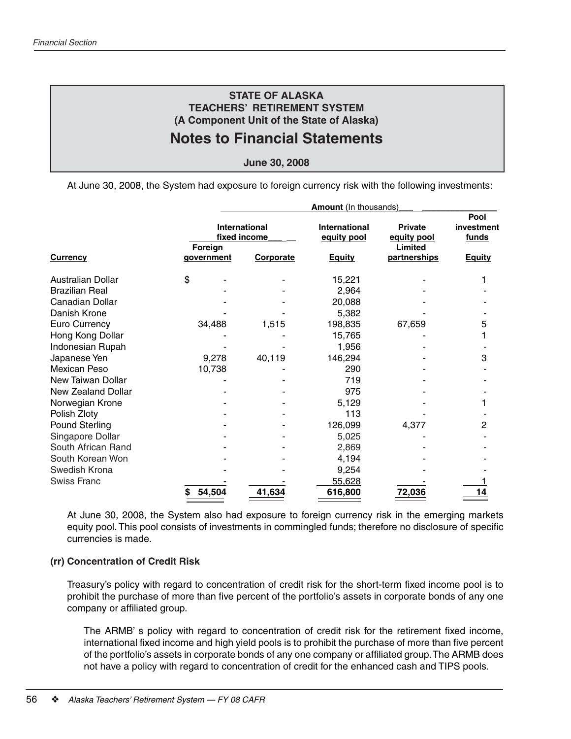# **Notes to Financial Statements**

**June 30, 2008**

At June 30, 2008, the System had exposure to foreign currency risk with the following investments:

|                          |                              |                                            | <b>Amount</b> (In thousands)                  |                                                          |                                                     |
|--------------------------|------------------------------|--------------------------------------------|-----------------------------------------------|----------------------------------------------------------|-----------------------------------------------------|
| <b>Currency</b>          | Foreign<br><b>government</b> | International<br>fixed income<br>Corporate | International<br>equity pool<br><b>Equity</b> | <b>Private</b><br>equity pool<br>Limited<br>partnerships | Pool<br>investment<br><u>funds</u><br><b>Equity</b> |
|                          |                              |                                            |                                               |                                                          |                                                     |
| <b>Australian Dollar</b> | \$                           |                                            | 15,221                                        |                                                          |                                                     |
| <b>Brazilian Real</b>    |                              |                                            | 2,964                                         |                                                          |                                                     |
| <b>Canadian Dollar</b>   |                              |                                            | 20,088                                        |                                                          |                                                     |
| Danish Krone             |                              |                                            | 5,382                                         |                                                          |                                                     |
| <b>Euro Currency</b>     | 34,488                       | 1,515                                      | 198,835                                       | 67,659                                                   | 5                                                   |
| Hong Kong Dollar         |                              |                                            | 15,765                                        |                                                          |                                                     |
| Indonesian Rupah         |                              |                                            | 1,956                                         |                                                          |                                                     |
| Japanese Yen             | 9,278                        | 40,119                                     | 146,294                                       |                                                          | 3                                                   |
| Mexican Peso             | 10,738                       |                                            | 290                                           |                                                          |                                                     |
| New Taiwan Dollar        |                              |                                            | 719                                           |                                                          |                                                     |
| New Zealand Dollar       |                              |                                            | 975                                           |                                                          |                                                     |
| Norwegian Krone          |                              |                                            | 5,129                                         |                                                          |                                                     |
| Polish Zloty             |                              |                                            | 113                                           |                                                          |                                                     |
| Pound Sterling           |                              |                                            | 126,099                                       | 4,377                                                    | 2                                                   |
| Singapore Dollar         |                              |                                            | 5,025                                         |                                                          |                                                     |
| South African Rand       |                              |                                            | 2,869                                         |                                                          |                                                     |
| South Korean Won         |                              |                                            | 4,194                                         |                                                          |                                                     |
| Swedish Krona            |                              |                                            | 9,254                                         |                                                          |                                                     |
| <b>Swiss Franc</b>       |                              |                                            | 55,628                                        |                                                          |                                                     |
|                          | 54,504<br>S                  | 41,634                                     | 616,800                                       | 72,036                                                   | 14                                                  |

At June 30, 2008, the System also had exposure to foreign currency risk in the emerging markets equity pool. This pool consists of investments in commingled funds; therefore no disclosure of specific currencies is made.

#### **(rr) Concentration of Credit Risk**

Treasury's policy with regard to concentration of credit risk for the short-term fixed income pool is to prohibit the purchase of more than five percent of the portfolio's assets in corporate bonds of any one company or affiliated group.

The ARMB' s policy with regard to concentration of credit risk for the retirement fixed income, international fixed income and high yield pools is to prohibit the purchase of more than five percent of the portfolio's assets in corporate bonds of any one company or affiliated group. The ARMB does not have a policy with regard to concentration of credit for the enhanced cash and TIPS pools.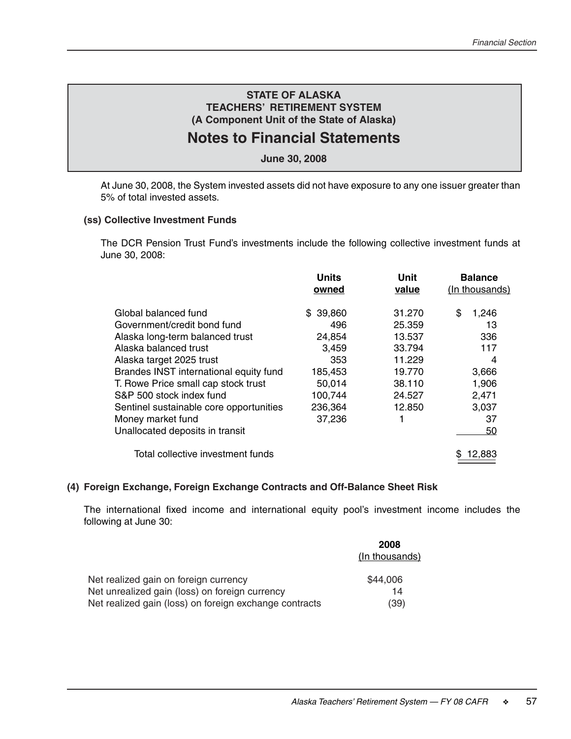# **Notes to Financial Statements**

**June 30, 2008**

At June 30, 2008, the System invested assets did not have exposure to any one issuer greater than 5% of total invested assets.

#### **(ss) Collective Investment Funds**

The DCR Pension Trust Fund's investments include the following collective investment funds at June 30, 2008:

|                                         | <b>Units</b><br>owned | Unit<br>value | <b>Balance</b><br>(In thousands) |
|-----------------------------------------|-----------------------|---------------|----------------------------------|
| Global balanced fund                    | \$39,860              | 31.270        | \$<br>1,246                      |
| Government/credit bond fund             | 496                   | 25.359        | 13                               |
| Alaska long-term balanced trust         | 24,854                | 13.537        | 336                              |
| Alaska balanced trust                   | 3,459                 | 33.794        | 117                              |
| Alaska target 2025 trust                | 353                   | 11.229        | 4                                |
| Brandes INST international equity fund  | 185,453               | 19.770        | 3,666                            |
| T. Rowe Price small cap stock trust     | 50,014                | 38.110        | 1,906                            |
| S&P 500 stock index fund                | 100,744               | 24.527        | 2,471                            |
| Sentinel sustainable core opportunities | 236,364               | 12.850        | 3,037                            |
| Money market fund                       | 37,236                |               | 37                               |
| Unallocated deposits in transit         |                       |               | 50                               |
| Total collective investment funds       |                       |               | 12,883                           |

#### **(4) Foreign Exchange, Foreign Exchange Contracts and Off-Balance Sheet Risk**

The international fixed income and international equity pool's investment income includes the following at June 30:

|                                                        | 2008<br>(In thousands) |
|--------------------------------------------------------|------------------------|
| Net realized gain on foreign currency                  | \$44,006               |
| Net unrealized gain (loss) on foreign currency         | 14                     |
| Net realized gain (loss) on foreign exchange contracts | (39)                   |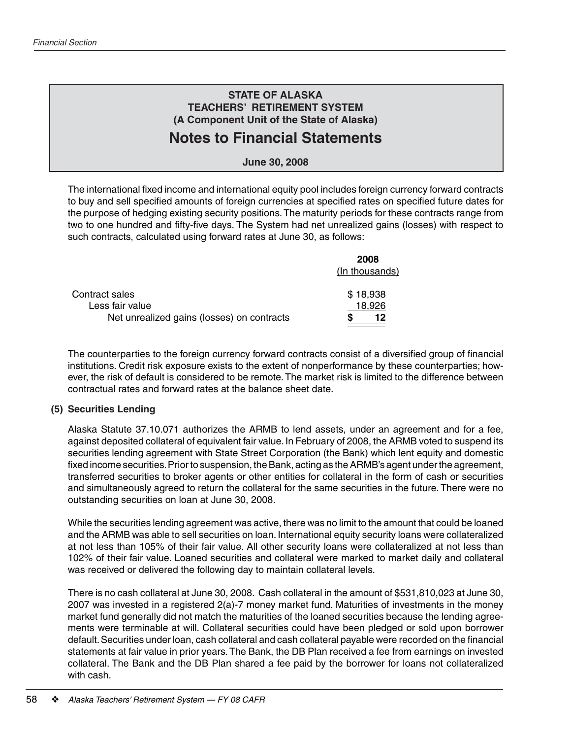# **Notes to Financial Statements**

**June 30, 2008**

The international fixed income and international equity pool includes foreign currency forward contracts to buy and sell specified amounts of foreign currencies at specified rates on specified future dates for the purpose of hedging existing security positions. The maturity periods for these contracts range from two to one hundred and fifty-five days. The System had net unrealized gains (losses) with respect to such contracts, calculated using forward rates at June 30, as follows:

|                                            | 2008           |
|--------------------------------------------|----------------|
|                                            | (In thousands) |
| Contract sales                             | \$18,938       |
| Less fair value                            | 18.926         |
| Net unrealized gains (losses) on contracts | 12             |

The counterparties to the foreign currency forward contracts consist of a diversified group of financial institutions. Credit risk exposure exists to the extent of nonperformance by these counterparties; however, the risk of default is considered to be remote. The market risk is limited to the difference between contractual rates and forward rates at the balance sheet date.

### **(5) Securities Lending**

Alaska Statute 37.10.071 authorizes the ARMB to lend assets, under an agreement and for a fee, against deposited collateral of equivalent fair value. In February of 2008, the ARMB voted to suspend its securities lending agreement with State Street Corporation (the Bank) which lent equity and domestic fixed income securities. Prior to suspension, the Bank, acting as the ARMB's agent under the agreement, transferred securities to broker agents or other entities for collateral in the form of cash or securities and simultaneously agreed to return the collateral for the same securities in the future. There were no outstanding securities on loan at June 30, 2008.

While the securities lending agreement was active, there was no limit to the amount that could be loaned and the ARMB was able to sell securities on loan. International equity security loans were collateralized at not less than 105% of their fair value. All other security loans were collateralized at not less than 102% of their fair value. Loaned securities and collateral were marked to market daily and collateral was received or delivered the following day to maintain collateral levels.

There is no cash collateral at June 30, 2008. Cash collateral in the amount of \$531,810,023 at June 30, 2007 was invested in a registered 2(a)-7 money market fund. Maturities of investments in the money market fund generally did not match the maturities of the loaned securities because the lending agreements were terminable at will. Collateral securities could have been pledged or sold upon borrower default. Securities under loan, cash collateral and cash collateral payable were recorded on the financial statements at fair value in prior years. The Bank, the DB Plan received a fee from earnings on invested collateral. The Bank and the DB Plan shared a fee paid by the borrower for loans not collateralized with cash.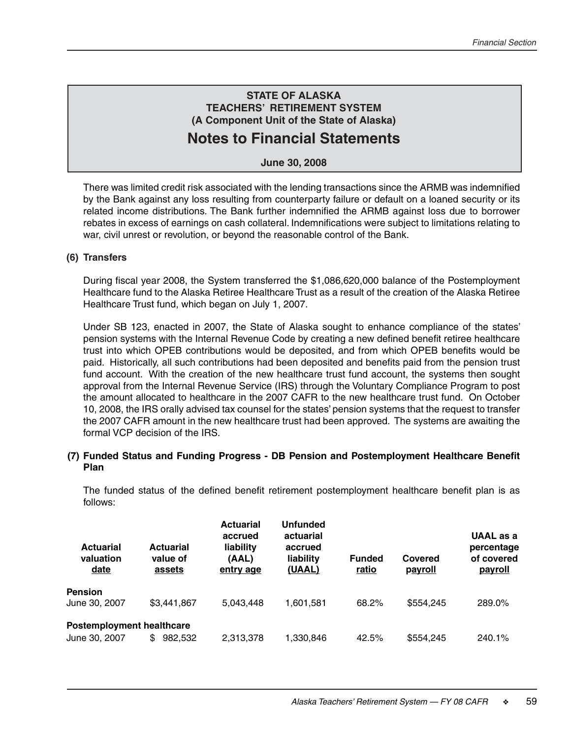# **STATE OF ALASKA TEACHERS' RETIREMENT SYSTEM (A Component Unit of the State of Alaska) Notes to Financial Statements**

#### **June 30, 2008**

There was limited credit risk associated with the lending transactions since the ARMB was indemnified by the Bank against any loss resulting from counterparty failure or default on a loaned security or its related income distributions. The Bank further indemnified the ARMB against loss due to borrower rebates in excess of earnings on cash collateral. Indemnifications were subject to limitations relating to war, civil unrest or revolution, or beyond the reasonable control of the Bank.

#### **(6) Transfers**

During fiscal year 2008, the System transferred the \$1,086,620,000 balance of the Postemployment Healthcare fund to the Alaska Retiree Healthcare Trust as a result of the creation of the Alaska Retiree Healthcare Trust fund, which began on July 1, 2007.

Under SB 123, enacted in 2007, the State of Alaska sought to enhance compliance of the states' pension systems with the Internal Revenue Code by creating a new defined benefit retiree healthcare trust into which OPEB contributions would be deposited, and from which OPEB benefits would be paid. Historically, all such contributions had been deposited and benefits paid from the pension trust fund account. With the creation of the new healthcare trust fund account, the systems then sought approval from the Internal Revenue Service (IRS) through the Voluntary Compliance Program to post the amount allocated to healthcare in the 2007 CAFR to the new healthcare trust fund. On October 10, 2008, the IRS orally advised tax counsel for the states' pension systems that the request to transfer the 2007 CAFR amount in the new healthcare trust had been approved. The systems are awaiting the formal VCP decision of the IRS.

### **(7) Funded Status and Funding Progress - DB Pension and Postemployment Healthcare Benefi t Plan**

The funded status of the defined benefit retirement postemployment healthcare benefit plan is as follows:

| <b>Actuarial</b><br>valuation<br>date | <b>Actuarial</b><br>value of<br>assets | <b>Actuarial</b><br>accrued<br>liability<br>(AAL)<br>entry age | <b>Unfunded</b><br>actuarial<br>accrued<br>liability<br>(UAAL) | <b>Funded</b><br>ratio | Covered<br>payroll | UAAL as a<br>percentage<br>of covered<br>payroll |
|---------------------------------------|----------------------------------------|----------------------------------------------------------------|----------------------------------------------------------------|------------------------|--------------------|--------------------------------------------------|
| <b>Pension</b><br>June 30, 2007       | \$3,441,867                            | 5.043.448                                                      | 1.601.581                                                      | 68.2%                  | \$554,245          | 289.0%                                           |
| <b>Postemployment healthcare</b>      |                                        |                                                                |                                                                |                        |                    |                                                  |
| June 30, 2007                         | 982.532<br>\$.                         | 2,313,378                                                      | 1,330,846                                                      | 42.5%                  | \$554,245          | 240.1%                                           |
|                                       |                                        |                                                                |                                                                |                        |                    |                                                  |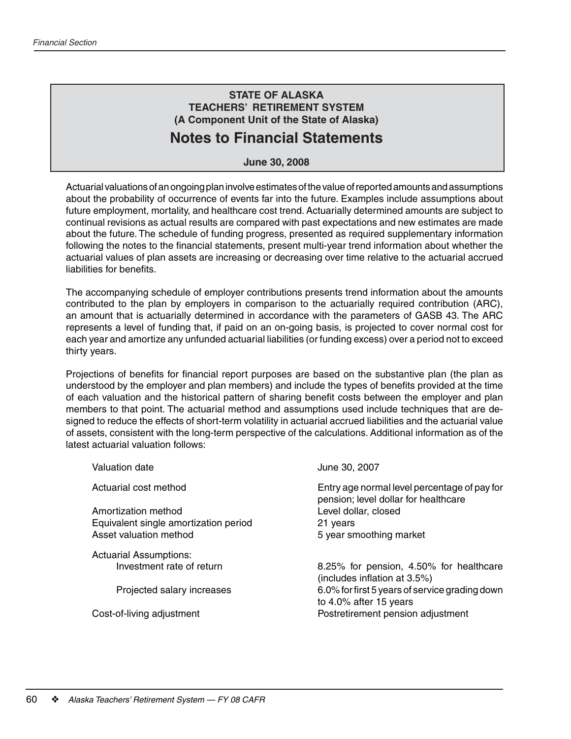# **Notes to Financial Statements**

**June 30, 2008**

Actuarial valuations of an ongoing plan involve estimates of the value of reported amounts and assumptions about the probability of occurrence of events far into the future. Examples include assumptions about future employment, mortality, and healthcare cost trend. Actuarially determined amounts are subject to continual revisions as actual results are compared with past expectations and new estimates are made about the future. The schedule of funding progress, presented as required supplementary information following the notes to the financial statements, present multi-year trend information about whether the actuarial values of plan assets are increasing or decreasing over time relative to the actuarial accrued liabilities for benefits.

The accompanying schedule of employer contributions presents trend information about the amounts contributed to the plan by employers in comparison to the actuarially required contribution (ARC), an amount that is actuarially determined in accordance with the parameters of GASB 43. The ARC represents a level of funding that, if paid on an on-going basis, is projected to cover normal cost for each year and amortize any unfunded actuarial liabilities (or funding excess) over a period not to exceed thirty years.

Projections of benefits for financial report purposes are based on the substantive plan (the plan as understood by the employer and plan members) and include the types of benefits provided at the time of each valuation and the historical pattern of sharing benefit costs between the employer and plan members to that point. The actuarial method and assumptions used include techniques that are designed to reduce the effects of short-term volatility in actuarial accrued liabilities and the actuarial value of assets, consistent with the long-term perspective of the calculations. Additional information as of the latest actuarial valuation follows:

| <b>Valuation date</b>                 | June 30, 2007                                                                        |
|---------------------------------------|--------------------------------------------------------------------------------------|
| Actuarial cost method                 | Entry age normal level percentage of pay for<br>pension; level dollar for healthcare |
| Amortization method                   | Level dollar, closed                                                                 |
| Equivalent single amortization period | 21 years                                                                             |
| Asset valuation method                | 5 year smoothing market                                                              |
| <b>Actuarial Assumptions:</b>         |                                                                                      |
| Investment rate of return             | 8.25% for pension, 4.50% for healthcare<br>(includes inflation at 3.5%)              |
| Projected salary increases            | 6.0% for first 5 years of service grading down<br>to 4.0% after 15 years             |
| Cost-of-living adjustment             | Postretirement pension adjustment                                                    |
|                                       |                                                                                      |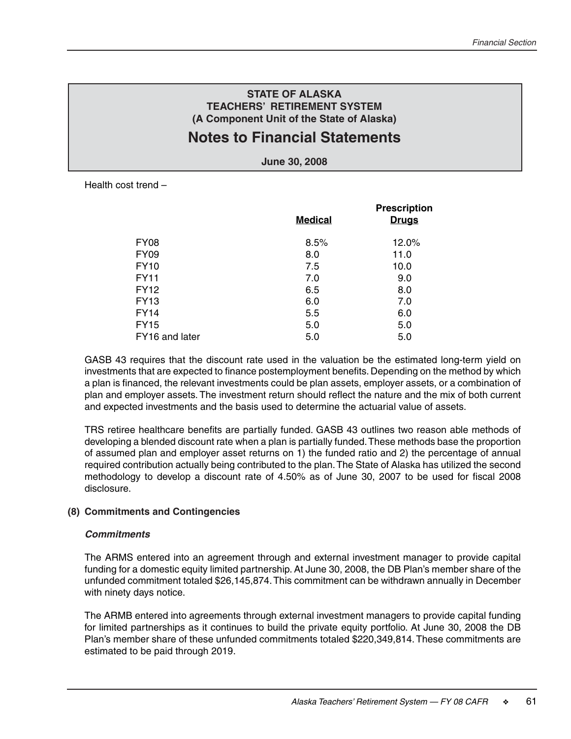# **Notes to Financial Statements**

**June 30, 2008**

Health cost trend –

|                | <b>Medical</b> | <b>Prescription</b><br><b>Drugs</b> |
|----------------|----------------|-------------------------------------|
| <b>FY08</b>    | 8.5%           | 12.0%                               |
| <b>FY09</b>    | 8.0            | 11.0                                |
| <b>FY10</b>    | 7.5            | 10.0                                |
| <b>FY11</b>    | 7.0            | 9.0                                 |
| <b>FY12</b>    | 6.5            | 8.0                                 |
| <b>FY13</b>    | 6.0            | 7.0                                 |
| <b>FY14</b>    | 5.5            | 6.0                                 |
| <b>FY15</b>    | 5.0            | 5.0                                 |
| FY16 and later | 5.0            | 5.0                                 |

GASB 43 requires that the discount rate used in the valuation be the estimated long-term yield on investments that are expected to finance postemployment benefits. Depending on the method by which a plan is financed, the relevant investments could be plan assets, employer assets, or a combination of plan and employer assets. The investment return should reflect the nature and the mix of both current and expected investments and the basis used to determine the actuarial value of assets.

TRS retiree healthcare benefits are partially funded. GASB 43 outlines two reason able methods of developing a blended discount rate when a plan is partially funded. These methods base the proportion of assumed plan and employer asset returns on 1) the funded ratio and 2) the percentage of annual required contribution actually being contributed to the plan. The State of Alaska has utilized the second methodology to develop a discount rate of 4.50% as of June 30, 2007 to be used for fiscal 2008 disclosure.

## **(8) Commitments and Contingencies**

### *Commitments*

The ARMS entered into an agreement through and external investment manager to provide capital funding for a domestic equity limited partnership. At June 30, 2008, the DB Plan's member share of the unfunded commitment totaled \$26,145,874. This commitment can be withdrawn annually in December with ninety days notice.

The ARMB entered into agreements through external investment managers to provide capital funding for limited partnerships as it continues to build the private equity portfolio. At June 30, 2008 the DB Plan's member share of these unfunded commitments totaled \$220,349,814. These commitments are estimated to be paid through 2019.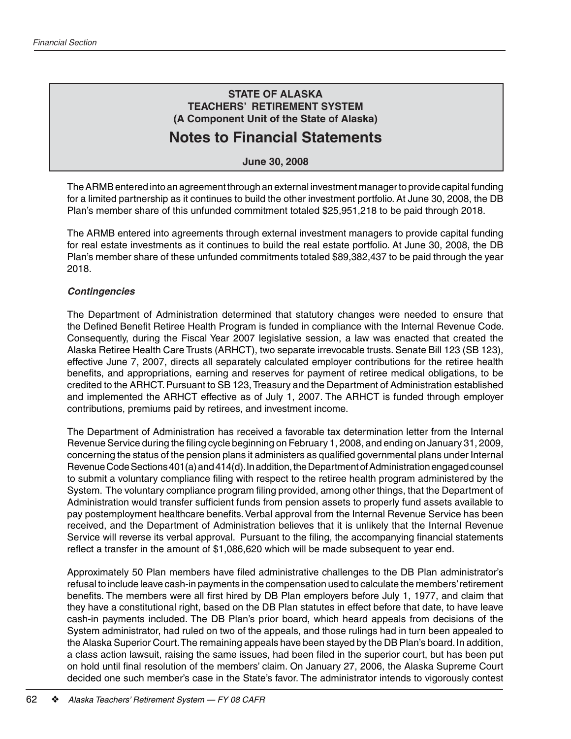# **Notes to Financial Statements**

**June 30, 2008**

The ARMB entered into an agreement through an external investment manager to provide capital funding for a limited partnership as it continues to build the other investment portfolio. At June 30, 2008, the DB Plan's member share of this unfunded commitment totaled \$25,951,218 to be paid through 2018.

The ARMB entered into agreements through external investment managers to provide capital funding for real estate investments as it continues to build the real estate portfolio. At June 30, 2008, the DB Plan's member share of these unfunded commitments totaled \$89,382,437 to be paid through the year 2018.

### *Contingencies*

The Department of Administration determined that statutory changes were needed to ensure that the Defined Benefit Retiree Health Program is funded in compliance with the Internal Revenue Code. Consequently, during the Fiscal Year 2007 legislative session, a law was enacted that created the Alaska Retiree Health Care Trusts (ARHCT), two separate irrevocable trusts. Senate Bill 123 (SB 123), effective June 7, 2007, directs all separately calculated employer contributions for the retiree health benefits, and appropriations, earning and reserves for payment of retiree medical obligations, to be credited to the ARHCT. Pursuant to SB 123, Treasury and the Department of Administration established and implemented the ARHCT effective as of July 1, 2007. The ARHCT is funded through employer contributions, premiums paid by retirees, and investment income.

The Department of Administration has received a favorable tax determination letter from the Internal Revenue Service during the filing cycle beginning on February 1, 2008, and ending on January 31, 2009, concerning the status of the pension plans it administers as qualified governmental plans under Internal Revenue Code Sections 401(a) and 414(d). In addition, the Department of Administration engaged counsel to submit a voluntary compliance filing with respect to the retiree health program administered by the System. The voluntary compliance program filing provided, among other things, that the Department of Administration would transfer sufficient funds from pension assets to properly fund assets available to pay postemployment healthcare benefits. Verbal approval from the Internal Revenue Service has been received, and the Department of Administration believes that it is unlikely that the Internal Revenue Service will reverse its verbal approval. Pursuant to the filing, the accompanying financial statements reflect a transfer in the amount of \$1,086,620 which will be made subsequent to year end.

Approximately 50 Plan members have filed administrative challenges to the DB Plan administrator's refusal to include leave cash-in payments in the compensation used to calculate the members' retirement benefits. The members were all first hired by DB Plan employers before July 1, 1977, and claim that they have a constitutional right, based on the DB Plan statutes in effect before that date, to have leave cash-in payments included. The DB Plan's prior board, which heard appeals from decisions of the System administrator, had ruled on two of the appeals, and those rulings had in turn been appealed to the Alaska Superior Court. The remaining appeals have been stayed by the DB Plan's board. In addition, a class action lawsuit, raising the same issues, had been filed in the superior court, but has been put on hold until final resolution of the members' claim. On January 27, 2006, the Alaska Supreme Court decided one such member's case in the State's favor. The administrator intends to vigorously contest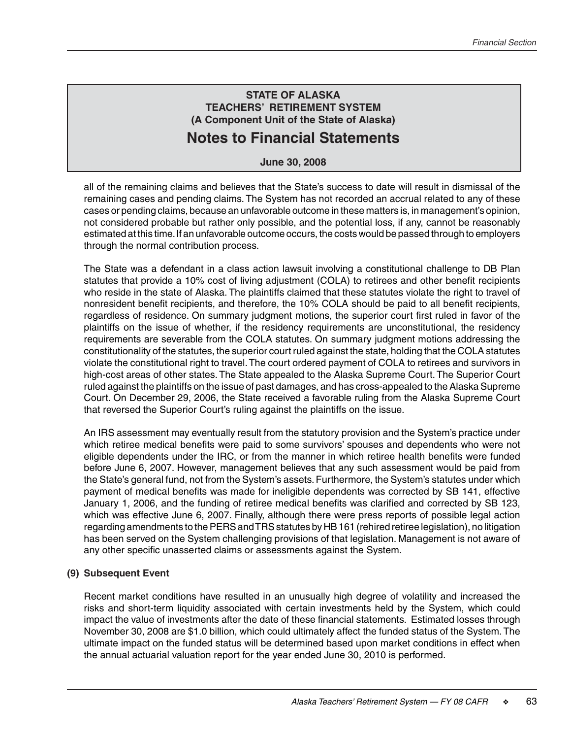# **Notes to Financial Statements**

**June 30, 2008**

all of the remaining claims and believes that the State's success to date will result in dismissal of the remaining cases and pending claims. The System has not recorded an accrual related to any of these cases or pending claims, because an unfavorable outcome in these matters is, in management's opinion, not considered probable but rather only possible, and the potential loss, if any, cannot be reasonably estimated at this time. If an unfavorable outcome occurs, the costs would be passed through to employers through the normal contribution process.

The State was a defendant in a class action lawsuit involving a constitutional challenge to DB Plan statutes that provide a 10% cost of living adjustment (COLA) to retirees and other benefit recipients who reside in the state of Alaska. The plaintiffs claimed that these statutes violate the right to travel of nonresident benefit recipients, and therefore, the 10% COLA should be paid to all benefit recipients, regardless of residence. On summary judgment motions, the superior court first ruled in favor of the plaintiffs on the issue of whether, if the residency requirements are unconstitutional, the residency requirements are severable from the COLA statutes. On summary judgment motions addressing the constitutionality of the statutes, the superior court ruled against the state, holding that the COLA statutes violate the constitutional right to travel. The court ordered payment of COLA to retirees and survivors in high-cost areas of other states. The State appealed to the Alaska Supreme Court. The Superior Court ruled against the plaintiffs on the issue of past damages, and has cross-appealed to the Alaska Supreme Court. On December 29, 2006, the State received a favorable ruling from the Alaska Supreme Court that reversed the Superior Court's ruling against the plaintiffs on the issue.

An IRS assessment may eventually result from the statutory provision and the System's practice under which retiree medical benefits were paid to some survivors' spouses and dependents who were not eligible dependents under the IRC, or from the manner in which retiree health benefits were funded before June 6, 2007. However, management believes that any such assessment would be paid from the State's general fund, not from the System's assets. Furthermore, the System's statutes under which payment of medical benefits was made for ineligible dependents was corrected by SB 141, effective January 1, 2006, and the funding of retiree medical benefits was clarified and corrected by SB 123, which was effective June 6, 2007. Finally, although there were press reports of possible legal action regarding amendments to the PERS and TRS statutes by HB 161 (rehired retiree legislation), no litigation has been served on the System challenging provisions of that legislation. Management is not aware of any other specific unasserted claims or assessments against the System.

### **(9) Subsequent Event**

Recent market conditions have resulted in an unusually high degree of volatility and increased the risks and short-term liquidity associated with certain investments held by the System, which could impact the value of investments after the date of these financial statements. Estimated losses through November 30, 2008 are \$1.0 billion, which could ultimately affect the funded status of the System. The ultimate impact on the funded status will be determined based upon market conditions in effect when the annual actuarial valuation report for the year ended June 30, 2010 is performed.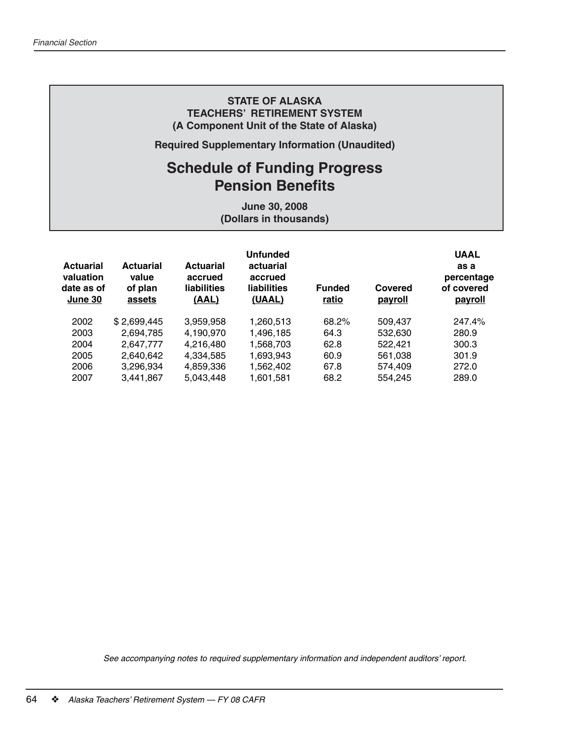**Required Supplementary Information (Unaudited)**

# **Schedule of Funding Progress Pension Benefits**

**June 30, 2008 (Dollars in thousands)**

| <b>Actuarial</b><br>valuation<br>date as of<br>June 30 | <b>Actuarial</b><br>value<br>of plan<br>assets | <b>Actuarial</b><br>accrued<br><b>liabilities</b><br><u>(AAL)</u> | Unfunded<br>actuarial<br>accrued<br><b>liabilities</b><br>(UAAL) | <b>Funded</b><br>ratio | Covered<br>payroll | <b>UAAL</b><br>as a<br>percentage<br>of covered<br><b>payroll</b> |
|--------------------------------------------------------|------------------------------------------------|-------------------------------------------------------------------|------------------------------------------------------------------|------------------------|--------------------|-------------------------------------------------------------------|
| 2002                                                   | \$2,699,445                                    | 3,959,958                                                         | 1,260,513                                                        | 68.2%                  | 509,437            | 247.4%                                                            |
| 2003                                                   | 2,694,785                                      | 4,190,970                                                         | 1,496,185                                                        | 64.3                   | 532,630            | 280.9                                                             |
| 2004                                                   | 2,647,777                                      | 4,216,480                                                         | 1,568,703                                                        | 62.8                   | 522,421            | 300.3                                                             |
| 2005                                                   | 2,640,642                                      | 4,334,585                                                         | 1,693,943                                                        | 60.9                   | 561,038            | 301.9                                                             |
| 2006                                                   | 3,296,934                                      | 4,859,336                                                         | 1,562,402                                                        | 67.8                   | 574,409            | 272.0                                                             |
| 2007                                                   | 3.441.867                                      | 5.043.448                                                         | 1,601,581                                                        | 68.2                   | 554,245            | 289.0                                                             |

*See accompanying notes to required supplementary information and independent auditors' report.*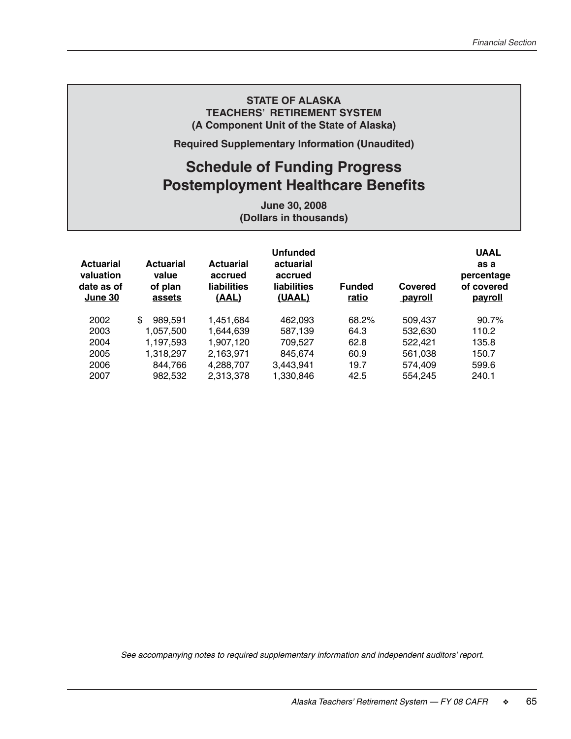**Required Supplementary Information (Unaudited)**

# **Schedule of Funding Progress Postemployment Healthcare Benefits**

**June 30, 2008 (Dollars in thousands)**

| <b>Actuarial</b><br>valuation<br>date as of<br>June 30 | <b>Actuarial</b><br>value<br>of plan<br>assets | <b>Actuarial</b><br>accrued<br><b>liabilities</b><br>(AAL) | <b>Unfunded</b><br>actuarial<br>accrued<br><b>liabilities</b><br>(UAAL) | <b>Funded</b><br>ratio | Covered<br>payroll | <b>UAAL</b><br>as a<br>percentage<br>of covered<br><u>payroll</u> |
|--------------------------------------------------------|------------------------------------------------|------------------------------------------------------------|-------------------------------------------------------------------------|------------------------|--------------------|-------------------------------------------------------------------|
| 2002                                                   | \$<br>989,591                                  | 1.451.684                                                  | 462,093                                                                 | 68.2%                  | 509.437            | 90.7%                                                             |
| 2003                                                   | 1.057.500                                      | 1,644,639                                                  | 587,139                                                                 | 64.3                   | 532,630            | 110.2                                                             |
| 2004                                                   | 1.197.593                                      | 1,907,120                                                  | 709,527                                                                 | 62.8                   | 522.421            | 135.8                                                             |
| 2005                                                   | 1,318,297                                      | 2,163,971                                                  | 845.674                                                                 | 60.9                   | 561.038            | 150.7                                                             |
| 2006                                                   | 844.766                                        | 4,288,707                                                  | 3.443.941                                                               | 19.7                   | 574.409            | 599.6                                                             |
| 2007                                                   | 982.532                                        | 2.313.378                                                  | 1,330,846                                                               | 42.5                   | 554.245            | 240.1                                                             |

*See accompanying notes to required supplementary information and independent auditors' report.*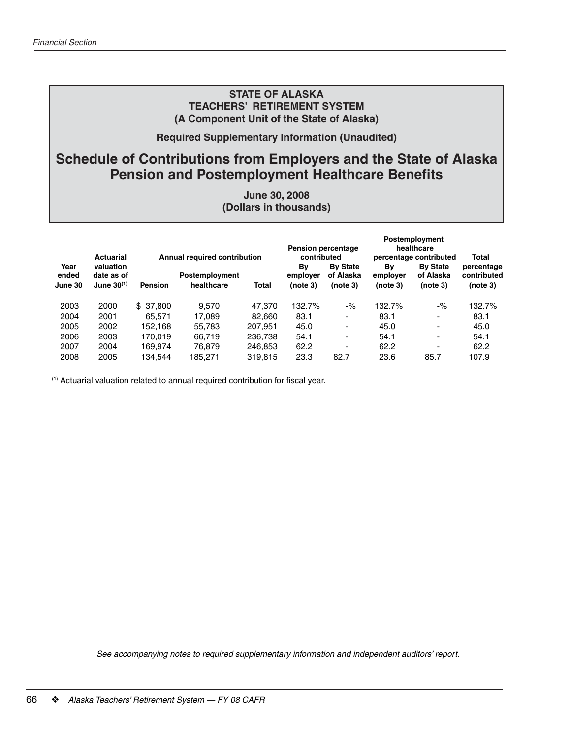**Required Supplementary Information (Unaudited)**

# **Schedule of Contributions from Employers and the State of Alaska Pension and Postemployment Healthcare Benefits**

**June 30, 2008 (Dollars in thousands)**

|                          | <b>Actuarial</b>                           |                | <b>Annual required contribution</b> |         | <b>Pension percentage</b><br>contributed |                                          |                            | Postemployment<br>healthcare<br>percentage contributed | Total                                 |
|--------------------------|--------------------------------------------|----------------|-------------------------------------|---------|------------------------------------------|------------------------------------------|----------------------------|--------------------------------------------------------|---------------------------------------|
| Year<br>ended<br>June 30 | valuation<br>date as of<br>June $30^{(1)}$ | <b>Pension</b> | Postemployment<br>healthcare        | Total   | Bγ<br>employer<br>(note 3)               | <b>By State</b><br>of Alaska<br>(note 3) | Bν<br>employer<br>(note 3) | <b>By State</b><br>of Alaska<br>(note 3)               | percentage<br>contributed<br>(note 3) |
| 2003                     | 2000                                       | \$37.800       | 9.570                               | 47.370  | 132.7%                                   | $-$ %                                    | 132.7%                     | $-$ %                                                  | 132.7%                                |
| 2004                     | 2001                                       | 65.571         | 17,089                              | 82.660  | 83.1                                     | $\overline{\phantom{0}}$                 | 83.1                       | ۰                                                      | 83.1                                  |
| 2005                     | 2002                                       | 152.168        | 55.783                              | 207.951 | 45.0                                     |                                          | 45.0                       | ۰                                                      | 45.0                                  |
| 2006                     | 2003                                       | 170.019        | 66.719                              | 236.738 | 54.1                                     |                                          | 54.1                       | $\overline{\phantom{0}}$                               | 54.1                                  |
| 2007                     | 2004                                       | 169.974        | 76.879                              | 246.853 | 62.2                                     |                                          | 62.2                       | $\overline{\phantom{0}}$                               | 62.2                                  |
| 2008                     | 2005                                       | 134.544        | 185.271                             | 319,815 | 23.3                                     | 82.7                                     | 23.6                       | 85.7                                                   | 107.9                                 |

 $(1)$  Actuarial valuation related to annual required contribution for fiscal year.

*See accompanying notes to required supplementary information and independent auditors' report.*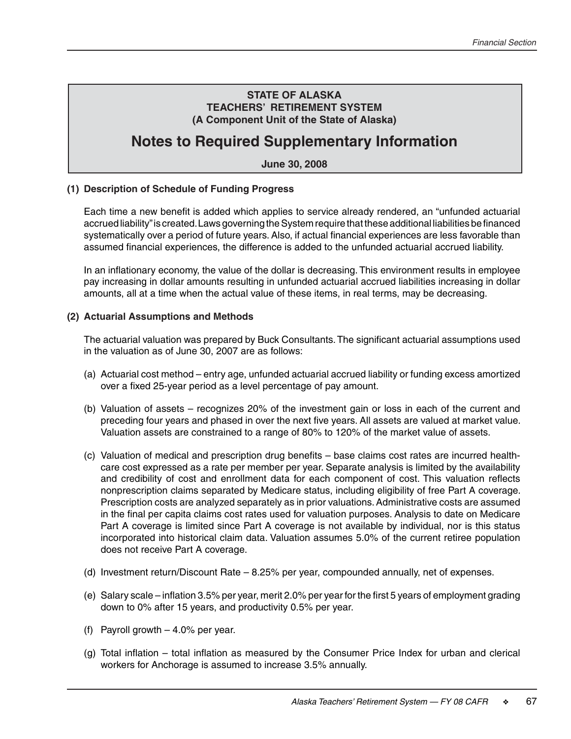# **Notes to Required Supplementary Information**

**June 30, 2008**

## **(1) Description of Schedule of Funding Progress**

Each time a new benefit is added which applies to service already rendered, an "unfunded actuarial accrued liability" is created. Laws governing the System require that these additional liabilities be financed systematically over a period of future years. Also, if actual financial experiences are less favorable than assumed financial experiences, the difference is added to the unfunded actuarial accrued liability.

In an inflationary economy, the value of the dollar is decreasing. This environment results in employee pay increasing in dollar amounts resulting in unfunded actuarial accrued liabilities increasing in dollar amounts, all at a time when the actual value of these items, in real terms, may be decreasing.

#### **(2) Actuarial Assumptions and Methods**

The actuarial valuation was prepared by Buck Consultants. The significant actuarial assumptions used in the valuation as of June 30, 2007 are as follows:

- (a) Actuarial cost method entry age, unfunded actuarial accrued liability or funding excess amortized over a fixed 25-year period as a level percentage of pay amount.
- (b) Valuation of assets recognizes 20% of the investment gain or loss in each of the current and preceding four years and phased in over the next five years. All assets are valued at market value. Valuation assets are constrained to a range of 80% to 120% of the market value of assets.
- $(c)$  Valuation of medical and prescription drug benefits  $-$  base claims cost rates are incurred healthcare cost expressed as a rate per member per year. Separate analysis is limited by the availability and credibility of cost and enrollment data for each component of cost. This valuation reflects nonprescription claims separated by Medicare status, including eligibility of free Part A coverage. Prescription costs are analyzed separately as in prior valuations. Administrative costs are assumed in the final per capita claims cost rates used for valuation purposes. Analysis to date on Medicare Part A coverage is limited since Part A coverage is not available by individual, nor is this status incorporated into historical claim data. Valuation assumes 5.0% of the current retiree population does not receive Part A coverage.
- (d) Investment return/Discount Rate 8.25% per year, compounded annually, net of expenses.
- (e) Salary scale inflation 3.5% per year, merit 2.0% per year for the first 5 years of employment grading down to 0% after 15 years, and productivity 0.5% per year.
- (f) Payroll growth  $-4.0\%$  per year.
- (g) Total inflation  $-$  total inflation as measured by the Consumer Price Index for urban and clerical workers for Anchorage is assumed to increase 3.5% annually.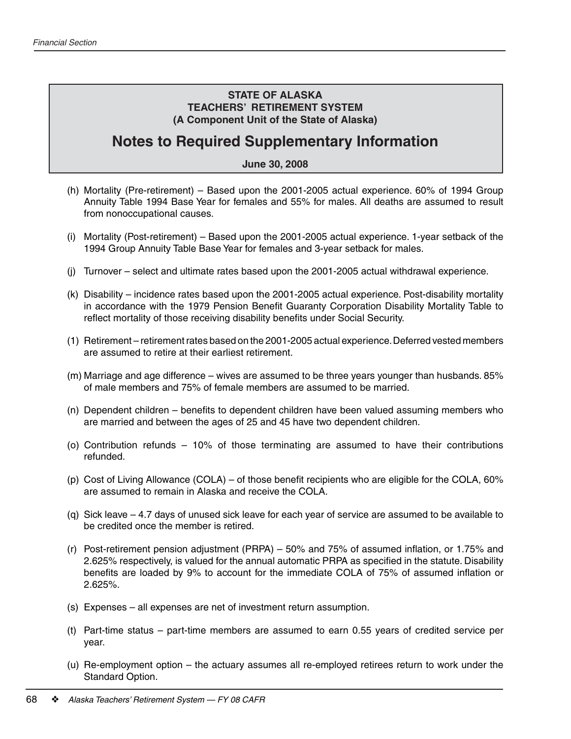# **Notes to Required Supplementary Information**

#### **June 30, 2008**

- (h) Mortality (Pre-retirement) Based upon the 2001-2005 actual experience. 60% of 1994 Group Annuity Table 1994 Base Year for females and 55% for males. All deaths are assumed to result from nonoccupational causes.
- (i) Mortality (Post-retirement) Based upon the 2001-2005 actual experience. 1-year setback of the 1994 Group Annuity Table Base Year for females and 3-year setback for males.
- (j) Turnover select and ultimate rates based upon the 2001-2005 actual withdrawal experience.
- (k) Disability incidence rates based upon the 2001-2005 actual experience. Post-disability mortality in accordance with the 1979 Pension Benefit Guaranty Corporation Disability Mortality Table to reflect mortality of those receiving disability benefits under Social Security.
- (1) Retirement retirement rates based on the 2001-2005 actual experience. Deferred vested members are assumed to retire at their earliest retirement.
- (m) Marriage and age difference wives are assumed to be three years younger than husbands. 85% of male members and 75% of female members are assumed to be married.
- (n) Dependent children benefits to dependent children have been valued assuming members who are married and between the ages of 25 and 45 have two dependent children.
- (o) Contribution refunds 10% of those terminating are assumed to have their contributions refunded.
- (p) Cost of Living Allowance (COLA) of those benefit recipients who are eligible for the COLA,  $60\%$ are assumed to remain in Alaska and receive the COLA.
- (q) Sick leave 4.7 days of unused sick leave for each year of service are assumed to be available to be credited once the member is retired.
- (r) Post-retirement pension adjustment (PRPA) 50% and 75% of assumed inflation, or 1.75% and 2.625% respectively, is valued for the annual automatic PRPA as specified in the statute. Disability benefits are loaded by 9% to account for the immediate COLA of 75% of assumed inflation or 2.625%.
- (s) Expenses all expenses are net of investment return assumption.
- (t) Part-time status part-time members are assumed to earn 0.55 years of credited service per year.
- (u) Re-employment option the actuary assumes all re-employed retirees return to work under the Standard Option.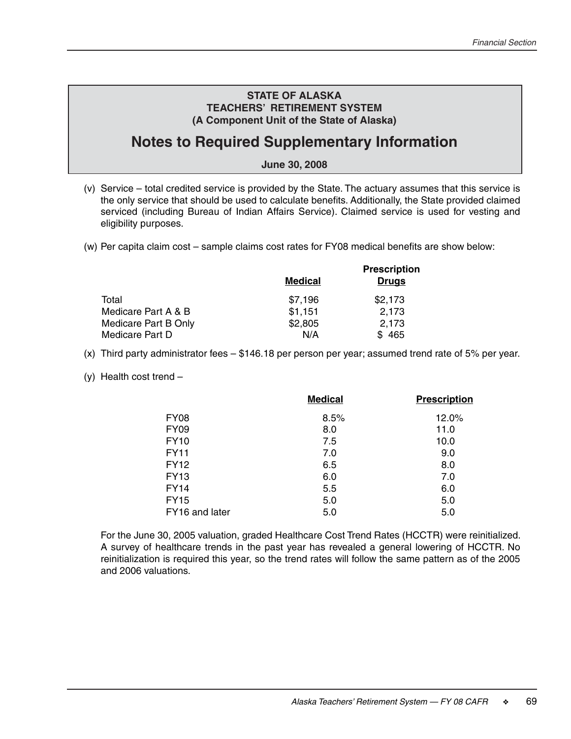# **Notes to Required Supplementary Information**

#### **June 30, 2008**

- (v) Service total credited service is provided by the State. The actuary assumes that this service is the only service that should be used to calculate benefits. Additionally, the State provided claimed serviced (including Bureau of Indian Affairs Service). Claimed service is used for vesting and eligibility purposes.
- (w) Per capita claim cost sample claims cost rates for FY08 medical benefits are show below:

| <b>Drugs</b> |
|--------------|
| \$2,173      |
| 2,173        |
| 2,173        |
| 465          |
|              |

- (x) Third party administrator fees \$146.18 per person per year; assumed trend rate of 5% per year.
- (y) Health cost trend  $-$

|                | <b>Medical</b> | <b>Prescription</b> |
|----------------|----------------|---------------------|
| <b>FY08</b>    | 8.5%           | 12.0%               |
| <b>FY09</b>    | 8.0            | 11.0                |
| <b>FY10</b>    | 7.5            | 10.0                |
| <b>FY11</b>    | 7.0            | 9.0                 |
| <b>FY12</b>    | 6.5            | 8.0                 |
| <b>FY13</b>    | 6.0            | 7.0                 |
| <b>FY14</b>    | 5.5            | 6.0                 |
| <b>FY15</b>    | 5.0            | 5.0                 |
| FY16 and later | 5.0            | 5.0                 |
|                |                |                     |

For the June 30, 2005 valuation, graded Healthcare Cost Trend Rates (HCCTR) were reinitialized. A survey of healthcare trends in the past year has revealed a general lowering of HCCTR. No reinitialization is required this year, so the trend rates will follow the same pattern as of the 2005 and 2006 valuations.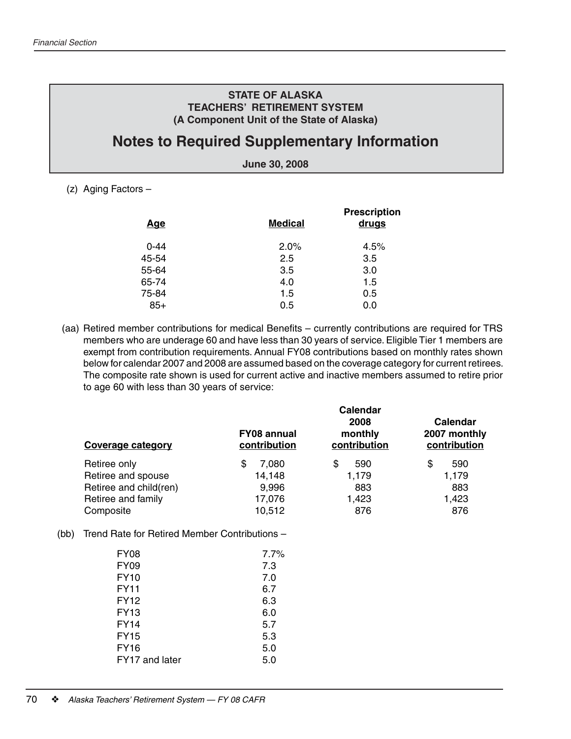# **Notes to Required Supplementary Information**

#### **June 30, 2008**

(z) Aging Factors –

| <b>Medical</b> | <b>Prescription</b><br>drugs |
|----------------|------------------------------|
| 2.0%           | 4.5%                         |
| 2.5            | 3.5                          |
| 3.5            | 3.0                          |
| 4.0            | 1.5                          |
| 1.5            | 0.5                          |
| 0.5            | 0.0                          |
|                |                              |

(aa) Retired member contributions for medical Benefits – currently contributions are required for TRS members who are underage 60 and have less than 30 years of service. Eligible Tier 1 members are exempt from contribution requirements. Annual FY08 contributions based on monthly rates shown below for calendar 2007 and 2008 are assumed based on the coverage category for current retirees. The composite rate shown is used for current active and inactive members assumed to retire prior to age 60 with less than 30 years of service:

| <b>Coverage category</b> | <b>FY08 annual</b><br>contribution | Calendar<br>2008<br>monthly<br>contribution | Calendar<br>2007 monthly<br>contribution |
|--------------------------|------------------------------------|---------------------------------------------|------------------------------------------|
| Retiree only             | 7.080<br>S                         | S<br>590                                    | \$<br>590                                |
| Retiree and spouse       | 14,148                             | 1,179                                       | 1,179                                    |
| Retiree and child(ren)   | 9,996                              | 883                                         | 883                                      |
| Retiree and family       | 17,076                             | 1,423                                       | 1,423                                    |
| Composite                | 10,512                             | 876                                         | 876                                      |

(bb) Trend Rate for Retired Member Contributions –

| <b>FY08</b>    | 7.7% |
|----------------|------|
| <b>FY09</b>    | 7.3  |
| <b>FY10</b>    | 7.0  |
| <b>FY11</b>    | 6.7  |
| <b>FY12</b>    | 6.3  |
| <b>FY13</b>    | 6.0  |
| <b>FY14</b>    | 5.7  |
| <b>FY15</b>    | 5.3  |
| <b>FY16</b>    | 5.0  |
| FY17 and later | 5.0  |
|                |      |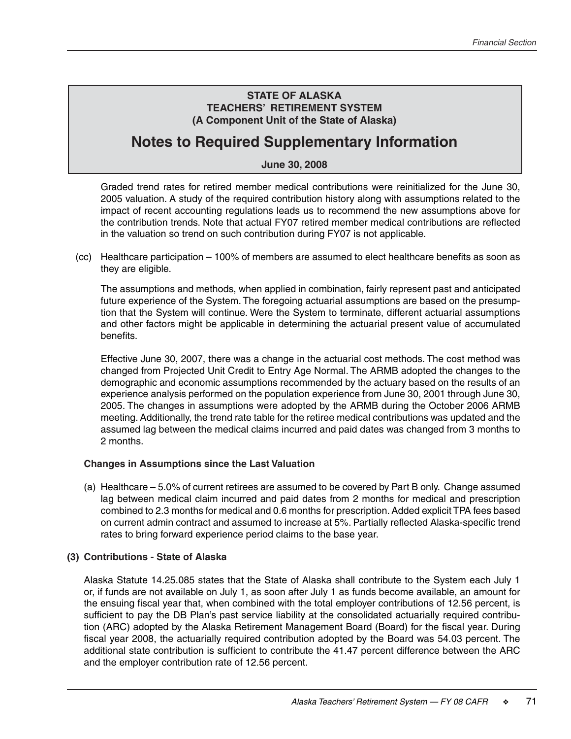# **Notes to Required Supplementary Information**

## **June 30, 2008**

 Graded trend rates for retired member medical contributions were reinitialized for the June 30, 2005 valuation. A study of the required contribution history along with assumptions related to the impact of recent accounting regulations leads us to recommend the new assumptions above for the contribution trends. Note that actual FY07 retired member medical contributions are reflected in the valuation so trend on such contribution during FY07 is not applicable.

(cc) Healthcare participation – 100% of members are assumed to elect healthcare benefits as soon as they are eligible.

The assumptions and methods, when applied in combination, fairly represent past and anticipated future experience of the System. The foregoing actuarial assumptions are based on the presumption that the System will continue. Were the System to terminate, different actuarial assumptions and other factors might be applicable in determining the actuarial present value of accumulated benefits.

Effective June 30, 2007, there was a change in the actuarial cost methods. The cost method was changed from Projected Unit Credit to Entry Age Normal. The ARMB adopted the changes to the demographic and economic assumptions recommended by the actuary based on the results of an experience analysis performed on the population experience from June 30, 2001 through June 30, 2005. The changes in assumptions were adopted by the ARMB during the October 2006 ARMB meeting. Additionally, the trend rate table for the retiree medical contributions was updated and the assumed lag between the medical claims incurred and paid dates was changed from 3 months to 2 months.

#### **Changes in Assumptions since the Last Valuation**

(a) Healthcare – 5.0% of current retirees are assumed to be covered by Part B only. Change assumed lag between medical claim incurred and paid dates from 2 months for medical and prescription combined to 2.3 months for medical and 0.6 months for prescription. Added explicit TPA fees based on current admin contract and assumed to increase at 5%. Partially reflected Alaska-specific trend rates to bring forward experience period claims to the base year.

#### **(3) Contributions - State of Alaska**

Alaska Statute 14.25.085 states that the State of Alaska shall contribute to the System each July 1 or, if funds are not available on July 1, as soon after July 1 as funds become available, an amount for the ensuing fiscal year that, when combined with the total employer contributions of 12.56 percent, is sufficient to pay the DB Plan's past service liability at the consolidated actuarially required contribution (ARC) adopted by the Alaska Retirement Management Board (Board) for the fiscal year. During fiscal year 2008, the actuarially required contribution adopted by the Board was 54.03 percent. The additional state contribution is sufficient to contribute the 41.47 percent difference between the ARC and the employer contribution rate of 12.56 percent.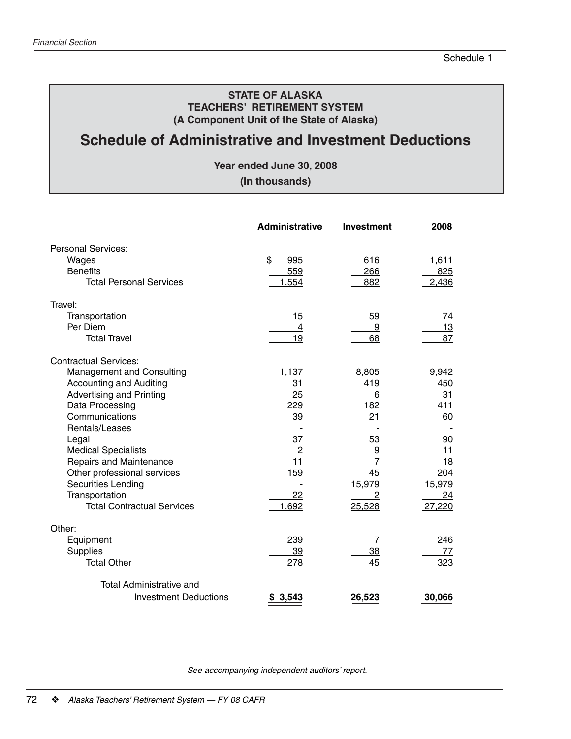# **Schedule of Administrative and Investment Deductions**

**Year ended June 30, 2008**

**(In thousands)**

|                                   | <b>Administrative</b> | Investment | 2008   |
|-----------------------------------|-----------------------|------------|--------|
| <b>Personal Services:</b>         |                       |            |        |
| Wages                             | \$<br>995             | 616        | 1,611  |
| <b>Benefits</b>                   | 559                   | 266        | 825    |
| <b>Total Personal Services</b>    | 1,554                 | 882        | 2,436  |
| Travel:                           |                       |            |        |
| Transportation                    | 15                    | 59         | 74     |
| Per Diem                          | 4                     | 9          | 13     |
| <b>Total Travel</b>               | 19                    | 68         | 87     |
| <b>Contractual Services:</b>      |                       |            |        |
| <b>Management and Consulting</b>  | 1,137                 | 8,805      | 9,942  |
| <b>Accounting and Auditing</b>    | 31                    | 419        | 450    |
| <b>Advertising and Printing</b>   | 25                    | 6          | 31     |
| Data Processing                   | 229                   | 182        | 411    |
| Communications                    | 39                    | 21         | 60     |
| Rentals/Leases                    |                       |            |        |
| Legal                             | 37                    | 53         | 90     |
| <b>Medical Specialists</b>        | $\overline{2}$        | 9          | 11     |
| Repairs and Maintenance           | 11                    | 7          | 18     |
| Other professional services       | 159                   | 45         | 204    |
| <b>Securities Lending</b>         |                       | 15,979     | 15,979 |
| Transportation                    | 22                    | 2          | 24     |
| <b>Total Contractual Services</b> | 1,692                 | 25,528     | 27,220 |
| Other:                            |                       |            |        |
| Equipment                         | 239                   | 7          | 246    |
| Supplies                          | 39                    | 38         | 77     |
| <b>Total Other</b>                | 278                   | 45         | 323    |
| <b>Total Administrative and</b>   |                       |            |        |
| <b>Investment Deductions</b>      | \$3,543               | 26,523     | 30,066 |

*See accompanying independent auditors' report.*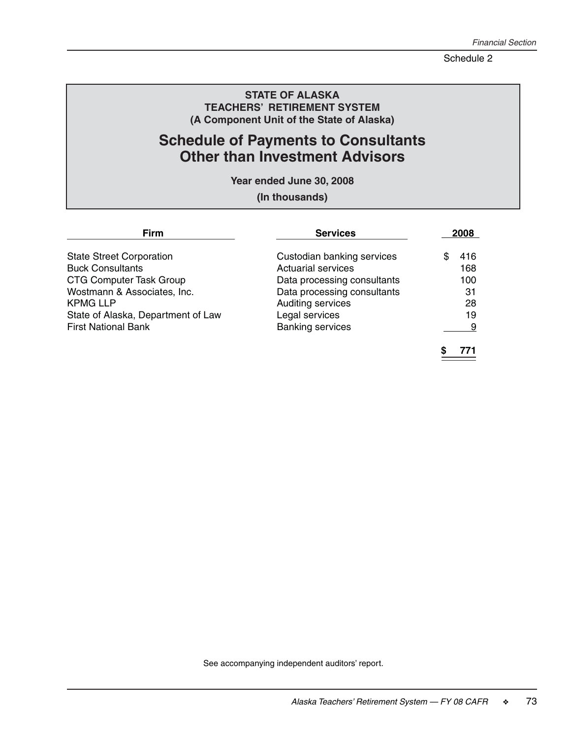Schedule 2

# **STATE OF ALASKA TEACHERS' RETIREMENT SYSTEM (A Component Unit of the State of Alaska)**

# **Schedule of Payments to Consultants Other than Investment Advisors**

**Year ended June 30, 2008**

**(In thousands)**

| <b>Firm</b>                        | <b>Services</b>             | 2008 |
|------------------------------------|-----------------------------|------|
| <b>State Street Corporation</b>    | Custodian banking services  | 416  |
| <b>Buck Consultants</b>            | <b>Actuarial services</b>   | 168  |
| <b>CTG Computer Task Group</b>     | Data processing consultants | 100  |
| Wostmann & Associates, Inc.        | Data processing consultants | 31   |
| <b>KPMG LLP</b>                    | Auditing services           | 28   |
| State of Alaska, Department of Law | Legal services              | 19   |
| <b>First National Bank</b>         | <b>Banking services</b>     | 9    |
|                                    |                             |      |

See accompanying independent auditors' report.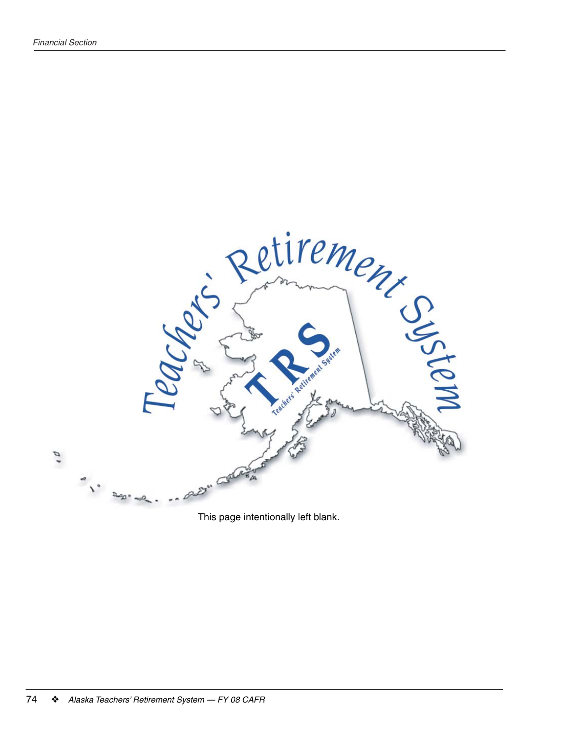

This page intentionally left blank.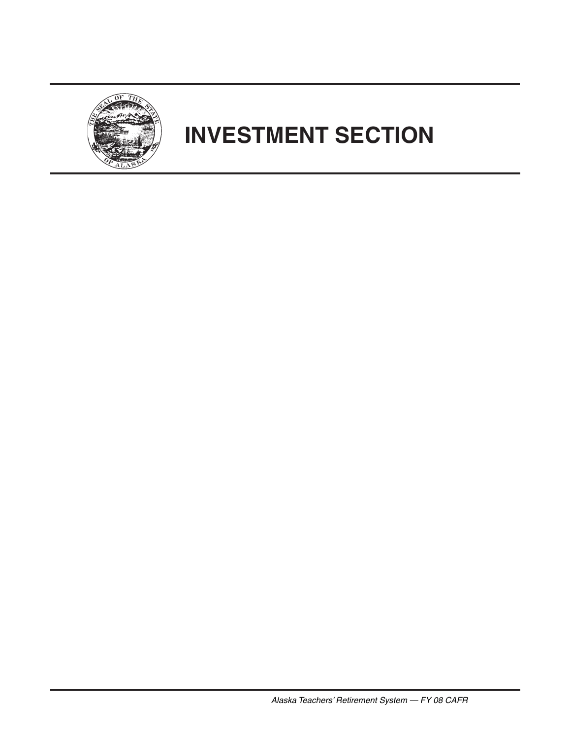

# **INVESTMENT SECTION**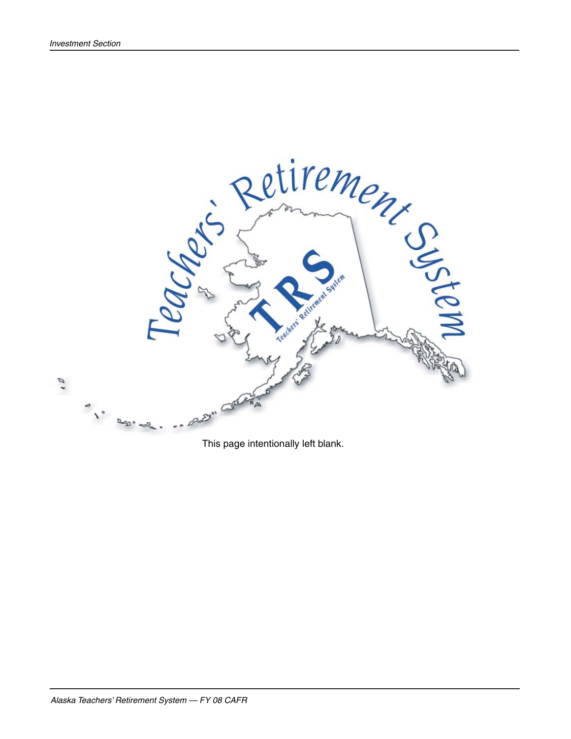

This page intentionally left blank.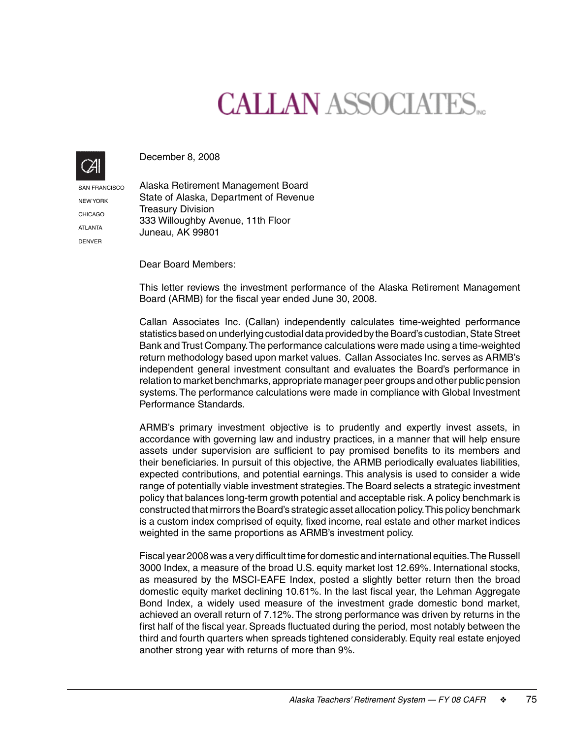# **CALLAN ASSOCIATES...**



December 8, 2008

SAN FRANCISCO NEW YORK CHICAGO ATLANTA DENVER

Alaska Retirement Management Board State of Alaska, Department of Revenue Treasury Division 333 Willoughby Avenue, 11th Floor Juneau, AK 99801

Dear Board Members:

This letter reviews the investment performance of the Alaska Retirement Management Board (ARMB) for the fiscal year ended June 30, 2008.

Callan Associates Inc. (Callan) independently calculates time-weighted performance statistics based on underlying custodial data provided by the Board's custodian, State Street Bank and Trust Company. The performance calculations were made using a time-weighted return methodology based upon market values. Callan Associates Inc. serves as ARMB's independent general investment consultant and evaluates the Board's performance in relation to market benchmarks, appropriate manager peer groups and other public pension systems. The performance calculations were made in compliance with Global Investment Performance Standards.

ARMB's primary investment objective is to prudently and expertly invest assets, in accordance with governing law and industry practices, in a manner that will help ensure assets under supervision are sufficient to pay promised benefits to its members and their beneficiaries. In pursuit of this objective, the ARMB periodically evaluates liabilities, expected contributions, and potential earnings. This analysis is used to consider a wide range of potentially viable investment strategies. The Board selects a strategic investment policy that balances long-term growth potential and acceptable risk. A policy benchmark is constructed that mirrors the Board's strategic asset allocation policy. This policy benchmark is a custom index comprised of equity, fixed income, real estate and other market indices weighted in the same proportions as ARMB's investment policy.

Fiscal year 2008 was a very difficult time for domestic and international equities. The Russell 3000 Index, a measure of the broad U.S. equity market lost 12.69%. International stocks, as measured by the MSCI-EAFE Index, posted a slightly better return then the broad domestic equity market declining 10.61%. In the last fiscal year, the Lehman Aggregate Bond Index, a widely used measure of the investment grade domestic bond market, achieved an overall return of 7.12%. The strong performance was driven by returns in the first half of the fiscal year. Spreads fluctuated during the period, most notably between the third and fourth quarters when spreads tightened considerably. Equity real estate enjoyed another strong year with returns of more than 9%.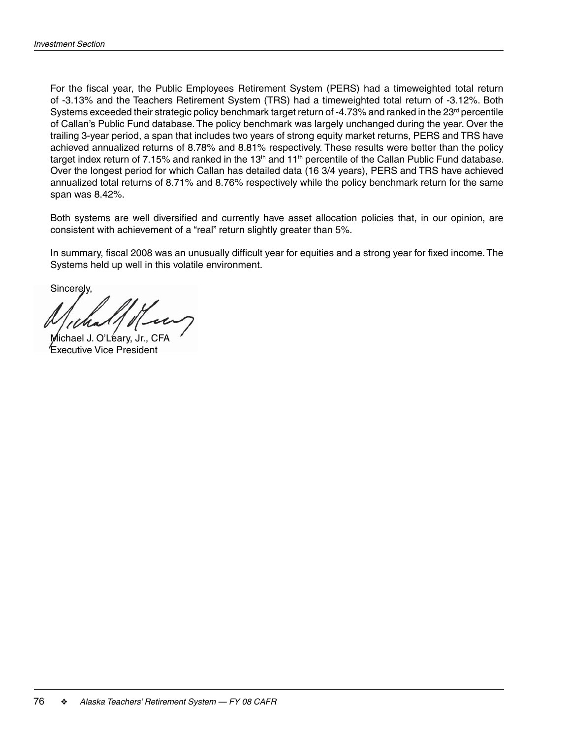For the fiscal year, the Public Employees Retirement System (PERS) had a timeweighted total return of -3.13% and the Teachers Retirement System (TRS) had a timeweighted total return of -3.12%. Both Systems exceeded their strategic policy benchmark target return of -4.73% and ranked in the  $23<sup>rd</sup>$  percentile of Callan's Public Fund database. The policy benchmark was largely unchanged during the year. Over the trailing 3-year period, a span that includes two years of strong equity market returns, PERS and TRS have achieved annualized returns of 8.78% and 8.81% respectively. These results were better than the policy target index return of 7.15% and ranked in the 13<sup>th</sup> and 11<sup>th</sup> percentile of the Callan Public Fund database. Over the longest period for which Callan has detailed data (16 3/4 years), PERS and TRS have achieved annualized total returns of 8.71% and 8.76% respectively while the policy benchmark return for the same span was 8.42%.

Both systems are well diversified and currently have asset allocation policies that, in our opinion, are consistent with achievement of a "real" return slightly greater than 5%.

In summary, fiscal 2008 was an unusually difficult year for equities and a strong year for fixed income. The Systems held up well in this volatile environment.

Sincerely,

J. O'Leary, Jr., CFA Executive Vice President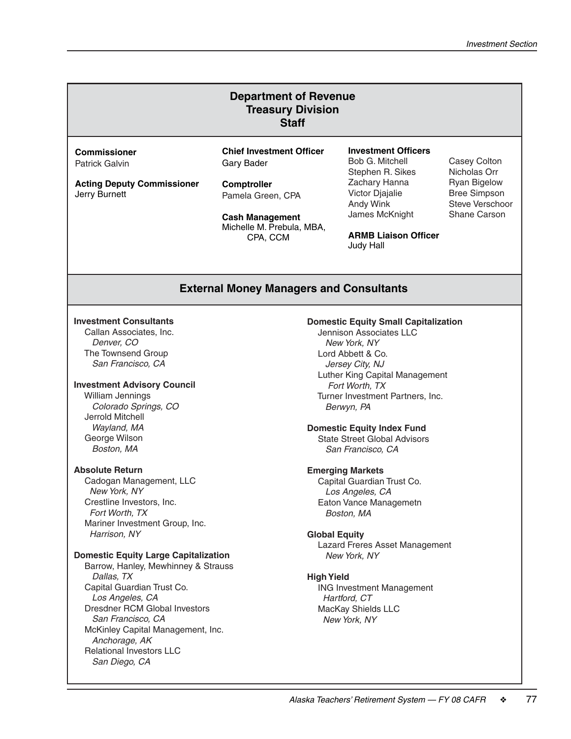# **Department of Revenue Treasury Division Staff**

#### **Commissioner** Patrick Galvin

**Acting Deputy Commissioner** Jerry Burnett

**Chief Investment Officer** Gary Bader

**Comptroller** Pamela Green, CPA

**Cash Management** Michelle M. Prebula, MBA, CPA, CCM

**Investment Officers** 

Stephen R. Sikes Nicholas Orr Zachary Hanna Ryan Bigelow Victor Djajalie Bree Simpson Andy Wink Steve Verschoor James McKnight Shane Carson

Bob G. Mitchell Casey Colton

**ARMB Liaison Officer** Judy Hall

# **External Money Managers and Consultants**

#### **Investment Consultants**

 Callan Associates, Inc. *Denver, CO* The Townsend Group *San Francisco, CA*

#### **Investment Advisory Council**

 William Jennings *Colorado Springs, CO* Jerrold Mitchell *Wayland, MA* George Wilson *Boston, MA*

#### **Absolute Return**

 Cadogan Management, LLC *New York, NY* Crestline Investors, Inc.  *Fort Worth, TX* Mariner Investment Group, Inc. *Harrison, NY*

#### **Domestic Equity Large Capitalization**

 Barrow, Hanley, Mewhinney & Strauss *Dallas, TX* Capital Guardian Trust Co. *Los Angeles, CA* Dresdner RCM Global Investors *San Francisco, CA* McKinley Capital Management, Inc. *Anchorage, AK* Relational Investors LLC *San Diego, CA*

#### **Domestic Equity Small Capitalization**

 Jennison Associates LLC *New York, NY* Lord Abbett & Co. *Jersey City, NJ* Luther King Capital Management  *Fort Worth, TX* Turner Investment Partners, Inc. *Berwyn, PA*

#### **Domestic Equity Index Fund**

 State Street Global Advisors *San Francisco, CA*

#### **Emerging Markets**

 Capital Guardian Trust Co. *Los Angeles, CA* Eaton Vance Managemetn *Boston, MA*

#### **Global Equity**

 Lazard Freres Asset Management *New York, NY*

#### **High Yield**

 ING Investment Management *Hartford, CT* MacKay Shields LLC *New York, NY*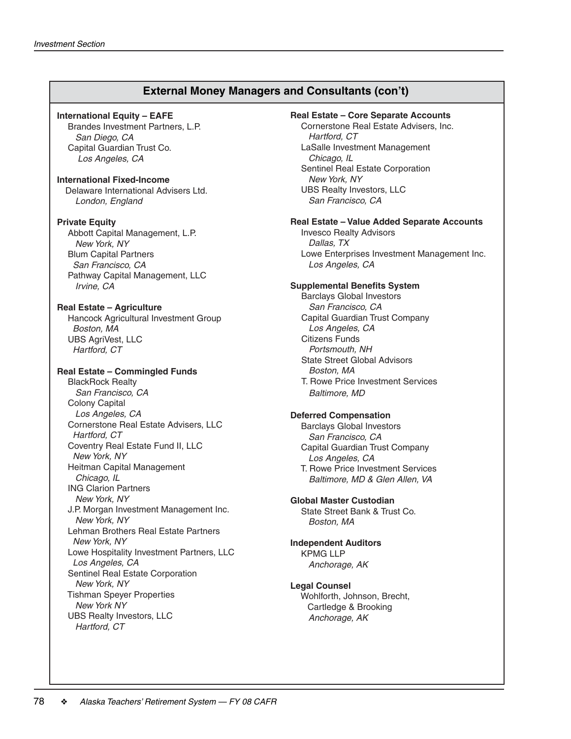# **External Money Managers and Consultants (con't)**

#### **International Equity – EAFE**

 Brandes Investment Partners, L.P. *San Diego, CA* Capital Guardian Trust Co. *Los Angeles, CA*

#### **International Fixed-Income**

 Delaware International Advisers Ltd. *London, England*

#### **Private Equity**

 Abbott Capital Management, L.P. *New York, NY* Blum Capital Partners *San Francisco, CA* Pathway Capital Management, LLC *Irvine, CA*

#### **Real Estate – Agriculture**

 Hancock Agricultural Investment Group *Boston, MA* UBS AgriVest, LLC *Hartford, CT*

#### **Real Estate – Commingled Funds**

 BlackRock Realty *San Francisco, CA* Colony Capital *Los Angeles, CA* Cornerstone Real Estate Advisers, LLC *Hartford, CT* Coventry Real Estate Fund II, LLC *New York, NY* Heitman Capital Management *Chicago, IL* ING Clarion Partners *New York, NY* J.P. Morgan Investment Management Inc. *New York, NY* Lehman Brothers Real Estate Partners *New York, NY* Lowe Hospitality Investment Partners, LLC *Los Angeles, CA* Sentinel Real Estate Corporation *New York, NY* Tishman Speyer Properties *New York NY* UBS Realty Investors, LLC *Hartford, CT*

#### **Real Estate – Core Separate Accounts** Cornerstone Real Estate Advisers, Inc.

 *Hartford, CT* LaSalle Investment Management *Chicago, IL* Sentinel Real Estate Corporation *New York, NY* UBS Realty Investors, LLC *San Francisco, CA*

#### **Real Estate – Value Added Separate Accounts**

 Invesco Realty Advisors  *Dallas, TX* Lowe Enterprises Investment Management Inc. *Los Angeles, CA*

#### **Supplemental Benefits System**

 Barclays Global Investors *San Francisco, CA* Capital Guardian Trust Company *Los Angeles, CA* Citizens Funds *Portsmouth, NH* State Street Global Advisors *Boston, MA* T. Rowe Price Investment Services *Baltimore, MD*

#### **Deferred Compensation**

 Barclays Global Investors *San Francisco, CA* Capital Guardian Trust Company *Los Angeles, CA* T. Rowe Price Investment Services *Baltimore, MD & Glen Allen, VA*

#### **Global Master Custodian**

 State Street Bank & Trust Co. *Boston, MA*

#### **Independent Auditors** KPMG LLP

*Anchorage, AK*

#### **Legal Counsel**

 Wohlforth, Johnson, Brecht, Cartledge & Brooking *Anchorage, AK*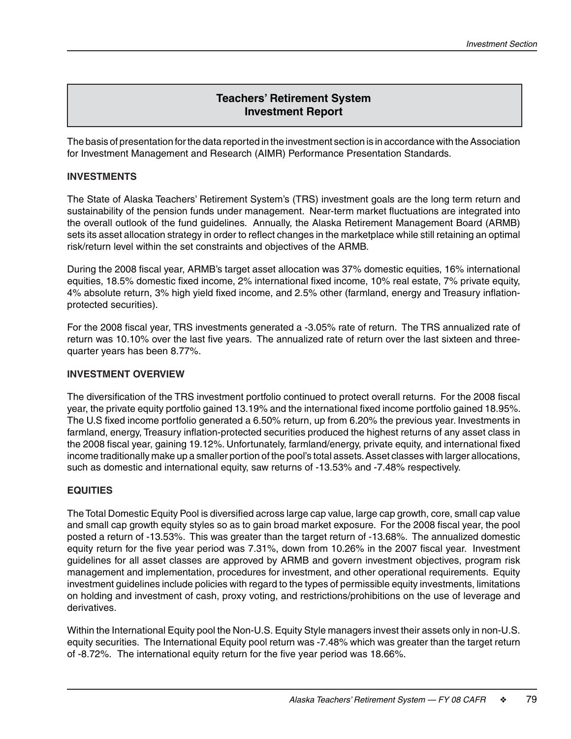# **Teachers' Retirement System Investment Report**

The basis of presentation for the data reported in the investment section is in accordance with the Association for Investment Management and Research (AIMR) Performance Presentation Standards.

# **INVESTMENTS**

The State of Alaska Teachers' Retirement System's (TRS) investment goals are the long term return and sustainability of the pension funds under management. Near-term market fluctuations are integrated into the overall outlook of the fund guidelines. Annually, the Alaska Retirement Management Board (ARMB) sets its asset allocation strategy in order to reflect changes in the marketplace while still retaining an optimal risk/return level within the set constraints and objectives of the ARMB.

During the 2008 fiscal year, ARMB's target asset allocation was 37% domestic equities, 16% international equities, 18.5% domestic fixed income, 2% international fixed income, 10% real estate, 7% private equity, 4% absolute return, 3% high yield fixed income, and 2.5% other (farmland, energy and Treasury inflationprotected securities).

For the 2008 fiscal year, TRS investments generated a -3.05% rate of return. The TRS annualized rate of return was 10.10% over the last five years. The annualized rate of return over the last sixteen and threequarter years has been 8.77%.

### **INVESTMENT OVERVIEW**

The diversification of the TRS investment portfolio continued to protect overall returns. For the 2008 fiscal year, the private equity portfolio gained 13.19% and the international fixed income portfolio gained 18.95%. The U.S fixed income portfolio generated a 6.50% return, up from 6.20% the previous year. Investments in farmland, energy, Treasury inflation-protected securities produced the highest returns of any asset class in the 2008 fiscal year, gaining 19.12%. Unfortunately, farmland/energy, private equity, and international fixed income traditionally make up a smaller portion of the pool's total assets. Asset classes with larger allocations, such as domestic and international equity, saw returns of -13.53% and -7.48% respectively.

# **EQUITIES**

The Total Domestic Equity Pool is diversified across large cap value, large cap growth, core, small cap value and small cap growth equity styles so as to gain broad market exposure. For the 2008 fiscal year, the pool posted a return of -13.53%. This was greater than the target return of -13.68%. The annualized domestic equity return for the five year period was 7.31%, down from 10.26% in the 2007 fiscal year. Investment guidelines for all asset classes are approved by ARMB and govern investment objectives, program risk management and implementation, procedures for investment, and other operational requirements. Equity investment guidelines include policies with regard to the types of permissible equity investments, limitations on holding and investment of cash, proxy voting, and restrictions/prohibitions on the use of leverage and derivatives.

Within the International Equity pool the Non-U.S. Equity Style managers invest their assets only in non-U.S. equity securities. The International Equity pool return was -7.48% which was greater than the target return of -8.72%. The international equity return for the five year period was 18.66%.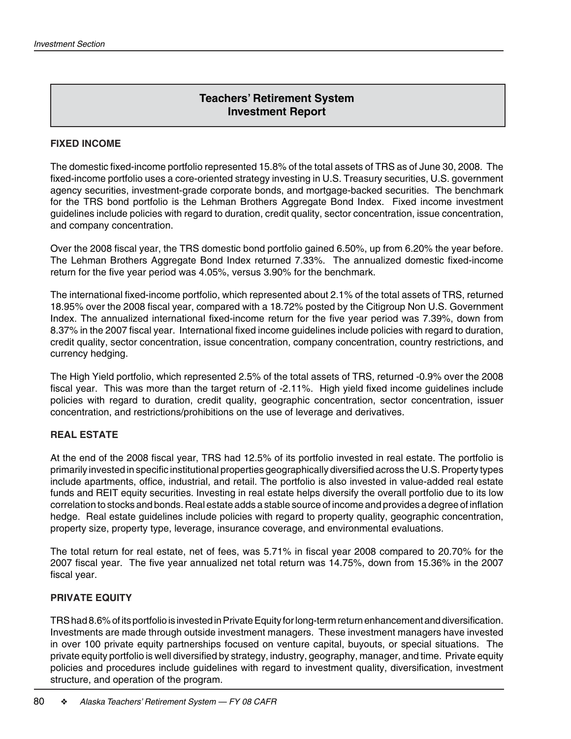# **Teachers' Retirement System Investment Report**

## **FIXED INCOME**

The domestic fixed-income portfolio represented 15.8% of the total assets of TRS as of June 30, 2008. The fixed-income portfolio uses a core-oriented strategy investing in U.S. Treasury securities, U.S. government agency securities, investment-grade corporate bonds, and mortgage-backed securities. The benchmark for the TRS bond portfolio is the Lehman Brothers Aggregate Bond Index. Fixed income investment guidelines include policies with regard to duration, credit quality, sector concentration, issue concentration, and company concentration.

Over the 2008 fiscal year, the TRS domestic bond portfolio gained 6.50%, up from 6.20% the year before. The Lehman Brothers Aggregate Bond Index returned 7.33%. The annualized domestic fixed-income return for the five year period was 4.05%, versus 3.90% for the benchmark.

The international fixed-income portfolio, which represented about 2.1% of the total assets of TRS, returned 18.95% over the 2008 fiscal year, compared with a 18.72% posted by the Citigroup Non U.S. Government Index. The annualized international fixed-income return for the five year period was 7.39%, down from 8.37% in the 2007 fiscal year. International fixed income guidelines include policies with regard to duration, credit quality, sector concentration, issue concentration, company concentration, country restrictions, and currency hedging.

The High Yield portfolio, which represented 2.5% of the total assets of TRS, returned -0.9% over the 2008 fiscal year. This was more than the target return of -2.11%. High yield fixed income guidelines include policies with regard to duration, credit quality, geographic concentration, sector concentration, issuer concentration, and restrictions/prohibitions on the use of leverage and derivatives.

#### **REAL ESTATE**

At the end of the 2008 fiscal year, TRS had 12.5% of its portfolio invested in real estate. The portfolio is primarily invested in specific institutional properties geographically diversified across the U.S. Property types include apartments, office, industrial, and retail. The portfolio is also invested in value-added real estate funds and REIT equity securities. Investing in real estate helps diversify the overall portfolio due to its low correlation to stocks and bonds. Real estate adds a stable source of income and provides a degree of inflation hedge. Real estate guidelines include policies with regard to property quality, geographic concentration, property size, property type, leverage, insurance coverage, and environmental evaluations.

The total return for real estate, net of fees, was 5.71% in fiscal year 2008 compared to 20.70% for the 2007 fiscal year. The five year annualized net total return was 14.75%, down from 15.36% in the 2007 fiscal year.

#### **PRIVATE EQUITY**

TRS had 8.6% of its portfolio is invested in Private Equity for long-term return enhancement and diversification. Investments are made through outside investment managers. These investment managers have invested in over 100 private equity partnerships focused on venture capital, buyouts, or special situations. The private equity portfolio is well diversified by strategy, industry, geography, manager, and time. Private equity policies and procedures include quidelines with regard to investment quality, diversification, investment structure, and operation of the program.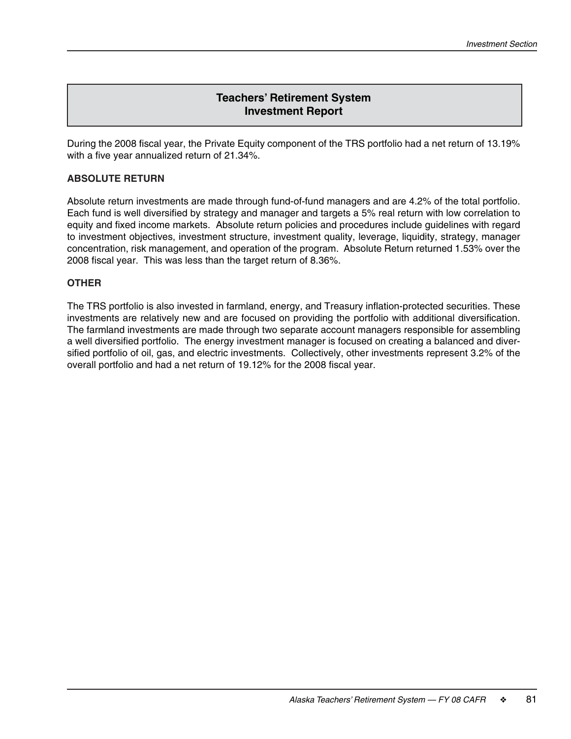# **Teachers' Retirement System Investment Report**

During the 2008 fiscal year, the Private Equity component of the TRS portfolio had a net return of 13.19% with a five year annualized return of 21.34%.

## **ABSOLUTE RETURN**

Absolute return investments are made through fund-of-fund managers and are 4.2% of the total portfolio. Each fund is well diversified by strategy and manager and targets a 5% real return with low correlation to equity and fixed income markets. Absolute return policies and procedures include guidelines with regard to investment objectives, investment structure, investment quality, leverage, liquidity, strategy, manager concentration, risk management, and operation of the program. Absolute Return returned 1.53% over the 2008 fiscal year. This was less than the target return of 8.36%.

#### **OTHER**

The TRS portfolio is also invested in farmland, energy, and Treasury inflation-protected securities. These investments are relatively new and are focused on providing the portfolio with additional diversification. The farmland investments are made through two separate account managers responsible for assembling a well diversified portfolio. The energy investment manager is focused on creating a balanced and diversified portfolio of oil, gas, and electric investments. Collectively, other investments represent 3.2% of the overall portfolio and had a net return of 19.12% for the 2008 fiscal year.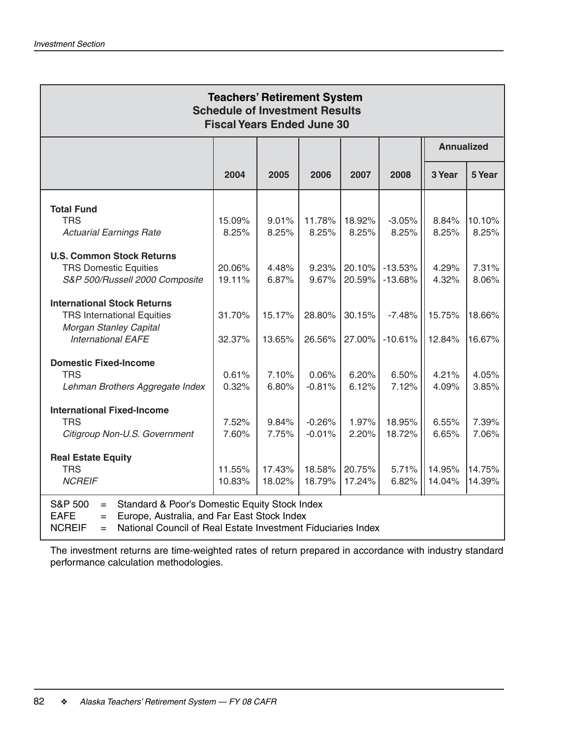| <b>Teachers' Retirement System</b><br><b>Schedule of Investment Results</b><br><b>Fiscal Years Ended June 30</b>                                                                                                                                                                                          |                                                         |                                                      |                                                               |                                                         |                                                                      |                                                      |                                                       |
|-----------------------------------------------------------------------------------------------------------------------------------------------------------------------------------------------------------------------------------------------------------------------------------------------------------|---------------------------------------------------------|------------------------------------------------------|---------------------------------------------------------------|---------------------------------------------------------|----------------------------------------------------------------------|------------------------------------------------------|-------------------------------------------------------|
|                                                                                                                                                                                                                                                                                                           |                                                         |                                                      |                                                               |                                                         |                                                                      |                                                      | <b>Annualized</b>                                     |
|                                                                                                                                                                                                                                                                                                           | 2004                                                    | 2005                                                 | 2006                                                          | 2007                                                    | 2008                                                                 | 3 Year                                               | 5 Year                                                |
| <b>Total Fund</b><br><b>TRS</b><br><b>Actuarial Earnings Rate</b><br><b>U.S. Common Stock Returns</b><br><b>TRS Domestic Equities</b><br>S&P 500/Russell 2000 Composite<br><b>International Stock Returns</b><br><b>TRS International Equities</b><br>Morgan Stanley Capital<br><b>International EAFE</b> | 15.09%<br>8.25%<br>20.06%<br>19.11%<br>31.70%<br>32.37% | 9.01%<br>8.25%<br>4.48%<br>6.87%<br>15.17%<br>13.65% | 11.78%<br>8.25%<br>9.23%<br>9.67%<br>28.80%<br>26.56%         | 18.92%<br>8.25%<br>20.10%<br>20.59%<br>30.15%<br>27.00% | $-3.05%$<br>8.25%<br>$-13.53%$<br>$-13.68%$<br>$-7.48%$<br>$-10.61%$ | 8.84%<br>8.25%<br>4.29%<br>4.32%<br>15.75%<br>12.84% | 10.10%<br>8.25%<br>7.31%<br>8.06%<br>18.66%<br>16.67% |
| <b>Domestic Fixed-Income</b><br><b>TRS</b><br>Lehman Brothers Aggregate Index<br><b>International Fixed-Income</b><br><b>TRS</b><br>Citigroup Non-U.S. Government<br><b>Real Estate Equity</b><br><b>TRS</b><br><b>NCREIF</b>                                                                             | 0.61%<br>0.32%<br>7.52%<br>7.60%<br>11.55%<br>10.83%    | 7.10%<br>6.80%<br>9.84%<br>7.75%<br>17.43%<br>18.02% | 0.06%<br>$-0.81%$<br>$-0.26%$<br>$-0.01%$<br>18.58%<br>18.79% | 6.20%<br>6.12%<br>1.97%<br>2.20%<br>20.75%<br>17.24%    | 6.50%<br>7.12%<br>18.95%<br>18.72%<br>5.71%<br>6.82%                 | 4.21%<br>4.09%<br>6.55%<br>6.65%<br>14.95%<br>14.04% | 4.05%<br>3.85%<br>7.39%<br>7.06%<br>14.75%<br>14.39%  |
| S&P 500<br>Standard & Poor's Domestic Equity Stock Index<br>$=$<br>Europe, Australia, and Far East Stock Index<br><b>EAFE</b><br>$=$<br>National Council of Real Estate Investment Fiduciaries Index<br><b>NCREIF</b><br>$=$                                                                              |                                                         |                                                      |                                                               |                                                         |                                                                      |                                                      |                                                       |

The investment returns are time-weighted rates of return prepared in accordance with industry standard performance calculation methodologies.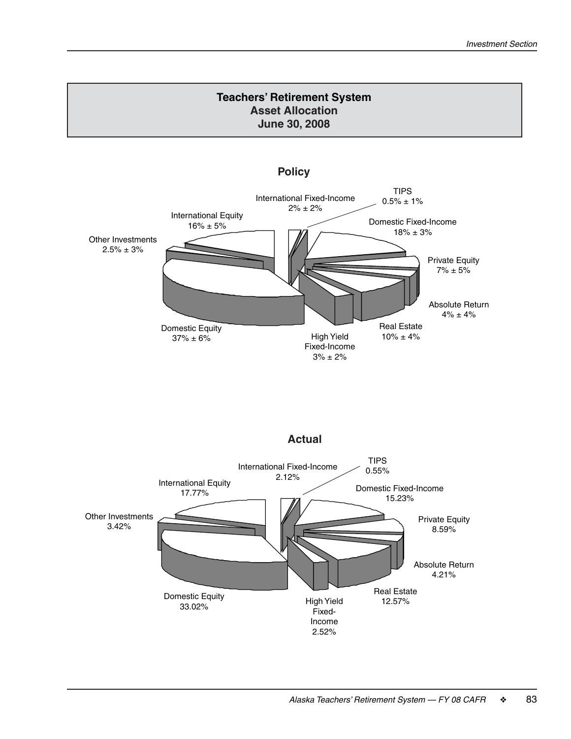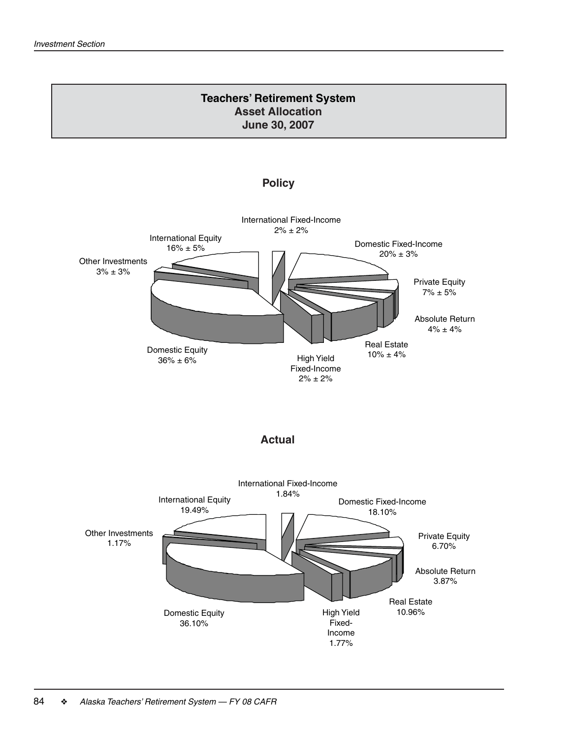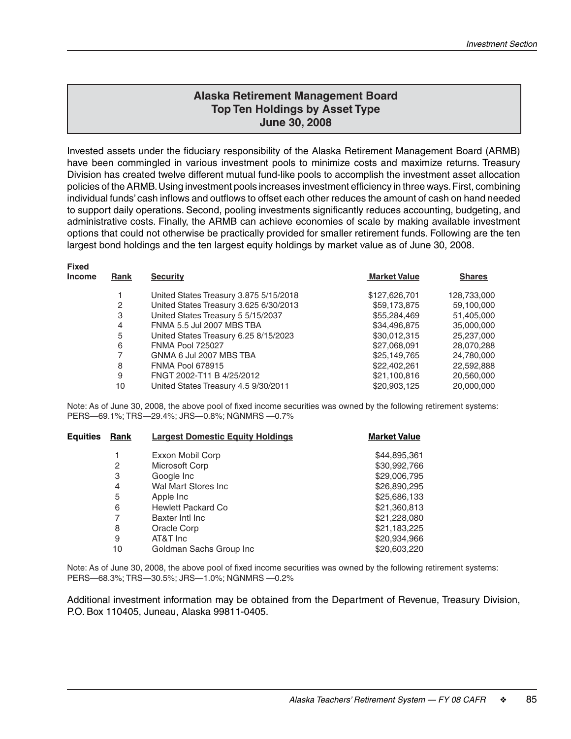# **Alaska Retirement Management Board Top Ten Holdings by Asset Type June 30, 2008**

Invested assets under the fiduciary responsibility of the Alaska Retirement Management Board (ARMB) have been commingled in various investment pools to minimize costs and maximize returns. Treasury Division has created twelve different mutual fund-like pools to accomplish the investment asset allocation policies of the ARMB. Using investment pools increases investment efficiency in three ways. First, combining individual funds' cash inflows and outflows to offset each other reduces the amount of cash on hand needed to support daily operations. Second, pooling investments significantly reduces accounting, budgeting, and administrative costs. Finally, the ARMB can achieve economies of scale by making available investment options that could not otherwise be practically provided for smaller retirement funds. Following are the ten largest bond holdings and the ten largest equity holdings by market value as of June 30, 2008.

#### **Fixed**

| <b>Income</b> | Rank | <b>Security</b>                        | <b>Market Value</b> | <b>Shares</b> |
|---------------|------|----------------------------------------|---------------------|---------------|
|               |      | United States Treasury 3.875 5/15/2018 | \$127,626,701       | 128,733,000   |
|               | 2    | United States Treasury 3.625 6/30/2013 | \$59,173,875        | 59,100,000    |
|               | 3    | United States Treasury 5 5/15/2037     | \$55,284,469        | 51,405,000    |
|               | 4    | FNMA 5.5 Jul 2007 MBS TBA              | \$34,496,875        | 35,000,000    |
|               | 5    | United States Treasury 6.25 8/15/2023  | \$30,012,315        | 25,237,000    |
|               | 6    | <b>FNMA Pool 725027</b>                | \$27,068,091        | 28,070,288    |
|               |      | GNMA 6 Jul 2007 MBS TBA                | \$25,149,765        | 24,780,000    |
|               | 8    | <b>FNMA Pool 678915</b>                | \$22,402,261        | 22,592,888    |
|               | 9    | FNGT 2002-T11 B 4/25/2012              | \$21,100,816        | 20,560,000    |
|               | 10   | United States Treasury 4.5 9/30/2011   | \$20,903,125        | 20,000,000    |
|               |      |                                        |                     |               |

Note: As of June 30, 2008, the above pool of fixed income securities was owned by the following retirement systems: PERS—69.1%; TRS—29.4%; JRS—0.8%; NGNMRS —0.7%

| <b>Equities</b> | Rank | <b>Largest Domestic Equity Holdings</b> | <b>Market Value</b> |
|-----------------|------|-----------------------------------------|---------------------|
|                 |      | Exxon Mobil Corp                        | \$44,895,361        |
|                 | 2    | Microsoft Corp                          | \$30,992,766        |
|                 | 3    | Google Inc                              | \$29,006,795        |
|                 | 4    | Wal Mart Stores Inc                     | \$26,890,295        |
|                 | 5    | Apple Inc                               | \$25,686,133        |
|                 | 6    | <b>Hewlett Packard Co</b>               | \$21,360,813        |
|                 | 7    | Baxter Intl Inc                         | \$21,228,080        |
|                 | 8    | Oracle Corp                             | \$21,183,225        |
|                 | 9    | AT&T Inc                                | \$20,934,966        |
|                 | 10   | Goldman Sachs Group Inc                 | \$20,603,220        |

Note: As of June 30, 2008, the above pool of fixed income securities was owned by the following retirement systems: PERS—68.3%; TRS—30.5%; JRS—1.0%; NGNMRS —0.2%

Additional investment information may be obtained from the Department of Revenue, Treasury Division, P.O. Box 110405, Juneau, Alaska 99811-0405.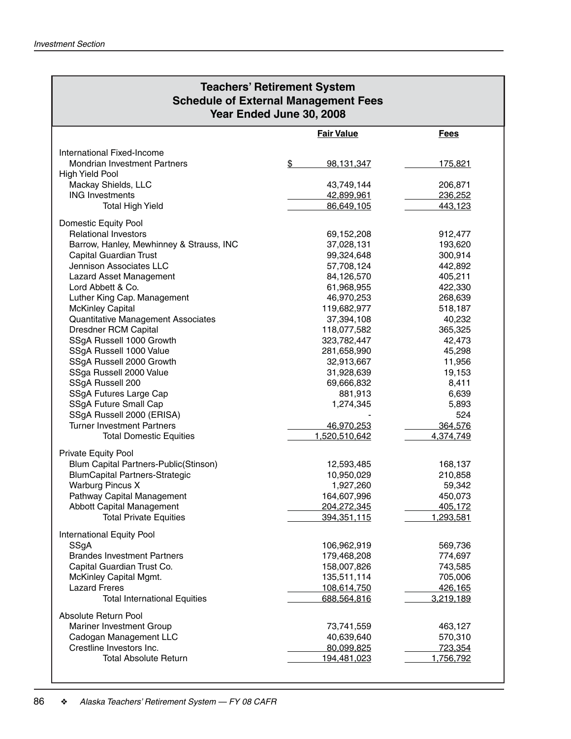| <b>Teachers' Retirement System</b><br><b>Schedule of External Management Fees</b><br>Year Ended June 30, 2008                                                                                                                                                                                                                                                                                                                                                                            |                                                                                                                                                                                                                               |                                                                                                                                                                     |  |
|------------------------------------------------------------------------------------------------------------------------------------------------------------------------------------------------------------------------------------------------------------------------------------------------------------------------------------------------------------------------------------------------------------------------------------------------------------------------------------------|-------------------------------------------------------------------------------------------------------------------------------------------------------------------------------------------------------------------------------|---------------------------------------------------------------------------------------------------------------------------------------------------------------------|--|
|                                                                                                                                                                                                                                                                                                                                                                                                                                                                                          | <b>Fair Value</b>                                                                                                                                                                                                             | <b>Fees</b>                                                                                                                                                         |  |
| International Fixed-Income<br><b>Mondrian Investment Partners</b><br>High Yield Pool<br>Mackay Shields, LLC                                                                                                                                                                                                                                                                                                                                                                              | $\frac{2}{2}$<br>98,131,347<br>43,749,144                                                                                                                                                                                     | <u>175,821</u><br>206,871                                                                                                                                           |  |
| <b>ING Investments</b><br><b>Total High Yield</b>                                                                                                                                                                                                                                                                                                                                                                                                                                        | 42,899,961<br>86,649,105                                                                                                                                                                                                      | 236,252<br>443,123                                                                                                                                                  |  |
| Domestic Equity Pool<br><b>Relational Investors</b><br>Barrow, Hanley, Mewhinney & Strauss, INC<br>Capital Guardian Trust<br>Jennison Associates LLC<br>Lazard Asset Management<br>Lord Abbett & Co.<br>Luther King Cap. Management<br><b>McKinley Capital</b><br>Quantitative Management Associates<br>Dresdner RCM Capital<br>SSgA Russell 1000 Growth<br>SSgA Russell 1000 Value<br>SSgA Russell 2000 Growth<br>SSga Russell 2000 Value<br>SSgA Russell 200<br>SSgA Futures Large Cap | 69,152,208<br>37,028,131<br>99,324,648<br>57,708,124<br>84,126,570<br>61,968,955<br>46,970,253<br>119,682,977<br>37,394,108<br>118,077,582<br>323,782,447<br>281,658,990<br>32,913,667<br>31,928,639<br>69,666,832<br>881,913 | 912,477<br>193,620<br>300,914<br>442,892<br>405,211<br>422,330<br>268,639<br>518,187<br>40,232<br>365,325<br>42,473<br>45,298<br>11,956<br>19,153<br>8,411<br>6,639 |  |
| SSgA Future Small Cap<br>SSgA Russell 2000 (ERISA)<br><b>Turner Investment Partners</b><br><b>Total Domestic Equities</b><br>Private Equity Pool                                                                                                                                                                                                                                                                                                                                         | 1,274,345<br>46,970,253<br>1,520,510,642                                                                                                                                                                                      | 5,893<br>524<br>364,576<br>4,374,749                                                                                                                                |  |
| Blum Capital Partners-Public(Stinson)<br><b>BlumCapital Partners-Strategic</b><br>Warburg Pincus X<br>Pathway Capital Management<br>Abbott Capital Management<br><b>Total Private Equities</b>                                                                                                                                                                                                                                                                                           | 12,593,485<br>10,950,029<br>1,927,260<br>164,607,996<br>204,272,345<br>394,351,115                                                                                                                                            | 168,137<br>210,858<br>59,342<br>450,073<br>405,172<br>1,293,581                                                                                                     |  |
| International Equity Pool<br>SSgA<br><b>Brandes Investment Partners</b><br>Capital Guardian Trust Co.<br><b>McKinley Capital Mgmt.</b><br><b>Lazard Freres</b><br><b>Total International Equities</b>                                                                                                                                                                                                                                                                                    | 106,962,919<br>179,468,208<br>158,007,826<br>135,511,114<br>108,614,750<br>688,564,816                                                                                                                                        | 569,736<br>774,697<br>743,585<br>705,006<br>426,165<br>3,219,189                                                                                                    |  |
| Absolute Return Pool<br>Mariner Investment Group<br>Cadogan Management LLC<br>Crestline Investors Inc.<br><b>Total Absolute Return</b>                                                                                                                                                                                                                                                                                                                                                   | 73,741,559<br>40,639,640<br>80,099,825<br>194,481,023                                                                                                                                                                         | 463,127<br>570,310<br>723,354<br>1,756,792                                                                                                                          |  |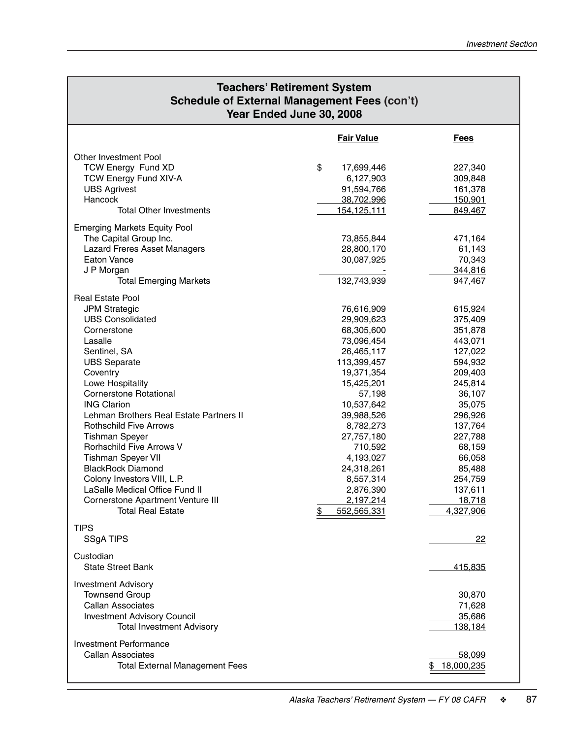| <b>Teachers' Retirement System</b>           |  |  |
|----------------------------------------------|--|--|
| Schedule of External Management Fees (con't) |  |  |
| Year Ended June 30, 2008                     |  |  |

|                                          | <b>Fair Value</b> | <b>Fees</b>      |
|------------------------------------------|-------------------|------------------|
| <b>Other Investment Pool</b>             |                   |                  |
| <b>TCW Energy Fund XD</b>                | \$<br>17,699,446  | 227,340          |
| <b>TCW Energy Fund XIV-A</b>             | 6,127,903         | 309,848          |
| <b>UBS Agrivest</b>                      | 91,594,766        | 161,378          |
| Hancock                                  | 38,702,996        | 150,901          |
| <b>Total Other Investments</b>           | 154,125,111       | 849,467          |
|                                          |                   |                  |
| <b>Emerging Markets Equity Pool</b>      |                   |                  |
| The Capital Group Inc.                   | 73,855,844        | 471,164          |
| <b>Lazard Freres Asset Managers</b>      | 28,800,170        | 61,143           |
| <b>Eaton Vance</b>                       | 30,087,925        | 70,343           |
| J P Morgan                               |                   | 344,816          |
| <b>Total Emerging Markets</b>            | 132,743,939       | 947,467          |
| <b>Real Estate Pool</b>                  |                   |                  |
| <b>JPM Strategic</b>                     | 76,616,909        | 615,924          |
| <b>UBS Consolidated</b>                  | 29,909,623        | 375,409          |
| Cornerstone                              | 68,305,600        | 351,878          |
| Lasalle                                  | 73,096,454        | 443,071          |
| Sentinel, SA                             | 26,465,117        | 127,022          |
| <b>UBS Separate</b>                      | 113,399,457       | 594,932          |
| Coventry                                 | 19,371,354        | 209,403          |
| Lowe Hospitality                         | 15,425,201        | 245,814          |
| <b>Cornerstone Rotational</b>            | 57,198            | 36,107           |
| <b>ING Clarion</b>                       | 10,537,642        | 35,075           |
| Lehman Brothers Real Estate Partners II  | 39,988,526        | 296,926          |
| <b>Rothschild Five Arrows</b>            | 8,782,273         | 137,764          |
| <b>Tishman Speyer</b>                    | 27,757,180        | 227,788          |
| <b>Rorhschild Five Arrows V</b>          | 710,592           | 68,159           |
| <b>Tishman Speyer VII</b>                | 4,193,027         | 66,058           |
| <b>BlackRock Diamond</b>                 | 24,318,261        | 85,488           |
| Colony Investors VIII, L.P.              | 8,557,314         | 254,759          |
| LaSalle Medical Office Fund II           | 2,876,390         | 137,611          |
| <b>Cornerstone Apartment Venture III</b> | 2,197,214         | 18,718           |
| <b>Total Real Estate</b>                 | 552,565,331<br>\$ | 4,327,906        |
|                                          |                   |                  |
| <b>TIPS</b>                              |                   |                  |
| <b>SSgA TIPS</b>                         |                   | 22               |
| Custodian                                |                   |                  |
| <b>State Street Bank</b>                 |                   | <u>415,835</u>   |
|                                          |                   |                  |
| <b>Investment Advisory</b>               |                   |                  |
| <b>Townsend Group</b>                    |                   | 30,870           |
| <b>Callan Associates</b>                 |                   | 71,628           |
| <b>Investment Advisory Council</b>       |                   | 35,686           |
| <b>Total Investment Advisory</b>         |                   | 138,184          |
| <b>Investment Performance</b>            |                   |                  |
| <b>Callan Associates</b>                 |                   | 58,099           |
| <b>Total External Management Fees</b>    |                   | 18,000,235<br>\$ |
|                                          |                   |                  |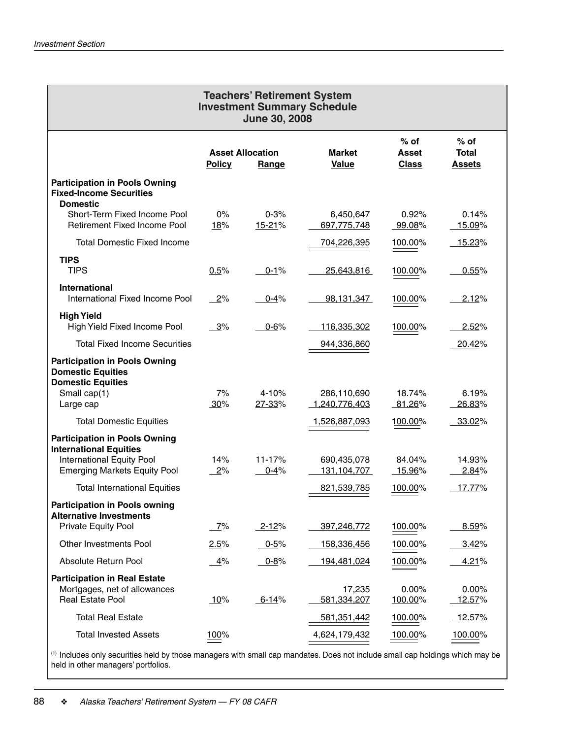| <b>Teachers' Retirement System</b><br><b>Investment Summary Schedule</b><br><b>June 30, 2008</b>                                                                 |               |                                  |                               |                                 |                                  |
|------------------------------------------------------------------------------------------------------------------------------------------------------------------|---------------|----------------------------------|-------------------------------|---------------------------------|----------------------------------|
|                                                                                                                                                                  | <b>Policy</b> | <b>Asset Allocation</b><br>Range | <b>Market</b><br><b>Value</b> | $%$ of<br>Asset<br><b>Class</b> | $%$ of<br>Total<br><b>Assets</b> |
| <b>Participation in Pools Owning</b><br><b>Fixed-Income Securities</b><br><b>Domestic</b><br>Short-Term Fixed Income Pool<br><b>Retirement Fixed Income Pool</b> | $0\%$<br>18%  | $0 - 3%$<br>15-21%               | 6,450,647<br>697,775,748      | 0.92%<br>99.08%                 | 0.14%<br>15.09%                  |
| <b>Total Domestic Fixed Income</b>                                                                                                                               |               |                                  | 704,226,395                   | 100.00%                         | 15.23%                           |
| <b>TIPS</b><br><b>TIPS</b>                                                                                                                                       | 0.5%          | $0 - 1%$                         | 25,643,816                    | 100.00%                         | 0.55%                            |
| International<br>International Fixed Income Pool                                                                                                                 | 2%            | $0 - 4%$                         | 98,131,347                    | 100.00%                         | 2.12%                            |
| <b>High Yield</b><br>High Yield Fixed Income Pool                                                                                                                | 3%            | $0 - 6%$                         | 116,335,302                   | 100.00%                         | 2.52%                            |
| <b>Total Fixed Income Securities</b>                                                                                                                             |               |                                  | 944,336,860                   |                                 | 20.42%                           |
| <b>Participation in Pools Owning</b><br><b>Domestic Equities</b><br><b>Domestic Equities</b><br>Small cap(1)<br>Large cap                                        | 7%<br>30%     | 4-10%<br>27-33%                  | 286,110,690<br>1,240,776,403  | 18.74%<br>81.26%                | 6.19%<br>26.83%                  |
| <b>Total Domestic Equities</b>                                                                                                                                   |               |                                  | 1,526,887,093                 | 100.00%                         | 33.02%                           |
| <b>Participation in Pools Owning</b><br><b>International Equities</b><br>International Equity Pool<br><b>Emerging Markets Equity Pool</b>                        | 14%<br>$-2\%$ | 11-17%<br>$0 - 4%$               | 690,435,078<br>131,104,707    | 84.04%<br>15.96%                | 14.93%<br>2.84%                  |
| <b>Total International Equities</b>                                                                                                                              |               |                                  | 821,539,785                   | 100.00%                         | 17.77%                           |
| <b>Participation in Pools owning</b><br><b>Alternative Investments</b><br>Private Equity Pool                                                                    | $Z\%$         | $2 - 12%$                        | 397,246,772                   | 100.00%                         | 8.59%                            |
| Other Investments Pool                                                                                                                                           | 2.5%          | 0.5%                             | 158,336,456                   | 100.00%                         | 3.42%                            |
| Absolute Return Pool                                                                                                                                             | 4%            | $0 - 8%$                         | 194,481,024                   | 100.00%                         | 4.21%                            |
| <b>Participation in Real Estate</b><br>Mortgages, net of allowances<br>Real Estate Pool                                                                          | 10%           | $6 - 14%$                        | 17,235<br>581,334,207         | 0.00%<br>100.00%                | 0.00%<br>12.57%                  |
| <b>Total Real Estate</b>                                                                                                                                         |               |                                  | 581,351,442                   | 100.00%                         | <u>12.57</u> %                   |
| <b>Total Invested Assets</b>                                                                                                                                     | 100%          |                                  | 4,624,179,432                 | 100.00%                         | 100.00%                          |

(1) Includes only securities held by those managers with small cap mandates. Does not include small cap holdings which may be held in other managers' portfolios.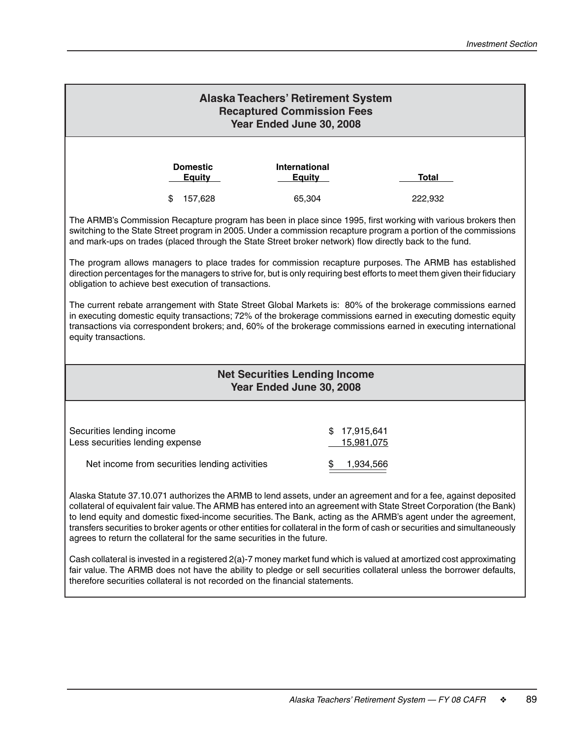| <b>Alaska Teachers' Retirement System</b><br><b>Recaptured Commission Fees</b><br>Year Ended June 30, 2008                                                                                                                                                                                                                                                                                                                                                                                                                                                          |                                               |                                |              |
|---------------------------------------------------------------------------------------------------------------------------------------------------------------------------------------------------------------------------------------------------------------------------------------------------------------------------------------------------------------------------------------------------------------------------------------------------------------------------------------------------------------------------------------------------------------------|-----------------------------------------------|--------------------------------|--------------|
|                                                                                                                                                                                                                                                                                                                                                                                                                                                                                                                                                                     | <b>Domestic</b><br><b>Equity</b>              | International<br><b>Equity</b> | <b>Total</b> |
|                                                                                                                                                                                                                                                                                                                                                                                                                                                                                                                                                                     | \$<br>157,628                                 | 65,304                         | 222,932      |
| The ARMB's Commission Recapture program has been in place since 1995, first working with various brokers then<br>switching to the State Street program in 2005. Under a commission recapture program a portion of the commissions<br>and mark-ups on trades (placed through the State Street broker network) flow directly back to the fund.                                                                                                                                                                                                                        |                                               |                                |              |
| The program allows managers to place trades for commission recapture purposes. The ARMB has established<br>direction percentages for the managers to strive for, but is only requiring best efforts to meet them given their fiduciary<br>obligation to achieve best execution of transactions.                                                                                                                                                                                                                                                                     |                                               |                                |              |
| The current rebate arrangement with State Street Global Markets is: 80% of the brokerage commissions earned<br>in executing domestic equity transactions; 72% of the brokerage commissions earned in executing domestic equity<br>transactions via correspondent brokers; and, 60% of the brokerage commissions earned in executing international<br>equity transactions.                                                                                                                                                                                           |                                               |                                |              |
| <b>Net Securities Lending Income</b><br>Year Ended June 30, 2008                                                                                                                                                                                                                                                                                                                                                                                                                                                                                                    |                                               |                                |              |
|                                                                                                                                                                                                                                                                                                                                                                                                                                                                                                                                                                     |                                               |                                |              |
| Securities lending income<br>Less securities lending expense                                                                                                                                                                                                                                                                                                                                                                                                                                                                                                        |                                               | 17,915,641<br>\$               | 15,981,075   |
|                                                                                                                                                                                                                                                                                                                                                                                                                                                                                                                                                                     | Net income from securities lending activities |                                | 1,934,566    |
| Alaska Statute 37.10.071 authorizes the ARMB to lend assets, under an agreement and for a fee, against deposited<br>collateral of equivalent fair value. The ARMB has entered into an agreement with State Street Corporation (the Bank)<br>to lend equity and domestic fixed-income securities. The Bank, acting as the ARMB's agent under the agreement,<br>transfers securities to broker agents or other entities for collateral in the form of cash or securities and simultaneously<br>agrees to return the collateral for the same securities in the future. |                                               |                                |              |
| Cash collateral is invested in a registered 2(a)-7 money market fund which is valued at amortized cost approximating<br>fair value. The ARMB does not have the ability to pledge or sell securities collateral unless the borrower defaults,<br>therefore securities collateral is not recorded on the financial statements.                                                                                                                                                                                                                                        |                                               |                                |              |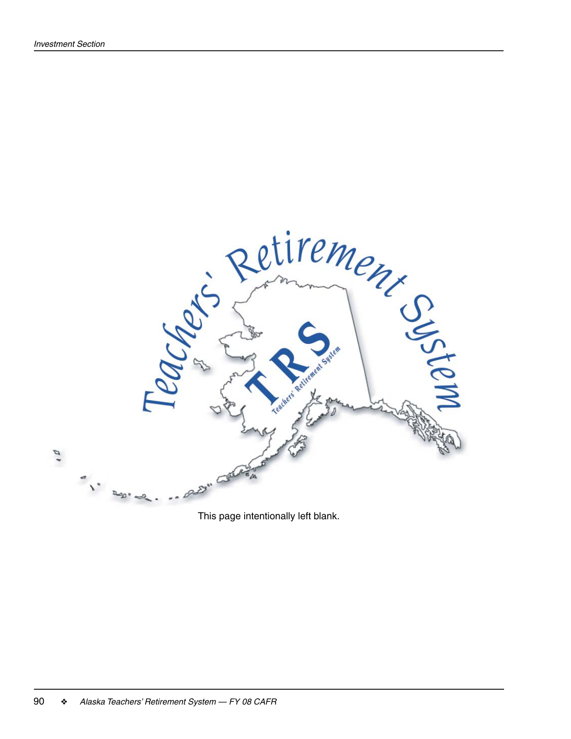

This page intentionally left blank.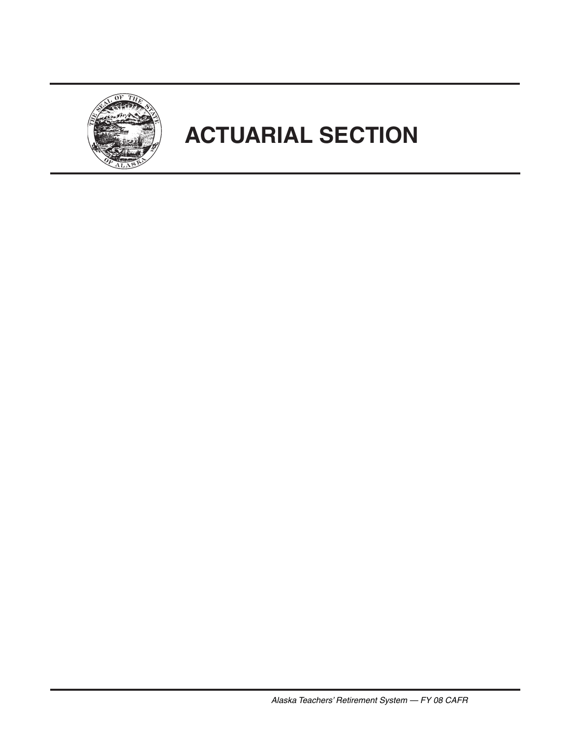

# **ACTUARIAL SECTION**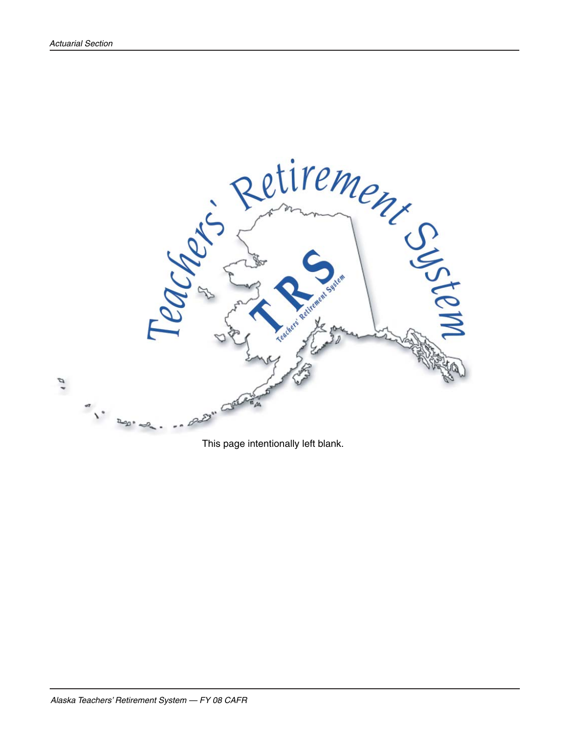

This page intentionally left blank.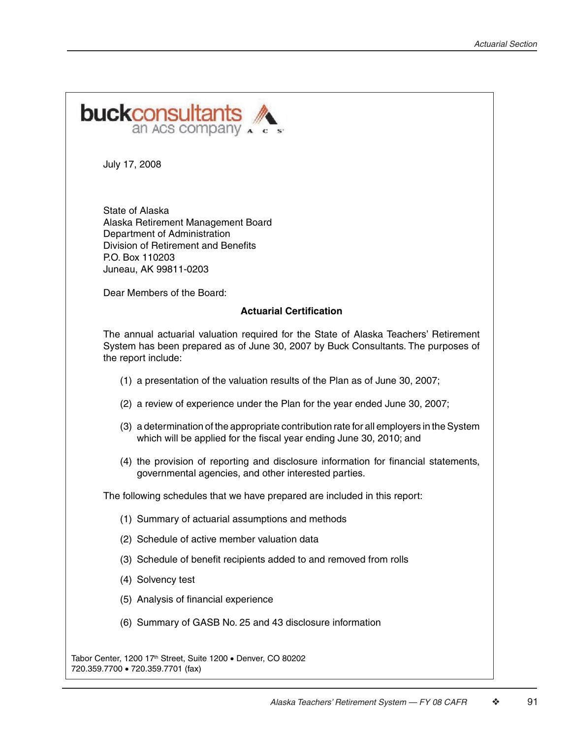

720.359.7700 720.359.7701 (fax)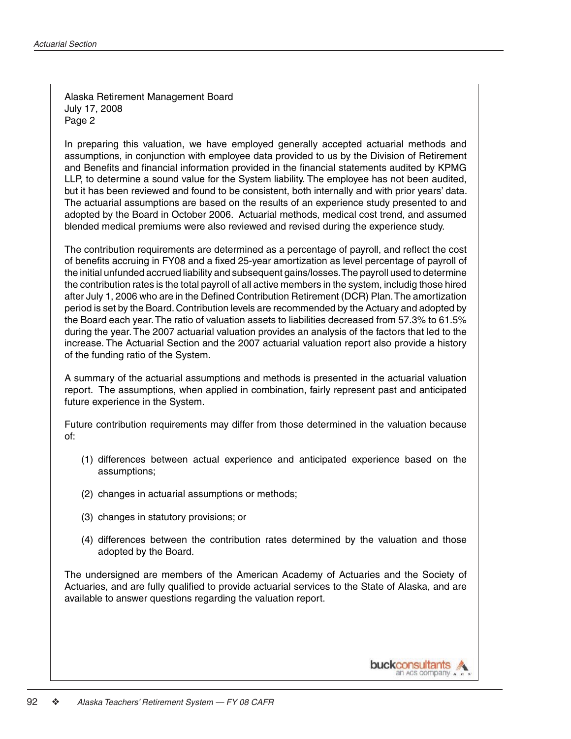Alaska Retirement Management Board July 17, 2008 Page 2

In preparing this valuation, we have employed generally accepted actuarial methods and assumptions, in conjunction with employee data provided to us by the Division of Retirement and Benefits and financial information provided in the financial statements audited by KPMG LLP, to determine a sound value for the System liability. The employee has not been audited, but it has been reviewed and found to be consistent, both internally and with prior years' data. The actuarial assumptions are based on the results of an experience study presented to and adopted by the Board in October 2006. Actuarial methods, medical cost trend, and assumed blended medical premiums were also reviewed and revised during the experience study.

The contribution requirements are determined as a percentage of payroll, and reflect the cost of benefits accruing in FY08 and a fixed 25-year amortization as level percentage of payroll of the initial unfunded accrued liability and subsequent gains/losses. The payroll used to determine the contribution rates is the total payroll of all active members in the system, includig those hired after July 1, 2006 who are in the Defined Contribution Retirement (DCR) Plan. The amortization period is set by the Board. Contribution levels are recommended by the Actuary and adopted by the Board each year. The ratio of valuation assets to liabilities decreased from 57.3% to 61.5% during the year. The 2007 actuarial valuation provides an analysis of the factors that led to the increase. The Actuarial Section and the 2007 actuarial valuation report also provide a history of the funding ratio of the System.

A summary of the actuarial assumptions and methods is presented in the actuarial valuation report. The assumptions, when applied in combination, fairly represent past and anticipated future experience in the System.

Future contribution requirements may differ from those determined in the valuation because of:

- (1) differences between actual experience and anticipated experience based on the assumptions;
- (2) changes in actuarial assumptions or methods;
- (3) changes in statutory provisions; or
- (4) differences between the contribution rates determined by the valuation and those adopted by the Board.

The undersigned are members of the American Academy of Actuaries and the Society of Actuaries, and are fully qualified to provide actuarial services to the State of Alaska, and are available to answer questions regarding the valuation report.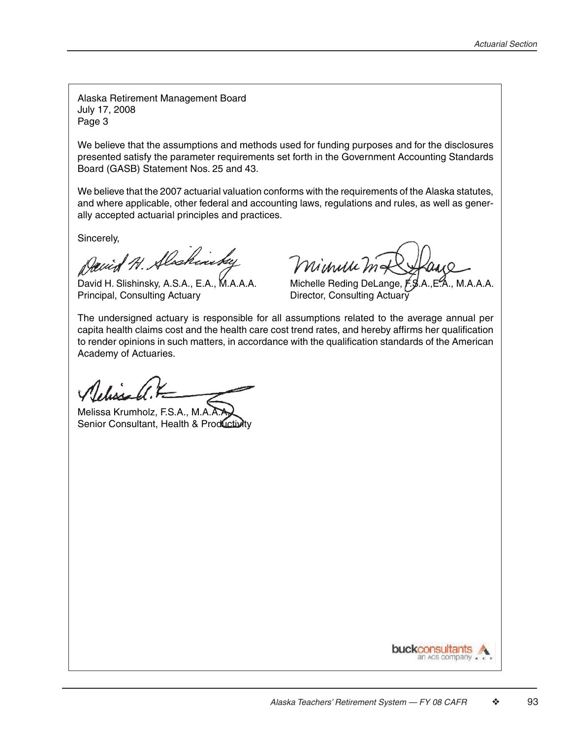Alaska Retirement Management Board July 17, 2008 Page 3

We believe that the assumptions and methods used for funding purposes and for the disclosures presented satisfy the parameter requirements set forth in the Government Accounting Standards Board (GASB) Statement Nos. 25 and 43.

We believe that the 2007 actuarial valuation conforms with the requirements of the Alaska statutes, and where applicable, other federal and accounting laws, regulations and rules, as well as generally accepted actuarial principles and practices.

Sincerely,

David H. Alschinsky

Principal, Consulting Actuary **Director, Consulting Actuary** 

minum mat

David H. Slishinsky, A.S.A., E.A., M.A.A.A. Michelle Reding DeLange,  $f, g, A, E, A$ ., M.A.A.A.A.

The undersigned actuary is responsible for all assumptions related to the average annual per capita health claims cost and the health care cost trend rates, and hereby affirms her qualification to render opinions in such matters, in accordance with the qualification standards of the American Academy of Actuaries.

Melissa Krumholz, F.S.A., M.A. Senior Consultant, Health & Productivity

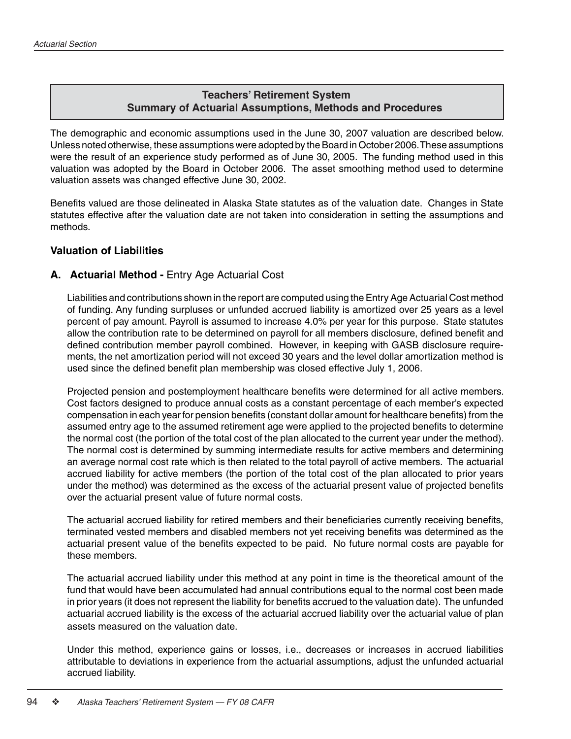# **Teachers' Retirement System Summary of Actuarial Assumptions, Methods and Procedures**

The demographic and economic assumptions used in the June 30, 2007 valuation are described below. Unless noted otherwise, these assumptions were adopted by the Board in October 2006. These assumptions were the result of an experience study performed as of June 30, 2005. The funding method used in this valuation was adopted by the Board in October 2006. The asset smoothing method used to determine valuation assets was changed effective June 30, 2002.

Benefits valued are those delineated in Alaska State statutes as of the valuation date. Changes in State statutes effective after the valuation date are not taken into consideration in setting the assumptions and methods.

# **Valuation of Liabilities**

# **A. Actuarial Method -** Entry Age Actuarial Cost

Liabilities and contributions shown in the report are computed using the Entry Age Actuarial Cost method of funding. Any funding surpluses or unfunded accrued liability is amortized over 25 years as a level percent of pay amount. Payroll is assumed to increase 4.0% per year for this purpose. State statutes allow the contribution rate to be determined on payroll for all members disclosure, defined benefit and defined contribution member payroll combined. However, in keeping with GASB disclosure requirements, the net amortization period will not exceed 30 years and the level dollar amortization method is used since the defined benefit plan membership was closed effective July 1, 2006.

Projected pension and postemployment healthcare benefits were determined for all active members. Cost factors designed to produce annual costs as a constant percentage of each member's expected compensation in each year for pension benefits (constant dollar amount for healthcare benefits) from the assumed entry age to the assumed retirement age were applied to the projected benefits to determine the normal cost (the portion of the total cost of the plan allocated to the current year under the method). The normal cost is determined by summing intermediate results for active members and determining an average normal cost rate which is then related to the total payroll of active members. The actuarial accrued liability for active members (the portion of the total cost of the plan allocated to prior years under the method) was determined as the excess of the actuarial present value of projected benefits over the actuarial present value of future normal costs.

The actuarial accrued liability for retired members and their beneficiaries currently receiving benefits, terminated vested members and disabled members not yet receiving benefits was determined as the actuarial present value of the benefits expected to be paid. No future normal costs are payable for these members.

The actuarial accrued liability under this method at any point in time is the theoretical amount of the fund that would have been accumulated had annual contributions equal to the normal cost been made in prior years (it does not represent the liability for benefits accrued to the valuation date). The unfunded actuarial accrued liability is the excess of the actuarial accrued liability over the actuarial value of plan assets measured on the valuation date.

Under this method, experience gains or losses, i.e., decreases or increases in accrued liabilities attributable to deviations in experience from the actuarial assumptions, adjust the unfunded actuarial accrued liability.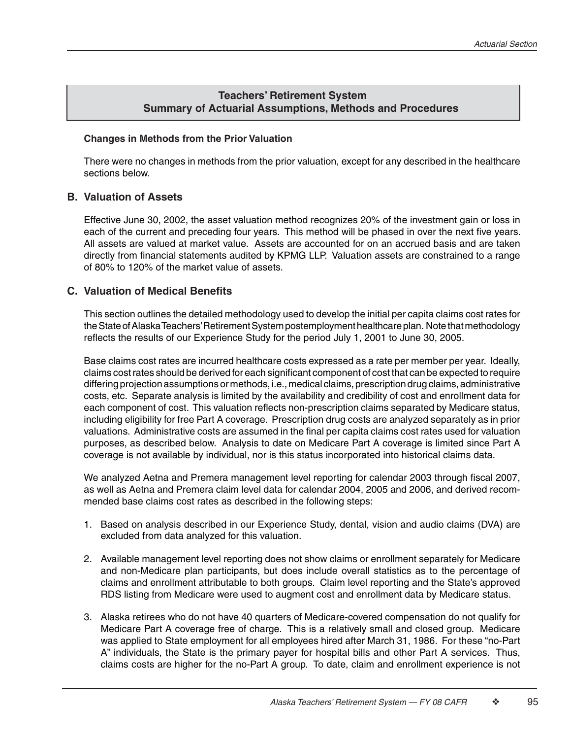# **Teachers' Retirement System Summary of Actuarial Assumptions, Methods and Procedures**

### **Changes in Methods from the Prior Valuation**

There were no changes in methods from the prior valuation, except for any described in the healthcare sections below.

# **B. Valuation of Assets**

Effective June 30, 2002, the asset valuation method recognizes 20% of the investment gain or loss in each of the current and preceding four years. This method will be phased in over the next five years. All assets are valued at market value. Assets are accounted for on an accrued basis and are taken directly from financial statements audited by KPMG LLP. Valuation assets are constrained to a range of 80% to 120% of the market value of assets.

# **C. Valuation of Medical Benefits**

This section outlines the detailed methodology used to develop the initial per capita claims cost rates for the State of Alaska Teachers' Retirement System postemployment healthcare plan. Note that methodology reflects the results of our Experience Study for the period July 1, 2001 to June 30, 2005.

Base claims cost rates are incurred healthcare costs expressed as a rate per member per year. Ideally, claims cost rates should be derived for each significant component of cost that can be expected to require differing projection assumptions or methods, i.e., medical claims, prescription drug claims, administrative costs, etc. Separate analysis is limited by the availability and credibility of cost and enrollment data for each component of cost. This valuation reflects non-prescription claims separated by Medicare status, including eligibility for free Part A coverage. Prescription drug costs are analyzed separately as in prior valuations. Administrative costs are assumed in the final per capita claims cost rates used for valuation purposes, as described below. Analysis to date on Medicare Part A coverage is limited since Part A coverage is not available by individual, nor is this status incorporated into historical claims data.

We analyzed Aetna and Premera management level reporting for calendar 2003 through fiscal 2007, as well as Aetna and Premera claim level data for calendar 2004, 2005 and 2006, and derived recommended base claims cost rates as described in the following steps:

- 1. Based on analysis described in our Experience Study, dental, vision and audio claims (DVA) are excluded from data analyzed for this valuation.
- 2. Available management level reporting does not show claims or enrollment separately for Medicare and non-Medicare plan participants, but does include overall statistics as to the percentage of claims and enrollment attributable to both groups. Claim level reporting and the State's approved RDS listing from Medicare were used to augment cost and enrollment data by Medicare status.
- 3. Alaska retirees who do not have 40 quarters of Medicare-covered compensation do not qualify for Medicare Part A coverage free of charge. This is a relatively small and closed group. Medicare was applied to State employment for all employees hired after March 31, 1986. For these "no-Part A" individuals, the State is the primary payer for hospital bills and other Part A services. Thus, claims costs are higher for the no-Part A group. To date, claim and enrollment experience is not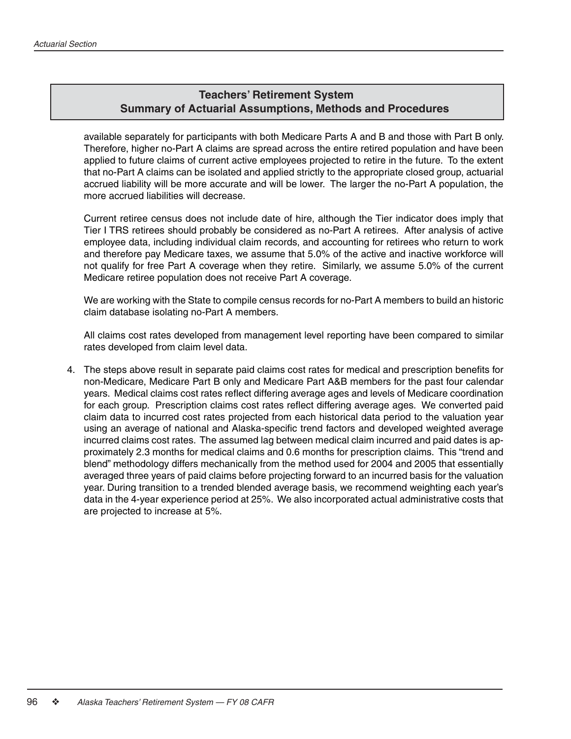# **Teachers' Retirement System Summary of Actuarial Assumptions, Methods and Procedures**

available separately for participants with both Medicare Parts A and B and those with Part B only. Therefore, higher no-Part A claims are spread across the entire retired population and have been applied to future claims of current active employees projected to retire in the future. To the extent that no-Part A claims can be isolated and applied strictly to the appropriate closed group, actuarial accrued liability will be more accurate and will be lower. The larger the no-Part A population, the more accrued liabilities will decrease.

 Current retiree census does not include date of hire, although the Tier indicator does imply that Tier I TRS retirees should probably be considered as no-Part A retirees. After analysis of active employee data, including individual claim records, and accounting for retirees who return to work and therefore pay Medicare taxes, we assume that 5.0% of the active and inactive workforce will not qualify for free Part A coverage when they retire. Similarly, we assume 5.0% of the current Medicare retiree population does not receive Part A coverage.

 We are working with the State to compile census records for no-Part A members to build an historic claim database isolating no-Part A members.

 All claims cost rates developed from management level reporting have been compared to similar rates developed from claim level data.

4. The steps above result in separate paid claims cost rates for medical and prescription benefits for non-Medicare, Medicare Part B only and Medicare Part A&B members for the past four calendar years. Medical claims cost rates reflect differing average ages and levels of Medicare coordination for each group. Prescription claims cost rates reflect differing average ages. We converted paid claim data to incurred cost rates projected from each historical data period to the valuation year using an average of national and Alaska-specific trend factors and developed weighted average incurred claims cost rates. The assumed lag between medical claim incurred and paid dates is approximately 2.3 months for medical claims and 0.6 months for prescription claims. This "trend and blend" methodology differs mechanically from the method used for 2004 and 2005 that essentially averaged three years of paid claims before projecting forward to an incurred basis for the valuation year. During transition to a trended blended average basis, we recommend weighting each year's data in the 4-year experience period at 25%. We also incorporated actual administrative costs that are projected to increase at 5%.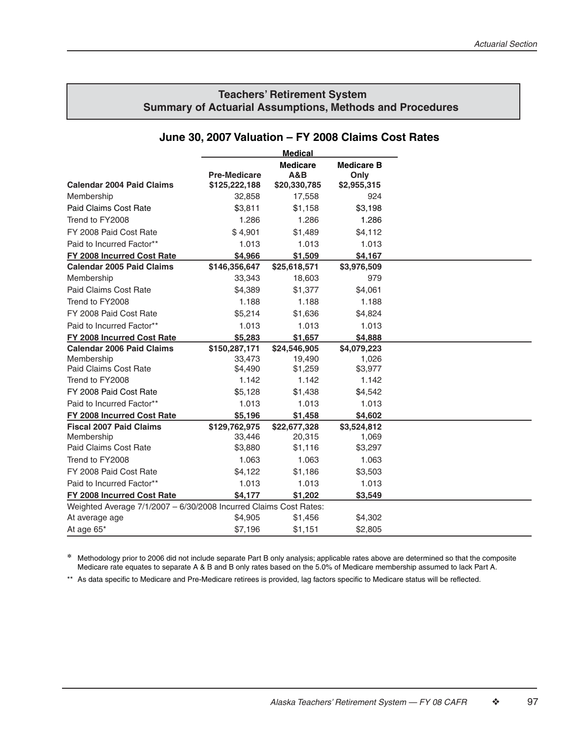### **June 30, 2007 Valuation – FY 2008 Claims Cost Rates**

|                                                                   |                     | <b>Medical</b>  |                   |
|-------------------------------------------------------------------|---------------------|-----------------|-------------------|
|                                                                   |                     | <b>Medicare</b> | <b>Medicare B</b> |
|                                                                   | <b>Pre-Medicare</b> | A&B             | Only              |
| <b>Calendar 2004 Paid Claims</b>                                  | \$125,222,188       | \$20,330,785    | \$2,955,315       |
| Membership                                                        | 32,858              | 17,558          | 924               |
| Paid Claims Cost Rate                                             | \$3,811             | \$1,158         | \$3,198           |
| Trend to FY2008                                                   | 1.286               | 1.286           | 1.286             |
| FY 2008 Paid Cost Rate                                            | \$4,901             | \$1,489         | \$4,112           |
| Paid to Incurred Factor**                                         | 1.013               | 1.013           | 1.013             |
| FY 2008 Incurred Cost Rate                                        | \$4,966             | \$1,509         | \$4,167           |
| <b>Calendar 2005 Paid Claims</b>                                  | \$146,356,647       | \$25,618,571    | \$3,976,509       |
| Membership                                                        | 33,343              | 18,603          | 979               |
| <b>Paid Claims Cost Rate</b>                                      | \$4,389             | \$1,377         | \$4,061           |
| Trend to FY2008                                                   | 1.188               | 1.188           | 1.188             |
| FY 2008 Paid Cost Rate                                            | \$5,214             | \$1,636         | \$4,824           |
| Paid to Incurred Factor**                                         | 1.013               | 1.013           | 1.013             |
| FY 2008 Incurred Cost Rate                                        | \$5,283             | \$1,657         | \$4,888           |
| <b>Calendar 2006 Paid Claims</b>                                  | \$150,287,171       | \$24,546,905    | \$4,079,223       |
| Membership                                                        | 33,473              | 19,490          | 1,026             |
| Paid Claims Cost Rate                                             | \$4,490             | \$1,259         | \$3,977           |
| Trend to FY2008                                                   | 1.142               | 1.142           | 1.142             |
| FY 2008 Paid Cost Rate                                            | \$5,128             | \$1,438         | \$4,542           |
| Paid to Incurred Factor**                                         | 1.013               | 1.013           | 1.013             |
| FY 2008 Incurred Cost Rate                                        | \$5,196             | \$1,458         | \$4,602           |
| <b>Fiscal 2007 Paid Claims</b>                                    | \$129,762,975       | \$22,677,328    | \$3,524,812       |
| Membership                                                        | 33,446              | 20,315          | 1,069             |
| Paid Claims Cost Rate                                             | \$3,880             | \$1,116         | \$3,297           |
| Trend to FY2008                                                   | 1.063               | 1.063           | 1.063             |
| FY 2008 Paid Cost Rate                                            | \$4,122             | \$1,186         | \$3,503           |
| Paid to Incurred Factor**                                         | 1.013               | 1.013           | 1.013             |
| FY 2008 Incurred Cost Rate                                        | \$4.177             | \$1.202         | \$3,549           |
| Weighted Average 7/1/2007 - 6/30/2008 Incurred Claims Cost Rates: |                     |                 |                   |
| At average age                                                    | \$4,905             | \$1,456         | \$4,302           |
| At age 65*                                                        | \$7,196             | \$1,151         | \$2,805           |

**\*** Methodology prior to 2006 did not include separate Part B only analysis; applicable rates above are determined so that the composite Medicare rate equates to separate A & B and B only rates based on the 5.0% of Medicare membership assumed to lack Part A.

\*\* As data specific to Medicare and Pre-Medicare retirees is provided, lag factors specific to Medicare status will be reflected.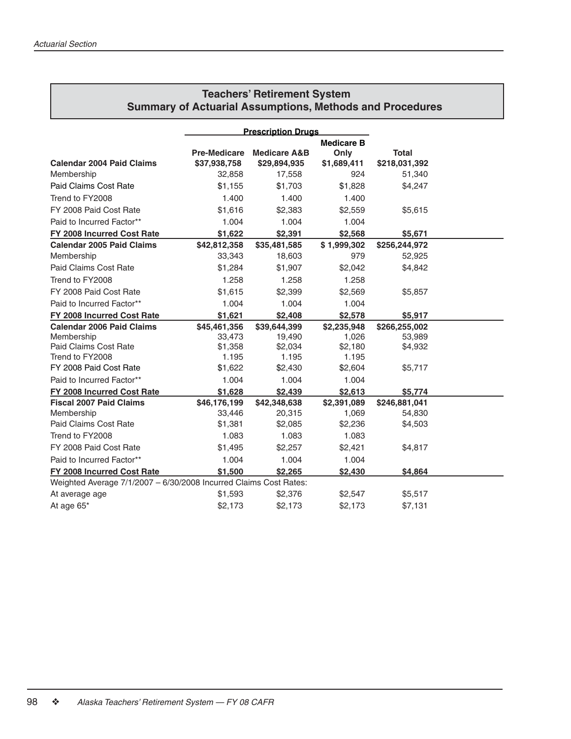|                                                                   |                        | <b>Prescription Drugs</b> |                      |                         |  |
|-------------------------------------------------------------------|------------------------|---------------------------|----------------------|-------------------------|--|
|                                                                   |                        |                           | <b>Medicare B</b>    |                         |  |
|                                                                   | <b>Pre-Medicare</b>    | <b>Medicare A&amp;B</b>   | Only                 | <b>Total</b>            |  |
| <b>Calendar 2004 Paid Claims</b>                                  | \$37,938,758           | \$29,894,935              | \$1,689,411          | \$218,031,392           |  |
| Membership                                                        | 32,858                 | 17,558                    | 924                  | 51,340                  |  |
| Paid Claims Cost Rate                                             | \$1,155                | \$1,703                   | \$1,828              | \$4,247                 |  |
| Trend to FY2008                                                   | 1.400                  | 1.400                     | 1.400                |                         |  |
| FY 2008 Paid Cost Rate                                            | \$1,616                | \$2,383                   | \$2,559              | \$5,615                 |  |
| Paid to Incurred Factor**                                         | 1.004                  | 1.004                     | 1.004                |                         |  |
| FY 2008 Incurred Cost Rate                                        | \$1,622                | \$2,391                   | \$2,568              | \$5,671                 |  |
| <b>Calendar 2005 Paid Claims</b>                                  | \$42,812,358           | \$35,481,585              | \$1,999,302          | \$256,244,972           |  |
| Membership                                                        | 33,343                 | 18,603                    | 979                  | 52,925                  |  |
| Paid Claims Cost Rate                                             | \$1,284                | \$1,907                   | \$2,042              | \$4,842                 |  |
| Trend to FY2008                                                   | 1.258                  | 1.258                     | 1.258                |                         |  |
| FY 2008 Paid Cost Rate                                            | \$1,615                | \$2,399                   | \$2,569              | \$5,857                 |  |
| Paid to Incurred Factor**                                         | 1.004                  | 1.004                     | 1.004                |                         |  |
| FY 2008 Incurred Cost Rate                                        | \$1,621                | \$2,408                   | \$2,578              | \$5,917                 |  |
| <b>Calendar 2006 Paid Claims</b>                                  | \$45,461,356           | \$39,644,399              | \$2,235,948          | \$266,255,002           |  |
| Membership                                                        | 33,473                 | 19,490                    | 1,026                | 53,989                  |  |
| <b>Paid Claims Cost Rate</b>                                      | \$1,358                | \$2,034                   | \$2,180              | \$4,932                 |  |
| Trend to FY2008                                                   | 1.195                  | 1.195                     | 1.195                |                         |  |
| FY 2008 Paid Cost Rate                                            | \$1,622                | \$2,430                   | \$2,604              | \$5,717                 |  |
| Paid to Incurred Factor**                                         | 1.004                  | 1.004                     | 1.004                |                         |  |
| FY 2008 Incurred Cost Rate                                        | \$1,628                | \$2,439                   | \$2,613              | \$5,774                 |  |
| <b>Fiscal 2007 Paid Claims</b><br>Membership                      | \$46,176,199<br>33,446 | \$42,348,638<br>20,315    | \$2,391,089<br>1,069 | \$246,881,041<br>54,830 |  |
| Paid Claims Cost Rate                                             | \$1,381                | \$2,085                   | \$2,236              | \$4,503                 |  |
| Trend to FY2008                                                   | 1.083                  | 1.083                     | 1.083                |                         |  |
| FY 2008 Paid Cost Rate                                            | \$1,495                | \$2,257                   | \$2,421              | \$4,817                 |  |
| Paid to Incurred Factor**                                         | 1.004                  | 1.004                     | 1.004                |                         |  |
| FY 2008 Incurred Cost Rate                                        | \$1,500                | \$2,265                   | \$2,430              | \$4,864                 |  |
| Weighted Average 7/1/2007 - 6/30/2008 Incurred Claims Cost Rates: |                        |                           |                      |                         |  |
| At average age                                                    | \$1,593                | \$2,376                   | \$2,547              | \$5,517                 |  |
| At age 65*                                                        | \$2,173                | \$2,173                   | \$2,173              | \$7,131                 |  |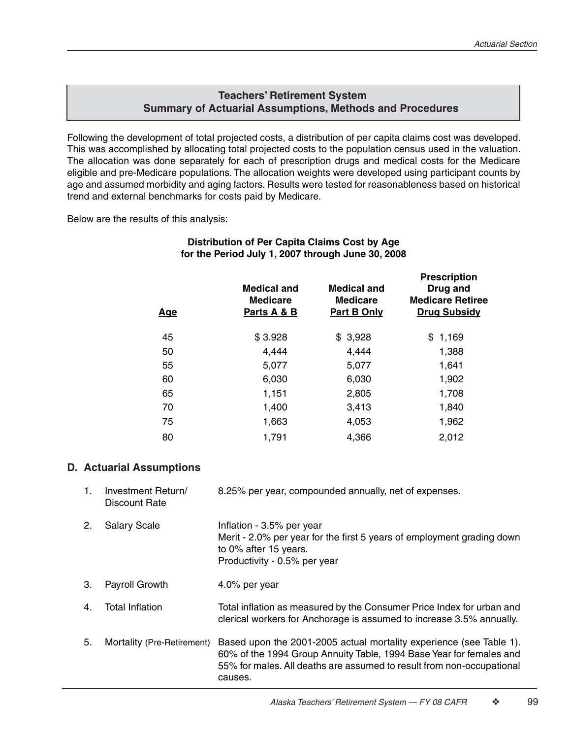Following the development of total projected costs, a distribution of per capita claims cost was developed. This was accomplished by allocating total projected costs to the population census used in the valuation. The allocation was done separately for each of prescription drugs and medical costs for the Medicare eligible and pre-Medicare populations. The allocation weights were developed using participant counts by age and assumed morbidity and aging factors. Results were tested for reasonableness based on historical trend and external benchmarks for costs paid by Medicare.

Below are the results of this analysis:

| <u>Age</u> | <b>Medical and</b><br><b>Medicare</b><br>Parts A & B | <b>Medical and</b><br><b>Medicare</b><br>Part B Only | <b>Prescription</b><br>Drug and<br><b>Medicare Retiree</b><br><b>Drug Subsidy</b> |
|------------|------------------------------------------------------|------------------------------------------------------|-----------------------------------------------------------------------------------|
| 45         | \$3.928                                              | \$3,928                                              | \$1,169                                                                           |
| 50         | 4,444                                                | 4,444                                                | 1,388                                                                             |
| 55         | 5,077                                                | 5,077                                                | 1,641                                                                             |
| 60         | 6,030                                                | 6,030                                                | 1,902                                                                             |
| 65         | 1,151                                                | 2,805                                                | 1,708                                                                             |
| 70         | 1,400                                                | 3,413                                                | 1,840                                                                             |
| 75         | 1,663                                                | 4,053                                                | 1,962                                                                             |
| 80         | 1,791                                                | 4,366                                                | 2,012                                                                             |

#### **Distribution of Per Capita Claims Cost by Age for the Period July 1, 2007 through June 30, 2008**

### **D. Actuarial Assumptions**

- 1. Investment Return/ 8.25% per year, compounded annually, net of expenses. Discount Rate
- 2. Salary Scale Inflation 3.5% per year Merit - 2.0% per year for the first 5 years of employment grading down to 0% after 15 years. Productivity - 0.5% per year
- 3. Payroll Growth 4.0% per year
- 4. Total Inflation Total inflation as measured by the Consumer Price Index for urban and clerical workers for Anchorage is assumed to increase 3.5% annually.
- 5. Mortality (Pre-Retirement) Based upon the 2001-2005 actual mortality experience (see Table 1). 60% of the 1994 Group Annuity Table, 1994 Base Year for females and 55% for males. All deaths are assumed to result from non-occupational causes.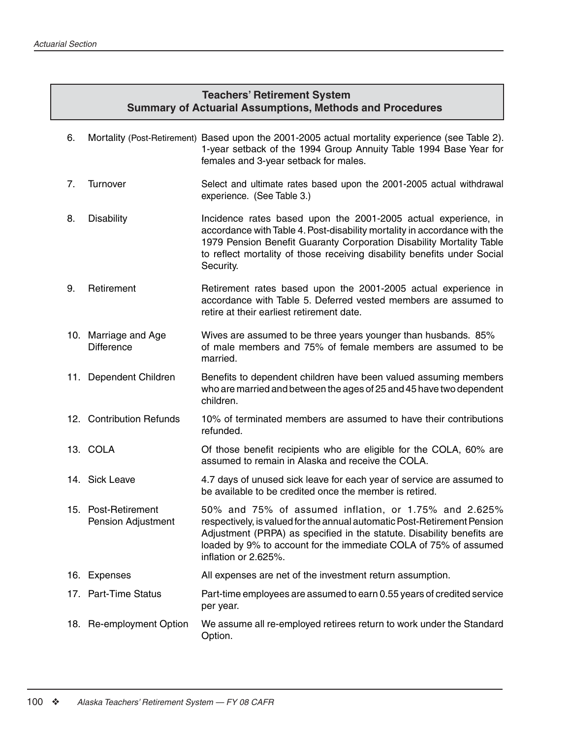| 6.  |                                           | Mortality (Post-Retirement) Based upon the 2001-2005 actual mortality experience (see Table 2).<br>1-year setback of the 1994 Group Annuity Table 1994 Base Year for<br>females and 3-year setback for males.                                                                                                |
|-----|-------------------------------------------|--------------------------------------------------------------------------------------------------------------------------------------------------------------------------------------------------------------------------------------------------------------------------------------------------------------|
| 7.  | Turnover                                  | Select and ultimate rates based upon the 2001-2005 actual withdrawal<br>experience. (See Table 3.)                                                                                                                                                                                                           |
| 8.  | <b>Disability</b>                         | Incidence rates based upon the 2001-2005 actual experience, in<br>accordance with Table 4. Post-disability mortality in accordance with the<br>1979 Pension Benefit Guaranty Corporation Disability Mortality Table<br>to reflect mortality of those receiving disability benefits under Social<br>Security. |
| 9.  | Retirement                                | Retirement rates based upon the 2001-2005 actual experience in<br>accordance with Table 5. Deferred vested members are assumed to<br>retire at their earliest retirement date.                                                                                                                               |
|     | 10. Marriage and Age<br><b>Difference</b> | Wives are assumed to be three years younger than husbands. 85%<br>of male members and 75% of female members are assumed to be<br>married.                                                                                                                                                                    |
|     | 11. Dependent Children                    | Benefits to dependent children have been valued assuming members<br>who are married and between the ages of 25 and 45 have two dependent<br>children.                                                                                                                                                        |
|     | 12. Contribution Refunds                  | 10% of terminated members are assumed to have their contributions<br>refunded.                                                                                                                                                                                                                               |
|     | 13. COLA                                  | Of those benefit recipients who are eligible for the COLA, 60% are<br>assumed to remain in Alaska and receive the COLA.                                                                                                                                                                                      |
|     | 14. Sick Leave                            | 4.7 days of unused sick leave for each year of service are assumed to<br>be available to be credited once the member is retired.                                                                                                                                                                             |
|     | 15. Post-Retirement<br>Pension Adjustment | 50% and 75% of assumed inflation, or 1.75% and 2.625%<br>respectively, is valued for the annual automatic Post-Retirement Pension<br>Adjustment (PRPA) as specified in the statute. Disability benefits are<br>loaded by 9% to account for the immediate COLA of 75% of assumed<br>inflation or 2.625%.      |
| 16. | Expenses                                  | All expenses are net of the investment return assumption.                                                                                                                                                                                                                                                    |
|     | 17. Part-Time Status                      | Part-time employees are assumed to earn 0.55 years of credited service<br>per year.                                                                                                                                                                                                                          |
|     | 18. Re-employment Option                  | We assume all re-employed retirees return to work under the Standard<br>Option.                                                                                                                                                                                                                              |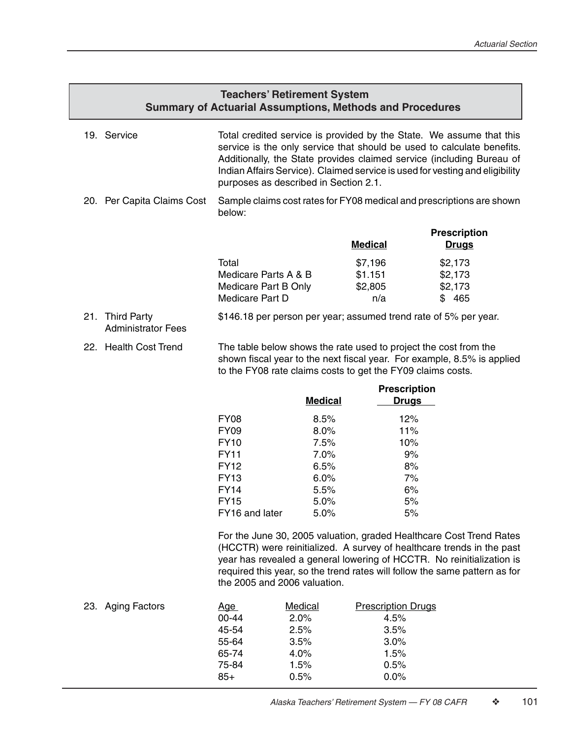| <b>Teachers' Retirement System</b><br><b>Summary of Actuarial Assumptions, Methods and Procedures</b> |                                                                                                                                                                                                                                                                                                                                                  |                                                                      |                                                       |                                                                                                                                                |  |
|-------------------------------------------------------------------------------------------------------|--------------------------------------------------------------------------------------------------------------------------------------------------------------------------------------------------------------------------------------------------------------------------------------------------------------------------------------------------|----------------------------------------------------------------------|-------------------------------------------------------|------------------------------------------------------------------------------------------------------------------------------------------------|--|
| 19. Service                                                                                           | Total credited service is provided by the State. We assume that this<br>service is the only service that should be used to calculate benefits.<br>Additionally, the State provides claimed service (including Bureau of<br>Indian Affairs Service). Claimed service is used for vesting and eligibility<br>purposes as described in Section 2.1. |                                                                      |                                                       |                                                                                                                                                |  |
| 20. Per Capita Claims Cost                                                                            | Sample claims cost rates for FY08 medical and prescriptions are shown<br>below:                                                                                                                                                                                                                                                                  |                                                                      |                                                       |                                                                                                                                                |  |
|                                                                                                       |                                                                                                                                                                                                                                                                                                                                                  |                                                                      | <b>Medical</b>                                        | <b>Prescription</b><br><b>Drugs</b>                                                                                                            |  |
|                                                                                                       | Total<br>Medicare Parts A & B<br>Medicare Part B Only<br>Medicare Part D                                                                                                                                                                                                                                                                         |                                                                      | \$7,196<br>\$1.151<br>\$2,805<br>n/a                  | \$2,173<br>\$2,173<br>\$2,173<br>\$465                                                                                                         |  |
| 21. Third Party<br><b>Administrator Fees</b>                                                          |                                                                                                                                                                                                                                                                                                                                                  |                                                                      |                                                       | \$146.18 per person per year; assumed trend rate of 5% per year.                                                                               |  |
| 22. Health Cost Trend                                                                                 | The table below shows the rate used to project the cost from the<br>shown fiscal year to the next fiscal year. For example, 8.5% is applied<br>to the FY08 rate claims costs to get the FY09 claims costs.                                                                                                                                       |                                                                      |                                                       |                                                                                                                                                |  |
|                                                                                                       |                                                                                                                                                                                                                                                                                                                                                  | <b>Medical</b>                                                       | <b>Prescription</b><br><b>Drugs</b>                   |                                                                                                                                                |  |
|                                                                                                       | <b>FY08</b><br><b>FY09</b><br><b>FY10</b><br><b>FY11</b><br><b>FY12</b><br><b>FY13</b><br><b>FY14</b><br><b>FY15</b><br>FY16 and later                                                                                                                                                                                                           | 8.5%<br>8.0%<br>7.5%<br>7.0%<br>6.5%<br>6.0%<br>5.5%<br>5.0%<br>5.0% | 12%<br>11%<br>10%<br>9%<br>8%<br>7%<br>6%<br>5%<br>5% | For the June 30, 2005 valuation, graded Healthcare Cost Trend Rates                                                                            |  |
|                                                                                                       |                                                                                                                                                                                                                                                                                                                                                  |                                                                      |                                                       | (HCCTR) were reinitialized. A survey of healthcare trends in the past<br>year has revealed a general lowering of HCCTR. No reinitialization is |  |
|                                                                                                       | the 2005 and 2006 valuation.                                                                                                                                                                                                                                                                                                                     |                                                                      |                                                       | required this year, so the trend rates will follow the same pattern as for                                                                     |  |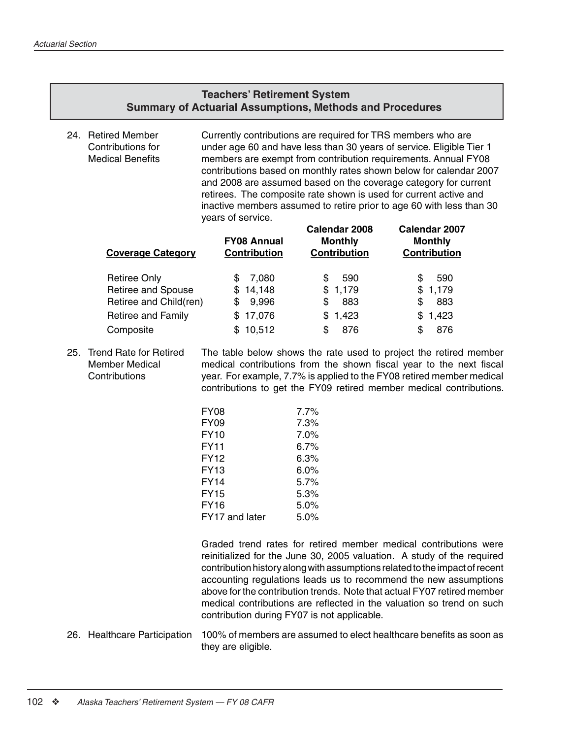24. Retired Member Currently contributions are required for TRS members who are Contributions for under age 60 and have less than 30 years of service. Eligible Tier 1 Medical Benefits members are exempt from contribution requirements. Annual FY08 contributions based on monthly rates shown below for calendar 2007 and 2008 are assumed based on the coverage category for current retirees. The composite rate shown is used for current active and inactive members assumed to retire prior to age 60 with less than 30 years of service.

| <b>Coverage Category</b>  | <b>FY08 Annual</b><br><b>Contribution</b> | Calendar 2008<br><b>Monthly</b><br><b>Contribution</b> | Calendar 2007<br><b>Monthly</b><br><b>Contribution</b> |
|---------------------------|-------------------------------------------|--------------------------------------------------------|--------------------------------------------------------|
| <b>Retiree Only</b>       | 7,080                                     | 590<br>S                                               | 590<br>S                                               |
| Retiree and Spouse        | 14,148<br>SS.                             | 1,179<br>\$                                            | 1,179<br>\$.                                           |
| Retiree and Child(ren)    | 9,996<br>S                                | 883<br>S                                               | 883<br>\$                                              |
| <b>Retiree and Family</b> | 17,076<br>SS.                             | \$1,423                                                | 1,423<br>\$.                                           |
| Composite                 | 10,512<br>S.                              | 876                                                    | 876<br>S                                               |

25. Trend Rate for Retired The table below shows the rate used to project the retired member Member Medical medical contributions from the shown fiscal year to the next fiscal Contributions year. For example, 7.7% is applied to the FY08 retired member medical contributions to get the FY09 retired member medical contributions.

| <b>FY08</b>    | 7.7% |
|----------------|------|
| <b>FY09</b>    | 7.3% |
| <b>FY10</b>    | 7.0% |
| FY11           | 6.7% |
| FY12           | 6.3% |
| <b>FY13</b>    | 6.0% |
| <b>FY14</b>    | 5.7% |
| <b>FY15</b>    | 5.3% |
| <b>FY16</b>    | 5.0% |
| FY17 and later | 5.0% |

Graded trend rates for retired member medical contributions were reinitialized for the June 30, 2005 valuation. A study of the required contribution history along with assumptions related to the impact of recent accounting regulations leads us to recommend the new assumptions above for the contribution trends. Note that actual FY07 retired member medical contributions are reflected in the valuation so trend on such contribution during FY07 is not applicable.

26. Healthcare Participation 100% of members are assumed to elect healthcare benefits as soon as they are eligible.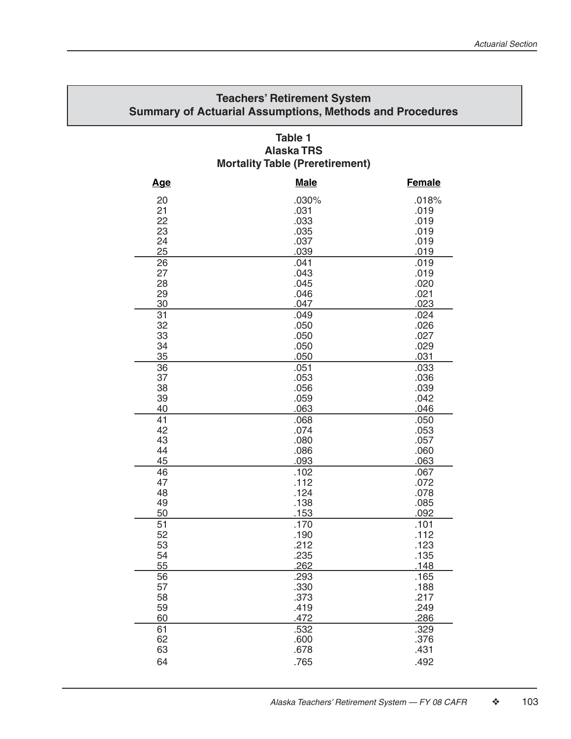### **Table 1 Alaska TRS Mortality Table (Preretirement)**

| <b>Age</b> | <b>Male</b> | <b>Female</b> |
|------------|-------------|---------------|
| 20         | .030%       | .018%         |
| 21         | .031        | .019          |
| 22         | .033        | .019          |
| 23         | .035        | .019          |
| 24         | .037        | .019          |
| 25         | .039        | .019          |
| 26         | .041        | .019          |
| 27         | .043        | .019          |
| 28         | .045        | .020          |
| 29         | .046        | .021          |
| 30         | .047        | .023          |
| 31         | .049        | .024          |
| 32         | .050        | .026          |
| 33         | .050        | .027          |
| 34         | .050        | .029          |
| 35         | .050        | <u>.031</u>   |
| 36         | .051        | .033          |
| 37         | .053        | .036          |
| 38         | .056        | .039          |
| 39         | .059        | .042          |
| 40         | .063        | .046          |
| 41         | .068        | .050          |
| 42         | .074        | .053          |
| 43         | .080        | .057          |
| 44         | .086        | .060          |
| 45         | .093        | .063          |
| 46         | .102        | .067          |
| 47         | .112        | .072          |
| 48         | .124        | .078          |
| 49         | .138        | .085          |
| 50         | <u>.153</u> | .092          |
| 51         | .170        | .101          |
| 52         | .190        | .112          |
| 53         | .212        | .123          |
| 54         | .235        | .135          |
| 55         | .262        | .148          |
| 56         | .293        | .165          |
| 57         | .330        | .188          |
| 58         | .373        | .217          |
| 59         | .419        | .249          |
| 60         | .472        | .286          |
| 61         | .532        | .329          |
| 62         | .600        | .376          |
| 63         | .678        | .431          |
| 64         | .765        | .492          |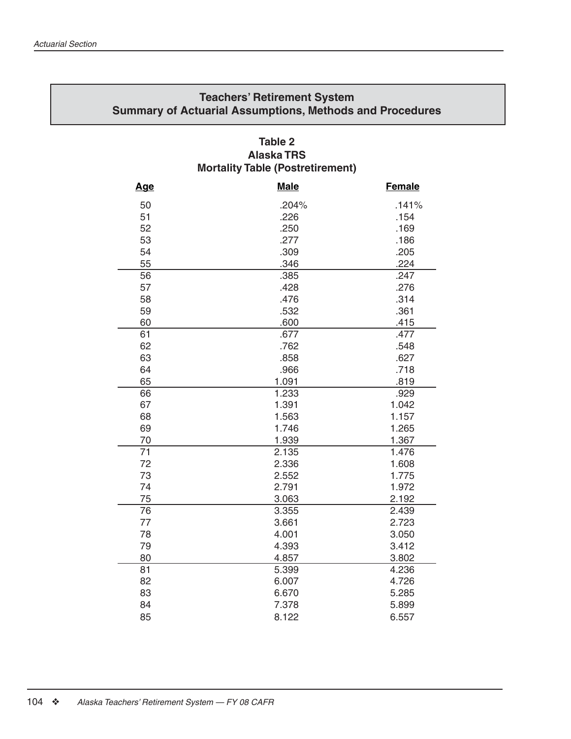| $m$ ulanty Table (Posticulentent) |             |               |  |  |
|-----------------------------------|-------------|---------------|--|--|
| <b>Age</b>                        | <b>Male</b> | <b>Female</b> |  |  |
| 50                                | .204%       | .141%         |  |  |
| 51                                | .226        | .154          |  |  |
| 52                                | .250        | .169          |  |  |
| 53                                | .277        | .186          |  |  |
| 54                                | .309        | .205          |  |  |
| 55                                | .346        | .224          |  |  |
| 56                                | .385        | .247          |  |  |
| 57                                | .428        | .276          |  |  |
| 58                                | .476        | .314          |  |  |
| 59                                | .532        | .361          |  |  |
| 60                                | .600        | .415          |  |  |
| 61                                | .677        | .477          |  |  |
| 62                                | .762        | .548          |  |  |
| 63                                | .858        | .627          |  |  |
| 64                                | .966        | .718          |  |  |
| 65                                | 1.091       | .819          |  |  |
| 66                                | 1.233       | .929          |  |  |
| 67                                | 1.391       | 1.042         |  |  |
| 68                                | 1.563       | 1.157         |  |  |
| 69                                | 1.746       | 1.265         |  |  |
| 70                                | 1.939       | 1.367         |  |  |
| $\overline{71}$                   | 2.135       | 1.476         |  |  |
| 72                                | 2.336       | 1.608         |  |  |
| 73                                | 2.552       | 1.775         |  |  |
| 74                                | 2.791       | 1.972         |  |  |
| 75                                | 3.063       | 2.192         |  |  |
| 76                                | 3.355       | 2.439         |  |  |
| 77                                | 3.661       | 2.723         |  |  |
| 78                                | 4.001       | 3.050         |  |  |
| 79                                | 4.393       | 3.412         |  |  |
| 80                                | 4.857       | 3.802         |  |  |
| 81                                | 5.399       | 4.236         |  |  |
| 82                                | 6.007       | 4.726         |  |  |
| 83                                | 6.670       | 5.285         |  |  |
| 84                                | 7.378       | 5.899         |  |  |
| 85                                | 8.122       | 6.557         |  |  |

### **Table 2 Alaska TRS Mortality Table (Postretirement)**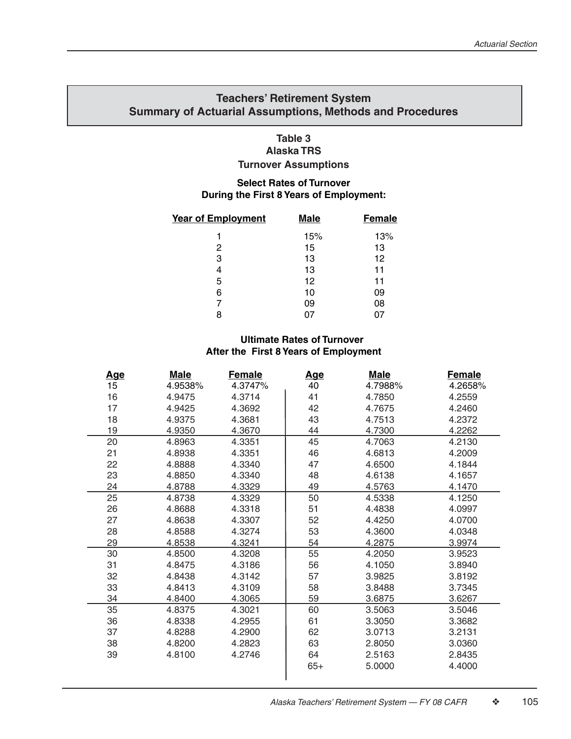#### **Table 3 Alaska TRS Turnover Assumptions**

#### **Select Rates of Turnover During the First 8 Years of Employment:**

|   | <b>Male</b>               | <b>Female</b> |
|---|---------------------------|---------------|
|   | 15%                       | 13%           |
| 2 | 15                        | 13            |
| 3 | 13                        | 12            |
| 4 | 13                        | 11            |
| 5 | 12                        | 11            |
| 6 | 10                        | 09            |
|   | 09                        | 08            |
| 8 | 07                        | 07            |
|   | <b>Year of Employment</b> |               |

#### **Ultimate Rates of Turnover After the First 8 Years of Employment**

| <u>Age</u> | <b>Male</b> | <b>Female</b> | <u>Age</u> | <b>Male</b> | <b>Female</b> |
|------------|-------------|---------------|------------|-------------|---------------|
| 15         | 4.9538%     | 4.3747%       | 40         | 4.7988%     | 4.2658%       |
| 16         | 4.9475      | 4.3714        | 41         | 4.7850      | 4.2559        |
| 17         | 4.9425      | 4.3692        | 42         | 4.7675      | 4.2460        |
| 18         | 4.9375      | 4.3681        | 43         | 4.7513      | 4.2372        |
| 19         | 4.9350      | 4.3670        | 44         | 4.7300      | 4.2262        |
| 20         | 4.8963      | 4.3351        | 45         | 4.7063      | 4.2130        |
| 21         | 4.8938      | 4.3351        | 46         | 4.6813      | 4.2009        |
| 22         | 4.8888      | 4.3340        | 47         | 4.6500      | 4.1844        |
| 23         | 4.8850      | 4.3340        | 48         | 4.6138      | 4.1657        |
| 24         | 4.8788      | 4.3329        | 49         | 4.5763      | 4.1470        |
| 25         | 4.8738      | 4.3329        | 50         | 4.5338      | 4.1250        |
| 26         | 4.8688      | 4.3318        | 51         | 4.4838      | 4.0997        |
| 27         | 4.8638      | 4.3307        | 52         | 4.4250      | 4.0700        |
| 28         | 4.8588      | 4.3274        | 53         | 4.3600      | 4.0348        |
| 29         | 4.8538      | 4.3241        | 54         | 4.2875      | 3.9974        |
| 30         | 4.8500      | 4.3208        | 55         | 4.2050      | 3.9523        |
| 31         | 4.8475      | 4.3186        | 56         | 4.1050      | 3.8940        |
| 32         | 4.8438      | 4.3142        | 57         | 3.9825      | 3.8192        |
| 33         | 4.8413      | 4.3109        | 58         | 3.8488      | 3.7345        |
| 34         | 4.8400      | 4.3065        | 59         | 3.6875      | 3.6267        |
| 35         | 4.8375      | 4.3021        | 60         | 3.5063      | 3.5046        |
| 36         | 4.8338      | 4.2955        | 61         | 3.3050      | 3.3682        |
| 37         | 4.8288      | 4.2900        | 62         | 3.0713      | 3.2131        |
| 38         | 4.8200      | 4.2823        | 63         | 2.8050      | 3.0360        |
| 39         | 4.8100      | 4.2746        | 64         | 2.5163      | 2.8435        |
|            |             |               | $65+$      | 5.0000      | 4.4000        |
|            |             |               |            |             |               |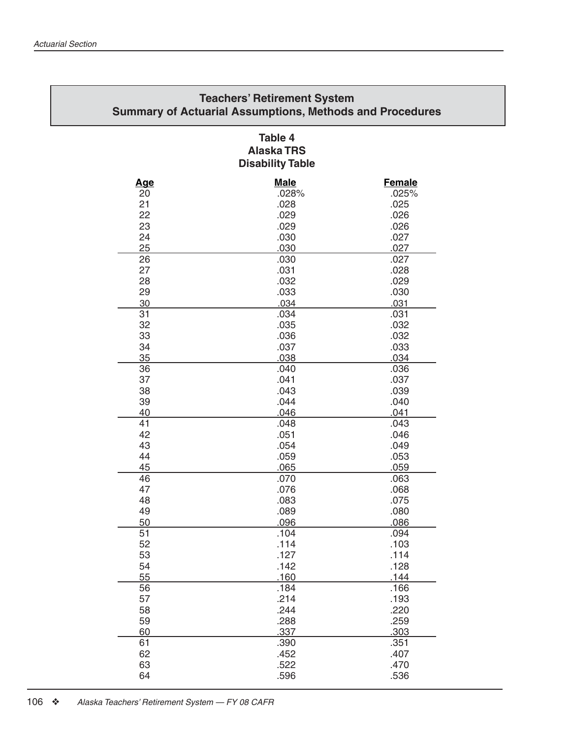| <b>Teachers' Retirement System</b><br><b>Summary of Actuarial Assumptions, Methods and Procedures</b> |                                                                |               |  |  |
|-------------------------------------------------------------------------------------------------------|----------------------------------------------------------------|---------------|--|--|
|                                                                                                       | <b>Table 4</b><br><b>Alaska TRS</b><br><b>Disability Table</b> |               |  |  |
| <u>Age</u>                                                                                            | <b>Male</b>                                                    | <b>Female</b> |  |  |
| 20                                                                                                    | .028%                                                          | .025%         |  |  |
| 21                                                                                                    | .028                                                           | .025          |  |  |
| 22                                                                                                    | .029                                                           | .026          |  |  |
| 23                                                                                                    | .029                                                           | .026          |  |  |
| 24                                                                                                    | .030                                                           | .027          |  |  |
| 25                                                                                                    | .030                                                           | .027          |  |  |
| 26                                                                                                    | .030                                                           | .027          |  |  |
| 27                                                                                                    | .031                                                           | .028          |  |  |
| 28                                                                                                    | .032                                                           | .029          |  |  |
| 29                                                                                                    | .033                                                           | .030          |  |  |
| 30                                                                                                    | .034                                                           | .031          |  |  |
| 31                                                                                                    | .034                                                           | .031          |  |  |
| 32                                                                                                    | .035                                                           | .032          |  |  |
| 33                                                                                                    | .036                                                           | .032          |  |  |
| 34                                                                                                    | .037                                                           | .033          |  |  |
| 35                                                                                                    | .038                                                           | .034          |  |  |
| 36                                                                                                    | .040                                                           | .036          |  |  |
| 37                                                                                                    | .041                                                           | .037          |  |  |
| 38                                                                                                    | .043                                                           | .039          |  |  |
| 39                                                                                                    | .044                                                           | .040          |  |  |
| 40                                                                                                    | .046                                                           | .041          |  |  |
| 41                                                                                                    | .048                                                           | .043          |  |  |
| 42                                                                                                    | .051                                                           | .046          |  |  |
| 43                                                                                                    | .054                                                           | .049          |  |  |
| 44                                                                                                    | .059                                                           | .053          |  |  |
| 45                                                                                                    | .065                                                           | .059          |  |  |
| 46                                                                                                    | .070                                                           | .063          |  |  |
| 47                                                                                                    | .076                                                           | .068          |  |  |
| 48                                                                                                    | .083                                                           | .075          |  |  |
| 49                                                                                                    | .089                                                           | .080          |  |  |
| 50                                                                                                    | .096                                                           | .086          |  |  |
| 51                                                                                                    | .104                                                           | .094          |  |  |
| 52                                                                                                    | .114                                                           | .103          |  |  |
| 53                                                                                                    | .127                                                           | .114          |  |  |
| 54                                                                                                    | .142                                                           | .128          |  |  |
| 55                                                                                                    | .160                                                           | .144          |  |  |
| 56                                                                                                    | .184                                                           | .166          |  |  |
| 57                                                                                                    | .214                                                           | .193          |  |  |
| 58                                                                                                    | .244                                                           | .220          |  |  |
| 59                                                                                                    | .288                                                           | .259          |  |  |
| 60                                                                                                    | .337                                                           | .303          |  |  |
| 61                                                                                                    | .390                                                           | .351          |  |  |
| 62                                                                                                    | .452                                                           | .407          |  |  |
| 63                                                                                                    | .522                                                           | .470          |  |  |
| 64                                                                                                    | .596                                                           | .536          |  |  |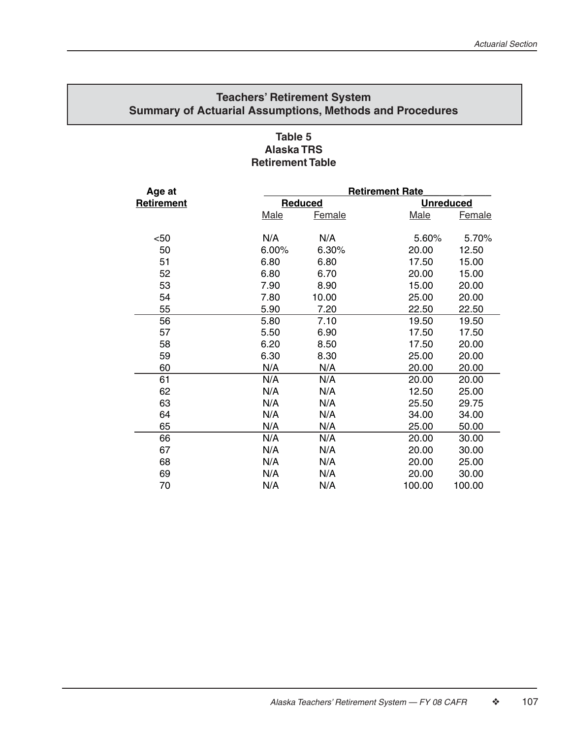### **Table 5 Alaska TRS Retirement Table**

| Age at            |             |                | <b>Retirement Rate</b> |               |
|-------------------|-------------|----------------|------------------------|---------------|
| <b>Retirement</b> |             | <b>Reduced</b> | <b>Unreduced</b>       |               |
|                   | <b>Male</b> | Female         | Male                   | <b>Female</b> |
| $50$              | N/A         | N/A            | 5.60%                  | 5.70%         |
| 50                | 6.00%       | 6.30%          | 20.00                  | 12.50         |
| 51                | 6.80        | 6.80           | 17.50                  | 15.00         |
| 52                | 6.80        | 6.70           | 20.00                  | 15.00         |
| 53                | 7.90        | 8.90           | 15.00                  | 20.00         |
| 54                | 7.80        | 10.00          | 25.00                  | 20.00         |
| 55                | 5.90        | 7.20           | 22.50                  | 22.50         |
| 56                | 5.80        | 7.10           | 19.50                  | 19.50         |
| 57                | 5.50        | 6.90           | 17.50                  | 17.50         |
| 58                | 6.20        | 8.50           | 17.50                  | 20.00         |
| 59                | 6.30        | 8.30           | 25.00                  | 20.00         |
| 60                | N/A         | N/A            | 20.00                  | 20.00         |
| 61                | N/A         | N/A            | 20.00                  | 20.00         |
| 62                | N/A         | N/A            | 12.50                  | 25.00         |
| 63                | N/A         | N/A            | 25.50                  | 29.75         |
| 64                | N/A         | N/A            | 34.00                  | 34.00         |
| 65                | N/A         | N/A            | 25.00                  | 50.00         |
| 66                | N/A         | N/A            | 20.00                  | 30.00         |
| 67                | N/A         | N/A            | 20.00                  | 30.00         |
| 68                | N/A         | N/A            | 20.00                  | 25.00         |
| 69                | N/A         | N/A            | 20.00                  | 30.00         |
| 70                | N/A         | N/A            | 100.00                 | 100.00        |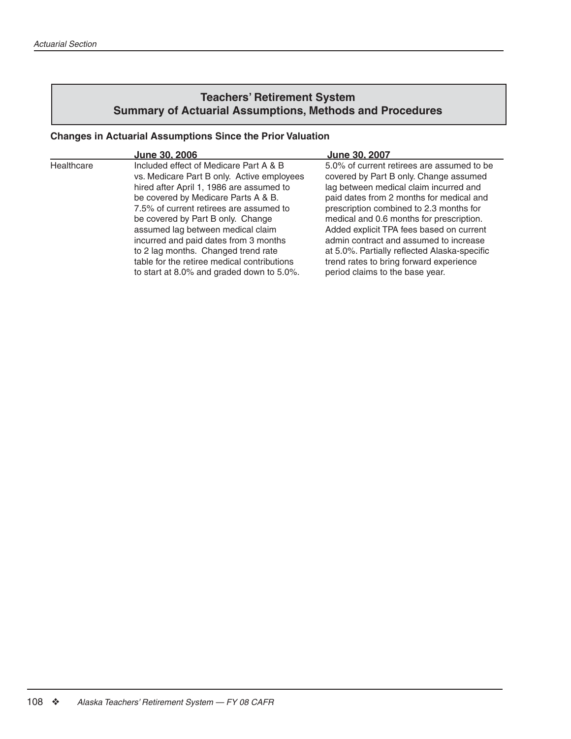### **Changes in Actuarial Assumptions Since the Prior Valuation**

|            | June 30, 2006                                                                                                                                                                                                                                                                                                                                                                                                                                                            | June 30, 2007                                                                                                                                                                                                                                                                                                                                                                                                                                                                         |
|------------|--------------------------------------------------------------------------------------------------------------------------------------------------------------------------------------------------------------------------------------------------------------------------------------------------------------------------------------------------------------------------------------------------------------------------------------------------------------------------|---------------------------------------------------------------------------------------------------------------------------------------------------------------------------------------------------------------------------------------------------------------------------------------------------------------------------------------------------------------------------------------------------------------------------------------------------------------------------------------|
| Healthcare | Included effect of Medicare Part A & B<br>vs. Medicare Part B only. Active employees<br>hired after April 1, 1986 are assumed to<br>be covered by Medicare Parts A & B.<br>7.5% of current retirees are assumed to<br>be covered by Part B only. Change<br>assumed lag between medical claim<br>incurred and paid dates from 3 months<br>to 2 lag months. Changed trend rate<br>table for the retiree medical contributions<br>to start at 8.0% and graded down to 5.0%. | 5.0% of current retirees are assumed to be<br>covered by Part B only. Change assumed<br>lag between medical claim incurred and<br>paid dates from 2 months for medical and<br>prescription combined to 2.3 months for<br>medical and 0.6 months for prescription.<br>Added explicit TPA fees based on current<br>admin contract and assumed to increase<br>at 5.0%. Partially reflected Alaska-specific<br>trend rates to bring forward experience<br>period claims to the base year. |
|            |                                                                                                                                                                                                                                                                                                                                                                                                                                                                          |                                                                                                                                                                                                                                                                                                                                                                                                                                                                                       |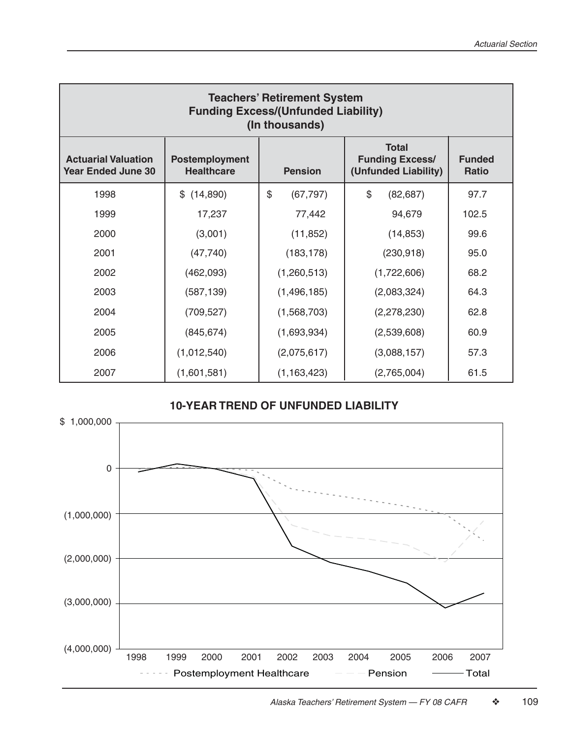| <b>Teachers' Retirement System</b><br><b>Funding Excess/(Unfunded Liability)</b><br>(In thousands)                                                                                                                  |             |                 |                 |       |  |  |  |  |
|---------------------------------------------------------------------------------------------------------------------------------------------------------------------------------------------------------------------|-------------|-----------------|-----------------|-------|--|--|--|--|
| <b>Total</b><br><b>Actuarial Valuation</b><br><b>Funding Excess/</b><br><b>Funded</b><br>Postemployment<br>(Unfunded Liability)<br><b>Year Ended June 30</b><br><b>Healthcare</b><br><b>Pension</b><br><b>Ratio</b> |             |                 |                 |       |  |  |  |  |
| 1998                                                                                                                                                                                                                | \$(14,890)  | \$<br>(67, 797) | \$<br>(82, 687) | 97.7  |  |  |  |  |
| 1999                                                                                                                                                                                                                | 17,237      | 77,442          | 94,679          | 102.5 |  |  |  |  |
| 2000                                                                                                                                                                                                                | (3,001)     | (11, 852)       | (14, 853)       | 99.6  |  |  |  |  |
| 2001                                                                                                                                                                                                                | (47, 740)   | (183, 178)      | (230, 918)      | 95.0  |  |  |  |  |
| 2002                                                                                                                                                                                                                | (462,093)   | (1,260,513)     | (1,722,606)     | 68.2  |  |  |  |  |
| 2003                                                                                                                                                                                                                | (587, 139)  | (1,496,185)     | (2,083,324)     | 64.3  |  |  |  |  |
| 2004                                                                                                                                                                                                                | (709, 527)  | (1,568,703)     | (2,278,230)     | 62.8  |  |  |  |  |
| 2005                                                                                                                                                                                                                | (845, 674)  | (1,693,934)     | (2,539,608)     | 60.9  |  |  |  |  |
| 2006                                                                                                                                                                                                                | (1,012,540) | (2,075,617)     | (3,088,157)     | 57.3  |  |  |  |  |
| 2007                                                                                                                                                                                                                | (1,601,581) | (1, 163, 423)   | (2,765,004)     | 61.5  |  |  |  |  |

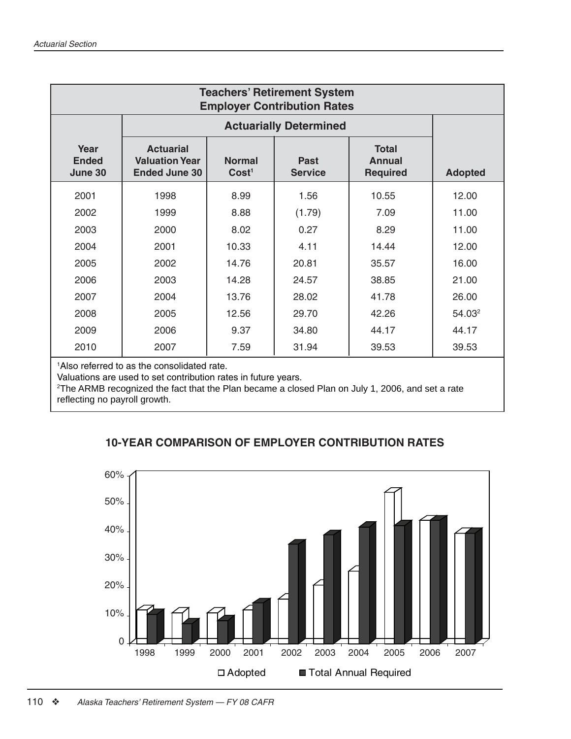| <b>Teachers' Retirement System</b><br><b>Employer Contribution Rates</b> |                                                                   |                |                               |       |                    |  |  |  |  |
|--------------------------------------------------------------------------|-------------------------------------------------------------------|----------------|-------------------------------|-------|--------------------|--|--|--|--|
|                                                                          |                                                                   |                | <b>Actuarially Determined</b> |       |                    |  |  |  |  |
| Year<br><b>Ended</b><br>June 30                                          | <b>Actuarial</b><br><b>Valuation Year</b><br><b>Ended June 30</b> | <b>Adopted</b> |                               |       |                    |  |  |  |  |
| 2001                                                                     | 1998                                                              | 8.99           | 1.56                          | 10.55 | 12.00              |  |  |  |  |
| 2002                                                                     | 1999                                                              | 8.88           | (1.79)                        | 7.09  | 11.00              |  |  |  |  |
| 2003                                                                     | 2000                                                              | 8.02           | 0.27                          | 8.29  | 11.00              |  |  |  |  |
| 2004                                                                     | 2001                                                              | 10.33          | 4.11                          | 14.44 | 12.00              |  |  |  |  |
| 2005                                                                     | 2002                                                              | 14.76          | 20.81                         | 35.57 | 16.00              |  |  |  |  |
| 2006                                                                     | 2003                                                              | 14.28          | 24.57                         | 38.85 | 21.00              |  |  |  |  |
| 2007                                                                     | 2004                                                              | 13.76          | 28.02                         | 41.78 | 26.00              |  |  |  |  |
| 2008                                                                     | 2005                                                              | 12.56          | 29.70                         | 42.26 | 54.03 <sup>2</sup> |  |  |  |  |
| 2009                                                                     | 2006                                                              | 9.37           | 34.80                         | 44.17 | 44.17              |  |  |  |  |
| 2010                                                                     | 2007<br>1.0 log ushquund to oo the concelidated usta              | 7.59           | 31.94                         | 39.53 | 39.53              |  |  |  |  |

1 Also referred to as the consolidated rate.

Valuations are used to set contribution rates in future years.

2 The ARMB recognized the fact that the Plan became a closed Plan on July 1, 2006, and set a rate reflecting no payroll growth.



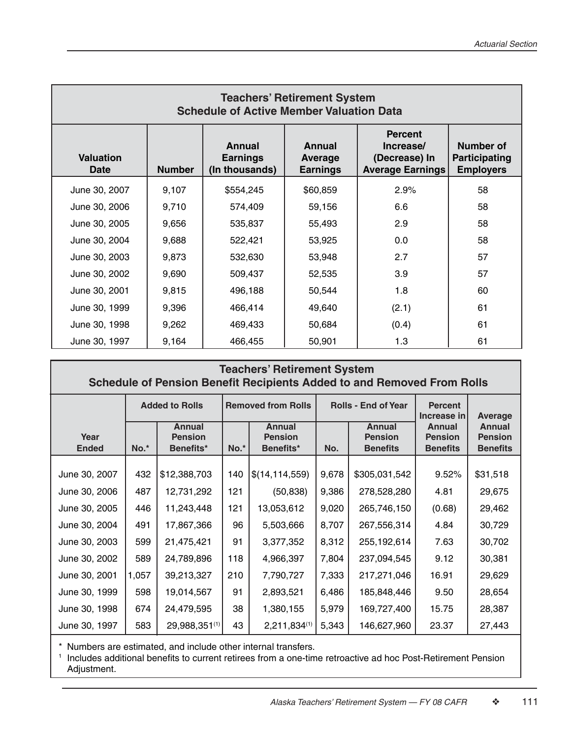| <b>Teachers' Retirement System</b><br><b>Schedule of Active Member Valuation Data</b> |                                                                         |                                                |          |       |    |  |  |  |  |
|---------------------------------------------------------------------------------------|-------------------------------------------------------------------------|------------------------------------------------|----------|-------|----|--|--|--|--|
| <b>Valuation</b><br><b>Date</b>                                                       | <b>Percent</b><br>Increase/<br>(Decrease) In<br><b>Average Earnings</b> | Number of<br>Participating<br><b>Employers</b> |          |       |    |  |  |  |  |
| June 30, 2007                                                                         | 9,107                                                                   | \$554,245                                      | \$60,859 | 2.9%  | 58 |  |  |  |  |
| June 30, 2006                                                                         | 9,710                                                                   | 574,409                                        | 59,156   | 6.6   | 58 |  |  |  |  |
| June 30, 2005                                                                         | 9,656                                                                   | 535,837                                        | 55,493   | 2.9   | 58 |  |  |  |  |
| June 30, 2004                                                                         | 9,688                                                                   | 522,421                                        | 53,925   | 0.0   | 58 |  |  |  |  |
| June 30, 2003                                                                         | 9,873                                                                   | 532,630                                        | 53,948   | 2.7   | 57 |  |  |  |  |
| June 30, 2002                                                                         | 9,690                                                                   | 509,437                                        | 52,535   | 3.9   | 57 |  |  |  |  |
| June 30, 2001                                                                         | 9,815                                                                   | 496,188                                        | 50,544   | 1.8   | 60 |  |  |  |  |
| June 30, 1999                                                                         | 9,396                                                                   | 466,414                                        | 49,640   | (2.1) | 61 |  |  |  |  |
| June 30, 1998                                                                         | 9,262                                                                   | 469,433                                        | 50,684   | (0.4) | 61 |  |  |  |  |
| June 30, 1997                                                                         | 9,164                                                                   | 466,455                                        | 50,901   | 1.3   | 61 |  |  |  |  |

| <b>Teachers' Retirement System</b><br><b>Schedule of Pension Benefit Recipients Added to and Removed From Rolls</b> |        |                                       |        |                                              |       |                                                    |                                                    |                                                    |  |  |
|---------------------------------------------------------------------------------------------------------------------|--------|---------------------------------------|--------|----------------------------------------------|-------|----------------------------------------------------|----------------------------------------------------|----------------------------------------------------|--|--|
|                                                                                                                     |        | <b>Added to Rolls</b>                 |        | <b>Removed from Rolls</b>                    |       | <b>Rolls - End of Year</b>                         | <b>Percent</b><br>Increase in                      | <b>Average</b>                                     |  |  |
| Year<br><b>Ended</b>                                                                                                | $No.*$ | Annual<br><b>Pension</b><br>Benefits* | $No.*$ | <b>Annual</b><br><b>Pension</b><br>Benefits* | No.   | <b>Annual</b><br><b>Pension</b><br><b>Benefits</b> | <b>Annual</b><br><b>Pension</b><br><b>Benefits</b> | <b>Annual</b><br><b>Pension</b><br><b>Benefits</b> |  |  |
| June 30, 2007                                                                                                       | 432    | \$12,388,703                          | 140    | \$(14, 114, 559)                             | 9,678 | \$305,031,542                                      | 9.52%                                              | \$31,518                                           |  |  |
| June 30, 2006                                                                                                       | 487    | 12,731,292                            | 121    | (50, 838)                                    | 9,386 | 278,528,280                                        | 4.81                                               | 29,675                                             |  |  |
| June 30, 2005                                                                                                       | 446    | 11,243,448                            | 121    | 13,053,612                                   | 9,020 | 265,746,150                                        | (0.68)                                             | 29,462                                             |  |  |
| June 30, 2004                                                                                                       | 491    | 17,867,366                            | 96     | 5,503,666                                    | 8,707 | 267,556,314                                        | 4.84                                               | 30,729                                             |  |  |
| June 30, 2003                                                                                                       | 599    | 21,475,421                            | 91     | 3,377,352                                    | 8,312 | 255,192,614                                        | 7.63                                               | 30,702                                             |  |  |
| June 30, 2002                                                                                                       | 589    | 24,789,896                            | 118    | 4,966,397                                    | 7,804 | 237,094,545                                        | 9.12                                               | 30,381                                             |  |  |
| June 30, 2001                                                                                                       | 1,057  | 39,213,327                            | 210    | 7,790,727                                    | 7,333 | 217,271,046                                        | 16.91                                              | 29,629                                             |  |  |
| June 30, 1999                                                                                                       | 598    | 19,014,567                            | 91     | 2,893,521                                    | 6,486 | 185,848,446                                        | 9.50                                               | 28,654                                             |  |  |
| June 30, 1998                                                                                                       | 674    | 24,479,595                            | 38     | 1,380,155                                    | 5,979 | 169,727,400                                        | 15.75                                              | 28,387                                             |  |  |
| June 30, 1997                                                                                                       | 583    | 29,988,351(1)                         | 43     | $2,211,834^{(1)}$                            | 5,343 | 146,627,960                                        | 23.37                                              | 27,443                                             |  |  |

\* Numbers are estimated, and include other internal transfers.<br><sup>1</sup> Includes additional benefits to current retirees from a one-time retroactive ad hoc Post-Retirement Pension Adjustment.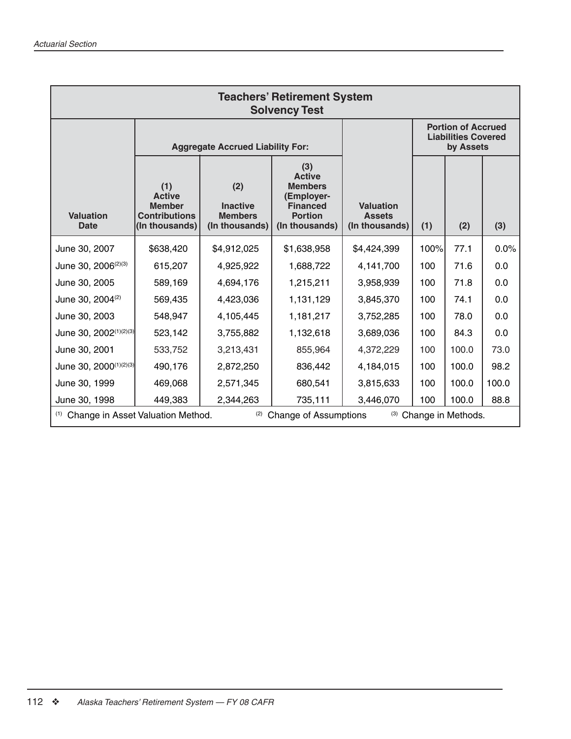| <b>Teachers' Retirement System</b><br><b>Solvency Test</b>                    |                                                                                 |                                                            |                                                                                                             |                                                                      |      |                        |       |  |  |
|-------------------------------------------------------------------------------|---------------------------------------------------------------------------------|------------------------------------------------------------|-------------------------------------------------------------------------------------------------------------|----------------------------------------------------------------------|------|------------------------|-------|--|--|
|                                                                               | <b>Aggregate Accrued Liability For:</b>                                         |                                                            |                                                                                                             | <b>Portion of Accrued</b><br><b>Liabilities Covered</b><br>by Assets |      |                        |       |  |  |
| <b>Valuation</b><br><b>Date</b>                                               | (1)<br><b>Active</b><br><b>Member</b><br><b>Contributions</b><br>(In thousands) | (2)<br><b>Inactive</b><br><b>Members</b><br>(In thousands) | (3)<br><b>Active</b><br><b>Members</b><br>(Employer-<br><b>Financed</b><br><b>Portion</b><br>(In thousands) | <b>Valuation</b><br><b>Assets</b><br>(In thousands)                  | (1)  | (2)                    | (3)   |  |  |
| June 30, 2007                                                                 | \$638,420                                                                       | \$4,912,025                                                | \$1,638,958                                                                                                 | \$4,424,399                                                          | 100% | 77.1                   | 0.0%  |  |  |
| June 30, 2006 <sup>(2)(3)</sup>                                               | 615,207                                                                         | 4,925,922                                                  | 1,688,722                                                                                                   | 4,141,700                                                            | 100  | 71.6                   | 0.0   |  |  |
| June 30, 2005                                                                 | 589,169                                                                         | 4,694,176                                                  | 1,215,211                                                                                                   | 3,958,939                                                            | 100  | 71.8                   | 0.0   |  |  |
| June 30, 2004 <sup>(2)</sup>                                                  | 569,435                                                                         | 4,423,036                                                  | 1,131,129                                                                                                   | 3,845,370                                                            | 100  | 74.1                   | 0.0   |  |  |
| June 30, 2003                                                                 | 548,947                                                                         | 4,105,445                                                  | 1,181,217                                                                                                   | 3,752,285                                                            | 100  | 78.0                   | 0.0   |  |  |
| June 30, 2002(1)(2)(3)                                                        | 523,142                                                                         | 3,755,882                                                  | 1,132,618                                                                                                   | 3,689,036                                                            | 100  | 84.3                   | 0.0   |  |  |
| June 30, 2001                                                                 | 533,752                                                                         | 3,213,431                                                  | 855,964                                                                                                     | 4,372,229                                                            | 100  | 100.0                  | 73.0  |  |  |
| June 30, 2000(1)(2)(3)                                                        | 490,176                                                                         | 2,872,250                                                  | 836,442                                                                                                     | 4,184,015                                                            | 100  | 100.0                  | 98.2  |  |  |
| June 30, 1999                                                                 | 469,068                                                                         | 2,571,345                                                  | 680,541                                                                                                     | 3,815,633                                                            | 100  | 100.0                  | 100.0 |  |  |
| June 30, 1998<br>449,383<br>2,344,263<br>735,111<br>3,446,070<br>100<br>100.0 |                                                                                 |                                                            |                                                                                                             |                                                                      |      |                        | 88.8  |  |  |
| <sup>(1)</sup> Change in Asset Valuation Method.                              |                                                                                 | (2)                                                        | <b>Change of Assumptions</b>                                                                                |                                                                      |      | (3) Change in Methods. |       |  |  |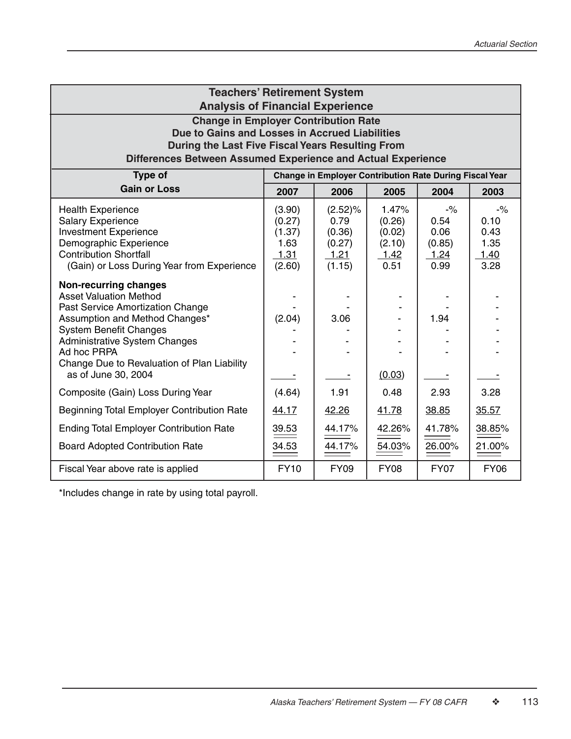| <b>Teachers' Retirement System</b><br><b>Analysis of Financial Experience</b>                                                                                                                                                                                                                                                                                                                                                                                                                      |                                                                |                                                               |                                                               |                                                         |                                               |  |  |  |  |
|----------------------------------------------------------------------------------------------------------------------------------------------------------------------------------------------------------------------------------------------------------------------------------------------------------------------------------------------------------------------------------------------------------------------------------------------------------------------------------------------------|----------------------------------------------------------------|---------------------------------------------------------------|---------------------------------------------------------------|---------------------------------------------------------|-----------------------------------------------|--|--|--|--|
| <b>Change in Employer Contribution Rate</b><br>Due to Gains and Losses in Accrued Liabilities<br>During the Last Five Fiscal Years Resulting From<br>Differences Between Assumed Experience and Actual Experience                                                                                                                                                                                                                                                                                  |                                                                |                                                               |                                                               |                                                         |                                               |  |  |  |  |
| <b>Type of</b>                                                                                                                                                                                                                                                                                                                                                                                                                                                                                     |                                                                | Change in Employer Contribution Rate During Fiscal Year       |                                                               |                                                         |                                               |  |  |  |  |
| <b>Gain or Loss</b>                                                                                                                                                                                                                                                                                                                                                                                                                                                                                | 2007                                                           | 2006                                                          | 2005                                                          | 2004                                                    | 2003                                          |  |  |  |  |
| <b>Health Experience</b><br><b>Salary Experience</b><br><b>Investment Experience</b><br>Demographic Experience<br><b>Contribution Shortfall</b><br>(Gain) or Loss During Year from Experience<br><b>Non-recurring changes</b><br><b>Asset Valuation Method</b><br>Past Service Amortization Change<br>Assumption and Method Changes*<br><b>System Benefit Changes</b><br><b>Administrative System Changes</b><br>Ad hoc PRPA<br>Change Due to Revaluation of Plan Liability<br>as of June 30, 2004 | (3.90)<br>(0.27)<br>(1.37)<br>1.63<br>1.31<br>(2.60)<br>(2.04) | (2.52)%<br>0.79<br>(0.36)<br>(0.27)<br>1.21<br>(1.15)<br>3.06 | 1.47%<br>(0.26)<br>(0.02)<br>(2.10)<br>1.42<br>0.51<br>(0.03) | $-$ %<br>0.54<br>0.06<br>(0.85)<br>1.24<br>0.99<br>1.94 | $-$ %<br>0.10<br>0.43<br>1.35<br>1.40<br>3.28 |  |  |  |  |
| Composite (Gain) Loss During Year                                                                                                                                                                                                                                                                                                                                                                                                                                                                  | (4.64)                                                         | 1.91                                                          | 0.48                                                          | 2.93                                                    | 3.28                                          |  |  |  |  |
| Beginning Total Employer Contribution Rate<br>42.26<br>41.78<br>38.85<br>35.57<br>44.17<br><b>Ending Total Employer Contribution Rate</b><br>39.53<br>44.17%<br>42.26%<br>41.78%<br>38.85%                                                                                                                                                                                                                                                                                                         |                                                                |                                                               |                                                               |                                                         |                                               |  |  |  |  |
| <b>Board Adopted Contribution Rate</b>                                                                                                                                                                                                                                                                                                                                                                                                                                                             | 34.53                                                          | 44.17%                                                        | 54.03%                                                        | 26.00%                                                  | 21.00%                                        |  |  |  |  |
| Fiscal Year above rate is applied                                                                                                                                                                                                                                                                                                                                                                                                                                                                  | <b>FY10</b>                                                    | <b>FY09</b>                                                   | <b>FY08</b>                                                   | <b>FY07</b>                                             | <b>FY06</b>                                   |  |  |  |  |

\*Includes change in rate by using total payroll.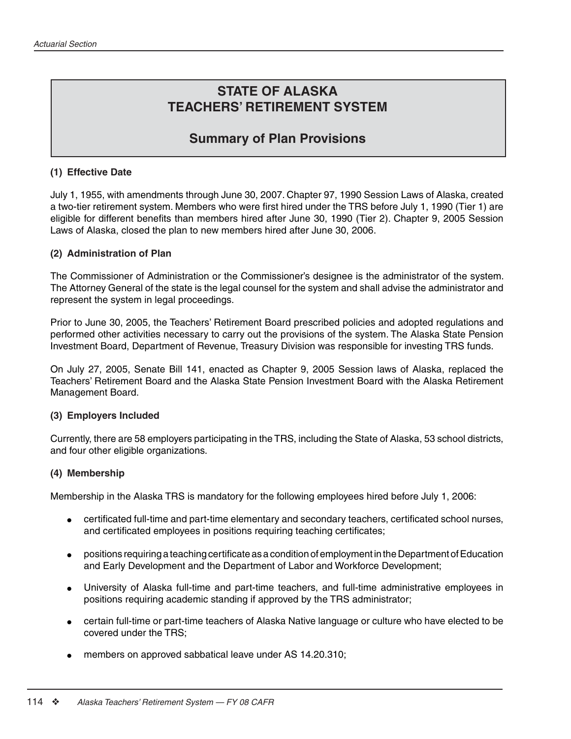## **Summary of Plan Provisions**

#### **(1) Effective Date**

July 1, 1955, with amendments through June 30, 2007. Chapter 97, 1990 Session Laws of Alaska, created a two-tier retirement system. Members who were first hired under the TRS before July 1, 1990 (Tier 1) are eligible for different benefits than members hired after June 30, 1990 (Tier 2). Chapter 9, 2005 Session Laws of Alaska, closed the plan to new members hired after June 30, 2006.

#### **(2) Administration of Plan**

The Commissioner of Administration or the Commissioner's designee is the administrator of the system. The Attorney General of the state is the legal counsel for the system and shall advise the administrator and represent the system in legal proceedings.

Prior to June 30, 2005, the Teachers' Retirement Board prescribed policies and adopted regulations and performed other activities necessary to carry out the provisions of the system. The Alaska State Pension Investment Board, Department of Revenue, Treasury Division was responsible for investing TRS funds.

On July 27, 2005, Senate Bill 141, enacted as Chapter 9, 2005 Session laws of Alaska, replaced the Teachers' Retirement Board and the Alaska State Pension Investment Board with the Alaska Retirement Management Board.

#### **(3) Employers Included**

Currently, there are 58 employers participating in the TRS, including the State of Alaska, 53 school districts, and four other eligible organizations.

#### **(4) Membership**

Membership in the Alaska TRS is mandatory for the following employees hired before July 1, 2006:

- certificated full-time and part-time elementary and secondary teachers, certificated school nurses, and certificated employees in positions requiring teaching certificates;
- positions requiring a teaching certificate as a condition of employment in the Department of Education and Early Development and the Department of Labor and Workforce Development;
- University of Alaska full-time and part-time teachers, and full-time administrative employees in positions requiring academic standing if approved by the TRS administrator;
- certain full-time or part-time teachers of Alaska Native language or culture who have elected to be covered under the TRS;
- members on approved sabbatical leave under AS 14.20.310;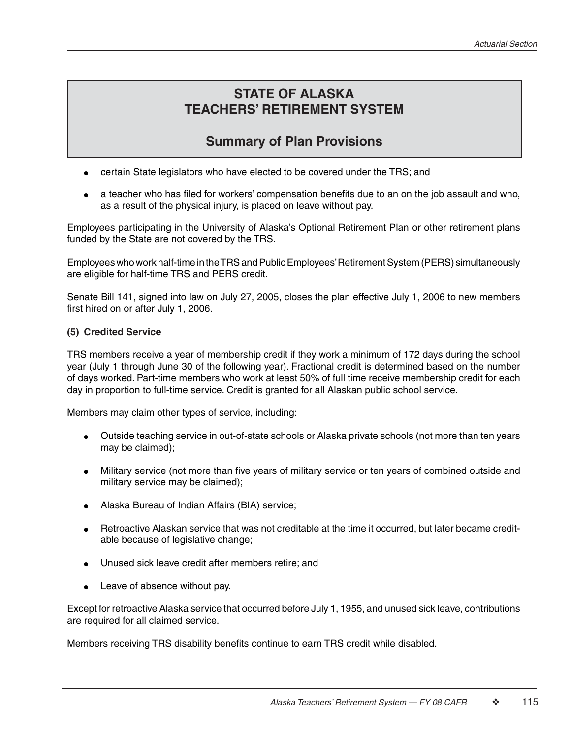# **Summary of Plan Provisions**

- certain State legislators who have elected to be covered under the TRS; and
- a teacher who has filed for workers' compensation benefits due to an on the job assault and who, as a result of the physical injury, is placed on leave without pay.

Employees participating in the University of Alaska's Optional Retirement Plan or other retirement plans funded by the State are not covered by the TRS.

Employees who work half-time in the TRS and Public Employees' Retirement System (PERS) simultaneously are eligible for half-time TRS and PERS credit.

Senate Bill 141, signed into law on July 27, 2005, closes the plan effective July 1, 2006 to new members first hired on or after July 1, 2006.

#### **(5) Credited Service**

TRS members receive a year of membership credit if they work a minimum of 172 days during the school year (July 1 through June 30 of the following year). Fractional credit is determined based on the number of days worked. Part-time members who work at least 50% of full time receive membership credit for each day in proportion to full-time service. Credit is granted for all Alaskan public school service.

Members may claim other types of service, including:

- Outside teaching service in out-of-state schools or Alaska private schools (not more than ten years may be claimed);
- Military service (not more than five years of military service or ten years of combined outside and military service may be claimed);
- Alaska Bureau of Indian Affairs (BIA) service;
- Retroactive Alaskan service that was not creditable at the time it occurred, but later became creditable because of legislative change;
- Unused sick leave credit after members retire; and
- Leave of absence without pay.

Except for retroactive Alaska service that occurred before July 1, 1955, and unused sick leave, contributions are required for all claimed service.

Members receiving TRS disability benefits continue to earn TRS credit while disabled.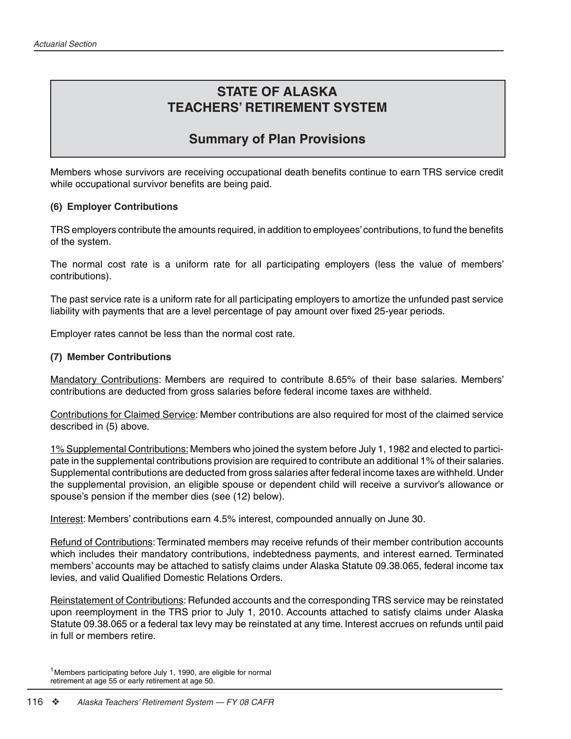# **Summary of Plan Provisions**

Members whose survivors are receiving occupational death benefits continue to earn TRS service credit while occupational survivor benefits are being paid.

#### **(6) Employer Contributions**

TRS employers contribute the amounts required, in addition to employees' contributions, to fund the benefits of the system.

The normal cost rate is a uniform rate for all participating employers (less the value of members' contributions).

The past service rate is a uniform rate for all participating employers to amortize the unfunded past service liability with payments that are a level percentage of pay amount over fixed 25-year periods.

Employer rates cannot be less than the normal cost rate.

#### **(7) Member Contributions**

Mandatory Contributions: Members are required to contribute 8.65% of their base salaries. Members' contributions are deducted from gross salaries before federal income taxes are withheld.

Contributions for Claimed Service: Member contributions are also required for most of the claimed service described in (5) above.

1% Supplemental Contributions: Members who joined the system before July 1, 1982 and elected to participate in the supplemental contributions provision are required to contribute an additional 1% of their salaries. Supplemental contributions are deducted from gross salaries after federal income taxes are withheld. Under the supplemental provision, an eligible spouse or dependent child will receive a survivor's allowance or spouse's pension if the member dies (see (12) below).

Interest: Members' contributions earn 4.5% interest, compounded annually on June 30.

Refund of Contributions: Terminated members may receive refunds of their member contribution accounts which includes their mandatory contributions, indebtedness payments, and interest earned. Terminated members' accounts may be attached to satisfy claims under Alaska Statute 09.38.065, federal income tax levies, and valid Qualified Domestic Relations Orders.

Reinstatement of Contributions: Refunded accounts and the corresponding TRS service may be reinstated upon reemployment in the TRS prior to July 1, 2010. Accounts attached to satisfy claims under Alaska Statute 09.38.065 or a federal tax levy may be reinstated at any time. Interest accrues on refunds until paid in full or members retire.

<sup>&</sup>lt;sup>1</sup> Members participating before July 1, 1990, are eligible for normal retirement at age 55 or early retirement at age 50.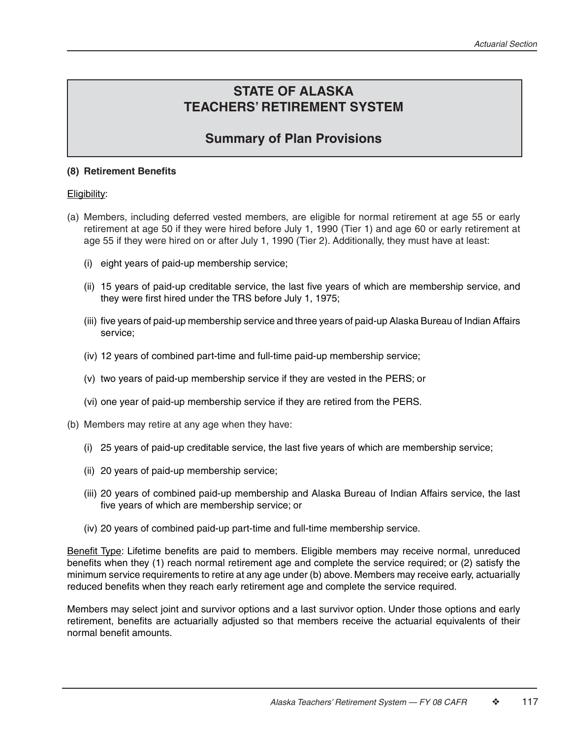### **Summary of Plan Provisions**

#### **(8) Retirement Benefits**

Eligibility:

- (a) Members, including deferred vested members, are eligible for normal retirement at age 55 or early retirement at age 50 if they were hired before July 1, 1990 (Tier 1) and age 60 or early retirement at age 55 if they were hired on or after July 1, 1990 (Tier 2). Additionally, they must have at least:
	- (i) eight years of paid-up membership service;
	- (ii) 15 years of paid-up creditable service, the last five years of which are membership service, and they were first hired under the TRS before July 1, 1975;
	- (iii) five years of paid-up membership service and three years of paid-up Alaska Bureau of Indian Affairs service;
	- (iv) 12 years of combined part-time and full-time paid-up membership service;
	- (v) two years of paid-up membership service if they are vested in the PERS; or
	- (vi) one year of paid-up membership service if they are retired from the PERS.
- (b) Members may retire at any age when they have:
	- $(i)$  25 years of paid-up creditable service, the last five years of which are membership service;
	- (ii) 20 years of paid-up membership service;
	- (iii) 20 years of combined paid-up membership and Alaska Bureau of Indian Affairs service, the last five years of which are membership service; or
	- (iv) 20 years of combined paid-up part-time and full-time membership service.

Benefit Type: Lifetime benefits are paid to members. Eligible members may receive normal, unreduced benefits when they (1) reach normal retirement age and complete the service required; or (2) satisfy the minimum service requirements to retire at any age under (b) above. Members may receive early, actuarially reduced benefits when they reach early retirement age and complete the service required.

Members may select joint and survivor options and a last survivor option. Under those options and early retirement, benefits are actuarially adjusted so that members receive the actuarial equivalents of their normal benefit amounts.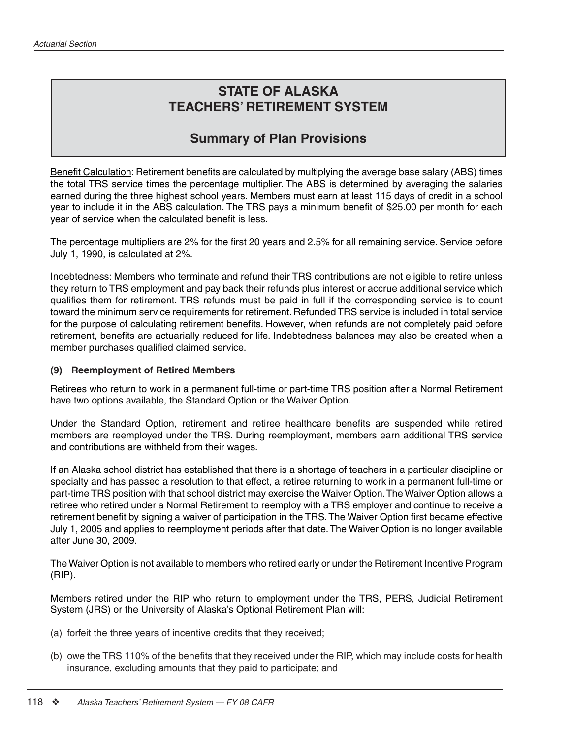# **Summary of Plan Provisions**

Benefit Calculation: Retirement benefits are calculated by multiplying the average base salary (ABS) times the total TRS service times the percentage multiplier. The ABS is determined by averaging the salaries earned during the three highest school years. Members must earn at least 115 days of credit in a school year to include it in the ABS calculation. The TRS pays a minimum benefit of \$25.00 per month for each year of service when the calculated benefit is less.

The percentage multipliers are 2% for the first 20 years and 2.5% for all remaining service. Service before July 1, 1990, is calculated at 2%.

Indebtedness: Members who terminate and refund their TRS contributions are not eligible to retire unless they return to TRS employment and pay back their refunds plus interest or accrue additional service which qualifies them for retirement. TRS refunds must be paid in full if the corresponding service is to count toward the minimum service requirements for retirement. Refunded TRS service is included in total service for the purpose of calculating retirement benefits. However, when refunds are not completely paid before retirement, benefits are actuarially reduced for life. Indebtedness balances may also be created when a member purchases qualified claimed service.

#### **(9) Reemployment of Retired Members**

Retirees who return to work in a permanent full-time or part-time TRS position after a Normal Retirement have two options available, the Standard Option or the Waiver Option.

Under the Standard Option, retirement and retiree healthcare benefits are suspended while retired members are reemployed under the TRS. During reemployment, members earn additional TRS service and contributions are withheld from their wages.

If an Alaska school district has established that there is a shortage of teachers in a particular discipline or specialty and has passed a resolution to that effect, a retiree returning to work in a permanent full-time or part-time TRS position with that school district may exercise the Waiver Option. The Waiver Option allows a retiree who retired under a Normal Retirement to reemploy with a TRS employer and continue to receive a retirement benefit by signing a waiver of participation in the TRS. The Waiver Option first became effective July 1, 2005 and applies to reemployment periods after that date. The Waiver Option is no longer available after June 30, 2009.

The Waiver Option is not available to members who retired early or under the Retirement Incentive Program (RIP).

Members retired under the RIP who return to employment under the TRS, PERS, Judicial Retirement System (JRS) or the University of Alaska's Optional Retirement Plan will:

- (a) forfeit the three years of incentive credits that they received;
- (b) owe the TRS 110% of the benefits that they received under the RIP, which may include costs for health insurance, excluding amounts that they paid to participate; and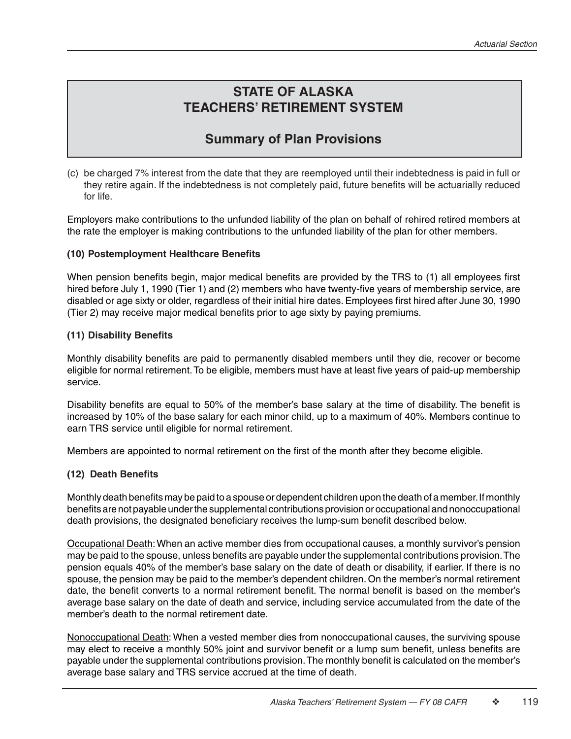# **Summary of Plan Provisions**

(c) be charged 7% interest from the date that they are reemployed until their indebtedness is paid in full or they retire again. If the indebtedness is not completely paid, future benefits will be actuarially reduced for life.

Employers make contributions to the unfunded liability of the plan on behalf of rehired retired members at the rate the employer is making contributions to the unfunded liability of the plan for other members.

#### **(10) Postemployment Healthcare Benefits**

When pension benefits begin, major medical benefits are provided by the TRS to (1) all employees first hired before July 1, 1990 (Tier 1) and (2) members who have twenty-five years of membership service, are disabled or age sixty or older, regardless of their initial hire dates. Employees first hired after June 30, 1990 (Tier 2) may receive major medical benefits prior to age sixty by paying premiums.

#### **(11) Disability Benefits**

Monthly disability benefits are paid to permanently disabled members until they die, recover or become eligible for normal retirement. To be eligible, members must have at least five years of paid-up membership service.

Disability benefits are equal to 50% of the member's base salary at the time of disability. The benefit is increased by 10% of the base salary for each minor child, up to a maximum of 40%. Members continue to earn TRS service until eligible for normal retirement.

Members are appointed to normal retirement on the first of the month after they become eligible.

#### **(12) Death Benefi ts**

Monthly death benefits may be paid to a spouse or dependent children upon the death of a member. If monthly benefits are not payable under the supplemental contributions provision or occupational and nonoccupational death provisions, the designated beneficiary receives the lump-sum benefit described below.

Occupational Death: When an active member dies from occupational causes, a monthly survivor's pension may be paid to the spouse, unless benefits are payable under the supplemental contributions provision. The pension equals 40% of the member's base salary on the date of death or disability, if earlier. If there is no spouse, the pension may be paid to the member's dependent children. On the member's normal retirement date, the benefit converts to a normal retirement benefit. The normal benefit is based on the member's average base salary on the date of death and service, including service accumulated from the date of the member's death to the normal retirement date.

Nonoccupational Death: When a vested member dies from nonoccupational causes, the surviving spouse may elect to receive a monthly 50% joint and survivor benefit or a lump sum benefit, unless benefits are payable under the supplemental contributions provision. The monthly benefit is calculated on the member's average base salary and TRS service accrued at the time of death.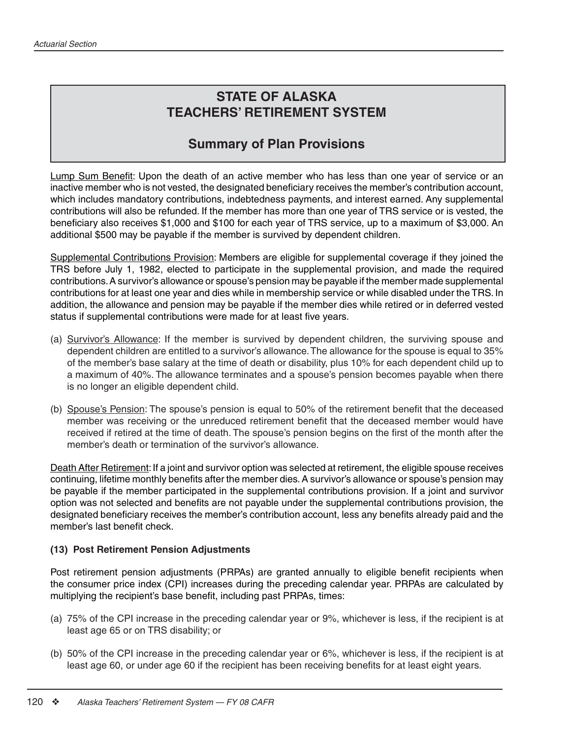# **Summary of Plan Provisions**

Lump Sum Benefit: Upon the death of an active member who has less than one year of service or an inactive member who is not vested, the designated beneficiary receives the member's contribution account, which includes mandatory contributions, indebtedness payments, and interest earned. Any supplemental contributions will also be refunded. If the member has more than one year of TRS service or is vested, the beneficiary also receives \$1,000 and \$100 for each year of TRS service, up to a maximum of \$3,000. An additional \$500 may be payable if the member is survived by dependent children.

Supplemental Contributions Provision: Members are eligible for supplemental coverage if they joined the TRS before July 1, 1982, elected to participate in the supplemental provision, and made the required contributions. A survivor's allowance or spouse's pension may be payable if the member made supplemental contributions for at least one year and dies while in membership service or while disabled under the TRS. In addition, the allowance and pension may be payable if the member dies while retired or in deferred vested status if supplemental contributions were made for at least five years.

- (a) Survivor's Allowance: If the member is survived by dependent children, the surviving spouse and dependent children are entitled to a survivor's allowance. The allowance for the spouse is equal to 35% of the member's base salary at the time of death or disability, plus 10% for each dependent child up to a maximum of 40%. The allowance terminates and a spouse's pension becomes payable when there is no longer an eligible dependent child.
- (b) Spouse's Pension: The spouse's pension is equal to 50% of the retirement benefit that the deceased member was receiving or the unreduced retirement benefit that the deceased member would have received if retired at the time of death. The spouse's pension begins on the first of the month after the member's death or termination of the survivor's allowance.

Death After Retirement: If a joint and survivor option was selected at retirement, the eligible spouse receives continuing, lifetime monthly benefits after the member dies. A survivor's allowance or spouse's pension may be payable if the member participated in the supplemental contributions provision. If a joint and survivor option was not selected and benefits are not payable under the supplemental contributions provision, the designated beneficiary receives the member's contribution account, less any benefits already paid and the member's last benefit check.

#### **(13) Post Retirement Pension Adjustments**

Post retirement pension adjustments (PRPAs) are granted annually to eligible benefit recipients when the consumer price index (CPI) increases during the preceding calendar year. PRPAs are calculated by multiplying the recipient's base benefit, including past PRPAs, times:

- (a) 75% of the CPI increase in the preceding calendar year or 9%, whichever is less, if the recipient is at least age 65 or on TRS disability; or
- (b) 50% of the CPI increase in the preceding calendar year or 6%, whichever is less, if the recipient is at least age 60, or under age 60 if the recipient has been receiving benefits for at least eight years.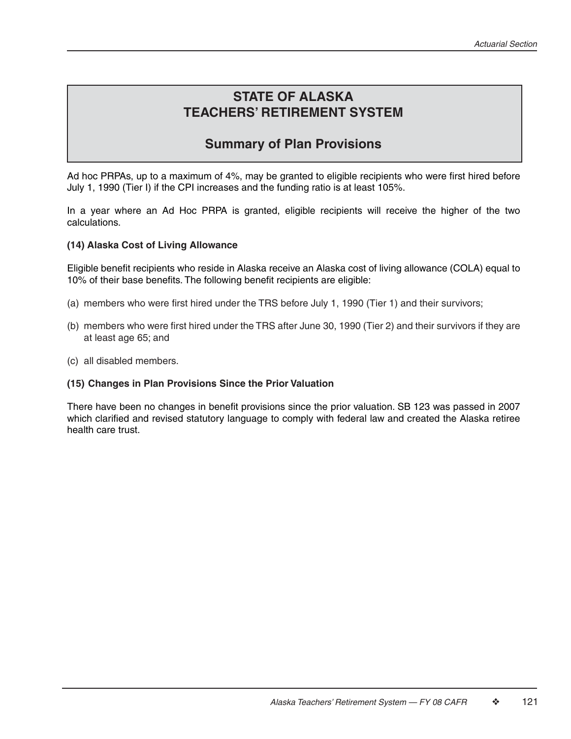## **Summary of Plan Provisions**

Ad hoc PRPAs, up to a maximum of 4%, may be granted to eligible recipients who were first hired before July 1, 1990 (Tier I) if the CPI increases and the funding ratio is at least 105%.

In a year where an Ad Hoc PRPA is granted, eligible recipients will receive the higher of the two calculations.

#### **(14) Alaska Cost of Living Allowance**

Eligible benefit recipients who reside in Alaska receive an Alaska cost of living allowance (COLA) equal to 10% of their base benefits. The following benefit recipients are eligible:

- (a) members who were first hired under the TRS before July 1, 1990 (Tier 1) and their survivors;
- (b) members who were first hired under the TRS after June 30, 1990 (Tier 2) and their survivors if they are at least age 65; and
- (c) all disabled members.

#### **(15) Changes in Plan Provisions Since the Prior Valuation**

There have been no changes in benefit provisions since the prior valuation. SB 123 was passed in 2007 which clarified and revised statutory language to comply with federal law and created the Alaska retiree health care trust.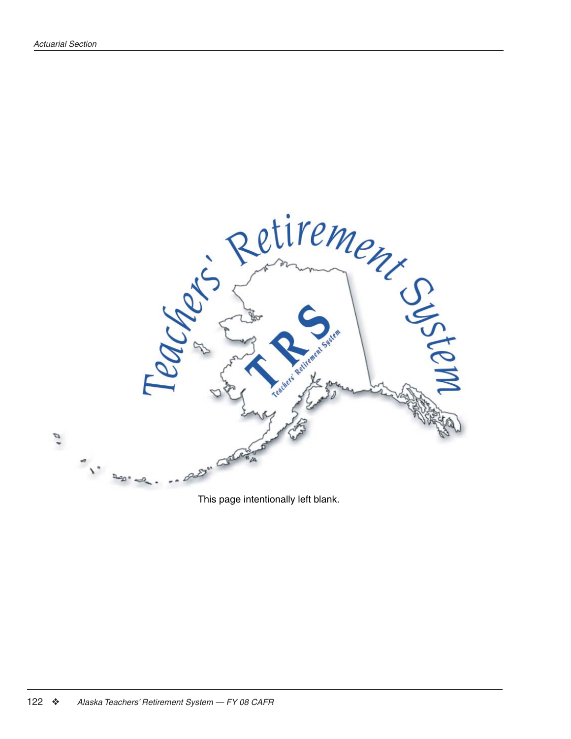

This page intentionally left blank.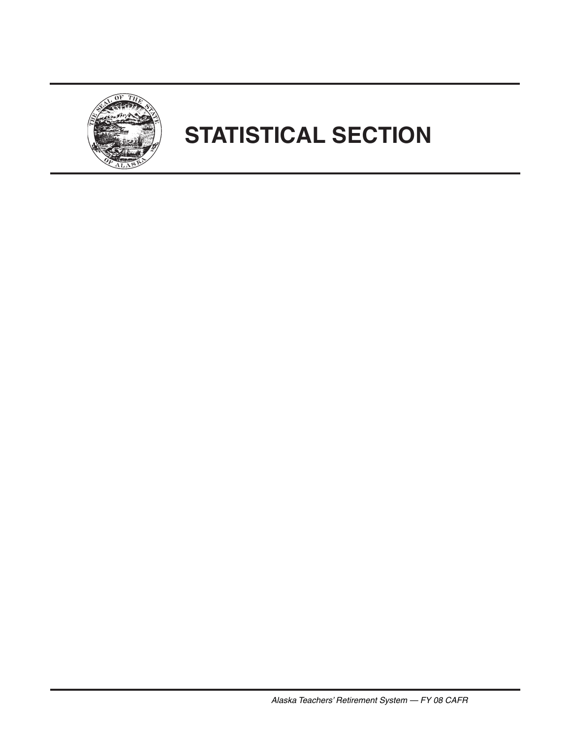

# **STATISTICAL SECTION**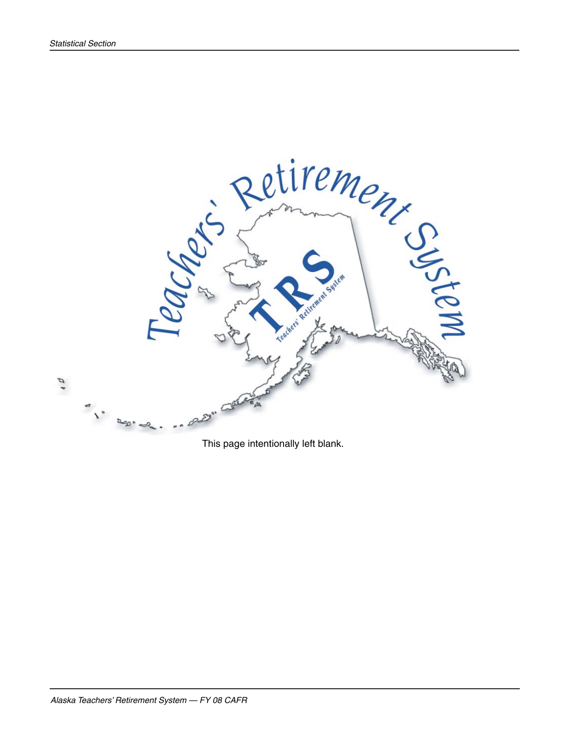

This page intentionally left blank.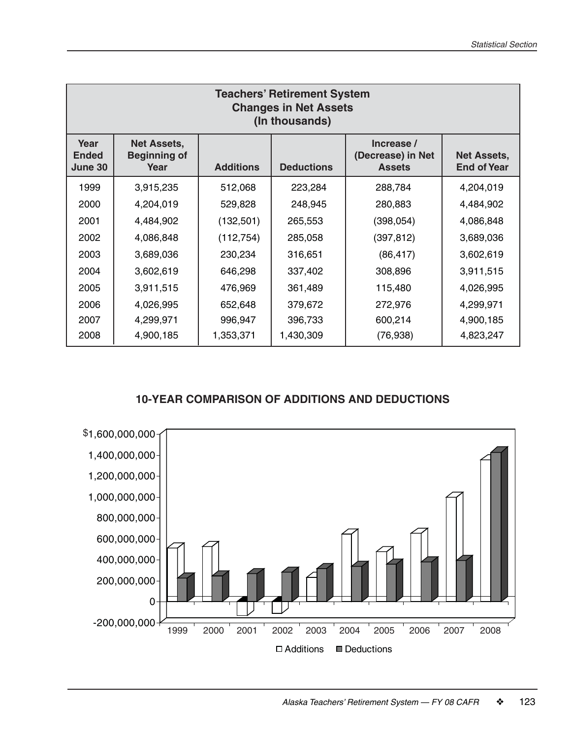|                                 | <b>Teachers' Retirement System</b><br><b>Changes in Net Assets</b><br>(In thousands) |                                          |           |            |           |  |  |  |  |  |
|---------------------------------|--------------------------------------------------------------------------------------|------------------------------------------|-----------|------------|-----------|--|--|--|--|--|
| Year<br><b>Ended</b><br>June 30 | Increase /<br>(Decrease) in Net<br><b>Assets</b>                                     | <b>Net Assets,</b><br><b>End of Year</b> |           |            |           |  |  |  |  |  |
| 1999                            | 3,915,235                                                                            | 512,068                                  | 223,284   | 288,784    | 4,204,019 |  |  |  |  |  |
| 2000                            | 4,204,019                                                                            | 529,828                                  | 248,945   | 280,883    | 4,484,902 |  |  |  |  |  |
| 2001                            | 4,484,902                                                                            | (132, 501)                               | 265,553   | (398, 054) | 4,086,848 |  |  |  |  |  |
| 2002                            | 4,086,848                                                                            | (112, 754)                               | 285,058   | (397, 812) | 3,689,036 |  |  |  |  |  |
| 2003                            | 3,689,036                                                                            | 230,234                                  | 316,651   | (86, 417)  | 3,602,619 |  |  |  |  |  |
| 2004                            | 3,602,619                                                                            | 646,298                                  | 337,402   | 308,896    | 3,911,515 |  |  |  |  |  |
| 2005                            | 3,911,515                                                                            | 476,969                                  | 361,489   | 115,480    | 4,026,995 |  |  |  |  |  |
| 2006                            | 4,026,995                                                                            | 652,648                                  | 379,672   | 272,976    | 4,299,971 |  |  |  |  |  |
| 2007                            | 4,299,971                                                                            | 996,947                                  | 396,733   | 600,214    | 4,900,185 |  |  |  |  |  |
| 2008                            | 4,900,185                                                                            | 1,353,371                                | 1,430,309 | (76, 938)  | 4,823,247 |  |  |  |  |  |

# **10-YEAR COMPARISON OF ADDITIONS AND DEDUCTIONS**

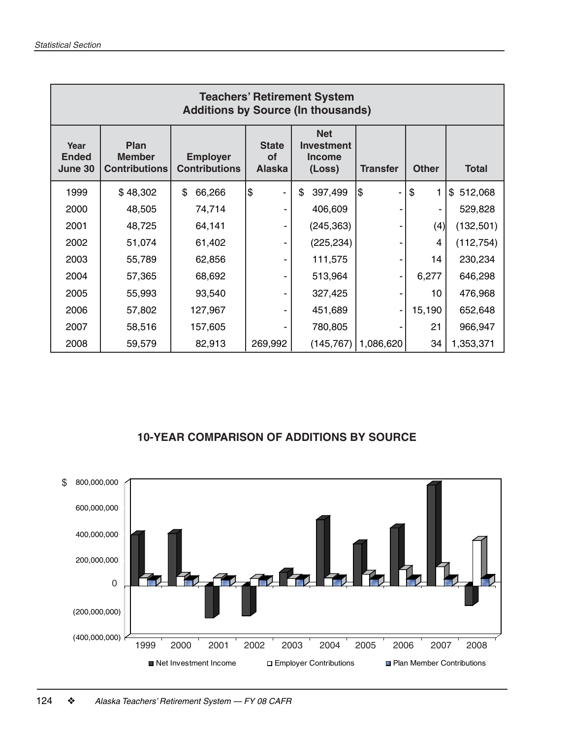|                                 | <b>Teachers' Retirement System</b><br><b>Additions by Source (In thousands)</b> |                                         |                                     |                                                            |                 |                              |              |  |  |  |
|---------------------------------|---------------------------------------------------------------------------------|-----------------------------------------|-------------------------------------|------------------------------------------------------------|-----------------|------------------------------|--------------|--|--|--|
| Year<br><b>Ended</b><br>June 30 | Plan<br><b>Member</b><br><b>Contributions</b>                                   | <b>Employer</b><br><b>Contributions</b> | <b>State</b><br>of<br><b>Alaska</b> | <b>Net</b><br><b>Investment</b><br><b>Income</b><br>(Loss) | <b>Transfer</b> | <b>Other</b>                 | <b>Total</b> |  |  |  |
| 1999                            | \$48,302                                                                        | 66,266<br>\$                            | \$<br>$\blacksquare$                | \$<br>397,499                                              | 1\$             | $\boldsymbol{\hat{\varphi}}$ | \$512,068    |  |  |  |
| 2000                            | 48,505                                                                          | 74,714                                  |                                     | 406,609                                                    |                 |                              | 529,828      |  |  |  |
| 2001                            | 48,725                                                                          | 64,141                                  |                                     | (245, 363)                                                 |                 | (4)                          | (132, 501)   |  |  |  |
| 2002                            | 51,074                                                                          | 61,402                                  |                                     | (225, 234)                                                 |                 | 4                            | (112, 754)   |  |  |  |
| 2003                            | 55,789                                                                          | 62,856                                  |                                     | 111,575                                                    |                 | 14                           | 230,234      |  |  |  |
| 2004                            | 57,365                                                                          | 68,692                                  |                                     | 513,964                                                    |                 | 6,277                        | 646,298      |  |  |  |
| 2005                            | 55,993                                                                          | 93,540                                  |                                     | 327,425                                                    |                 | 10                           | 476,968      |  |  |  |
| 2006                            | 57,802                                                                          | 127,967                                 |                                     | 451,689                                                    |                 | 15,190                       | 652,648      |  |  |  |
| 2007                            | 58,516                                                                          | 157,605                                 |                                     | 780,805                                                    |                 | 21                           | 966,947      |  |  |  |
| 2008                            | 59,579                                                                          | 82,913                                  | 269,992                             | (145, 767)                                                 | 1,086,620       | 34                           | 1,353,371    |  |  |  |

### **10-YEAR COMPARISON OF ADDITIONS BY SOURCE**

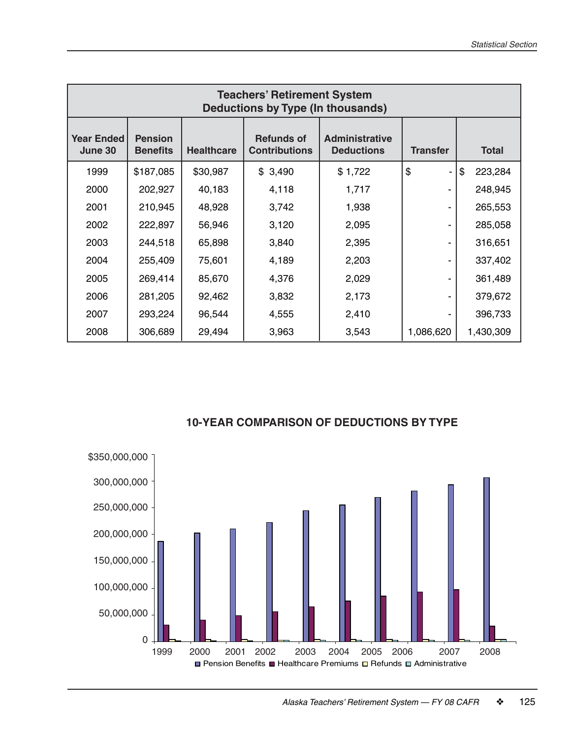|                              | <b>Teachers' Retirement System</b><br>Deductions by Type (In thousands) |                   |                                           |                                            |                 |               |  |  |  |  |
|------------------------------|-------------------------------------------------------------------------|-------------------|-------------------------------------------|--------------------------------------------|-----------------|---------------|--|--|--|--|
| <b>Year Ended</b><br>June 30 | <b>Pension</b><br><b>Benefits</b>                                       | <b>Healthcare</b> | <b>Refunds of</b><br><b>Contributions</b> | <b>Administrative</b><br><b>Deductions</b> | <b>Transfer</b> | <b>Total</b>  |  |  |  |  |
| 1999                         | \$187,085                                                               | \$30,987          | \$3,490                                   | \$1,722                                    | \$              | \$<br>223,284 |  |  |  |  |
| 2000                         | 202,927                                                                 | 40,183            | 4,118                                     | 1,717                                      |                 | 248,945       |  |  |  |  |
| 2001                         | 210,945                                                                 | 48,928            | 3,742                                     | 1,938                                      |                 | 265,553       |  |  |  |  |
| 2002                         | 222,897                                                                 | 56,946            | 3,120                                     | 2,095                                      |                 | 285,058       |  |  |  |  |
| 2003                         | 244,518                                                                 | 65,898            | 3,840                                     | 2,395                                      | -               | 316,651       |  |  |  |  |
| 2004                         | 255,409                                                                 | 75,601            | 4,189                                     | 2,203                                      |                 | 337,402       |  |  |  |  |
| 2005                         | 269,414                                                                 | 85,670            | 4,376                                     | 2,029                                      |                 | 361,489       |  |  |  |  |
| 2006                         | 281,205                                                                 | 92,462            | 3,832                                     | 2,173                                      |                 | 379,672       |  |  |  |  |
| 2007                         | 293,224                                                                 | 96,544            | 4,555                                     | 2,410                                      |                 | 396,733       |  |  |  |  |
| 2008                         | 306,689                                                                 | 29,494            | 3,963                                     | 3,543                                      | 1,086,620       | 1,430,309     |  |  |  |  |

**10-YEAR COMPARISON OF DEDUCTIONS BY TYPE**

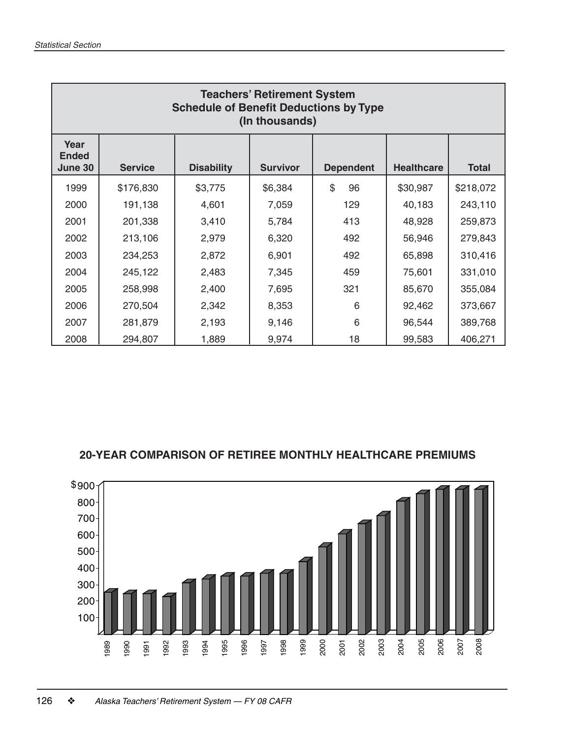| <b>Teachers' Retirement System</b><br><b>Schedule of Benefit Deductions by Type</b><br>(In thousands) |                                                                                                                 |         |         |          |          |           |  |  |  |  |  |
|-------------------------------------------------------------------------------------------------------|-----------------------------------------------------------------------------------------------------------------|---------|---------|----------|----------|-----------|--|--|--|--|--|
| Year<br><b>Ended</b><br>June 30                                                                       | <b>Survivor</b><br><b>Healthcare</b><br><b>Service</b><br><b>Disability</b><br><b>Dependent</b><br><b>Total</b> |         |         |          |          |           |  |  |  |  |  |
| 1999                                                                                                  | \$176,830                                                                                                       | \$3,775 | \$6,384 | \$<br>96 | \$30,987 | \$218,072 |  |  |  |  |  |
| 2000                                                                                                  | 191,138                                                                                                         | 4,601   | 7,059   | 129      | 40,183   | 243,110   |  |  |  |  |  |
| 2001                                                                                                  | 201,338                                                                                                         | 3,410   | 5,784   | 413      | 48,928   | 259,873   |  |  |  |  |  |
| 2002                                                                                                  | 213,106                                                                                                         | 2,979   | 6,320   | 492      | 56,946   | 279,843   |  |  |  |  |  |
| 2003                                                                                                  | 234,253                                                                                                         | 2,872   | 6,901   | 492      | 65,898   | 310,416   |  |  |  |  |  |
| 2004                                                                                                  | 245,122                                                                                                         | 2,483   | 7,345   | 459      | 75,601   | 331,010   |  |  |  |  |  |
| 2005                                                                                                  | 258,998                                                                                                         | 2,400   | 7,695   | 321      | 85,670   | 355,084   |  |  |  |  |  |
| 2006                                                                                                  | 270,504                                                                                                         | 2,342   | 8,353   | 6        | 92,462   | 373,667   |  |  |  |  |  |
| 2007                                                                                                  | 281,879                                                                                                         | 2,193   | 9,146   | 6        | 96,544   | 389,768   |  |  |  |  |  |
| 2008                                                                                                  | 294,807                                                                                                         | 1,889   | 9,974   | 18       | 99,583   | 406,271   |  |  |  |  |  |

### **20-YEAR COMPARISON OF RETIREE MONTHLY HEALTHCARE PREMIUMS**

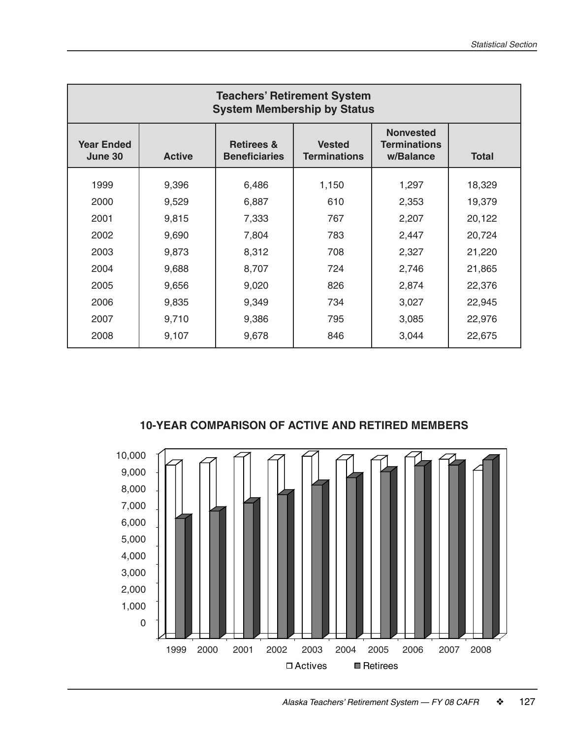| <b>Teachers' Retirement System</b><br><b>System Membership by Status</b> |               |                                               |                                      |                                                      |              |  |
|--------------------------------------------------------------------------|---------------|-----------------------------------------------|--------------------------------------|------------------------------------------------------|--------------|--|
| <b>Year Ended</b><br>June 30                                             | <b>Active</b> | <b>Retirees &amp;</b><br><b>Beneficiaries</b> | <b>Vested</b><br><b>Terminations</b> | <b>Nonvested</b><br><b>Terminations</b><br>w/Balance | <b>Total</b> |  |
| 1999                                                                     | 9,396         | 6,486                                         | 1,150                                | 1,297                                                | 18,329       |  |
| 2000                                                                     | 9,529         | 6,887                                         | 610                                  | 2,353                                                | 19,379       |  |
| 2001                                                                     | 9,815         | 7,333                                         | 767                                  | 2,207                                                | 20,122       |  |
| 2002                                                                     | 9,690         | 7,804                                         | 783                                  | 2,447                                                | 20,724       |  |
| 2003                                                                     | 9,873         | 8,312                                         | 708                                  | 2,327                                                | 21,220       |  |
| 2004                                                                     | 9,688         | 8,707                                         | 724                                  | 2,746                                                | 21,865       |  |
| 2005                                                                     | 9,656         | 9,020                                         | 826                                  | 2,874                                                | 22,376       |  |
| 2006                                                                     | 9,835         | 9,349                                         | 734                                  | 3,027                                                | 22,945       |  |
| 2007                                                                     | 9,710         | 9,386                                         | 795                                  | 3,085                                                | 22,976       |  |
| 2008                                                                     | 9,107         | 9,678                                         | 846                                  | 3,044                                                | 22,675       |  |

**10-YEAR COMPARISON OF ACTIVE AND RETIRED MEMBERS**

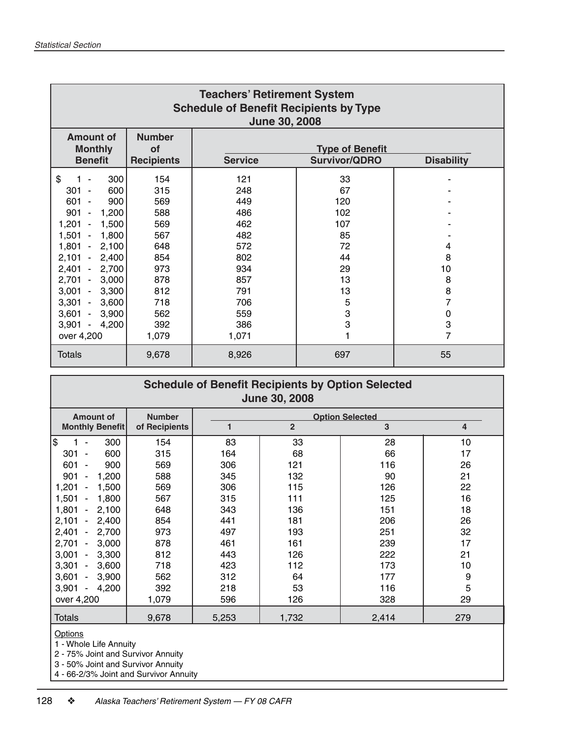| <b>Teachers' Retirement System</b><br><b>Schedule of Benefit Recipients by Type</b><br><b>June 30, 2008</b>                                                                                                                                                                   |                                                                                                         |                                                                                                         |                                                                                  |                                                         |  |
|-------------------------------------------------------------------------------------------------------------------------------------------------------------------------------------------------------------------------------------------------------------------------------|---------------------------------------------------------------------------------------------------------|---------------------------------------------------------------------------------------------------------|----------------------------------------------------------------------------------|---------------------------------------------------------|--|
| <b>Amount of</b><br><b>Monthly</b><br><b>Benefit</b>                                                                                                                                                                                                                          | <b>Number</b><br><b>of</b><br><b>Recipients</b>                                                         | <b>Type of Benefit</b><br><b>Service</b><br><b>Survivor/QDRO</b><br><b>Disability</b>                   |                                                                                  |                                                         |  |
| \$<br>300<br>600<br>$301 -$<br>$601 -$<br>900<br>$901 -$<br>1,200<br>1,500<br>$1,201 -$<br>$1,501 -$<br>1,800<br>$1,801 - 2,100$<br>2,101 - 2,400<br>2,401 - 2,700<br>2,701 - 3,000<br>$3,001 - 3,300$<br>$3,301 - 3,600$<br>$3,601 - 3,900$<br>$3,901 - 4,200$<br>over 4,200 | 154<br>315<br>569<br>588<br>569<br>567<br>648<br>854<br>973<br>878<br>812<br>718<br>562<br>392<br>1,079 | 121<br>248<br>449<br>486<br>462<br>482<br>572<br>802<br>934<br>857<br>791<br>706<br>559<br>386<br>1,071 | 33<br>67<br>120<br>102<br>107<br>85<br>72<br>44<br>29<br>13<br>13<br>5<br>3<br>3 | 4<br>8<br>10<br>8<br>8<br>7<br>0<br>3<br>$\overline{7}$ |  |
| <b>Totals</b>                                                                                                                                                                                                                                                                 | 9,678                                                                                                   | 8,926                                                                                                   | 697                                                                              | 55                                                      |  |

| <b>Schedule of Benefit Recipients by Option Selected</b><br><b>June 30, 2008</b> |               |                        |                |       |                |  |
|----------------------------------------------------------------------------------|---------------|------------------------|----------------|-------|----------------|--|
| <b>Amount of</b>                                                                 | <b>Number</b> | <b>Option Selected</b> |                |       |                |  |
| <b>Monthly Benefit</b>                                                           | of Recipients | 1                      | $\overline{2}$ | 3     | 4              |  |
| ا\$<br>300                                                                       | 154           | 83                     | 33             | 28    | 10             |  |
| 600<br>301                                                                       | 315           | 164                    | 68             | 66    | 17             |  |
| 601<br>900                                                                       | 569           | 306                    | 121            | 116   | 26             |  |
| 901<br>1,200<br>-                                                                | 588           | 345                    | 132            | 90    | 21             |  |
| 1,201<br>1,500                                                                   | 569           | 306                    | 115            | 126   | 22             |  |
| 1,501<br>1,800                                                                   | 567           | 315                    | 111            | 125   | 16             |  |
| 1,801<br>2,100                                                                   | 648           | 343                    | 136            | 151   | 18             |  |
| 2,101<br>2,400<br>$\blacksquare$                                                 | 854           | 441                    | 181            | 206   | 26             |  |
| 2,401<br>2,700                                                                   | 973           | 497                    | 193            | 251   | 32             |  |
| 2,701<br>3,000                                                                   | 878           | 461                    | 161            | 239   | 17             |  |
| 3,001<br>3,300<br>$\overline{\phantom{a}}$                                       | 812           | 443                    | 126            | 222   | 21             |  |
| 3,301<br>3,600<br>$\blacksquare$                                                 | 718           | 423                    | 112            | 173   | 10             |  |
| 3,601<br>3,900                                                                   | 562           | 312                    | 64             | 177   | 9              |  |
| 3,901<br>4,200<br>$\blacksquare$                                                 | 392           | 218                    | 53             | 116   | $\overline{5}$ |  |
| over 4,200                                                                       | 1,079         | 596                    | 126            | 328   | 29             |  |
| Totals                                                                           | 9,678         | 5,253                  | 1,732          | 2,414 | 279            |  |

Options

1 - Whole Life Annuity

2 - 75% Joint and Survivor Annuity

3 - 50% Joint and Survivor Annuity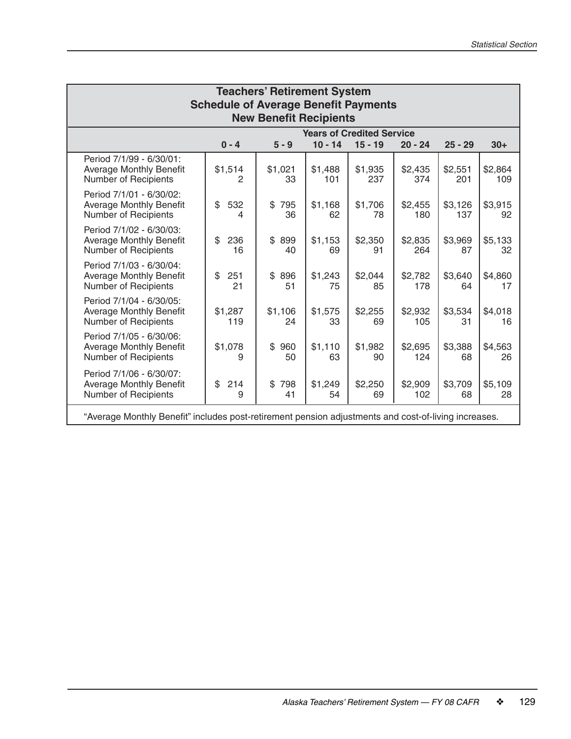| <b>Teachers' Retirement System</b><br><b>Schedule of Average Benefit Payments</b>                    |                                                                                                                     |                 |                |                |                |                |                |
|------------------------------------------------------------------------------------------------------|---------------------------------------------------------------------------------------------------------------------|-----------------|----------------|----------------|----------------|----------------|----------------|
| <b>New Benefit Recipients</b>                                                                        |                                                                                                                     |                 |                |                |                |                |                |
|                                                                                                      | <b>Years of Credited Service</b><br>$0 - 4$<br>$10 - 14$<br>$15 - 19$<br>$5 - 9$<br>$20 - 24$<br>$25 - 29$<br>$30+$ |                 |                |                |                |                |                |
| Period 7/1/99 - 6/30/01:<br><b>Average Monthly Benefit</b><br>Number of Recipients                   | \$1,514<br>2                                                                                                        | \$1,021<br>33   | \$1,488<br>101 | \$1,935<br>237 | \$2,435<br>374 | \$2,551<br>201 | \$2,864<br>109 |
| Period 7/1/01 - 6/30/02:<br><b>Average Monthly Benefit</b><br><b>Number of Recipients</b>            | \$<br>532<br>4                                                                                                      | \$<br>795<br>36 | \$1,168<br>62  | \$1,706<br>78  | \$2,455<br>180 | \$3,126<br>137 | \$3,915<br>92  |
| Period 7/1/02 - 6/30/03:<br><b>Average Monthly Benefit</b><br><b>Number of Recipients</b>            | \$<br>236<br>16                                                                                                     | \$ 899<br>40    | \$1,153<br>69  | \$2,350<br>91  | \$2,835<br>264 | \$3,969<br>87  | \$5,133<br>32  |
| Period 7/1/03 - 6/30/04:<br><b>Average Monthly Benefit</b><br><b>Number of Recipients</b>            | \$<br>251<br>21                                                                                                     | \$ 896<br>51    | \$1,243<br>75  | \$2,044<br>85  | \$2,782<br>178 | \$3,640<br>64  | \$4,860<br>17  |
| Period 7/1/04 - 6/30/05:<br><b>Average Monthly Benefit</b><br><b>Number of Recipients</b>            | \$1,287<br>119                                                                                                      | \$1,106<br>24   | \$1,575<br>33  | \$2,255<br>69  | \$2,932<br>105 | \$3,534<br>31  | \$4,018<br>16  |
| Period 7/1/05 - 6/30/06:<br><b>Average Monthly Benefit</b><br><b>Number of Recipients</b>            | \$1,078<br>9                                                                                                        | \$<br>960<br>50 | \$1,110<br>63  | \$1,982<br>90  | \$2,695<br>124 | \$3,388<br>68  | \$4,563<br>26  |
| Period 7/1/06 - 6/30/07:<br><b>Average Monthly Benefit</b><br>Number of Recipients                   | \$<br>214<br>9                                                                                                      | \$<br>798<br>41 | \$1,249<br>54  | \$2,250<br>69  | \$2,909<br>102 | \$3,709<br>68  | \$5,109<br>28  |
| "Average Monthly Benefit" includes post-retirement pension adjustments and cost-of-living increases. |                                                                                                                     |                 |                |                |                |                |                |